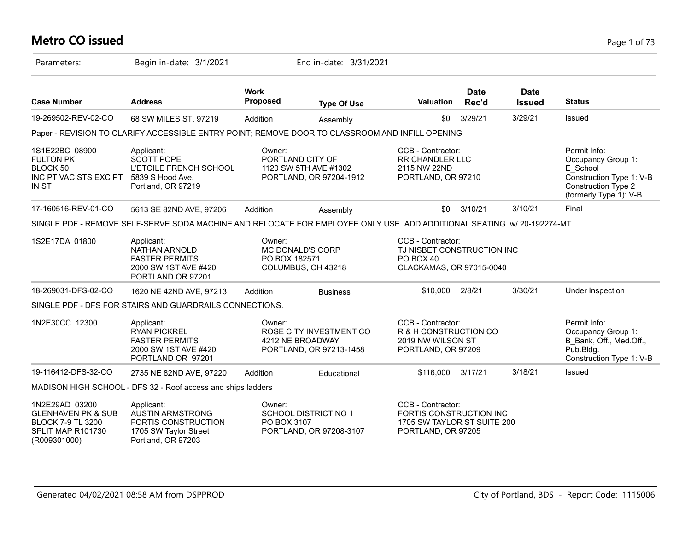# **Metro CO issued** Page 1 of 73

| Parameters:                                                                                                      | Begin in-date: 3/1/2021                                                                                                 |                                | End in-date: 3/31/2021                                                 |                                                                                                   |                      |                              |                                                                                                                                    |
|------------------------------------------------------------------------------------------------------------------|-------------------------------------------------------------------------------------------------------------------------|--------------------------------|------------------------------------------------------------------------|---------------------------------------------------------------------------------------------------|----------------------|------------------------------|------------------------------------------------------------------------------------------------------------------------------------|
| <b>Case Number</b>                                                                                               | <b>Address</b>                                                                                                          | <b>Work</b><br><b>Proposed</b> | <b>Type Of Use</b>                                                     | Valuation                                                                                         | <b>Date</b><br>Rec'd | <b>Date</b><br><b>Issued</b> | <b>Status</b>                                                                                                                      |
| 19-269502-REV-02-CO                                                                                              | 68 SW MILES ST, 97219                                                                                                   | Addition                       | Assembly                                                               | \$0                                                                                               | 3/29/21              | 3/29/21                      | Issued                                                                                                                             |
|                                                                                                                  | Paper - REVISION TO CLARIFY ACCESSIBLE ENTRY POINT; REMOVE DOOR TO CLASSROOM AND INFILL OPENING                         |                                |                                                                        |                                                                                                   |                      |                              |                                                                                                                                    |
| 1S1E22BC 08900<br><b>FULTON PK</b><br>BLOCK 50<br>INC PT VAC STS EXC PT<br><b>IN ST</b>                          | Applicant:<br>SCOTT POPE<br><b>L'ETOILE FRENCH SCHOOL</b><br>5839 S Hood Ave.<br>Portland, OR 97219                     | Owner:                         | PORTLAND CITY OF<br>1120 SW 5TH AVE #1302<br>PORTLAND, OR 97204-1912   | CCB - Contractor:<br><b>RR CHANDLER LLC</b><br>2115 NW 22ND<br>PORTLAND, OR 97210                 |                      |                              | Permit Info:<br>Occupancy Group 1:<br>E_School<br>Construction Type 1: V-B<br><b>Construction Type 2</b><br>(formerly Type 1): V-B |
| 17-160516-REV-01-CO                                                                                              | 5613 SE 82ND AVE, 97206                                                                                                 | Addition                       | Assembly                                                               | \$0                                                                                               | 3/10/21              | 3/10/21                      | Final                                                                                                                              |
|                                                                                                                  | SINGLE PDF - REMOVE SELF-SERVE SODA MACHINE AND RELOCATE FOR EMPLOYEE ONLY USE. ADD ADDITIONAL SEATING. w/ 20-192274-MT |                                |                                                                        |                                                                                                   |                      |                              |                                                                                                                                    |
| 1S2E17DA 01800                                                                                                   | Applicant:<br>NATHAN ARNOLD<br><b>FASTER PERMITS</b><br>2000 SW 1ST AVE #420<br>PORTLAND OR 97201                       | Owner:<br>PO BOX 182571        | <b>MC DONALD'S CORP</b><br>COLUMBUS, OH 43218                          | CCB - Contractor:<br>TJ NISBET CONSTRUCTION INC<br>PO BOX 40<br>CLACKAMAS, OR 97015-0040          |                      |                              |                                                                                                                                    |
| 18-269031-DFS-02-CO                                                                                              | 1620 NE 42ND AVE, 97213                                                                                                 | Addition                       | <b>Business</b>                                                        | \$10,000                                                                                          | 2/8/21               | 3/30/21                      | Under Inspection                                                                                                                   |
|                                                                                                                  | SINGLE PDF - DFS FOR STAIRS AND GUARDRAILS CONNECTIONS.                                                                 |                                |                                                                        |                                                                                                   |                      |                              |                                                                                                                                    |
| 1N2E30CC 12300                                                                                                   | Applicant:<br><b>RYAN PICKREL</b><br><b>FASTER PERMITS</b><br>2000 SW 1ST AVE #420<br>PORTLAND OR 97201                 | Owner:                         | ROSE CITY INVESTMENT CO<br>4212 NE BROADWAY<br>PORTLAND, OR 97213-1458 | CCB - Contractor:<br>R & H CONSTRUCTION CO<br>2019 NW WILSON ST<br>PORTLAND, OR 97209             |                      |                              | Permit Info:<br>Occupancy Group 1:<br>B Bank, Off., Med.Off.,<br>$P$ ub.Bldg.<br>Construction Type 1: V-B                          |
| 19-116412-DFS-32-CO                                                                                              | 2735 NE 82ND AVE, 97220                                                                                                 | Addition                       | Educational                                                            | \$116,000                                                                                         | 3/17/21              | 3/18/21                      | <b>Issued</b>                                                                                                                      |
|                                                                                                                  | MADISON HIGH SCHOOL - DFS 32 - Roof access and ships ladders                                                            |                                |                                                                        |                                                                                                   |                      |                              |                                                                                                                                    |
| 1N2E29AD 03200<br><b>GLENHAVEN PK &amp; SUB</b><br><b>BLOCK 7-9 TL 3200</b><br>SPLIT MAP R101730<br>(R009301000) | Applicant:<br><b>AUSTIN ARMSTRONG</b><br>FORTIS CONSTRUCTION<br>1705 SW Taylor Street<br>Portland, OR 97203             | Owner:<br>PO BOX 3107          | SCHOOL DISTRICT NO 1<br>PORTLAND, OR 97208-3107                        | CCB - Contractor:<br>FORTIS CONSTRUCTION INC<br>1705 SW TAYLOR ST SUITE 200<br>PORTLAND, OR 97205 |                      |                              |                                                                                                                                    |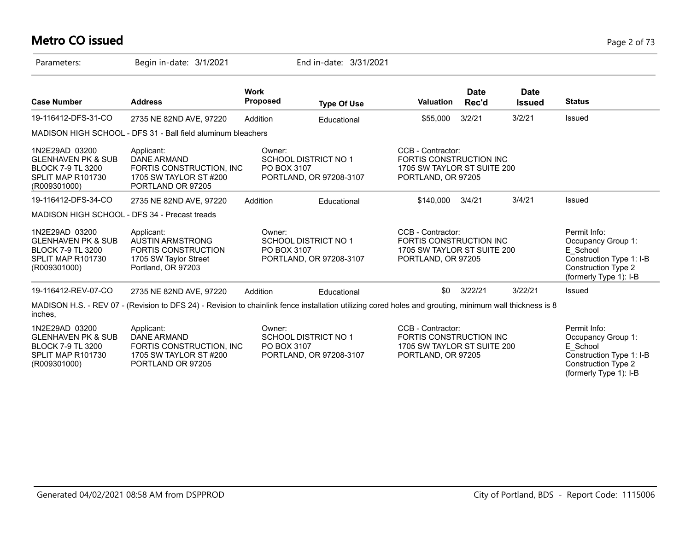# **Metro CO issued** Page 2 of 73

| Parameters:                                                                                                      | Begin in-date: 3/1/2021                                                                                                                                 |                                | End in-date: 3/31/2021                                 |                                                                                                   |                      |                              |                                                                                                                                    |
|------------------------------------------------------------------------------------------------------------------|---------------------------------------------------------------------------------------------------------------------------------------------------------|--------------------------------|--------------------------------------------------------|---------------------------------------------------------------------------------------------------|----------------------|------------------------------|------------------------------------------------------------------------------------------------------------------------------------|
| <b>Case Number</b>                                                                                               | <b>Address</b>                                                                                                                                          | <b>Work</b><br><b>Proposed</b> | <b>Type Of Use</b>                                     | <b>Valuation</b>                                                                                  | <b>Date</b><br>Rec'd | <b>Date</b><br><b>Issued</b> | <b>Status</b>                                                                                                                      |
| 19-116412-DFS-31-CO                                                                                              | 2735 NE 82ND AVE, 97220                                                                                                                                 | Addition                       | Educational                                            | \$55,000                                                                                          | 3/2/21               | 3/2/21                       | Issued                                                                                                                             |
|                                                                                                                  | MADISON HIGH SCHOOL - DFS 31 - Ball field aluminum bleachers                                                                                            |                                |                                                        |                                                                                                   |                      |                              |                                                                                                                                    |
| 1N2E29AD 03200<br><b>GLENHAVEN PK &amp; SUB</b><br><b>BLOCK 7-9 TL 3200</b><br>SPLIT MAP R101730<br>(R009301000) | Applicant:<br><b>DANE ARMAND</b><br>FORTIS CONSTRUCTION, INC.<br>1705 SW TAYLOR ST #200<br>PORTLAND OR 97205                                            | Owner:<br>PO BOX 3107          | <b>SCHOOL DISTRICT NO 1</b><br>PORTLAND, OR 97208-3107 | CCB - Contractor:<br>FORTIS CONSTRUCTION INC<br>1705 SW TAYLOR ST SUITE 200<br>PORTLAND, OR 97205 |                      |                              |                                                                                                                                    |
| 19-116412-DFS-34-CO                                                                                              | 2735 NE 82ND AVE, 97220                                                                                                                                 | Addition                       | Educational                                            | \$140,000                                                                                         | 3/4/21               | 3/4/21                       | Issued                                                                                                                             |
| MADISON HIGH SCHOOL - DFS 34 - Precast treads                                                                    |                                                                                                                                                         |                                |                                                        |                                                                                                   |                      |                              |                                                                                                                                    |
| 1N2E29AD 03200<br><b>GLENHAVEN PK &amp; SUB</b><br><b>BLOCK 7-9 TL 3200</b><br>SPLIT MAP R101730<br>(R009301000) | Applicant:<br><b>AUSTIN ARMSTRONG</b><br><b>FORTIS CONSTRUCTION</b><br>1705 SW Taylor Street<br>Portland, OR 97203                                      | Owner:<br>PO BOX 3107          | <b>SCHOOL DISTRICT NO 1</b><br>PORTLAND, OR 97208-3107 | CCB - Contractor:<br>FORTIS CONSTRUCTION INC<br>1705 SW TAYLOR ST SUITE 200<br>PORTLAND, OR 97205 |                      |                              | Permit Info:<br>Occupancy Group 1:<br>E School<br>Construction Type 1: I-B<br><b>Construction Type 2</b><br>(formerly Type 1): I-B |
| 19-116412-REV-07-CO                                                                                              | 2735 NE 82ND AVE, 97220                                                                                                                                 | Addition                       | Educational                                            | \$0                                                                                               | 3/22/21              | 3/22/21                      | <b>Issued</b>                                                                                                                      |
| inches.                                                                                                          | MADISON H.S. - REV 07 - (Revision to DFS 24) - Revision to chainlink fence installation utilizing cored holes and grouting, minimum wall thickness is 8 |                                |                                                        |                                                                                                   |                      |                              |                                                                                                                                    |
| 1N2E29AD 03200<br><b>GLENHAVEN PK &amp; SUB</b><br><b>BLOCK 7-9 TL 3200</b><br>SPLIT MAP R101730<br>(R009301000) | Applicant:<br>DANE ARMAND<br>FORTIS CONSTRUCTION, INC.<br>1705 SW TAYLOR ST #200<br>PORTLAND OR 97205                                                   | Owner:<br>PO BOX 3107          | <b>SCHOOL DISTRICT NO 1</b><br>PORTLAND, OR 97208-3107 | CCB - Contractor:<br>FORTIS CONSTRUCTION INC<br>1705 SW TAYLOR ST SUITE 200<br>PORTLAND, OR 97205 |                      |                              | Permit Info:<br>Occupancy Group 1:<br>E School<br>Construction Type 1: I-B<br><b>Construction Type 2</b>                           |

(formerly Type 1): I-B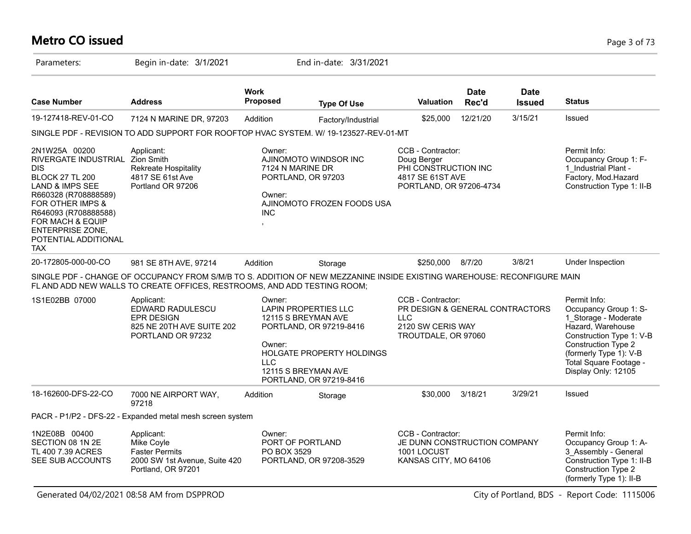# **Metro CO issued** Page 3 of 73

| Parameters:                                                                                                                                                                                                                                                                     | Begin in-date: 3/1/2021                                                                                                                                                                             |                                | End in-date: 3/31/2021                                                                                                                                       |                                                                                                                |                      |                              |                                                                                                                                                                                                                  |
|---------------------------------------------------------------------------------------------------------------------------------------------------------------------------------------------------------------------------------------------------------------------------------|-----------------------------------------------------------------------------------------------------------------------------------------------------------------------------------------------------|--------------------------------|--------------------------------------------------------------------------------------------------------------------------------------------------------------|----------------------------------------------------------------------------------------------------------------|----------------------|------------------------------|------------------------------------------------------------------------------------------------------------------------------------------------------------------------------------------------------------------|
| <b>Case Number</b>                                                                                                                                                                                                                                                              | <b>Address</b>                                                                                                                                                                                      | <b>Work</b><br>Proposed        | <b>Type Of Use</b>                                                                                                                                           | <b>Valuation</b>                                                                                               | <b>Date</b><br>Rec'd | <b>Date</b><br><b>Issued</b> | <b>Status</b>                                                                                                                                                                                                    |
| 19-127418-REV-01-CO                                                                                                                                                                                                                                                             | 7124 N MARINE DR, 97203                                                                                                                                                                             | Addition                       | Factory/Industrial                                                                                                                                           | \$25,000                                                                                                       | 12/21/20             | 3/15/21                      | <b>Issued</b>                                                                                                                                                                                                    |
|                                                                                                                                                                                                                                                                                 | SINGLE PDF - REVISION TO ADD SUPPORT FOR ROOFTOP HVAC SYSTEM. W/ 19-123527-REV-01-MT                                                                                                                |                                |                                                                                                                                                              |                                                                                                                |                      |                              |                                                                                                                                                                                                                  |
| 2N1W25A 00200<br>RIVERGATE INDUSTRIAL Zion Smith<br><b>DIS</b><br><b>BLOCK 27 TL 200</b><br>LAND & IMPS SEE<br>R660328 (R708888589)<br><b>FOR OTHER IMPS &amp;</b><br>R646093 (R708888588)<br>FOR MACH & EQUIP<br><b>ENTERPRISE ZONE,</b><br>POTENTIAL ADDITIONAL<br><b>TAX</b> | Applicant:<br><b>Rekreate Hospitality</b><br>4817 SE 61st Ave<br>Portland OR 97206                                                                                                                  | Owner:<br>Owner:<br><b>INC</b> | AJINOMOTO WINDSOR INC<br>7124 N MARINE DR<br>PORTLAND, OR 97203<br>AJINOMOTO FROZEN FOODS USA                                                                | <b>CCB - Contractor:</b><br>Doug Berger<br>PHI CONSTRUCTION INC<br>4817 SE 61ST AVE<br>PORTLAND, OR 97206-4734 |                      |                              | Permit Info:<br>Occupancy Group 1: F-<br>1 Industrial Plant -<br>Factory, Mod.Hazard<br>Construction Type 1: II-B                                                                                                |
| 20-172805-000-00-CO                                                                                                                                                                                                                                                             | 981 SE 8TH AVE, 97214                                                                                                                                                                               | Addition                       | Storage                                                                                                                                                      | \$250,000                                                                                                      | 8/7/20               | 3/8/21                       | Under Inspection                                                                                                                                                                                                 |
|                                                                                                                                                                                                                                                                                 | SINGLE PDF - CHANGE OF OCCUPANCY FROM S/M/B TO S. ADDITION OF NEW MEZZANINE INSIDE EXISTING WAREHOUSE: RECONFIGURE MAIN<br>FL AND ADD NEW WALLS TO CREATE OFFICES, RESTROOMS, AND ADD TESTING ROOM; |                                |                                                                                                                                                              |                                                                                                                |                      |                              |                                                                                                                                                                                                                  |
| 1S1E02BB 07000                                                                                                                                                                                                                                                                  | Applicant:<br>EDWARD RADULESCU<br><b>EPR DESIGN</b><br>825 NE 20TH AVE SUITE 202<br>PORTLAND OR 97232                                                                                               | Owner:<br>Owner:<br><b>LLC</b> | <b>LAPIN PROPERTIES LLC</b><br>12115 S BREYMAN AVE<br>PORTLAND, OR 97219-8416<br>HOLGATE PROPERTY HOLDINGS<br>12115 S BREYMAN AVE<br>PORTLAND, OR 97219-8416 | CCB - Contractor:<br>PR DESIGN & GENERAL CONTRACTORS<br><b>LLC</b><br>2120 SW CERIS WAY<br>TROUTDALE, OR 97060 |                      |                              | Permit Info:<br>Occupancy Group 1: S-<br>1 Storage - Moderate<br>Hazard, Warehouse<br>Construction Type 1: V-B<br>Construction Type 2<br>(formerly Type 1): V-B<br>Total Square Footage -<br>Display Only: 12105 |
| 18-162600-DFS-22-CO                                                                                                                                                                                                                                                             | 7000 NE AIRPORT WAY,<br>97218                                                                                                                                                                       | Addition                       | Storage                                                                                                                                                      | \$30,000                                                                                                       | 3/18/21              | 3/29/21                      | Issued                                                                                                                                                                                                           |
|                                                                                                                                                                                                                                                                                 | PACR - P1/P2 - DFS-22 - Expanded metal mesh screen system                                                                                                                                           |                                |                                                                                                                                                              |                                                                                                                |                      |                              |                                                                                                                                                                                                                  |
| 1N2E08B 00400<br>SECTION 08 1N 2E<br>TL 400 7.39 ACRES<br>SEE SUB ACCOUNTS                                                                                                                                                                                                      | Applicant:<br>Mike Coyle<br><b>Faster Permits</b><br>2000 SW 1st Avenue, Suite 420<br>Portland, OR 97201                                                                                            | Owner:<br>PO BOX 3529          | PORT OF PORTLAND<br>PORTLAND, OR 97208-3529                                                                                                                  | CCB - Contractor:<br>JE DUNN CONSTRUCTION COMPANY<br>1001 LOCUST<br>KANSAS CITY, MO 64106                      |                      |                              | Permit Info:<br>Occupancy Group 1: A-<br>3 Assembly - General<br>Construction Type 1: II-B<br><b>Construction Type 2</b><br>(formerly Type 1): II-B                                                              |

Generated 04/02/2021 08:58 AM from DSPPROD City of Portland, BDS - Report Code: 1115006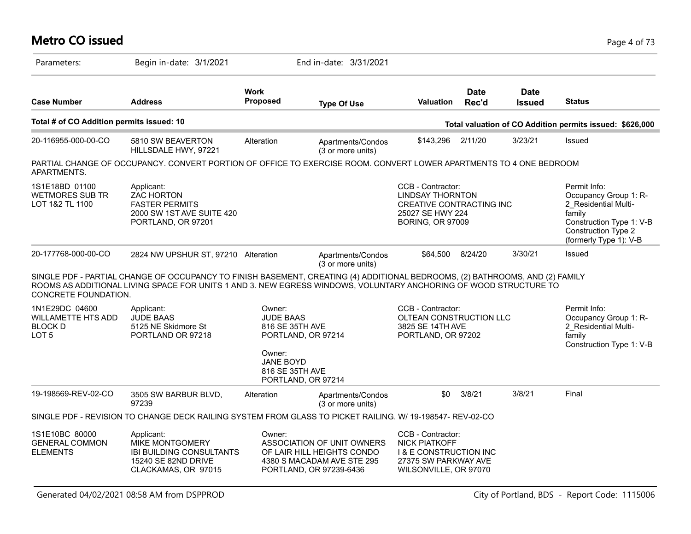#### **Metro CO issued** Page 4 of 73

| Parameters:                                                                       | Begin in-date: 3/1/2021                                                                                                                                                                                                                          |                                                                               | End in-date: 3/31/2021                                                                                            |                                                                                                                                 |                      |                              |                                                                                                                                                      |
|-----------------------------------------------------------------------------------|--------------------------------------------------------------------------------------------------------------------------------------------------------------------------------------------------------------------------------------------------|-------------------------------------------------------------------------------|-------------------------------------------------------------------------------------------------------------------|---------------------------------------------------------------------------------------------------------------------------------|----------------------|------------------------------|------------------------------------------------------------------------------------------------------------------------------------------------------|
| <b>Case Number</b>                                                                | <b>Address</b>                                                                                                                                                                                                                                   | <b>Work</b><br>Proposed                                                       | <b>Type Of Use</b>                                                                                                | Valuation                                                                                                                       | <b>Date</b><br>Rec'd | <b>Date</b><br><b>Issued</b> | <b>Status</b>                                                                                                                                        |
| Total # of CO Addition permits issued: 10                                         |                                                                                                                                                                                                                                                  |                                                                               |                                                                                                                   |                                                                                                                                 |                      |                              | Total valuation of CO Addition permits issued: \$626,000                                                                                             |
| 20-116955-000-00-CO                                                               | 5810 SW BEAVERTON<br>HILLSDALE HWY, 97221                                                                                                                                                                                                        | Alteration                                                                    | Apartments/Condos<br>(3 or more units)                                                                            | \$143,296                                                                                                                       | 2/11/20              | 3/23/21                      | Issued                                                                                                                                               |
| APARTMENTS.                                                                       | PARTIAL CHANGE OF OCCUPANCY. CONVERT PORTION OF OFFICE TO EXERCISE ROOM. CONVERT LOWER APARTMENTS TO 4 ONE BEDROOM                                                                                                                               |                                                                               |                                                                                                                   |                                                                                                                                 |                      |                              |                                                                                                                                                      |
| 1S1E18BD 01100<br><b>WETMORES SUB TR</b><br>LOT 1&2 TL 1100                       | Applicant:<br><b>ZAC HORTON</b><br><b>FASTER PERMITS</b><br>2000 SW 1ST AVE SUITE 420<br>PORTLAND, OR 97201                                                                                                                                      |                                                                               |                                                                                                                   | CCB - Contractor:<br><b>LINDSAY THORNTON</b><br>CREATIVE CONTRACTING INC<br>25027 SE HWY 224<br><b>BORING, OR 97009</b>         |                      |                              | Permit Info:<br>Occupancy Group 1: R-<br>2 Residential Multi-<br>family<br>Construction Type 1: V-B<br>Construction Type 2<br>(formerly Type 1): V-B |
| 20-177768-000-00-CO                                                               | 2824 NW UPSHUR ST, 97210 Alteration                                                                                                                                                                                                              |                                                                               | Apartments/Condos<br>(3 or more units)                                                                            | \$64,500                                                                                                                        | 8/24/20              | 3/30/21                      | Issued                                                                                                                                               |
| CONCRETE FOUNDATION.                                                              | SINGLE PDF - PARTIAL CHANGE OF OCCUPANCY TO FINISH BASEMENT, CREATING (4) ADDITIONAL BEDROOMS, (2) BATHROOMS, AND (2) FAMILY<br>ROOMS AS ADDITIONAL LIVING SPACE FOR UNITS 1 AND 3. NEW EGRESS WINDOWS, VOLUNTARY ANCHORING OF WOOD STRUCTURE TO |                                                                               |                                                                                                                   |                                                                                                                                 |                      |                              |                                                                                                                                                      |
| 1N1E29DC 04600<br><b>WILLAMETTE HTS ADD</b><br><b>BLOCK D</b><br>LOT <sub>5</sub> | Applicant:<br><b>JUDE BAAS</b><br>5125 NE Skidmore St<br>PORTLAND OR 97218                                                                                                                                                                       | Owner:<br><b>JUDE BAAS</b><br>816 SE 35TH AVE<br>PORTLAND, OR 97214<br>Owner: |                                                                                                                   | CCB - Contractor:<br>OLTEAN CONSTRUCTION LLC<br>3825 SE 14TH AVE<br>PORTLAND, OR 97202                                          |                      |                              | Permit Info:<br>Occupancy Group 1: R-<br>2_Residential Multi-<br>family<br>Construction Type 1: V-B                                                  |
|                                                                                   |                                                                                                                                                                                                                                                  | JANE BOYD<br>816 SE 35TH AVE<br>PORTLAND, OR 97214                            |                                                                                                                   |                                                                                                                                 |                      |                              |                                                                                                                                                      |
| 19-198569-REV-02-CO                                                               | 3505 SW BARBUR BLVD,<br>97239                                                                                                                                                                                                                    | Alteration                                                                    | Apartments/Condos<br>(3 or more units)                                                                            | \$0                                                                                                                             | 3/8/21               | 3/8/21                       | Final                                                                                                                                                |
|                                                                                   | SINGLE PDF - REVISION TO CHANGE DECK RAILING SYSTEM FROM GLASS TO PICKET RAILING. W/ 19-198547- REV-02-CO                                                                                                                                        |                                                                               |                                                                                                                   |                                                                                                                                 |                      |                              |                                                                                                                                                      |
| 1S1E10BC 80000<br><b>GENERAL COMMON</b><br><b>ELEMENTS</b>                        | Applicant:<br>MIKE MONTGOMERY<br><b>IBI BUILDING CONSULTANTS</b><br><b>15240 SE 82ND DRIVE</b><br>CLACKAMAS, OR 97015                                                                                                                            | Owner:                                                                        | ASSOCIATION OF UNIT OWNERS<br>OF LAIR HILL HEIGHTS CONDO<br>4380 S MACADAM AVE STE 295<br>PORTLAND, OR 97239-6436 | CCB - Contractor:<br><b>NICK PIATKOFF</b><br><b>I &amp; E CONSTRUCTION INC</b><br>27375 SW PARKWAY AVE<br>WILSONVILLE, OR 97070 |                      |                              |                                                                                                                                                      |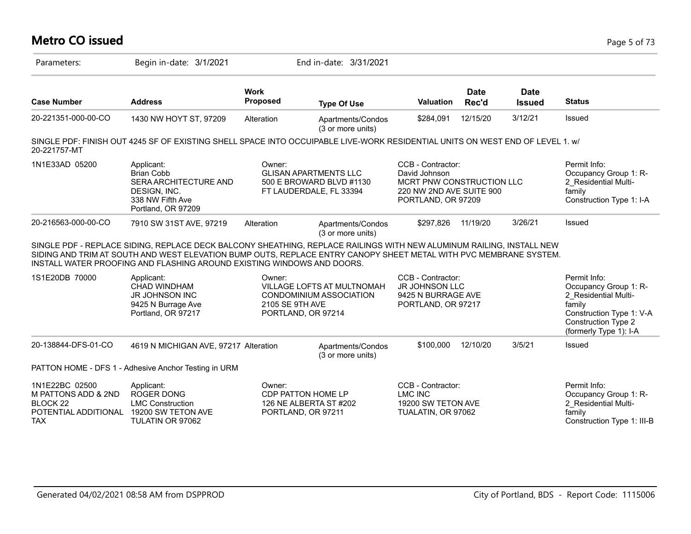# **Metro CO issued** Page 5 of 73

| Parameters:                                                                                        | Begin in-date: 3/1/2021                                                                                                                                                                                                                                                                                             |                                                                              | End in-date: 3/31/2021                                                              |                                                                                                                   |                      |                              |                                                                                                                                                             |
|----------------------------------------------------------------------------------------------------|---------------------------------------------------------------------------------------------------------------------------------------------------------------------------------------------------------------------------------------------------------------------------------------------------------------------|------------------------------------------------------------------------------|-------------------------------------------------------------------------------------|-------------------------------------------------------------------------------------------------------------------|----------------------|------------------------------|-------------------------------------------------------------------------------------------------------------------------------------------------------------|
| <b>Case Number</b>                                                                                 | <b>Address</b>                                                                                                                                                                                                                                                                                                      | <b>Work</b><br><b>Proposed</b>                                               | <b>Type Of Use</b>                                                                  | Valuation                                                                                                         | <b>Date</b><br>Rec'd | <b>Date</b><br><b>Issued</b> | <b>Status</b>                                                                                                                                               |
| 20-221351-000-00-CO                                                                                | 1430 NW HOYT ST, 97209                                                                                                                                                                                                                                                                                              | Alteration                                                                   | Apartments/Condos<br>(3 or more units)                                              | \$284,091                                                                                                         | 12/15/20             | 3/12/21                      | Issued                                                                                                                                                      |
| 20-221757-MT                                                                                       | SINGLE PDF: FINISH OUT 4245 SF OF EXISTING SHELL SPACE INTO OCCUIPABLE LIVE-WORK RESIDENTIAL UNITS ON WEST END OF LEVEL 1. W                                                                                                                                                                                        |                                                                              |                                                                                     |                                                                                                                   |                      |                              |                                                                                                                                                             |
| 1N1E33AD 05200                                                                                     | Applicant:<br><b>Brian Cobb</b><br>SERA ARCHITECTURE AND<br>DESIGN, INC.<br>338 NW Fifth Ave<br>Portland, OR 97209                                                                                                                                                                                                  | Owner:                                                                       | <b>GLISAN APARTMENTS LLC</b><br>500 E BROWARD BLVD #1130<br>FT LAUDERDALE, FL 33394 | CCB - Contractor:<br>David Johnson<br>MCRT PNW CONSTRUCTION LLC<br>220 NW 2ND AVE SUITE 900<br>PORTLAND, OR 97209 |                      |                              | Permit Info:<br>Occupancy Group 1: R-<br>2 Residential Multi-<br>family<br>Construction Type 1: I-A                                                         |
| 20-216563-000-00-CO                                                                                | 7910 SW 31ST AVE, 97219                                                                                                                                                                                                                                                                                             | Alteration                                                                   | Apartments/Condos<br>(3 or more units)                                              | \$297,826                                                                                                         | 11/19/20             | 3/26/21                      | Issued                                                                                                                                                      |
|                                                                                                    | SINGLE PDF - REPLACE SIDING, REPLACE DECK BALCONY SHEATHING, REPLACE RAILINGS WITH NEW ALUMINUM RAILING, INSTALL NEW<br>SIDING AND TRIM AT SOUTH AND WEST ELEVATION BUMP OUTS, REPLACE ENTRY CANOPY SHEET METAL WITH PVC MEMBRANE SYSTEM.<br>INSTALL WATER PROOFING AND FLASHING AROUND EXISTING WINDOWS AND DOORS. |                                                                              |                                                                                     |                                                                                                                   |                      |                              |                                                                                                                                                             |
| 1S1E20DB 70000                                                                                     | Applicant:<br>CHAD WINDHAM<br><b>JR JOHNSON INC</b><br>9425 N Burrage Ave<br>Portland, OR 97217                                                                                                                                                                                                                     | Owner:<br>2105 SE 9TH AVE<br>PORTLAND, OR 97214                              | <b>VILLAGE LOFTS AT MULTNOMAH</b><br><b>CONDOMINIUM ASSOCIATION</b>                 | CCB - Contractor:<br><b>JR JOHNSON LLC</b><br>9425 N BURRAGE AVE<br>PORTLAND, OR 97217                            |                      |                              | Permit Info:<br>Occupancy Group 1: R-<br>2 Residential Multi-<br>family<br>Construction Type 1: V-A<br><b>Construction Type 2</b><br>(formerly Type 1): I-A |
| 20-138844-DFS-01-CO                                                                                | 4619 N MICHIGAN AVE, 97217 Alteration                                                                                                                                                                                                                                                                               |                                                                              | Apartments/Condos<br>(3 or more units)                                              | \$100,000                                                                                                         | 12/10/20             | 3/5/21                       | Issued                                                                                                                                                      |
|                                                                                                    | PATTON HOME - DFS 1 - Adhesive Anchor Testing in URM                                                                                                                                                                                                                                                                |                                                                              |                                                                                     |                                                                                                                   |                      |                              |                                                                                                                                                             |
| 1N1E22BC 02500<br>M PATTONS ADD & 2ND<br>BLOCK <sub>22</sub><br>POTENTIAL ADDITIONAL<br><b>TAX</b> | Applicant:<br><b>ROGER DONG</b><br><b>LMC Construction</b><br>19200 SW TETON AVE<br>TULATIN OR 97062                                                                                                                                                                                                                | Owner:<br>CDP PATTON HOME LP<br>126 NE ALBERTA ST #202<br>PORTLAND, OR 97211 |                                                                                     | CCB - Contractor:<br><b>LMC INC</b><br>19200 SW TETON AVE<br>TUALATIN, OR 97062                                   |                      |                              | Permit Info:<br>Occupancy Group 1: R-<br>2 Residential Multi-<br>family<br>Construction Type 1: III-B                                                       |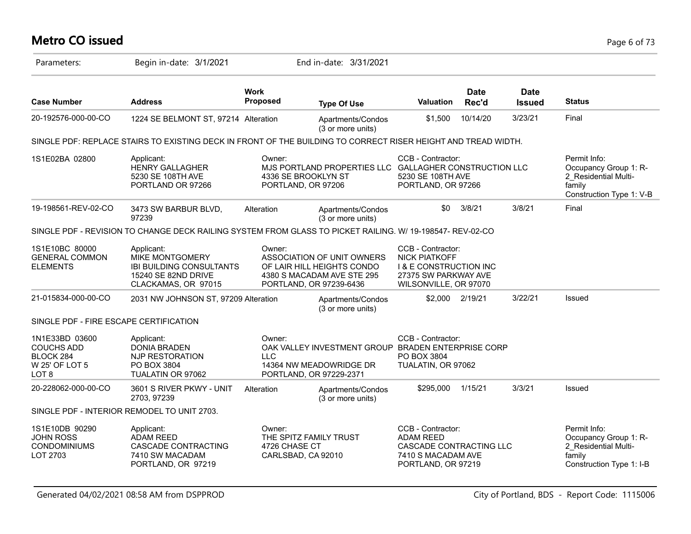# **Metro CO issued** Page 6 of 73

| Parameters:                                                                 | Begin in-date: 3/1/2021                                                                                               |                                | End in-date: 3/31/2021                                                                                            |                                                                                                                                 |                      |                              |                                                                                                     |
|-----------------------------------------------------------------------------|-----------------------------------------------------------------------------------------------------------------------|--------------------------------|-------------------------------------------------------------------------------------------------------------------|---------------------------------------------------------------------------------------------------------------------------------|----------------------|------------------------------|-----------------------------------------------------------------------------------------------------|
| <b>Case Number</b>                                                          | <b>Address</b>                                                                                                        | <b>Work</b><br><b>Proposed</b> | <b>Type Of Use</b>                                                                                                | <b>Valuation</b>                                                                                                                | <b>Date</b><br>Rec'd | <b>Date</b><br><b>Issued</b> | <b>Status</b>                                                                                       |
| 20-192576-000-00-CO                                                         | 1224 SE BELMONT ST, 97214 Alteration                                                                                  |                                | Apartments/Condos<br>(3 or more units)                                                                            | \$1,500                                                                                                                         | 10/14/20             | 3/23/21                      | Final                                                                                               |
|                                                                             | SINGLE PDF: REPLACE STAIRS TO EXISTING DECK IN FRONT OF THE BUILDING TO CORRECT RISER HEIGHT AND TREAD WIDTH.         |                                |                                                                                                                   |                                                                                                                                 |                      |                              |                                                                                                     |
| 1S1E02BA 02800                                                              | Applicant:<br><b>HENRY GALLAGHER</b><br>5230 SE 108TH AVE<br>PORTLAND OR 97266                                        | Owner:                         | MJS PORTLAND PROPERTIES LLC GALLAGHER CONSTRUCTION LLC<br>4336 SE BROOKLYN ST<br>PORTLAND, OR 97206               | CCB - Contractor:<br>5230 SE 108TH AVE<br>PORTLAND, OR 97266                                                                    |                      |                              | Permit Info:<br>Occupancy Group 1: R-<br>2 Residential Multi-<br>family<br>Construction Type 1: V-B |
| 19-198561-REV-02-CO                                                         | 3473 SW BARBUR BLVD,<br>97239                                                                                         | Alteration                     | Apartments/Condos<br>(3 or more units)                                                                            | \$0                                                                                                                             | 3/8/21               | 3/8/21                       | Final                                                                                               |
|                                                                             | SINGLE PDF - REVISION TO CHANGE DECK RAILING SYSTEM FROM GLASS TO PICKET RAILING. W/ 19-198547- REV-02-CO             |                                |                                                                                                                   |                                                                                                                                 |                      |                              |                                                                                                     |
| 1S1E10BC 80000<br><b>GENERAL COMMON</b><br><b>ELEMENTS</b>                  | Applicant:<br><b>MIKE MONTGOMERY</b><br><b>IBI BUILDING CONSULTANTS</b><br>15240 SE 82ND DRIVE<br>CLACKAMAS, OR 97015 | Owner:                         | ASSOCIATION OF UNIT OWNERS<br>OF LAIR HILL HEIGHTS CONDO<br>4380 S MACADAM AVE STE 295<br>PORTLAND, OR 97239-6436 | CCB - Contractor:<br><b>NICK PIATKOFF</b><br><b>I &amp; E CONSTRUCTION INC</b><br>27375 SW PARKWAY AVE<br>WILSONVILLE, OR 97070 |                      |                              |                                                                                                     |
| 21-015834-000-00-CO                                                         | 2031 NW JOHNSON ST, 97209 Alteration                                                                                  |                                | Apartments/Condos<br>(3 or more units)                                                                            |                                                                                                                                 | \$2,000 2/19/21      | 3/22/21                      | Issued                                                                                              |
| SINGLE PDF - FIRE ESCAPE CERTIFICATION                                      |                                                                                                                       |                                |                                                                                                                   |                                                                                                                                 |                      |                              |                                                                                                     |
| 1N1E33BD 03600<br><b>COUCHS ADD</b><br>BLOCK 284<br>W 25' OF LOT 5<br>LOT 8 | Applicant:<br><b>DONIA BRADEN</b><br>NJP RESTORATION<br>PO BOX 3804<br>TUALATIN OR 97062                              | Owner:<br><b>LLC</b>           | OAK VALLEY INVESTMENT GROUP BRADEN ENTERPRISE CORP<br>14364 NW MEADOWRIDGE DR<br>PORTLAND, OR 97229-2371          | CCB - Contractor:<br>PO BOX 3804<br>TUALATIN, OR 97062                                                                          |                      |                              |                                                                                                     |
| 20-228062-000-00-CO                                                         | 3601 S RIVER PKWY - UNIT<br>2703, 97239                                                                               | Alteration                     | Apartments/Condos<br>(3 or more units)                                                                            | \$295,000                                                                                                                       | 1/15/21              | 3/3/21                       | Issued                                                                                              |
|                                                                             | SINGLE PDF - INTERIOR REMODEL TO UNIT 2703.                                                                           |                                |                                                                                                                   |                                                                                                                                 |                      |                              |                                                                                                     |
| 1S1E10DB 90290<br><b>JOHN ROSS</b><br><b>CONDOMINIUMS</b><br>LOT 2703       | Applicant:<br><b>ADAM REED</b><br>CASCADE CONTRACTING<br>7410 SW MACADAM<br>PORTLAND, OR 97219                        | Owner:<br>4726 CHASE CT        | THE SPITZ FAMILY TRUST<br>CARLSBAD, CA 92010                                                                      | CCB - Contractor:<br><b>ADAM REED</b><br>CASCADE CONTRACTING LLC<br>7410 S MACADAM AVE<br>PORTLAND, OR 97219                    |                      |                              | Permit Info:<br>Occupancy Group 1: R-<br>2_Residential Multi-<br>family<br>Construction Type 1: I-B |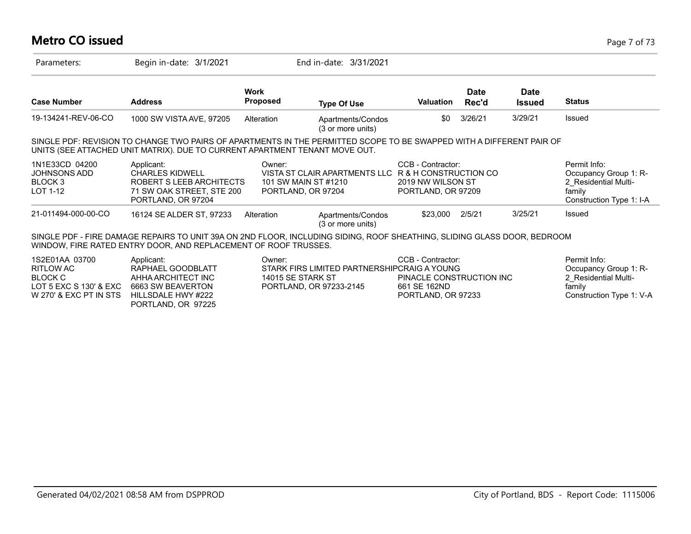# **Metro CO issued** Page 7 of 73

| Parameters:                                                                                       | Begin in-date: 3/1/2021                                                                                                                                                                             |                                | End in-date: 3/31/2021                                                                            |                                                                                     |                      |                              |                                                                                                     |
|---------------------------------------------------------------------------------------------------|-----------------------------------------------------------------------------------------------------------------------------------------------------------------------------------------------------|--------------------------------|---------------------------------------------------------------------------------------------------|-------------------------------------------------------------------------------------|----------------------|------------------------------|-----------------------------------------------------------------------------------------------------|
| <b>Case Number</b>                                                                                | <b>Address</b>                                                                                                                                                                                      | <b>Work</b><br><b>Proposed</b> | <b>Type Of Use</b>                                                                                | <b>Valuation</b>                                                                    | <b>Date</b><br>Rec'd | <b>Date</b><br><b>Issued</b> | <b>Status</b>                                                                                       |
| 19-134241-REV-06-CO                                                                               | 1000 SW VISTA AVE, 97205                                                                                                                                                                            | Alteration                     | Apartments/Condos<br>(3 or more units)                                                            | \$0                                                                                 | 3/26/21              | 3/29/21                      | <b>Issued</b>                                                                                       |
|                                                                                                   | SINGLE PDF: REVISION TO CHANGE TWO PAIRS OF APARTMENTS IN THE PERMITTED SCOPE TO BE SWAPPED WITH A DIFFERENT PAIR OF<br>UNITS (SEE ATTACHED UNIT MATRIX). DUE TO CURRENT APARTMENT TENANT MOVE OUT. |                                |                                                                                                   |                                                                                     |                      |                              |                                                                                                     |
| 1N1E33CD 04200<br>JOHNSONS ADD<br>BLOCK 3<br>LOT 1-12                                             | Applicant:<br><b>CHARLES KIDWELL</b><br>ROBERT S LEEB ARCHITECTS<br>71 SW OAK STREET, STE 200<br>PORTLAND, OR 97204                                                                                 | Owner:                         | VISTA ST CLAIR APARTMENTS LLC R & H CONSTRUCTION CO<br>101 SW MAIN ST #1210<br>PORTLAND, OR 97204 | CCB - Contractor:<br>2019 NW WILSON ST<br>PORTLAND, OR 97209                        |                      |                              | Permit Info:<br>Occupancy Group 1: R-<br>2 Residential Multi-<br>family<br>Construction Type 1: I-A |
| 21-011494-000-00-CO                                                                               | 16124 SE ALDER ST, 97233                                                                                                                                                                            | Alteration                     | Apartments/Condos<br>(3 or more units)                                                            | \$23,000                                                                            | 2/5/21               | 3/25/21                      | <b>Issued</b>                                                                                       |
|                                                                                                   | SINGLE PDF - FIRE DAMAGE REPAIRS TO UNIT 39A ON 2ND FLOOR, INCLUDING SIDING, ROOF SHEATHING, SLIDING GLASS DOOR, BEDROOM<br>WINDOW, FIRE RATED ENTRY DOOR, AND REPLACEMENT OF ROOF TRUSSES.         |                                |                                                                                                   |                                                                                     |                      |                              |                                                                                                     |
| 1S2E01AA 03700<br>RITLOW AC<br><b>BLOCK C</b><br>LOT 5 EXC S 130' & EXC<br>W 270' & EXC PT IN STS | Applicant:<br>RAPHAEL GOODBLATT<br>AHHA ARCHITECT INC<br>6663 SW BEAVERTON<br>HILLSDALE HWY #222<br>PORTLAND, OR 97225                                                                              | Owner:                         | STARK FIRS LIMITED PARTNERSHIPCRAIG A YOUNG<br>14015 SE STARK ST<br>PORTLAND, OR 97233-2145       | CCB - Contractor:<br>PINACLE CONSTRUCTION INC<br>661 SE 162ND<br>PORTLAND, OR 97233 |                      |                              | Permit Info:<br>Occupancy Group 1: R-<br>2 Residential Multi-<br>family<br>Construction Type 1: V-A |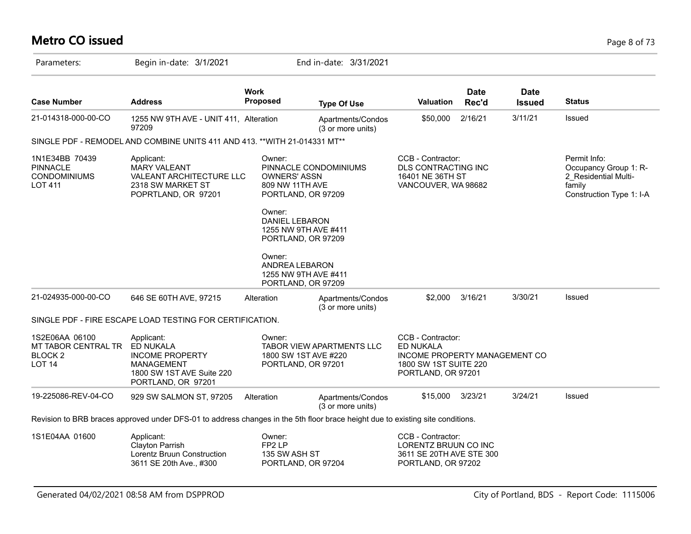# **Metro CO issued** Page 8 of 73

| Parameters:                                                                | Begin in-date: 3/1/2021                                                                                                        |                                                                                               | End in-date: 3/31/2021                                                                    |                                                                                                                       |                      |                              |                                                                                                     |
|----------------------------------------------------------------------------|--------------------------------------------------------------------------------------------------------------------------------|-----------------------------------------------------------------------------------------------|-------------------------------------------------------------------------------------------|-----------------------------------------------------------------------------------------------------------------------|----------------------|------------------------------|-----------------------------------------------------------------------------------------------------|
| <b>Case Number</b>                                                         | <b>Address</b>                                                                                                                 | <b>Work</b><br><b>Proposed</b>                                                                | <b>Type Of Use</b>                                                                        | Valuation                                                                                                             | <b>Date</b><br>Rec'd | <b>Date</b><br><b>Issued</b> | <b>Status</b>                                                                                       |
| 21-014318-000-00-CO                                                        | 1255 NW 9TH AVE - UNIT 411, Alteration<br>97209                                                                                |                                                                                               | Apartments/Condos<br>(3 or more units)                                                    | \$50,000                                                                                                              | 2/16/21              | 3/11/21                      | Issued                                                                                              |
|                                                                            | SINGLE PDF - REMODEL AND COMBINE UNITS 411 AND 413. ** WITH 21-014331 MT**                                                     |                                                                                               |                                                                                           |                                                                                                                       |                      |                              |                                                                                                     |
| 1N1E34BB 70439<br><b>PINNACLE</b><br><b>CONDOMINIUMS</b><br><b>LOT 411</b> | Applicant:<br><b>MARY VALEANT</b><br>VALEANT ARCHITECTURE LLC<br>2318 SW MARKET ST<br>POPRTLAND, OR 97201                      | Owner:<br><b>OWNERS' ASSN</b><br>809 NW 11TH AVE<br>Owner:<br><b>DANIEL LEBARON</b><br>Owner: | PINNACLE CONDOMINIUMS<br>PORTLAND, OR 97209<br>1255 NW 9TH AVE #411<br>PORTLAND, OR 97209 | CCB - Contractor:<br>DLS CONTRACTING INC<br>16401 NE 36TH ST<br>VANCOUVER, WA 98682                                   |                      |                              | Permit Info:<br>Occupancy Group 1: R-<br>2 Residential Multi-<br>family<br>Construction Type 1: I-A |
|                                                                            |                                                                                                                                | ANDREA LEBARON                                                                                | 1255 NW 9TH AVE #411<br>PORTLAND, OR 97209                                                |                                                                                                                       |                      |                              |                                                                                                     |
| 21-024935-000-00-CO                                                        | 646 SE 60TH AVE, 97215                                                                                                         | Alteration                                                                                    | Apartments/Condos<br>(3 or more units)                                                    | \$2,000                                                                                                               | 3/16/21              | 3/30/21                      | Issued                                                                                              |
|                                                                            | SINGLE PDF - FIRE ESCAPE LOAD TESTING FOR CERTIFICATION.                                                                       |                                                                                               |                                                                                           |                                                                                                                       |                      |                              |                                                                                                     |
| 1S2E06AA 06100<br>MT TABOR CENTRAL TR<br><b>BLOCK 2</b><br><b>LOT 14</b>   | Applicant:<br>ED NUKALA<br><b>INCOME PROPERTY</b><br><b>MANAGEMENT</b><br>1800 SW 1ST AVE Suite 220<br>PORTLAND, OR 97201      | Owner:                                                                                        | TABOR VIEW APARTMENTS LLC<br>1800 SW 1ST AVE #220<br>PORTLAND, OR 97201                   | CCB - Contractor:<br><b>ED NUKALA</b><br>INCOME PROPERTY MANAGEMENT CO<br>1800 SW 1ST SUITE 220<br>PORTLAND, OR 97201 |                      |                              |                                                                                                     |
| 19-225086-REV-04-CO                                                        | 929 SW SALMON ST, 97205                                                                                                        | Alteration                                                                                    | Apartments/Condos<br>(3 or more units)                                                    | \$15,000                                                                                                              | 3/23/21              | 3/24/21                      | Issued                                                                                              |
|                                                                            | Revision to BRB braces approved under DFS-01 to address changes in the 5th floor brace height due to existing site conditions. |                                                                                               |                                                                                           |                                                                                                                       |                      |                              |                                                                                                     |
| 1S1E04AA 01600                                                             | Applicant:<br>Clayton Parrish<br>Lorentz Bruun Construction<br>3611 SE 20th Ave., #300                                         | Owner:<br>FP <sub>2</sub> LP<br>135 SW ASH ST                                                 | PORTLAND, OR 97204                                                                        | CCB - Contractor:<br>LORENTZ BRUUN CO INC<br>3611 SE 20TH AVE STE 300<br>PORTLAND, OR 97202                           |                      |                              |                                                                                                     |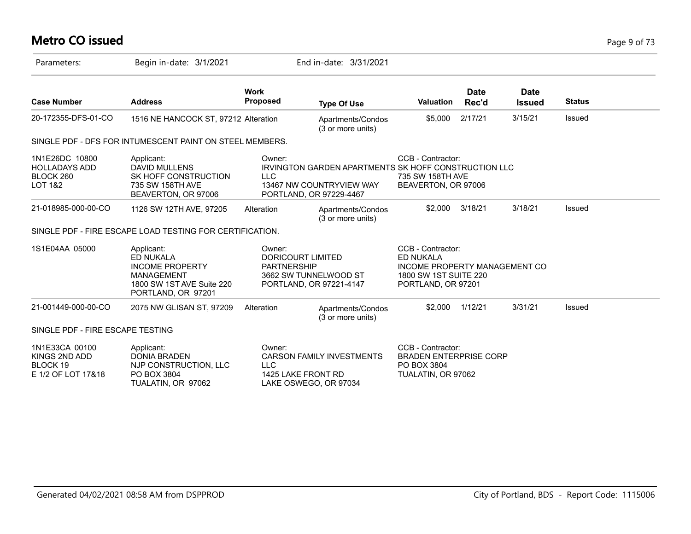# **Metro CO issued** Page 9 of 73

| Parameters:                                                       | Begin in-date: 3/1/2021                                                                                                   |                                                   | End in-date: 3/31/2021                                                                                             |                                                                                                                       |                      |                              |               |  |
|-------------------------------------------------------------------|---------------------------------------------------------------------------------------------------------------------------|---------------------------------------------------|--------------------------------------------------------------------------------------------------------------------|-----------------------------------------------------------------------------------------------------------------------|----------------------|------------------------------|---------------|--|
| <b>Case Number</b>                                                | <b>Address</b>                                                                                                            | <b>Work</b><br><b>Proposed</b>                    | <b>Type Of Use</b>                                                                                                 | <b>Valuation</b>                                                                                                      | <b>Date</b><br>Rec'd | <b>Date</b><br><b>Issued</b> | <b>Status</b> |  |
| 20-172355-DFS-01-CO                                               | 1516 NE HANCOCK ST, 97212 Alteration                                                                                      |                                                   | Apartments/Condos<br>(3 or more units)                                                                             | \$5,000                                                                                                               | 2/17/21              | 3/15/21                      | Issued        |  |
|                                                                   | SINGLE PDF - DFS FOR INTUMESCENT PAINT ON STEEL MEMBERS.                                                                  |                                                   |                                                                                                                    |                                                                                                                       |                      |                              |               |  |
| 1N1E26DC 10800<br><b>HOLLADAYS ADD</b><br>BLOCK 260<br>LOT 1&2    | Applicant:<br><b>DAVID MULLENS</b><br>SK HOFF CONSTRUCTION<br>735 SW 158TH AVE<br>BEAVERTON, OR 97006                     | Owner:<br><b>LLC</b>                              | <b>IRVINGTON GARDEN APARTMENTS SK HOFF CONSTRUCTION LLC</b><br>13467 NW COUNTRYVIEW WAY<br>PORTLAND, OR 97229-4467 | CCB - Contractor:<br>735 SW 158TH AVE<br>BEAVERTON, OR 97006                                                          |                      |                              |               |  |
| 21-018985-000-00-CO                                               | 1126 SW 12TH AVE, 97205                                                                                                   | Alteration                                        | Apartments/Condos<br>(3 or more units)                                                                             | \$2,000                                                                                                               | 3/18/21              | 3/18/21                      | Issued        |  |
|                                                                   | SINGLE PDF - FIRE ESCAPE LOAD TESTING FOR CERTIFICATION.                                                                  |                                                   |                                                                                                                    |                                                                                                                       |                      |                              |               |  |
| 1S1E04AA 05000                                                    | Applicant:<br>ED NUKALA<br><b>INCOME PROPERTY</b><br><b>MANAGEMENT</b><br>1800 SW 1ST AVE Suite 220<br>PORTLAND, OR 97201 | Owner:<br>DORICOURT LIMITED<br><b>PARTNERSHIP</b> | 3662 SW TUNNELWOOD ST<br>PORTLAND, OR 97221-4147                                                                   | CCB - Contractor:<br><b>ED NUKALA</b><br>INCOME PROPERTY MANAGEMENT CO<br>1800 SW 1ST SUITE 220<br>PORTLAND, OR 97201 |                      |                              |               |  |
| 21-001449-000-00-CO                                               | 2075 NW GLISAN ST, 97209                                                                                                  | Alteration                                        | Apartments/Condos<br>(3 or more units)                                                                             | \$2,000                                                                                                               | 1/12/21              | 3/31/21                      | Issued        |  |
| SINGLE PDF - FIRE ESCAPE TESTING                                  |                                                                                                                           |                                                   |                                                                                                                    |                                                                                                                       |                      |                              |               |  |
| 1N1E33CA 00100<br>KINGS 2ND ADD<br>BLOCK 19<br>E 1/2 OF LOT 17&18 | Applicant:<br><b>DONIA BRADEN</b><br>NJP CONSTRUCTION, LLC<br>PO BOX 3804<br>TUALATIN, OR 97062                           | Owner:<br><b>LLC</b><br>1425 LAKE FRONT RD        | <b>CARSON FAMILY INVESTMENTS</b><br>LAKE OSWEGO, OR 97034                                                          | CCB - Contractor:<br><b>BRADEN ENTERPRISE CORP</b><br>PO BOX 3804<br>TUALATIN, OR 97062                               |                      |                              |               |  |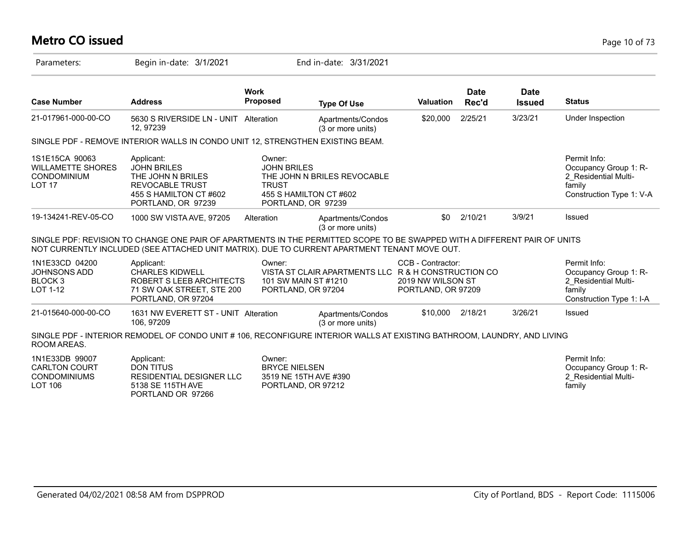# **Metro CO issued** Page 10 of 73

| Parameters:                                                                     | Begin in-date: 3/1/2021                                                                                                                                                                                                   |                                                                               | End in-date: 3/31/2021                                |                                                              |                      |                              |                                                                                                     |
|---------------------------------------------------------------------------------|---------------------------------------------------------------------------------------------------------------------------------------------------------------------------------------------------------------------------|-------------------------------------------------------------------------------|-------------------------------------------------------|--------------------------------------------------------------|----------------------|------------------------------|-----------------------------------------------------------------------------------------------------|
| <b>Case Number</b>                                                              | <b>Address</b>                                                                                                                                                                                                            | <b>Work</b><br><b>Proposed</b>                                                | <b>Type Of Use</b>                                    | <b>Valuation</b>                                             | <b>Date</b><br>Rec'd | <b>Date</b><br><b>Issued</b> | <b>Status</b>                                                                                       |
| 21-017961-000-00-CO                                                             | 5630 S RIVERSIDE LN - UNIT Alteration<br>12, 97239                                                                                                                                                                        |                                                                               | Apartments/Condos<br>(3 or more units)                | \$20,000                                                     | 2/25/21              | 3/23/21                      | Under Inspection                                                                                    |
|                                                                                 | SINGLE PDF - REMOVE INTERIOR WALLS IN CONDO UNIT 12, STRENGTHEN EXISTING BEAM.                                                                                                                                            |                                                                               |                                                       |                                                              |                      |                              |                                                                                                     |
| 1S1E15CA 90063<br><b>WILLAMETTE SHORES</b><br>CONDOMINIUM<br><b>LOT 17</b>      | Applicant:<br><b>JOHN BRILES</b><br>THE JOHN N BRILES<br><b>REVOCABLE TRUST</b><br>455 S HAMILTON CT #602<br>PORTLAND, OR 97239                                                                                           | Owner:<br><b>JOHN BRILES</b><br><b>TRUST</b><br>PORTLAND, OR 97239            | THE JOHN N BRILES REVOCABLE<br>455 S HAMILTON CT #602 |                                                              |                      |                              | Permit Info:<br>Occupancy Group 1: R-<br>2 Residential Multi-<br>family<br>Construction Type 1: V-A |
| 19-134241-REV-05-CO                                                             | 1000 SW VISTA AVE, 97205                                                                                                                                                                                                  | Alteration                                                                    | Apartments/Condos<br>(3 or more units)                | \$0                                                          | 2/10/21              | 3/9/21                       | Issued                                                                                              |
|                                                                                 | SINGLE PDF: REVISION TO CHANGE ONE PAIR OF APARTMENTS IN THE PERMITTED SCOPE TO BE SWAPPED WITH A DIFFERENT PAIR OF UNITS<br>NOT CURRENTLY INCLUDED (SEE ATTACHED UNIT MATRIX). DUE TO CURRENT APARTMENT TENANT MOVE OUT. |                                                                               |                                                       |                                                              |                      |                              |                                                                                                     |
| 1N1E33CD 04200<br><b>JOHNSONS ADD</b><br>BLOCK <sub>3</sub><br>LOT 1-12         | Applicant:<br><b>CHARLES KIDWELL</b><br>ROBERT S LEEB ARCHITECTS<br>71 SW OAK STREET, STE 200<br>PORTLAND, OR 97204                                                                                                       | Owner:<br>101 SW MAIN ST #1210<br>PORTLAND, OR 97204                          | VISTA ST CLAIR APARTMENTS LLC R & H CONSTRUCTION CO   | CCB - Contractor:<br>2019 NW WILSON ST<br>PORTLAND, OR 97209 |                      |                              | Permit Info:<br>Occupancy Group 1: R-<br>2 Residential Multi-<br>family<br>Construction Type 1: I-A |
| 21-015640-000-00-CO                                                             | 1631 NW EVERETT ST - UNIT Alteration<br>106, 97209                                                                                                                                                                        |                                                                               | Apartments/Condos<br>(3 or more units)                | \$10,000                                                     | 2/18/21              | 3/26/21                      | Issued                                                                                              |
| ROOM AREAS.                                                                     | SINGLE PDF - INTERIOR REMODEL OF CONDO UNIT # 106, RECONFIGURE INTERIOR WALLS AT EXISTING BATHROOM, LAUNDRY, AND LIVING                                                                                                   |                                                                               |                                                       |                                                              |                      |                              |                                                                                                     |
| 1N1E33DB 99007<br><b>CARLTON COURT</b><br><b>CONDOMINIUMS</b><br><b>LOT 106</b> | Applicant:<br><b>DON TITUS</b><br>RESIDENTIAL DESIGNER LLC<br>5138 SE 115TH AVE<br>PORTLAND OR 97266                                                                                                                      | Owner:<br><b>BRYCE NIELSEN</b><br>3519 NE 15TH AVE #390<br>PORTLAND, OR 97212 |                                                       |                                                              |                      |                              | Permit Info:<br>Occupancy Group 1: R-<br>2 Residential Multi-<br>family                             |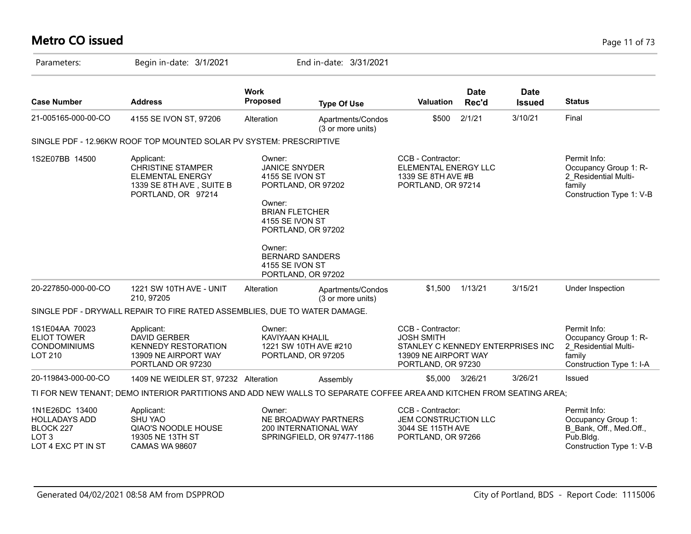# **Metro CO issued** Page 11 of 73

| Parameters:                                                                        | Begin in-date: 3/1/2021                                                                                              |                                                                                                                                                     | End in-date: 3/31/2021                                                      |                                                                                                                           |                      |                              |                                                                                                        |
|------------------------------------------------------------------------------------|----------------------------------------------------------------------------------------------------------------------|-----------------------------------------------------------------------------------------------------------------------------------------------------|-----------------------------------------------------------------------------|---------------------------------------------------------------------------------------------------------------------------|----------------------|------------------------------|--------------------------------------------------------------------------------------------------------|
| <b>Case Number</b>                                                                 | <b>Address</b>                                                                                                       | <b>Work</b><br><b>Proposed</b>                                                                                                                      | <b>Type Of Use</b>                                                          | <b>Valuation</b>                                                                                                          | <b>Date</b><br>Rec'd | <b>Date</b><br><b>Issued</b> | <b>Status</b>                                                                                          |
| 21-005165-000-00-CO                                                                | 4155 SE IVON ST, 97206                                                                                               | Alteration                                                                                                                                          | Apartments/Condos<br>(3 or more units)                                      | \$500                                                                                                                     | 2/1/21               | 3/10/21                      | Final                                                                                                  |
|                                                                                    | SINGLE PDF - 12.96KW ROOF TOP MOUNTED SOLAR PV SYSTEM: PRESCRIPTIVE                                                  |                                                                                                                                                     |                                                                             |                                                                                                                           |                      |                              |                                                                                                        |
| 1S2E07BB 14500                                                                     | Applicant:<br><b>CHRISTINE STAMPER</b><br><b>ELEMENTAL ENERGY</b><br>1339 SE 8TH AVE, SUITE B<br>PORTLAND, OR 97214  | Owner:<br><b>JANICE SNYDER</b><br>4155 SE IVON ST<br>PORTLAND, OR 97202<br>Owner:<br><b>BRIAN FLETCHER</b><br>4155 SE IVON ST<br>PORTLAND, OR 97202 |                                                                             | CCB - Contractor:<br>ELEMENTAL ENERGY LLC<br>1339 SE 8TH AVE #B<br>PORTLAND, OR 97214                                     |                      |                              | Permit Info:<br>Occupancy Group 1: R-<br>2 Residential Multi-<br>family<br>Construction Type 1: V-B    |
|                                                                                    |                                                                                                                      | Owner:<br><b>BERNARD SANDERS</b><br>4155 SE IVON ST<br>PORTLAND, OR 97202                                                                           |                                                                             |                                                                                                                           |                      |                              |                                                                                                        |
| 20-227850-000-00-CO                                                                | 1221 SW 10TH AVE - UNIT<br>210.97205                                                                                 | Alteration                                                                                                                                          | Apartments/Condos<br>(3 or more units)                                      | \$1,500                                                                                                                   | 1/13/21              | 3/15/21                      | Under Inspection                                                                                       |
|                                                                                    | SINGLE PDF - DRYWALL REPAIR TO FIRE RATED ASSEMBLIES, DUE TO WATER DAMAGE.                                           |                                                                                                                                                     |                                                                             |                                                                                                                           |                      |                              |                                                                                                        |
| 1S1E04AA 70023<br><b>ELIOT TOWER</b><br><b>CONDOMINIUMS</b><br><b>LOT 210</b>      | Applicant:<br><b>DAVID GERBER</b><br><b>KENNEDY RESTORATION</b><br>13909 NE AIRPORT WAY<br>PORTLAND OR 97230         | Owner:<br><b>KAVIYAAN KHALIL</b><br>1221 SW 10TH AVE #210<br>PORTLAND, OR 97205                                                                     |                                                                             | CCB - Contractor:<br><b>JOSH SMITH</b><br>STANLEY C KENNEDY ENTERPRISES INC<br>13909 NE AIRPORT WAY<br>PORTLAND, OR 97230 |                      |                              | Permit Info:<br>Occupancy Group 1: R-<br>2 Residential Multi-<br>family<br>Construction Type 1: I-A    |
| 20-119843-000-00-CO                                                                | 1409 NE WEIDLER ST, 97232 Alteration                                                                                 |                                                                                                                                                     | Assembly                                                                    | \$5,000                                                                                                                   | 3/26/21              | 3/26/21                      | Issued                                                                                                 |
|                                                                                    | TI FOR NEW TENANT; DEMO INTERIOR PARTITIONS AND ADD NEW WALLS TO SEPARATE COFFEE AREA AND KITCHEN FROM SEATING AREA; |                                                                                                                                                     |                                                                             |                                                                                                                           |                      |                              |                                                                                                        |
| 1N1E26DC 13400<br><b>HOLLADAYS ADD</b><br>BLOCK 227<br>LOT 3<br>LOT 4 EXC PT IN ST | Applicant:<br><b>SHU YAO</b><br>QIAO'S NOODLE HOUSE<br>19305 NE 13TH ST<br><b>CAMAS WA 98607</b>                     | Owner:                                                                                                                                              | NE BROADWAY PARTNERS<br>200 INTERNATIONAL WAY<br>SPRINGFIELD, OR 97477-1186 | CCB - Contractor:<br>JEM CONSTRUCTION LLC<br>3044 SE 115TH AVE<br>PORTLAND, OR 97266                                      |                      |                              | Permit Info:<br>Occupancy Group 1:<br>B_Bank, Off., Med.Off.,<br>Pub.Bldg.<br>Construction Type 1: V-B |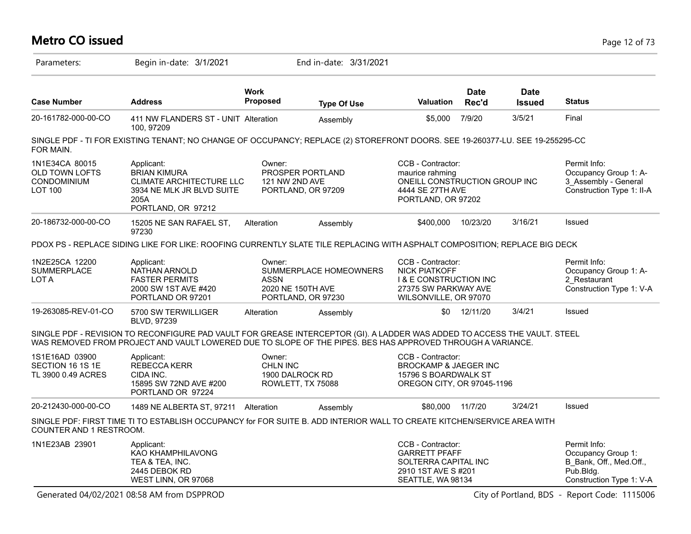#### **Metro CO issued** Page 12 of 73 Parameters: Begin in-date: 3/1/2021 End in-date: 3/31/2021 **Work Case Number Address Proposed Type Of Use Valuation Status Date Rec'd Date Issued** 20-161782-000-00-CO 411 NW FLANDERS ST - UNIT 100, 97209 Alteration Assembly \$5,000 7/9/20 3/5/21 Final SINGLE PDF - TI FOR EXISTING TENANT; NO CHANGE OF OCCUPANCY; REPLACE (2) STOREFRONT DOORS. SEE 19-260377-LU. SEE 19-255295-CO FOR MAIN. 1N1E34CA 80015 OLD TOWN LOFTS CONDOMINIUM LOT 100 Permit Info: Occupancy Group 1: A-3\_Assembly - General Construction Type 1: II-A CCB - Contractor: maurice rahming ONEILL CONSTRUCTION GROUP INC 4444 SE 27TH AVE PORTLAND, OR 97202 Owner: PROSPER PORTLAND 121 NW 2ND AVE PORTLAND, OR 97209 Applicant: BRIAN KIMURA CLIMATE ARCHITECTURE LLC 3934 NE MLK JR BLVD SUITE 205A PORTLAND, OR 97212 20-186732-000-00-CO 15205 NE SAN RAFAEL ST, 97230 Alteration Assembly \$400,000 10/23/20 3/16/21 Issued PDOX PS - REPLACE SIDING LIKE FOR LIKE: ROOFING CURRENTLY SLATE TILE REPLACING WITH ASPHALT COMPOSITION; REPLACE BIG DECK 1N2E25CA 12200 SUMMERPLACE LOT A Permit Info: Occupancy Group 1: A-2\_Restaurant Construction Type 1: V-A CCB - Contractor: NICK PIATKOFF I & E CONSTRUCTION INC 27375 SW PARKWAY AVE WILSONVILLE, OR 97070 Owner: SUMMERPLACE HOMEOWNERS ASSN 2020 NE 150TH AVE PORTLAND, OR 97230 Applicant: NATHAN ARNOLD FASTER PERMITS 2000 SW 1ST AVE #420 PORTLAND OR 97201 19-263085-REV-01-CO 5700 SW TERWILLIGER BLVD, 97239 Alteration Assembly 50 12/11/20 3/4/21 Issued SINGLE PDF - REVISION TO RECONFIGURE PAD VAULT FOR GREASE INTERCEPTOR (GI). A LADDER WAS ADDED TO ACCESS THE VAULT. STEEL WAS REMOVED FROM PROJECT AND VAULT LOWERED DUE TO SLOPE OF THE PIPES. BES HAS APPROVED THROUGH A VARIANCE. 1S1E16AD 03900 SECTION 16 1S 1E TL 3900 0.49 ACRES CCB - Contractor: BROCKAMP & JAEGER INC 15796 S BOARDWALK ST OREGON CITY, OR 97045-1196 Owner: CHLN INC 1900 DALROCK RD ROWLETT, TX 75088 Applicant: REBECCA KERR CIDA INC. 15895 SW 72ND AVE #200 PORTLAND OR 97224 20-212430-000-00-CO 1489 NE ALBERTA ST, 97211 Alteration Assembly \$80,000 11/7/20 3/24/21 Issued SINGLE PDF: FIRST TIME TI TO ESTABLISH OCCUPANCY for FOR SUITE B. ADD INTERIOR WALL TO CREATE KITCHEN/SERVICE AREA WITH COUNTER AND 1 RESTROOM. 1N1E23AB 23901 Permit Info: Occupancy Group 1: B\_Bank, Off., Med.Off., Pub.Bldg. Construction Type 1: V-A CCB - Contractor: GARRETT PFAFF SOLTERRA CAPITAL INC 2910 1ST AVE S #201 SEATTLE, WA 98134 Applicant: KAO KHAMPHILAVONG TEA & TEA, INC. 2445 DEBOK RD WEST LINN, OR 97068

Generated 04/02/2021 08:58 AM from DSPPROD City of Portland, BDS - Report Code: 1115006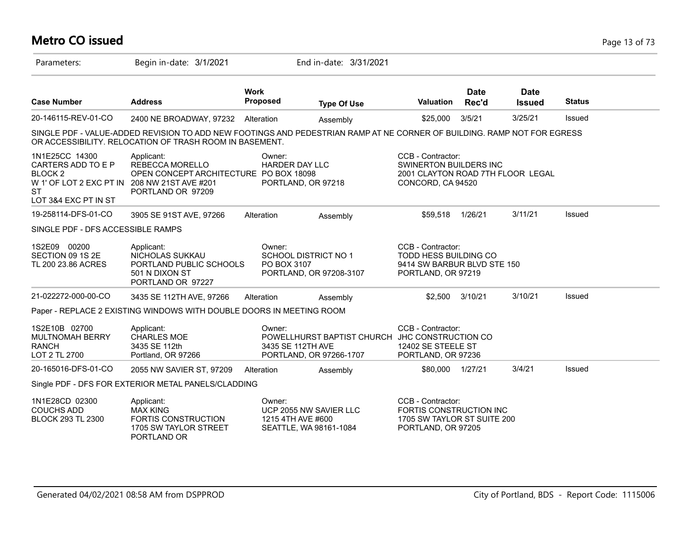# **Metro CO issued** Page 13 of 73

| Parameters:                                                                                                                                     | Begin in-date: 3/1/2021                                                                                                                                                            |                                | End in-date: 3/31/2021                                                                         |                                                                                                       |                      |                              |               |
|-------------------------------------------------------------------------------------------------------------------------------------------------|------------------------------------------------------------------------------------------------------------------------------------------------------------------------------------|--------------------------------|------------------------------------------------------------------------------------------------|-------------------------------------------------------------------------------------------------------|----------------------|------------------------------|---------------|
| <b>Case Number</b>                                                                                                                              | <b>Address</b>                                                                                                                                                                     | <b>Work</b><br><b>Proposed</b> | <b>Type Of Use</b>                                                                             | <b>Valuation</b>                                                                                      | <b>Date</b><br>Rec'd | <b>Date</b><br><b>Issued</b> | <b>Status</b> |
| 20-146115-REV-01-CO                                                                                                                             | 2400 NE BROADWAY, 97232                                                                                                                                                            | Alteration                     | Assembly                                                                                       | \$25,000                                                                                              | 3/5/21               | 3/25/21                      | Issued        |
|                                                                                                                                                 | SINGLE PDF - VALUE-ADDED REVISION TO ADD NEW FOOTINGS AND PEDESTRIAN RAMP AT NE CORNER OF BUILDING. RAMP NOT FOR EGRESS<br>OR ACCESSIBILITY. RELOCATION OF TRASH ROOM IN BASEMENT. |                                |                                                                                                |                                                                                                       |                      |                              |               |
| 1N1E25CC 14300<br>CARTERS ADD TO E P<br>BLOCK <sub>2</sub><br>W 1' OF LOT 2 EXC PT IN 208 NW 21ST AVE #201<br><b>ST</b><br>LOT 3&4 EXC PT IN ST | Applicant:<br>REBECCA MORELLO<br>OPEN CONCEPT ARCHITECTURE PO BOX 18098<br>PORTLAND OR 97209                                                                                       | Owner:<br>HARDER DAY LLC       | PORTLAND, OR 97218                                                                             | CCB - Contractor:<br>SWINERTON BUILDERS INC<br>2001 CLAYTON ROAD 7TH FLOOR LEGAL<br>CONCORD, CA 94520 |                      |                              |               |
| 19-258114-DFS-01-CO                                                                                                                             | 3905 SE 91ST AVE, 97266                                                                                                                                                            | Alteration                     | Assembly                                                                                       | \$59,518                                                                                              | 1/26/21              | 3/11/21                      | Issued        |
| SINGLE PDF - DFS ACCESSIBLE RAMPS                                                                                                               |                                                                                                                                                                                    |                                |                                                                                                |                                                                                                       |                      |                              |               |
| 1S2E09 00200<br>SECTION 09 1S 2E<br>TL 200 23.86 ACRES                                                                                          | Applicant:<br>NICHOLAS SUKKAU<br>PORTLAND PUBLIC SCHOOLS<br>501 N DIXON ST<br>PORTLAND OR 97227                                                                                    | Owner:<br>PO BOX 3107          | SCHOOL DISTRICT NO 1<br>PORTLAND, OR 97208-3107                                                | CCB - Contractor:<br>TODD HESS BUILDING CO<br>9414 SW BARBUR BLVD STE 150<br>PORTLAND, OR 97219       |                      |                              |               |
| 21-022272-000-00-CO                                                                                                                             | 3435 SE 112TH AVE, 97266                                                                                                                                                           | Alteration                     | Assembly                                                                                       | \$2,500                                                                                               | 3/10/21              | 3/10/21                      | Issued        |
|                                                                                                                                                 | Paper - REPLACE 2 EXISTING WINDOWS WITH DOUBLE DOORS IN MEETING ROOM                                                                                                               |                                |                                                                                                |                                                                                                       |                      |                              |               |
| 1S2E10B 02700<br><b>MULTNOMAH BERRY</b><br><b>RANCH</b><br>LOT 2 TL 2700                                                                        | Applicant:<br><b>CHARLES MOE</b><br>3435 SE 112th<br>Portland, OR 97266                                                                                                            | Owner:                         | POWELLHURST BAPTIST CHURCH JHC CONSTRUCTION CO<br>3435 SE 112TH AVE<br>PORTLAND, OR 97266-1707 | CCB - Contractor:<br>12402 SE STEELE ST<br>PORTLAND, OR 97236                                         |                      |                              |               |
| 20-165016-DFS-01-CO                                                                                                                             | 2055 NW SAVIER ST, 97209                                                                                                                                                           | Alteration                     | Assembly                                                                                       | \$80,000                                                                                              | 1/27/21              | 3/4/21                       | Issued        |
|                                                                                                                                                 | Single PDF - DFS FOR EXTERIOR METAL PANELS/CLADDING                                                                                                                                |                                |                                                                                                |                                                                                                       |                      |                              |               |
| 1N1E28CD 02300<br><b>COUCHS ADD</b><br><b>BLOCK 293 TL 2300</b>                                                                                 | Applicant:<br><b>MAX KING</b><br><b>FORTIS CONSTRUCTION</b><br>1705 SW TAYLOR STREET<br>PORTLAND OR                                                                                | Owner:<br>1215 4TH AVE #600    | UCP 2055 NW SAVIER LLC<br>SEATTLE, WA 98161-1084                                               | CCB - Contractor:<br>FORTIS CONSTRUCTION INC<br>1705 SW TAYLOR ST SUITE 200<br>PORTLAND, OR 97205     |                      |                              |               |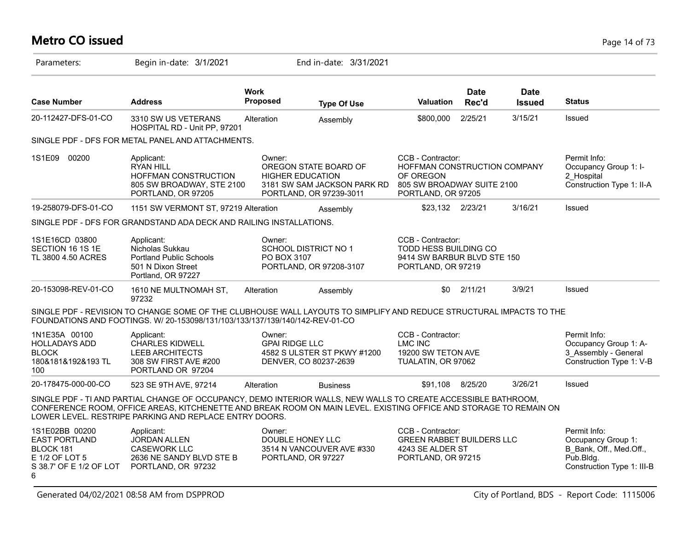# **Metro CO issued** Page 14 of 73

| Parameters:                                                                                           | Begin in-date: 3/1/2021                                                                                                                                                                                                                                                                       |                                 | End in-date: 3/31/2021                                                                                     |                                                                                                                    |                      |                              |                                                                                                          |
|-------------------------------------------------------------------------------------------------------|-----------------------------------------------------------------------------------------------------------------------------------------------------------------------------------------------------------------------------------------------------------------------------------------------|---------------------------------|------------------------------------------------------------------------------------------------------------|--------------------------------------------------------------------------------------------------------------------|----------------------|------------------------------|----------------------------------------------------------------------------------------------------------|
| <b>Case Number</b>                                                                                    | <b>Address</b>                                                                                                                                                                                                                                                                                | <b>Work</b><br>Proposed         | <b>Type Of Use</b>                                                                                         | <b>Valuation</b>                                                                                                   | <b>Date</b><br>Rec'd | <b>Date</b><br><b>Issued</b> | <b>Status</b>                                                                                            |
| 20-112427-DFS-01-CO                                                                                   | 3310 SW US VETERANS<br>HOSPITAL RD - Unit PP, 97201                                                                                                                                                                                                                                           | Alteration                      | Assembly                                                                                                   | \$800,000                                                                                                          | 2/25/21              | 3/15/21                      | Issued                                                                                                   |
|                                                                                                       | SINGLE PDF - DFS FOR METAL PANEL AND ATTACHMENTS.                                                                                                                                                                                                                                             |                                 |                                                                                                            |                                                                                                                    |                      |                              |                                                                                                          |
| 1S1E09<br>00200                                                                                       | Applicant:<br><b>RYAN HILL</b><br>HOFFMAN CONSTRUCTION<br>805 SW BROADWAY, STE 2100<br>PORTLAND, OR 97205                                                                                                                                                                                     | Owner:                          | OREGON STATE BOARD OF<br><b>HIGHER EDUCATION</b><br>3181 SW SAM JACKSON PARK RD<br>PORTLAND, OR 97239-3011 | CCB - Contractor:<br>HOFFMAN CONSTRUCTION COMPANY<br>OF OREGON<br>805 SW BROADWAY SUITE 2100<br>PORTLAND, OR 97205 |                      |                              | Permit Info:<br>Occupancy Group 1: I-<br>2 Hospital<br>Construction Type 1: II-A                         |
| 19-258079-DFS-01-CO                                                                                   | 1151 SW VERMONT ST, 97219 Alteration                                                                                                                                                                                                                                                          |                                 | Assembly                                                                                                   | \$23,132 2/23/21                                                                                                   |                      | 3/16/21                      | Issued                                                                                                   |
|                                                                                                       | SINGLE PDF - DFS FOR GRANDSTAND ADA DECK AND RAILING INSTALLATIONS.                                                                                                                                                                                                                           |                                 |                                                                                                            |                                                                                                                    |                      |                              |                                                                                                          |
| 1S1E16CD 03800<br>SECTION 16 1S 1E<br>TL 3800 4.50 ACRES                                              | Applicant:<br>Nicholas Sukkau<br><b>Portland Public Schools</b><br>501 N Dixon Street<br>Portland, OR 97227                                                                                                                                                                                   | Owner:<br>PO BOX 3107           | SCHOOL DISTRICT NO 1<br>PORTLAND, OR 97208-3107                                                            | CCB - Contractor:<br>TODD HESS BUILDING CO<br>9414 SW BARBUR BLVD STE 150<br>PORTLAND, OR 97219                    |                      |                              |                                                                                                          |
| 20-153098-REV-01-CO                                                                                   | 1610 NE MULTNOMAH ST,<br>97232                                                                                                                                                                                                                                                                | Alteration                      | Assembly                                                                                                   | \$0                                                                                                                | 2/11/21              | 3/9/21                       | Issued                                                                                                   |
|                                                                                                       | SINGLE PDF - REVISION TO CHANGE SOME OF THE CLUBHOUSE WALL LAYOUTS TO SIMPLIFY AND REDUCE STRUCTURAL IMPACTS TO THE<br>FOUNDATIONS AND FOOTINGS. W/ 20-153098/131/103/133/137/139/140/142-REV-01-CO                                                                                           |                                 |                                                                                                            |                                                                                                                    |                      |                              |                                                                                                          |
| 1N1E35A 00100<br><b>HOLLADAYS ADD</b><br><b>BLOCK</b><br>180&181&192&193 TL<br>100                    | Applicant:<br><b>CHARLES KIDWELL</b><br><b>LEEB ARCHITECTS</b><br>308 SW FIRST AVE #200<br>PORTLAND OR 97204                                                                                                                                                                                  | Owner:<br><b>GPAI RIDGE LLC</b> | 4582 S ULSTER ST PKWY #1200<br>DENVER, CO 80237-2639                                                       | CCB - Contractor:<br><b>LMC INC</b><br>19200 SW TETON AVE<br>TUALATIN, OR 97062                                    |                      |                              | Permit Info:<br>Occupancy Group 1: A-<br>3 Assembly - General<br>Construction Type 1: V-B                |
| 20-178475-000-00-CO                                                                                   | 523 SE 9TH AVE, 97214                                                                                                                                                                                                                                                                         | Alteration                      | <b>Business</b>                                                                                            | \$91,108                                                                                                           | 8/25/20              | 3/26/21                      | Issued                                                                                                   |
|                                                                                                       | SINGLE PDF - TI AND PARTIAL CHANGE OF OCCUPANCY, DEMO INTERIOR WALLS, NEW WALLS TO CREATE ACCESSIBLE BATHROOM,<br>CONFERENCE ROOM, OFFICE AREAS, KITCHENETTE AND BREAK ROOM ON MAIN LEVEL. EXISTING OFFICE AND STORAGE TO REMAIN ON<br>LOWER LEVEL. RESTRIPE PARKING AND REPLACE ENTRY DOORS. |                                 |                                                                                                            |                                                                                                                    |                      |                              |                                                                                                          |
| 1S1E02BB 00200<br><b>EAST PORTLAND</b><br>BLOCK 181<br>E 1/2 OF LOT 5<br>S 38.7' OF E 1/2 OF LOT<br>6 | Applicant:<br><b>JORDAN ALLEN</b><br><b>CASEWORK LLC</b><br>2636 NE SANDY BLVD STE B<br>PORTLAND, OR 97232                                                                                                                                                                                    | Owner:                          | DOUBLE HONEY LLC<br>3514 N VANCOUVER AVE #330<br>PORTLAND, OR 97227                                        | CCB - Contractor:<br><b>GREEN RABBET BUILDERS LLC</b><br>4243 SE ALDER ST<br>PORTLAND, OR 97215                    |                      |                              | Permit Info:<br>Occupancy Group 1:<br>B Bank, Off., Med.Off.,<br>Pub.Bldg.<br>Construction Type 1: III-B |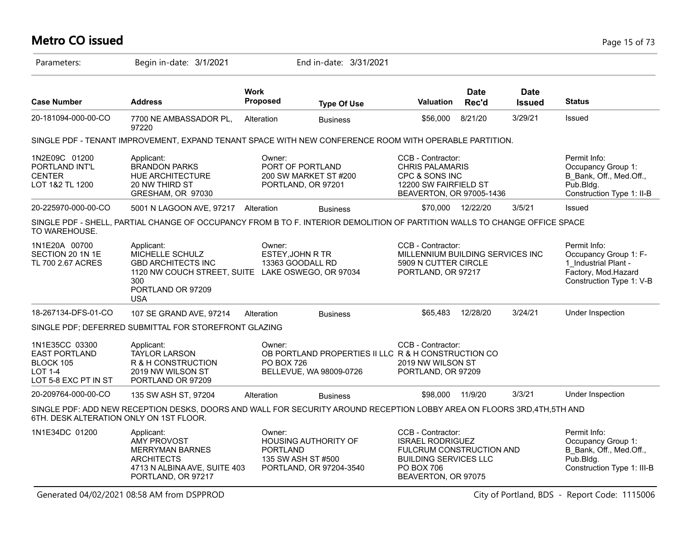# **Metro CO issued** Page 15 of 73

| Parameters:                                                                            | Begin in-date: 3/1/2021                                                                                                                                   |                             | End in-date: 3/31/2021                                                         |                                                                                                                                                             |                      |                              |                                                                                                                  |
|----------------------------------------------------------------------------------------|-----------------------------------------------------------------------------------------------------------------------------------------------------------|-----------------------------|--------------------------------------------------------------------------------|-------------------------------------------------------------------------------------------------------------------------------------------------------------|----------------------|------------------------------|------------------------------------------------------------------------------------------------------------------|
| <b>Case Number</b>                                                                     | <b>Address</b>                                                                                                                                            | <b>Work</b><br>Proposed     | <b>Type Of Use</b>                                                             | Valuation                                                                                                                                                   | <b>Date</b><br>Rec'd | <b>Date</b><br><b>Issued</b> | <b>Status</b>                                                                                                    |
| 20-181094-000-00-CO                                                                    | 7700 NE AMBASSADOR PL,<br>97220                                                                                                                           | Alteration                  | <b>Business</b>                                                                | \$56,000                                                                                                                                                    | 8/21/20              | 3/29/21                      | Issued                                                                                                           |
|                                                                                        | SINGLE PDF - TENANT IMPROVEMENT, EXPAND TENANT SPACE WITH NEW CONFERENCE ROOM WITH OPERABLE PARTITION.                                                    |                             |                                                                                |                                                                                                                                                             |                      |                              |                                                                                                                  |
| 1N2E09C 01200<br>PORTLAND INT'L<br><b>CENTER</b><br>LOT 1&2 TL 1200                    | Applicant:<br><b>BRANDON PARKS</b><br>HUE ARCHITECTURE<br>20 NW THIRD ST<br>GRESHAM, OR 97030                                                             | Owner:                      | PORT OF PORTLAND<br>200 SW MARKET ST #200<br>PORTLAND, OR 97201                | CCB - Contractor:<br><b>CHRIS PALAMARIS</b><br>CPC & SONS INC<br>12200 SW FAIRFIELD ST<br>BEAVERTON, OR 97005-1436                                          |                      |                              | Permit Info:<br>Occupancy Group 1:<br>B Bank, Off., Med.Off.,<br>Pub.Bldg.<br>Construction Type 1: II-B          |
| 20-225970-000-00-CO                                                                    | 5001 N LAGOON AVE, 97217 Alteration                                                                                                                       |                             | <b>Business</b>                                                                |                                                                                                                                                             | \$70.000 12/22/20    | 3/5/21                       | <b>Issued</b>                                                                                                    |
| TO WAREHOUSE.                                                                          | SINGLE PDF - SHELL, PARTIAL CHANGE OF OCCUPANCY FROM B TO F. INTERIOR DEMOLITION OF PARTITION WALLS TO CHANGE OFFICE SPACE                                |                             |                                                                                |                                                                                                                                                             |                      |                              |                                                                                                                  |
| 1N1E20A 00700<br>SECTION 20 1N 1E<br>TL 700 2.67 ACRES                                 | Applicant:<br>MICHELLE SCHULZ<br><b>GBD ARCHITECTS INC</b><br>1120 NW COUCH STREET, SUITE LAKE OSWEGO, OR 97034<br>300<br>PORTLAND OR 97209<br><b>USA</b> | Owner:                      | ESTEY, JOHN R TR<br>13363 GOODALL RD                                           | CCB - Contractor:<br>MILLENNIUM BUILDING SERVICES INC<br>5909 N CUTTER CIRCLE<br>PORTLAND, OR 97217                                                         |                      |                              | Permit Info:<br>Occupancy Group 1: F-<br>1 Industrial Plant -<br>Factory, Mod.Hazard<br>Construction Type 1: V-B |
| 18-267134-DFS-01-CO                                                                    | 107 SE GRAND AVE, 97214                                                                                                                                   | Alteration                  | <b>Business</b>                                                                | \$65,483                                                                                                                                                    | 12/28/20             | 3/24/21                      | Under Inspection                                                                                                 |
|                                                                                        | SINGLE PDF; DEFERRED SUBMITTAL FOR STOREFRONT GLAZING                                                                                                     |                             |                                                                                |                                                                                                                                                             |                      |                              |                                                                                                                  |
| 1N1E35CC 03300<br><b>EAST PORTLAND</b><br>BLOCK 105<br>LOT 1-4<br>LOT 5-8 EXC PT IN ST | Applicant:<br><b>TAYLOR LARSON</b><br>R & H CONSTRUCTION<br>2019 NW WILSON ST<br>PORTLAND OR 97209                                                        | Owner:<br><b>PO BOX 726</b> | OB PORTLAND PROPERTIES II LLC R & H CONSTRUCTION CO<br>BELLEVUE, WA 98009-0726 | CCB - Contractor:<br>2019 NW WILSON ST<br>PORTLAND, OR 97209                                                                                                |                      |                              |                                                                                                                  |
| 20-209764-000-00-CO                                                                    | 135 SW ASH ST, 97204                                                                                                                                      | Alteration                  | <b>Business</b>                                                                | \$98,000                                                                                                                                                    | 11/9/20              | 3/3/21                       | Under Inspection                                                                                                 |
| 6TH. DESK ALTERATION ONLY ON 1ST FLOOR.                                                | SINGLE PDF: ADD NEW RECEPTION DESKS, DOORS AND WALL FOR SECURITY AROUND RECEPTION LOBBY AREA ON FLOORS 3RD,4TH,5TH AND                                    |                             |                                                                                |                                                                                                                                                             |                      |                              |                                                                                                                  |
| 1N1E34DC 01200                                                                         | Applicant:<br><b>AMY PROVOST</b><br><b>MERRYMAN BARNES</b><br><b>ARCHITECTS</b><br>4713 N ALBINA AVE, SUITE 403<br>PORTLAND, OR 97217                     | Owner:<br><b>PORTLAND</b>   | <b>HOUSING AUTHORITY OF</b><br>135 SW ASH ST #500<br>PORTLAND, OR 97204-3540   | CCB - Contractor:<br><b>ISRAEL RODRIGUEZ</b><br><b>FULCRUM CONSTRUCTION AND</b><br><b>BUILDING SERVICES LLC</b><br><b>PO BOX 706</b><br>BEAVERTON, OR 97075 |                      |                              | Permit Info:<br>Occupancy Group 1:<br>B Bank, Off., Med.Off.,<br>Pub.Bldg.<br>Construction Type 1: III-B         |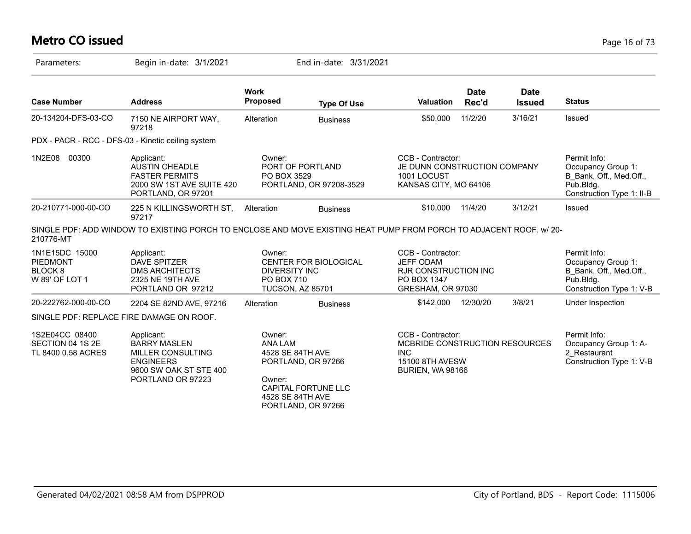# **Metro CO issued** Page 16 of 73

| Parameters:                                                               | Begin in-date: 3/1/2021                                                                                                   |                                                                                | End in-date: 3/31/2021                                                 |                                                                                                                        |                      |                              |                                                                                                         |
|---------------------------------------------------------------------------|---------------------------------------------------------------------------------------------------------------------------|--------------------------------------------------------------------------------|------------------------------------------------------------------------|------------------------------------------------------------------------------------------------------------------------|----------------------|------------------------------|---------------------------------------------------------------------------------------------------------|
| <b>Case Number</b>                                                        | <b>Address</b>                                                                                                            | <b>Work</b><br>Proposed                                                        | <b>Type Of Use</b>                                                     | <b>Valuation</b>                                                                                                       | <b>Date</b><br>Rec'd | <b>Date</b><br><b>Issued</b> | <b>Status</b>                                                                                           |
| 20-134204-DFS-03-CO                                                       | 7150 NE AIRPORT WAY,<br>97218                                                                                             | Alteration                                                                     | <b>Business</b>                                                        | \$50,000                                                                                                               | 11/2/20              | 3/16/21                      | <b>Issued</b>                                                                                           |
|                                                                           | PDX - PACR - RCC - DFS-03 - Kinetic ceiling system                                                                        |                                                                                |                                                                        |                                                                                                                        |                      |                              |                                                                                                         |
| 1N2E08<br>00300                                                           | Applicant:<br><b>AUSTIN CHEADLE</b><br><b>FASTER PERMITS</b><br>2000 SW 1ST AVE SUITE 420<br>PORTLAND, OR 97201           | Owner:<br>PO BOX 3529                                                          | PORT OF PORTLAND<br>PORTLAND, OR 97208-3529                            | CCB - Contractor:<br>JE DUNN CONSTRUCTION COMPANY<br>1001 LOCUST<br>KANSAS CITY, MO 64106                              |                      |                              | Permit Info:<br>Occupancy Group 1:<br>B Bank, Off., Med.Off.,<br>Pub.Bldg.<br>Construction Type 1: II-B |
| 20-210771-000-00-CO                                                       | 225 N KILLINGSWORTH ST,<br>97217                                                                                          | Alteration                                                                     | <b>Business</b>                                                        | \$10,000                                                                                                               | 11/4/20              | 3/12/21                      | Issued                                                                                                  |
| 210776-MT                                                                 | SINGLE PDF: ADD WINDOW TO EXISTING PORCH TO ENCLOSE AND MOVE EXISTING HEAT PUMP FROM PORCH TO ADJACENT ROOF, W/20-        |                                                                                |                                                                        |                                                                                                                        |                      |                              |                                                                                                         |
| 1N1E15DC 15000<br><b>PIEDMONT</b><br>BLOCK <sub>8</sub><br>W 89' OF LOT 1 | Applicant:<br><b>DAVE SPITZER</b><br><b>DMS ARCHITECTS</b><br>2325 NE 19TH AVE<br>PORTLAND OR 97212                       | Owner:<br><b>DIVERSITY INC</b><br><b>PO BOX 710</b><br><b>TUCSON, AZ 85701</b> | CENTER FOR BIOLOGICAL                                                  | CCB - Contractor:<br><b>JEFF ODAM</b><br><b>RJR CONSTRUCTION INC</b><br>PO BOX 1347<br>GRESHAM, OR 97030               |                      |                              | Permit Info:<br>Occupancy Group 1:<br>B Bank, Off., Med.Off.,<br>Pub.Bldg.<br>Construction Type 1: V-B  |
| 20-222762-000-00-CO                                                       | 2204 SE 82ND AVE, 97216                                                                                                   | Alteration                                                                     | <b>Business</b>                                                        | \$142,000                                                                                                              | 12/30/20             | 3/8/21                       | Under Inspection                                                                                        |
|                                                                           | SINGLE PDF: REPLACE FIRE DAMAGE ON ROOF.                                                                                  |                                                                                |                                                                        |                                                                                                                        |                      |                              |                                                                                                         |
| 1S2E04CC 08400<br>SECTION 04 1S 2E<br>TL 8400 0.58 ACRES                  | Applicant:<br><b>BARRY MASLEN</b><br>MILLER CONSULTING<br><b>ENGINEERS</b><br>9600 SW OAK ST STE 400<br>PORTLAND OR 97223 | Owner:<br><b>ANA LAM</b><br>4528 SE 84TH AVE<br>Owner:<br>4528 SE 84TH AVE     | PORTLAND, OR 97266<br><b>CAPITAL FORTUNE LLC</b><br>PORTLAND, OR 97266 | CCB - Contractor:<br>MCBRIDE CONSTRUCTION RESOURCES<br><b>INC</b><br><b>15100 8TH AVESW</b><br><b>BURIEN, WA 98166</b> |                      |                              | Permit Info:<br>Occupancy Group 1: A-<br>2 Restaurant<br>Construction Type 1: V-B                       |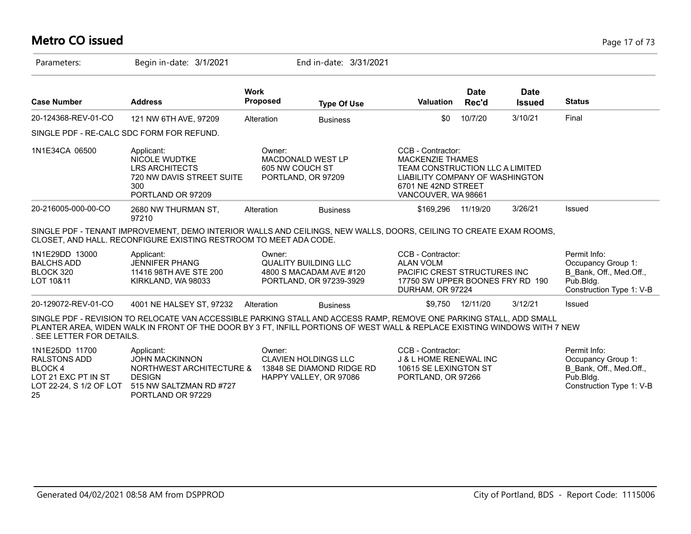#### **Metro CO issued** Page 17 of 73

| Parameters:                                                                                              | Begin in-date: 3/1/2021                                                                                                                                                                                                                          |                                                 | End in-date: 3/31/2021                                                             |                                                                                                                                                                  |                      |                              |                                                                                                        |
|----------------------------------------------------------------------------------------------------------|--------------------------------------------------------------------------------------------------------------------------------------------------------------------------------------------------------------------------------------------------|-------------------------------------------------|------------------------------------------------------------------------------------|------------------------------------------------------------------------------------------------------------------------------------------------------------------|----------------------|------------------------------|--------------------------------------------------------------------------------------------------------|
| <b>Case Number</b>                                                                                       | <b>Address</b>                                                                                                                                                                                                                                   | <b>Work</b><br>Proposed                         | <b>Type Of Use</b>                                                                 | <b>Valuation</b>                                                                                                                                                 | <b>Date</b><br>Rec'd | <b>Date</b><br><b>Issued</b> | <b>Status</b>                                                                                          |
| 20-124368-REV-01-CO                                                                                      | 121 NW 6TH AVE, 97209                                                                                                                                                                                                                            | Alteration                                      | <b>Business</b>                                                                    | \$0                                                                                                                                                              | 10/7/20              | 3/10/21                      | Final                                                                                                  |
| SINGLE PDF - RE-CALC SDC FORM FOR REFUND.                                                                |                                                                                                                                                                                                                                                  |                                                 |                                                                                    |                                                                                                                                                                  |                      |                              |                                                                                                        |
| 1N1E34CA 06500                                                                                           | Applicant:<br><b>NICOLE WUDTKE</b><br><b>LRS ARCHITECTS</b><br>720 NW DAVIS STREET SUITE<br>300<br>PORTLAND OR 97209                                                                                                                             | Owner:<br>605 NW COUCH ST<br>PORTLAND, OR 97209 | <b>MACDONALD WEST LP</b>                                                           | CCB - Contractor:<br><b>MACKENZIE THAMES</b><br>TEAM CONSTRUCTION LLC A LIMITED<br>LIABILITY COMPANY OF WASHINGTON<br>6701 NE 42ND STREET<br>VANCOUVER, WA 98661 |                      |                              |                                                                                                        |
| 20-216005-000-00-CO                                                                                      | 2680 NW THURMAN ST,<br>97210                                                                                                                                                                                                                     | Alteration                                      | <b>Business</b>                                                                    | \$169,296                                                                                                                                                        | 11/19/20             | 3/26/21                      | Issued                                                                                                 |
|                                                                                                          | SINGLE PDF - TENANT IMPROVEMENT, DEMO INTERIOR WALLS AND CEILINGS, NEW WALLS, DOORS, CEILING TO CREATE EXAM ROOMS,<br>CLOSET, AND HALL. RECONFIGURE EXISTING RESTROOM TO MEET ADA CODE.                                                          |                                                 |                                                                                    |                                                                                                                                                                  |                      |                              |                                                                                                        |
| 1N1E29DD 13000<br><b>BALCHS ADD</b><br>BLOCK 320<br>LOT 10&11                                            | Applicant:<br><b>JENNIFER PHANG</b><br>11416 98TH AVE STE 200<br>KIRKLAND, WA 98033                                                                                                                                                              | Owner:                                          | <b>QUALITY BUILDING LLC</b><br>4800 S MACADAM AVE #120<br>PORTLAND, OR 97239-3929  | CCB - Contractor:<br><b>ALAN VOLM</b><br>PACIFIC CREST STRUCTURES INC<br>17750 SW UPPER BOONES FRY RD 190<br>DURHAM, OR 97224                                    |                      |                              | Permit Info:<br>Occupancy Group 1:<br>B Bank, Off., Med.Off.,<br>Pub.Bldg.<br>Construction Type 1: V-B |
| 20-129072-REV-01-CO                                                                                      | 4001 NE HALSEY ST, 97232                                                                                                                                                                                                                         | Alteration                                      | <b>Business</b>                                                                    | \$9.750                                                                                                                                                          | 12/11/20             | 3/12/21                      | Issued                                                                                                 |
| . SEE LETTER FOR DETAILS.                                                                                | SINGLE PDF - REVISION TO RELOCATE VAN ACCESSIBLE PARKING STALL AND ACCESS RAMP, REMOVE ONE PARKING STALL, ADD SMALL<br>PLANTER AREA, WIDEN WALK IN FRONT OF THE DOOR BY 3 FT, INFILL PORTIONS OF WEST WALL & REPLACE EXISTING WINDOWS WITH 7 NEW |                                                 |                                                                                    |                                                                                                                                                                  |                      |                              |                                                                                                        |
| 1N1E25DD 11700<br><b>RALSTONS ADD</b><br>BLOCK 4<br>LOT 21 EXC PT IN ST<br>LOT 22-24, S 1/2 OF LOT<br>25 | Applicant:<br><b>JOHN MACKINNON</b><br>NORTHWEST ARCHITECTURE &<br><b>DESIGN</b><br>515 NW SALTZMAN RD #727<br>PORTLAND OR 97229                                                                                                                 | Owner:                                          | <b>CLAVIEN HOLDINGS LLC</b><br>13848 SE DIAMOND RIDGE RD<br>HAPPY VALLEY, OR 97086 | CCB - Contractor:<br><b>J &amp; L HOME RENEWAL INC</b><br>10615 SE LEXINGTON ST<br>PORTLAND, OR 97266                                                            |                      |                              | Permit Info:<br>Occupancy Group 1:<br>B_Bank, Off., Med.Off.,<br>Pub.Bldg.<br>Construction Type 1: V-B |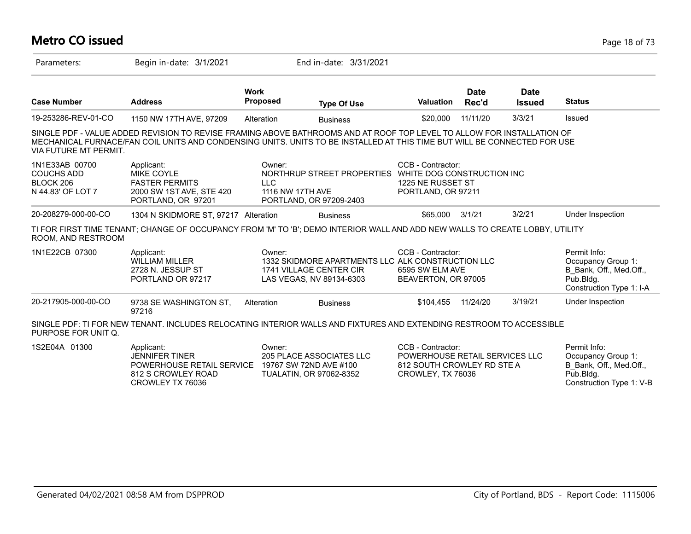| <b>Metro CO issued</b>                                                |                                                                                                                                                                                                                                                    |                                          |                                                                                                          |                                                                                                        |                      |                              | Page 18 of 73                                                                                          |
|-----------------------------------------------------------------------|----------------------------------------------------------------------------------------------------------------------------------------------------------------------------------------------------------------------------------------------------|------------------------------------------|----------------------------------------------------------------------------------------------------------|--------------------------------------------------------------------------------------------------------|----------------------|------------------------------|--------------------------------------------------------------------------------------------------------|
| Parameters:                                                           | Begin in-date: 3/1/2021                                                                                                                                                                                                                            |                                          | End in-date: 3/31/2021                                                                                   |                                                                                                        |                      |                              |                                                                                                        |
| <b>Case Number</b>                                                    | <b>Address</b>                                                                                                                                                                                                                                     | <b>Work</b><br>Proposed                  | <b>Type Of Use</b>                                                                                       | Valuation                                                                                              | <b>Date</b><br>Rec'd | <b>Date</b><br><b>Issued</b> | <b>Status</b>                                                                                          |
| 19-253286-REV-01-CO                                                   | 1150 NW 17TH AVE, 97209                                                                                                                                                                                                                            | Alteration                               | <b>Business</b>                                                                                          | \$20,000                                                                                               | 11/11/20             | 3/3/21                       | Issued                                                                                                 |
| <b>VIA FUTURE MT PERMIT.</b>                                          | SINGLE PDF - VALUE ADDED REVISION TO REVISE FRAMING ABOVE BATHROOMS AND AT ROOF TOP LEVEL TO ALLOW FOR INSTALLATION OF<br>MECHANICAL FURNACE/FAN COIL UNITS AND CONDENSING UNITS. UNITS TO BE INSTALLED AT THIS TIME BUT WILL BE CONNECTED FOR USE |                                          |                                                                                                          |                                                                                                        |                      |                              |                                                                                                        |
| 1N1E33AB 00700<br><b>COUCHS ADD</b><br>BLOCK 206<br>N 44.83' OF LOT 7 | Applicant:<br><b>MIKE COYLE</b><br><b>FASTER PERMITS</b><br>2000 SW 1ST AVE, STE 420<br>PORTLAND, OR 97201                                                                                                                                         | Owner:<br><b>LLC</b><br>1116 NW 17TH AVE | NORTHRUP STREET PROPERTIES<br>PORTLAND, OR 97209-2403                                                    | CCB - Contractor:<br>WHITE DOG CONSTRUCTION INC<br>1225 NE RUSSET ST<br>PORTLAND, OR 97211             |                      |                              |                                                                                                        |
| 20-208279-000-00-CO                                                   | 1304 N SKIDMORE ST, 97217 Alteration                                                                                                                                                                                                               |                                          | <b>Business</b>                                                                                          | \$65,000 3/1/21                                                                                        |                      | 3/2/21                       | Under Inspection                                                                                       |
| ROOM, AND RESTROOM                                                    | TI FOR FIRST TIME TENANT; CHANGE OF OCCUPANCY FROM 'M' TO 'B'; DEMO INTERIOR WALL AND ADD NEW WALLS TO CREATE LOBBY, UTILITY                                                                                                                       |                                          |                                                                                                          |                                                                                                        |                      |                              |                                                                                                        |
| 1N1E22CB 07300                                                        | Applicant:<br><b>WILLIAM MILLER</b><br>2728 N. JESSUP ST<br>PORTLAND OR 97217                                                                                                                                                                      | Owner:                                   | 1332 SKIDMORE APARTMENTS LLC ALK CONSTRUCTION LLC<br>1741 VILLAGE CENTER CIR<br>LAS VEGAS, NV 89134-6303 | CCB - Contractor:<br>6595 SW ELM AVE<br>BEAVERTON, OR 97005                                            |                      |                              | Permit Info:<br>Occupancy Group 1:<br>B Bank, Off., Med.Off.,<br>Pub.Bldg.<br>Construction Type 1: I-A |
| 20-217905-000-00-CO                                                   | 9738 SE WASHINGTON ST,<br>97216                                                                                                                                                                                                                    | Alteration                               | <b>Business</b>                                                                                          | \$104.455                                                                                              | 11/24/20             | 3/19/21                      | Under Inspection                                                                                       |
| PURPOSE FOR UNIT Q.                                                   | SINGLE PDF: TI FOR NEW TENANT. INCLUDES RELOCATING INTERIOR WALLS AND FIXTURES AND EXTENDING RESTROOM TO ACCESSIBLE                                                                                                                                |                                          |                                                                                                          |                                                                                                        |                      |                              |                                                                                                        |
| 1S2E04A 01300                                                         | Applicant:<br><b>JENNIFER TINER</b><br>POWERHOUSE RETAIL SERVICE<br>812 S CROWLEY ROAD                                                                                                                                                             | Owner:                                   | 205 PLACE ASSOCIATES LLC<br>19767 SW 72ND AVE #100<br><b>TUALATIN, OR 97062-8352</b>                     | CCB - Contractor:<br>POWERHOUSE RETAIL SERVICES LLC<br>812 SOUTH CROWLEY RD STE A<br>CROWLEY, TX 76036 |                      |                              | Permit Info:<br>Occupancy Group 1:<br>B Bank, Off., Med.Off.,<br>Pub.Blda.                             |

CROWLEY TX 76036

Construction Type 1: V-B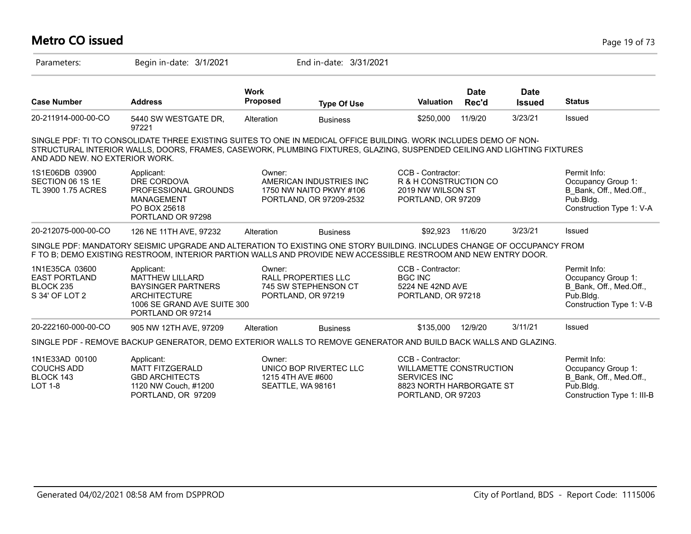| <b>Metro CO issued</b>                                                |                                                                                                                                                                                                                                              |                                                  |                                                                               |                                                                                                                              |                      |                              | Page 19 of 73                                                                                             |
|-----------------------------------------------------------------------|----------------------------------------------------------------------------------------------------------------------------------------------------------------------------------------------------------------------------------------------|--------------------------------------------------|-------------------------------------------------------------------------------|------------------------------------------------------------------------------------------------------------------------------|----------------------|------------------------------|-----------------------------------------------------------------------------------------------------------|
| Parameters:                                                           | Begin in-date: 3/1/2021                                                                                                                                                                                                                      |                                                  | End in-date: 3/31/2021                                                        |                                                                                                                              |                      |                              |                                                                                                           |
| <b>Case Number</b>                                                    | <b>Address</b>                                                                                                                                                                                                                               | <b>Work</b><br>Proposed                          | <b>Type Of Use</b>                                                            | <b>Valuation</b>                                                                                                             | <b>Date</b><br>Rec'd | <b>Date</b><br><b>Issued</b> | <b>Status</b>                                                                                             |
| 20-211914-000-00-CO                                                   | 5440 SW WESTGATE DR,<br>97221                                                                                                                                                                                                                | Alteration                                       | <b>Business</b>                                                               | \$250,000                                                                                                                    | 11/9/20              | 3/23/21                      | Issued                                                                                                    |
| AND ADD NEW. NO EXTERIOR WORK.                                        | SINGLE PDF: TI TO CONSOLIDATE THREE EXISTING SUITES TO ONE IN MEDICAL OFFICE BUILDING. WORK INCLUDES DEMO OF NON-<br>STRUCTURAL INTERIOR WALLS, DOORS, FRAMES, CASEWORK, PLUMBING FIXTURES, GLAZING, SUSPENDED CEILING AND LIGHTING FIXTURES |                                                  |                                                                               |                                                                                                                              |                      |                              |                                                                                                           |
| 1S1E06DB 03900<br>SECTION 06 1S 1E<br>TL 3900 1.75 ACRES              | Applicant:<br>DRE CORDOVA<br>PROFESSIONAL GROUNDS<br><b>MANAGEMENT</b><br>PO BOX 25618<br>PORTLAND OR 97298                                                                                                                                  | Owner:                                           | AMERICAN INDUSTRIES INC<br>1750 NW NAITO PKWY #106<br>PORTLAND, OR 97209-2532 | CCB - Contractor:<br>R & H CONSTRUCTION CO<br>2019 NW WILSON ST<br>PORTLAND, OR 97209                                        |                      |                              | Permit Info:<br>Occupancy Group 1:<br>B Bank, Off., Med.Off.,<br>$P$ ub.Bldg.<br>Construction Type 1: V-A |
| 20-212075-000-00-CO                                                   | 126 NE 11TH AVE, 97232                                                                                                                                                                                                                       | Alteration                                       | <b>Business</b>                                                               | \$92,923                                                                                                                     | 11/6/20              | 3/23/21                      | Issued                                                                                                    |
|                                                                       | SINGLE PDF: MANDATORY SEISMIC UPGRADE AND ALTERATION TO EXISTING ONE STORY BUILDING. INCLUDES CHANGE OF OCCUPANCY FROM<br>F TO B; DEMO EXISTING RESTROOM, INTERIOR PARTION WALLS AND PROVIDE NEW ACCESSIBLE RESTROOM AND NEW ENTRY DOOR.     |                                                  |                                                                               |                                                                                                                              |                      |                              |                                                                                                           |
| 1N1E35CA 03600<br><b>EAST PORTLAND</b><br>BLOCK 235<br>S 34' OF LOT 2 | Applicant:<br><b>MATTHEW LILLARD</b><br><b>BAYSINGER PARTNERS</b><br><b>ARCHITECTURE</b><br>1006 SE GRAND AVE SUITE 300<br>PORTLAND OR 97214                                                                                                 | Owner:                                           | RALL PROPERTIES LLC<br>745 SW STEPHENSON CT<br>PORTLAND, OR 97219             | CCB - Contractor:<br><b>BGC INC</b><br>5224 NE 42ND AVE<br>PORTLAND, OR 97218                                                |                      |                              | Permit Info:<br>Occupancy Group 1:<br>B Bank, Off., Med.Off.,<br>Pub.Bldg.<br>Construction Type 1: V-B    |
| 20-222160-000-00-CO                                                   | 905 NW 12TH AVE, 97209                                                                                                                                                                                                                       | Alteration                                       | <b>Business</b>                                                               | \$135,000                                                                                                                    | 12/9/20              | 3/11/21                      | Issued                                                                                                    |
|                                                                       | SINGLE PDF - REMOVE BACKUP GENERATOR, DEMO EXTERIOR WALLS TO REMOVE GENERATOR AND BUILD BACK WALLS AND GLAZING.                                                                                                                              |                                                  |                                                                               |                                                                                                                              |                      |                              |                                                                                                           |
| 1N1E33AD 00100<br><b>COUCHS ADD</b><br>BLOCK 143<br><b>LOT 1-8</b>    | Applicant:<br><b>MATT FITZGERALD</b><br><b>GBD ARCHITECTS</b><br>1120 NW Couch, #1200<br>PORTLAND, OR 97209                                                                                                                                  | Owner:<br>1215 4TH AVE #600<br>SEATTLE, WA 98161 | UNICO BOP RIVERTEC LLC                                                        | CCB - Contractor:<br><b>WILLAMETTE CONSTRUCTION</b><br><b>SERVICES INC</b><br>8823 NORTH HARBORGATE ST<br>PORTLAND, OR 97203 |                      |                              | Permit Info:<br>Occupancy Group 1:<br>B Bank, Off., Med.Off.,<br>Pub.Bldg.<br>Construction Type 1: III-B  |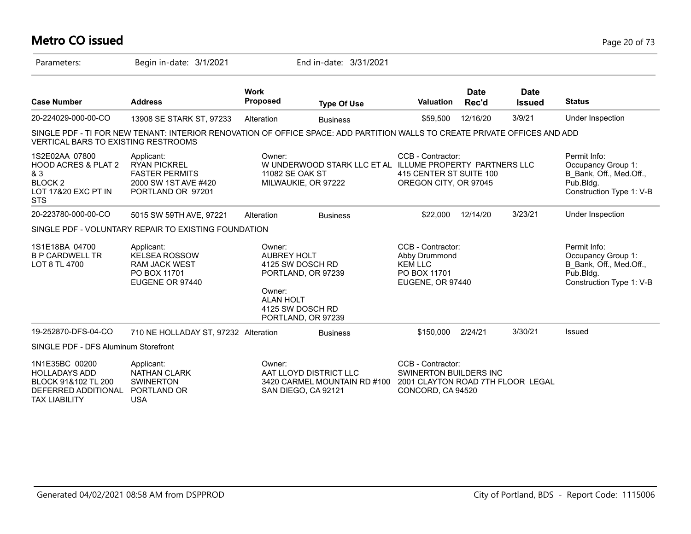# **Metro CO issued** Page 20 of 73

| Parameters:                                                                                                        | Begin in-date: 3/1/2021                                                                                                    |                                                            | End in-date: 3/31/2021                                                           |                                                                                                       |                      |                              |                                                                                                        |
|--------------------------------------------------------------------------------------------------------------------|----------------------------------------------------------------------------------------------------------------------------|------------------------------------------------------------|----------------------------------------------------------------------------------|-------------------------------------------------------------------------------------------------------|----------------------|------------------------------|--------------------------------------------------------------------------------------------------------|
| <b>Case Number</b>                                                                                                 | <b>Address</b>                                                                                                             | <b>Work</b><br>Proposed                                    | <b>Type Of Use</b>                                                               | <b>Valuation</b>                                                                                      | <b>Date</b><br>Rec'd | <b>Date</b><br><b>Issued</b> | <b>Status</b>                                                                                          |
| 20-224029-000-00-CO                                                                                                | 13908 SE STARK ST, 97233                                                                                                   | Alteration                                                 | <b>Business</b>                                                                  | \$59,500                                                                                              | 12/16/20             | 3/9/21                       | Under Inspection                                                                                       |
| <b>VERTICAL BARS TO EXISTING RESTROOMS</b>                                                                         | SINGLE PDF - TI FOR NEW TENANT: INTERIOR RENOVATION OF OFFICE SPACE: ADD PARTITION WALLS TO CREATE PRIVATE OFFICES AND ADD |                                                            |                                                                                  |                                                                                                       |                      |                              |                                                                                                        |
| 1S2E02AA 07800<br><b>HOOD ACRES &amp; PLAT 2</b><br>& 3<br>BLOCK <sub>2</sub><br>LOT 17&20 EXC PT IN<br><b>STS</b> | Applicant:<br><b>RYAN PICKREL</b><br><b>FASTER PERMITS</b><br>2000 SW 1ST AVE #420<br>PORTLAND OR 97201                    | Owner:<br>11082 SE OAK ST                                  | W UNDERWOOD STARK LLC ET AL ILLUME PROPERTY PARTNERS LLC<br>MILWAUKIE, OR 97222  | CCB - Contractor:<br>415 CENTER ST SUITE 100<br>OREGON CITY, OR 97045                                 |                      |                              | Permit Info:<br>Occupancy Group 1:<br>B_Bank, Off., Med.Off.,<br>Pub.Bldg.<br>Construction Type 1: V-B |
| 20-223780-000-00-CO                                                                                                | 5015 SW 59TH AVE, 97221                                                                                                    | Alteration                                                 | <b>Business</b>                                                                  | \$22,000                                                                                              | 12/14/20             | 3/23/21                      | Under Inspection                                                                                       |
|                                                                                                                    | SINGLE PDF - VOLUNTARY REPAIR TO EXISTING FOUNDATION                                                                       |                                                            |                                                                                  |                                                                                                       |                      |                              |                                                                                                        |
| 1S1E18BA 04700<br><b>B P CARDWELL TR</b><br>LOT 8 TL 4700                                                          | Applicant:<br><b>KELSEA ROSSOW</b><br><b>RAM JACK WEST</b><br>PO BOX 11701<br>EUGENE OR 97440                              | Owner:<br><b>AUBREY HOLT</b><br>Owner:<br><b>ALAN HOLT</b> | 4125 SW DOSCH RD<br>PORTLAND, OR 97239<br>4125 SW DOSCH RD<br>PORTLAND, OR 97239 | CCB - Contractor:<br>Abby Drummond<br><b>KEM LLC</b><br>PO BOX 11701<br>EUGENE, OR 97440              |                      |                              | Permit Info:<br>Occupancy Group 1:<br>B Bank, Off., Med.Off.,<br>Pub.Bldg.<br>Construction Type 1: V-B |
| 19-252870-DFS-04-CO                                                                                                | 710 NE HOLLADAY ST, 97232 Alteration                                                                                       |                                                            | <b>Business</b>                                                                  | \$150,000                                                                                             | 2/24/21              | 3/30/21                      | Issued                                                                                                 |
| SINGLE PDF - DFS Aluminum Storefront                                                                               |                                                                                                                            |                                                            |                                                                                  |                                                                                                       |                      |                              |                                                                                                        |
| 1N1E35BC 00200<br><b>HOLLADAYS ADD</b><br>BLOCK 91&102 TL 200<br>DEFERRED ADDITIONAL<br><b>TAX LIABILITY</b>       | Applicant:<br><b>NATHAN CLARK</b><br><b>SWINERTON</b><br>PORTLAND OR<br><b>USA</b>                                         | Owner:                                                     | AAT LLOYD DISTRICT LLC<br>3420 CARMEL MOUNTAIN RD #100<br>SAN DIEGO, CA 92121    | CCB - Contractor:<br>SWINERTON BUILDERS INC<br>2001 CLAYTON ROAD 7TH FLOOR LEGAL<br>CONCORD, CA 94520 |                      |                              |                                                                                                        |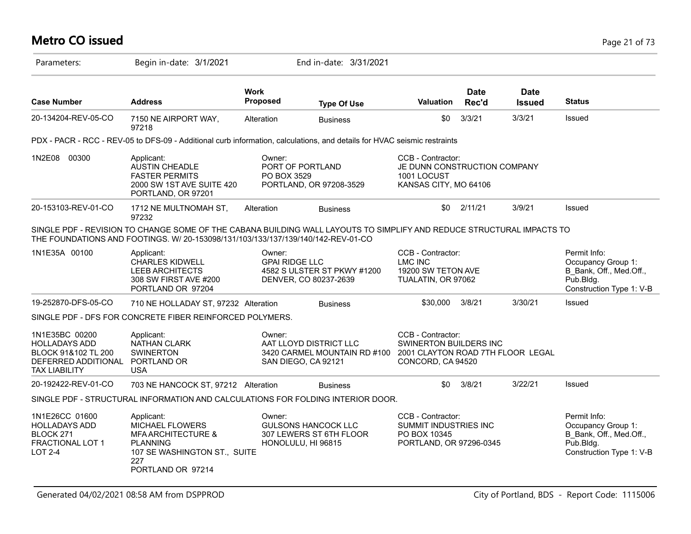# **Metro CO issued** Page 21 of 73

| Parameters:                                                                                                  | Begin in-date: 3/1/2021                                                                                                                                                                                   |                                | End in-date: 3/31/2021                                                        |                                                                                                              |                      |                              |                                                                                                        |
|--------------------------------------------------------------------------------------------------------------|-----------------------------------------------------------------------------------------------------------------------------------------------------------------------------------------------------------|--------------------------------|-------------------------------------------------------------------------------|--------------------------------------------------------------------------------------------------------------|----------------------|------------------------------|--------------------------------------------------------------------------------------------------------|
| <b>Case Number</b>                                                                                           | <b>Address</b>                                                                                                                                                                                            | <b>Work</b><br><b>Proposed</b> | <b>Type Of Use</b>                                                            | <b>Valuation</b>                                                                                             | <b>Date</b><br>Rec'd | <b>Date</b><br><b>Issued</b> | <b>Status</b>                                                                                          |
| 20-134204-REV-05-CO                                                                                          | 7150 NE AIRPORT WAY,<br>97218                                                                                                                                                                             | Alteration                     | <b>Business</b>                                                               | \$0                                                                                                          | 3/3/21               | 3/3/21                       | Issued                                                                                                 |
|                                                                                                              | PDX - PACR - RCC - REV-05 to DFS-09 - Additional curb information, calculations, and details for HVAC seismic restraints                                                                                  |                                |                                                                               |                                                                                                              |                      |                              |                                                                                                        |
| 1N2E08 00300                                                                                                 | Applicant:<br><b>AUSTIN CHEADLE</b><br><b>FASTER PERMITS</b><br>2000 SW 1ST AVE SUITE 420<br>PORTLAND, OR 97201                                                                                           | Owner:<br>PO BOX 3529          | PORT OF PORTLAND<br>PORTLAND, OR 97208-3529                                   | CCB - Contractor:<br>JE DUNN CONSTRUCTION COMPANY<br>1001 LOCUST<br>KANSAS CITY, MO 64106                    |                      |                              |                                                                                                        |
| 20-153103-REV-01-CO                                                                                          | 1712 NE MULTNOMAH ST,<br>97232                                                                                                                                                                            | Alteration                     | <b>Business</b>                                                               | \$0                                                                                                          | 2/11/21              | 3/9/21                       | Issued                                                                                                 |
|                                                                                                              | SINGLE PDF - REVISION TO CHANGE SOME OF THE CABANA BUILDING WALL LAYOUTS TO SIMPLIFY AND REDUCE STRUCTURAL IMPACTS TO<br>THE FOUNDATIONS AND FOOTINGS. W/ 20-153098/131/103/133/137/139/140/142-REV-01-CO |                                |                                                                               |                                                                                                              |                      |                              |                                                                                                        |
| 1N1E35A 00100                                                                                                | Applicant:<br><b>CHARLES KIDWELL</b><br><b>LEEB ARCHITECTS</b><br>308 SW FIRST AVE #200<br>PORTLAND OR 97204                                                                                              | Owner:                         | <b>GPAI RIDGE LLC</b><br>4582 S ULSTER ST PKWY #1200<br>DENVER, CO 80237-2639 | CCB - Contractor:<br>LMC INC<br>19200 SW TETON AVE<br>TUALATIN, OR 97062                                     |                      |                              | Permit Info:<br>Occupancy Group 1:<br>B Bank, Off., Med.Off.,<br>Pub.Bldg.<br>Construction Type 1: V-B |
| 19-252870-DFS-05-CO                                                                                          | 710 NE HOLLADAY ST, 97232 Alteration                                                                                                                                                                      |                                | <b>Business</b>                                                               | \$30,000                                                                                                     | 3/8/21               | 3/30/21                      | Issued                                                                                                 |
|                                                                                                              | SINGLE PDF - DFS FOR CONCRETE FIBER REINFORCED POLYMERS.                                                                                                                                                  |                                |                                                                               |                                                                                                              |                      |                              |                                                                                                        |
| 1N1E35BC 00200<br><b>HOLLADAYS ADD</b><br>BLOCK 91&102 TL 200<br>DEFERRED ADDITIONAL<br><b>TAX LIABILITY</b> | Applicant:<br><b>NATHAN CLARK</b><br><b>SWINERTON</b><br>PORTLAND OR<br><b>USA</b>                                                                                                                        | Owner:                         | AAT LLOYD DISTRICT LLC<br>3420 CARMEL MOUNTAIN RD #100<br>SAN DIEGO, CA 92121 | CCB - Contractor:<br><b>SWINERTON BUILDERS INC</b><br>2001 CLAYTON ROAD 7TH FLOOR LEGAL<br>CONCORD, CA 94520 |                      |                              |                                                                                                        |
| 20-192422-REV-01-CO                                                                                          | 703 NE HANCOCK ST, 97212 Alteration                                                                                                                                                                       |                                | <b>Business</b>                                                               | \$0                                                                                                          | 3/8/21               | 3/22/21                      | Issued                                                                                                 |
|                                                                                                              | SINGLE PDF - STRUCTURAL INFORMATION AND CALCULATIONS FOR FOLDING INTERIOR DOOR.                                                                                                                           |                                |                                                                               |                                                                                                              |                      |                              |                                                                                                        |
| 1N1E26CC 01600<br><b>HOLLADAYS ADD</b><br>BLOCK 271<br>FRACTIONAL LOT 1<br>$LOT 2-4$                         | Applicant:<br><b>MICHAEL FLOWERS</b><br><b>MFA ARCHITECTURE &amp;</b><br><b>PLANNING</b><br>107 SE WASHINGTON ST., SUITE<br>227<br>PORTLAND OR 97214                                                      | Owner:                         | <b>GULSONS HANCOCK LLC</b><br>307 LEWERS ST 6TH FLOOR<br>HONOLULU, HI 96815   | CCB - Contractor:<br>SUMMIT INDUSTRIES INC<br>PO BOX 10345<br>PORTLAND, OR 97296-0345                        |                      |                              | Permit Info:<br>Occupancy Group 1:<br>B Bank, Off., Med.Off.,<br>Pub.Bldg.<br>Construction Type 1: V-B |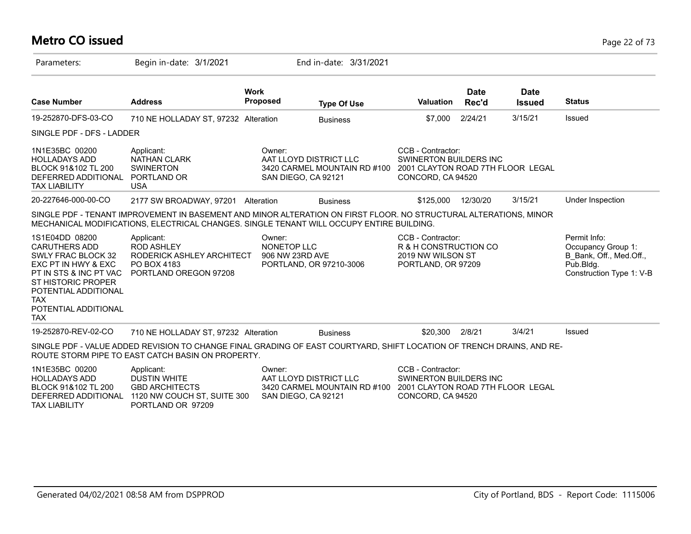#### **Metro CO issued** Page 22 of 73

| Parameters:                                                                                                                                                                                                            | Begin in-date: 3/1/2021                                                                                                                                                                                       |                                          | End in-date: 3/31/2021                                                        |                                                                                                              |                      |                              |                                                                                                        |
|------------------------------------------------------------------------------------------------------------------------------------------------------------------------------------------------------------------------|---------------------------------------------------------------------------------------------------------------------------------------------------------------------------------------------------------------|------------------------------------------|-------------------------------------------------------------------------------|--------------------------------------------------------------------------------------------------------------|----------------------|------------------------------|--------------------------------------------------------------------------------------------------------|
| <b>Case Number</b>                                                                                                                                                                                                     | <b>Address</b>                                                                                                                                                                                                | <b>Work</b><br><b>Proposed</b>           | <b>Type Of Use</b>                                                            | <b>Valuation</b>                                                                                             | <b>Date</b><br>Rec'd | <b>Date</b><br><b>Issued</b> | <b>Status</b>                                                                                          |
| 19-252870-DFS-03-CO                                                                                                                                                                                                    | 710 NE HOLLADAY ST, 97232 Alteration                                                                                                                                                                          |                                          | <b>Business</b>                                                               | \$7,000                                                                                                      | 2/24/21              | 3/15/21                      | Issued                                                                                                 |
| SINGLE PDF - DFS - LADDER                                                                                                                                                                                              |                                                                                                                                                                                                               |                                          |                                                                               |                                                                                                              |                      |                              |                                                                                                        |
| 1N1E35BC 00200<br><b>HOLLADAYS ADD</b><br>BLOCK 91&102 TL 200<br>DEFERRED ADDITIONAL<br><b>TAX LIABILITY</b>                                                                                                           | Applicant:<br><b>NATHAN CLARK</b><br><b>SWINERTON</b><br>PORTLAND OR<br><b>USA</b>                                                                                                                            | Owner:                                   | AAT LLOYD DISTRICT LLC<br>3420 CARMEL MOUNTAIN RD #100<br>SAN DIEGO, CA 92121 | CCB - Contractor:<br><b>SWINERTON BUILDERS INC</b><br>2001 CLAYTON ROAD 7TH FLOOR LEGAL<br>CONCORD, CA 94520 |                      |                              |                                                                                                        |
| 20-227646-000-00-CO                                                                                                                                                                                                    | 2177 SW BROADWAY, 97201 Alteration                                                                                                                                                                            |                                          | <b>Business</b>                                                               | \$125,000                                                                                                    | 12/30/20             | 3/15/21                      | Under Inspection                                                                                       |
|                                                                                                                                                                                                                        | SINGLE PDF - TENANT IMPROVEMENT IN BASEMENT AND MINOR ALTERATION ON FIRST FLOOR. NO STRUCTURAL ALTERATIONS, MINOR<br>MECHANICAL MODIFICATIONS, ELECTRICAL CHANGES. SINGLE TENANT WILL OCCUPY ENTIRE BUILDING. |                                          |                                                                               |                                                                                                              |                      |                              |                                                                                                        |
| 1S1E04DD 08200<br><b>CARUTHERS ADD</b><br>SWLY FRAC BLOCK 32<br>EXC PT IN HWY & EXC<br>PT IN STS & INC PT VAC<br><b>ST HISTORIC PROPER</b><br>POTENTIAL ADDITIONAL<br><b>TAX</b><br>POTENTIAL ADDITIONAL<br><b>TAX</b> | Applicant:<br><b>ROD ASHLEY</b><br>RODERICK ASHLEY ARCHITECT<br>PO BOX 4183<br>PORTLAND OREGON 97208                                                                                                          | Owner:<br>NONETOP LLC<br>906 NW 23RD AVE | PORTLAND, OR 97210-3006                                                       | CCB - Contractor:<br>R & H CONSTRUCTION CO<br>2019 NW WILSON ST<br>PORTLAND, OR 97209                        |                      |                              | Permit Info:<br>Occupancy Group 1:<br>B_Bank, Off., Med.Off.,<br>Pub.Bldg.<br>Construction Type 1: V-B |
| 19-252870-REV-02-CO                                                                                                                                                                                                    | 710 NE HOLLADAY ST, 97232 Alteration                                                                                                                                                                          |                                          | <b>Business</b>                                                               | \$20,300                                                                                                     | 2/8/21               | 3/4/21                       | Issued                                                                                                 |
|                                                                                                                                                                                                                        | SINGLE PDF - VALUE ADDED REVISION TO CHANGE FINAL GRADING OF EAST COURTYARD, SHIFT LOCATION OF TRENCH DRAINS, AND RE-<br>ROUTE STORM PIPE TO EAST CATCH BASIN ON PROPERTY.                                    |                                          |                                                                               |                                                                                                              |                      |                              |                                                                                                        |
| 1N1E35BC 00200<br><b>HOLLADAYS ADD</b><br>BLOCK 91&102 TL 200<br>DEFERRED ADDITIONAL<br><b>TAX LIABILITY</b>                                                                                                           | Applicant:<br><b>DUSTIN WHITE</b><br><b>GBD ARCHITECTS</b><br>1120 NW COUCH ST, SUITE 300<br>PORTLAND OR 97209                                                                                                | Owner:                                   | AAT LLOYD DISTRICT LLC<br>3420 CARMEL MOUNTAIN RD #100<br>SAN DIEGO, CA 92121 | CCB - Contractor:<br>SWINERTON BUILDERS INC<br>2001 CLAYTON ROAD 7TH FLOOR LEGAL<br>CONCORD, CA 94520        |                      |                              |                                                                                                        |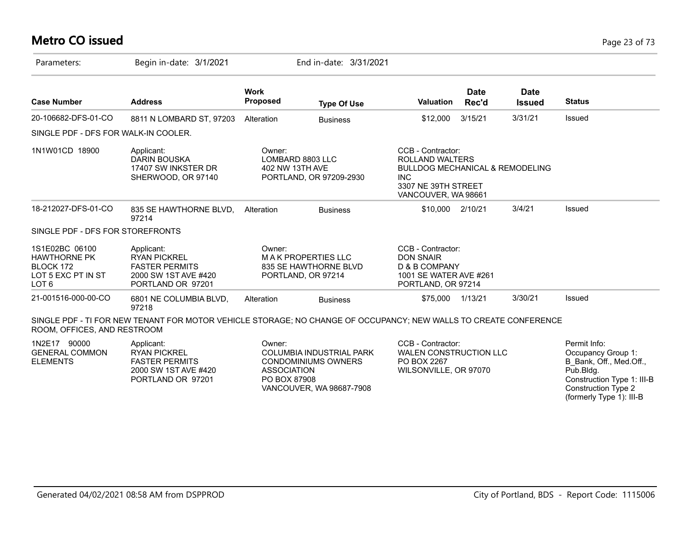#### **Metro CO issued** Page 23 of 73

| Parameters:                                                                                  | Begin in-date: 3/1/2021                                                                                          |                                               | End in-date: 3/31/2021                                                             |                                                                                                                                                       |                      |                              |                                                                                                                                        |
|----------------------------------------------------------------------------------------------|------------------------------------------------------------------------------------------------------------------|-----------------------------------------------|------------------------------------------------------------------------------------|-------------------------------------------------------------------------------------------------------------------------------------------------------|----------------------|------------------------------|----------------------------------------------------------------------------------------------------------------------------------------|
| <b>Case Number</b>                                                                           | <b>Address</b>                                                                                                   | <b>Work</b><br><b>Proposed</b>                | <b>Type Of Use</b>                                                                 | <b>Valuation</b>                                                                                                                                      | <b>Date</b><br>Rec'd | <b>Date</b><br><b>Issued</b> | <b>Status</b>                                                                                                                          |
| 20-106682-DFS-01-CO                                                                          | 8811 N LOMBARD ST, 97203                                                                                         | Alteration                                    | <b>Business</b>                                                                    | \$12,000                                                                                                                                              | 3/15/21              | 3/31/21                      | Issued                                                                                                                                 |
| SINGLE PDF - DFS FOR WALK-IN COOLER.                                                         |                                                                                                                  |                                               |                                                                                    |                                                                                                                                                       |                      |                              |                                                                                                                                        |
| 1N1W01CD 18900                                                                               | Applicant:<br>DARIN BOUSKA<br>17407 SW INKSTER DR<br>SHERWOOD, OR 97140                                          | Owner:<br>LOMBARD 8803 LLC<br>402 NW 13TH AVE | PORTLAND, OR 97209-2930                                                            | CCB - Contractor:<br><b>ROLLAND WALTERS</b><br><b>BULLDOG MECHANICAL &amp; REMODELING</b><br><b>INC</b><br>3307 NE 39TH STREET<br>VANCOUVER, WA 98661 |                      |                              |                                                                                                                                        |
| 18-212027-DFS-01-CO                                                                          | 835 SE HAWTHORNE BLVD,<br>97214                                                                                  | Alteration                                    | <b>Business</b>                                                                    | \$10,000 2/10/21                                                                                                                                      |                      | 3/4/21                       | Issued                                                                                                                                 |
| SINGLE PDF - DFS FOR STOREFRONTS                                                             |                                                                                                                  |                                               |                                                                                    |                                                                                                                                                       |                      |                              |                                                                                                                                        |
| 1S1E02BC 06100<br><b>HAWTHORNE PK</b><br>BLOCK 172<br>LOT 5 EXC PT IN ST<br>LOT <sub>6</sub> | Applicant:<br><b>RYAN PICKREL</b><br><b>FASTER PERMITS</b><br>2000 SW 1ST AVE #420<br>PORTLAND OR 97201          | Owner:                                        | <b>MAK PROPERTIES LLC</b><br>835 SE HAWTHORNE BLVD<br>PORTLAND, OR 97214           | CCB - Contractor:<br><b>DON SNAIR</b><br>D & B COMPANY<br>1001 SE WATER AVE #261<br>PORTLAND, OR 97214                                                |                      |                              |                                                                                                                                        |
| 21-001516-000-00-CO                                                                          | 6801 NE COLUMBIA BLVD,<br>97218                                                                                  | Alteration                                    | <b>Business</b>                                                                    | \$75,000                                                                                                                                              | 1/13/21              | 3/30/21                      | Issued                                                                                                                                 |
| ROOM, OFFICES, AND RESTROOM                                                                  | SINGLE PDF - TI FOR NEW TENANT FOR MOTOR VEHICLE STORAGE; NO CHANGE OF OCCUPANCY; NEW WALLS TO CREATE CONFERENCE |                                               |                                                                                    |                                                                                                                                                       |                      |                              |                                                                                                                                        |
| 1N2E17 90000<br><b>GENERAL COMMON</b><br><b>ELEMENTS</b>                                     | Applicant:<br><b>RYAN PICKREL</b><br><b>FASTER PERMITS</b><br>2000 SW 1ST AVE #420<br>PORTLAND OR 97201          | Owner:<br><b>ASSOCIATION</b><br>PO BOX 87908  | COLUMBIA INDUSTRIAL PARK<br><b>CONDOMINIUMS OWNERS</b><br>VANCOUVER, WA 98687-7908 | CCB - Contractor:<br><b>WALEN CONSTRUCTION LLC</b><br>PO BOX 2267<br>WILSONVILLE, OR 97070                                                            |                      |                              | Permit Info:<br>Occupancy Group 1:<br>B Bank, Off., Med.Off.,<br>Pub.Bldg.<br>Construction Type 1: III-B<br><b>Construction Type 2</b> |

(formerly Type 1): III-B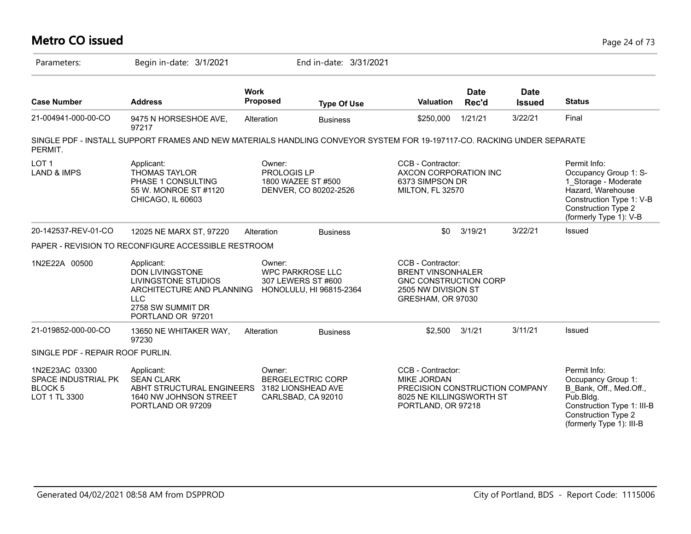#### **Metro CO issued** Page 24 of 73 Parameters: Begin in-date: 3/1/2021 End in-date: 3/31/2021 **Work Case Number Address Proposed Type Of Use Valuation Status Date Rec'd Date Issued** 21-004941-000-00-CO 9475 N HORSESHOE AVE, 97217 Alteration Business \$250,000 1/21/21 3/22/21 Final SINGLE PDF - INSTALL SUPPORT FRAMES AND NEW MATERIALS HANDLING CONVEYOR SYSTEM FOR 19-197117-CO. RACKING UNDER SEPARATE PERMIT. LOT 1 LAND & IMPS Permit Info: Occupancy Group 1: S-1\_Storage - Moderate Hazard, Warehouse Construction Type 1: V-B Construction Type 2 (formerly Type 1): V-B CCB - Contractor: AXCON CORPORATION INC 6373 SIMPSON DR MILTON, FL 32570 Owner: PROLOGIS LP 1800 WAZEE ST #500 DENVER, CO 80202-2526 Applicant: THOMAS TAYLOR PHASE 1 CONSULTING 55 W. MONROE ST #1120 CHICAGO, IL 60603 20-142537-REV-01-CO 12025 NE MARX ST, 97220 Alteration Business \$0 3/19/21 3/22/21 Issued PAPER - REVISION TO RECONFIGURE ACCESSIBLE RESTROOM 1N2E22A 00500 CCB - Contractor: BRENT VINSONHALER GNC CONSTRUCTION CORP 2505 NW DIVISION ST GRESHAM, OR 97030 Owner: WPC PARKROSE LLC 307 LEWERS ST #600 ARCHITECTURE AND PLANNING HONOLULU, HI 96815-2364 Applicant: DON LIVINGSTONE LIVINGSTONE STUDIOS LLC 2758 SW SUMMIT DR PORTLAND OR 97201 21-019852-000-00-CO 13650 NE WHITAKER WAY, 97230 Alteration Business \$2,500 3/1/21 3/11/21 Issued SINGLE PDF - REPAIR ROOF PURLIN. 1N2E23AC 03300 SPACE INDUSTRIAL PK BLOCK 5 LOT 1 TL 3300 Permit Info: Occupancy Group 1: B\_Bank, Off., Med.Off., Pub.Bldg. Construction Type 1: III-B Construction Type 2 (formerly Type 1): III-B CCB - Contractor: MIKE JORDAN PRECISION CONSTRUCTION COMPANY 8025 NE KILLINGSWORTH ST PORTLAND, OR 97218 Owner: BERGELECTRIC CORP ABHT STRUCTURAL ENGINEERS 3182 LIONSHEAD AVE CARLSBAD, CA 92010 Applicant: SEAN CLARK 1640 NW JOHNSON STREET PORTLAND OR 97209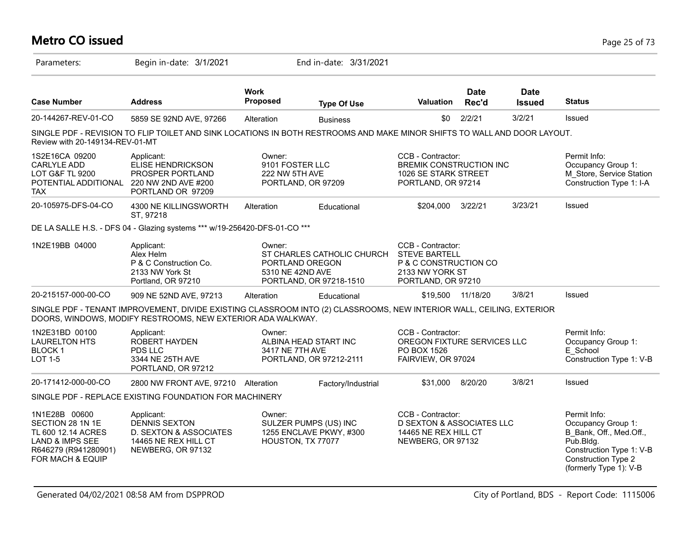# **Metro CO issued** Page 25 of 73

| Parameters:                                                                                                                       | Begin in-date: 3/1/2021                                                                                                                                                             |                                             | End in-date: 3/31/2021                                                   |                                                                                                             |                      |                              |                                                                                                                                                                   |
|-----------------------------------------------------------------------------------------------------------------------------------|-------------------------------------------------------------------------------------------------------------------------------------------------------------------------------------|---------------------------------------------|--------------------------------------------------------------------------|-------------------------------------------------------------------------------------------------------------|----------------------|------------------------------|-------------------------------------------------------------------------------------------------------------------------------------------------------------------|
| <b>Case Number</b>                                                                                                                | <b>Address</b>                                                                                                                                                                      | <b>Work</b><br><b>Proposed</b>              | <b>Type Of Use</b>                                                       | <b>Valuation</b>                                                                                            | <b>Date</b><br>Rec'd | <b>Date</b><br><b>Issued</b> | <b>Status</b>                                                                                                                                                     |
| 20-144267-REV-01-CO                                                                                                               | 5859 SE 92ND AVE, 97266                                                                                                                                                             | Alteration                                  | <b>Business</b>                                                          | \$0                                                                                                         | 2/2/21               | 3/2/21                       | Issued                                                                                                                                                            |
| Review with 20-149134-REV-01-MT                                                                                                   | SINGLE PDF - REVISION TO FLIP TOILET AND SINK LOCATIONS IN BOTH RESTROOMS AND MAKE MINOR SHIFTS TO WALL AND DOOR LAYOUT.                                                            |                                             |                                                                          |                                                                                                             |                      |                              |                                                                                                                                                                   |
| 1S2E16CA 09200<br><b>CARLYLE ADD</b><br><b>LOT G&amp;F TL 9200</b><br>POTENTIAL ADDITIONAL 220 NW 2ND AVE #200<br><b>TAX</b>      | Applicant:<br>ELISE HENDRICKSON<br>PROSPER PORTLAND<br>PORTLAND OR 97209                                                                                                            | Owner:<br>9101 FOSTER LLC<br>222 NW 5TH AVE | PORTLAND, OR 97209                                                       | CCB - Contractor:<br><b>BREMIK CONSTRUCTION INC</b><br>1026 SE STARK STREET<br>PORTLAND, OR 97214           |                      |                              | Permit Info:<br>Occupancy Group 1:<br>M_Store, Service Station<br>Construction Type 1: I-A                                                                        |
| 20-105975-DFS-04-CO                                                                                                               | 4300 NE KILLINGSWORTH<br>ST, 97218                                                                                                                                                  | Alteration                                  | Educational                                                              | \$204,000                                                                                                   | 3/22/21              | 3/23/21                      | Issued                                                                                                                                                            |
|                                                                                                                                   | DE LA SALLE H.S. - DFS 04 - Glazing systems *** w/19-256420-DFS-01-CO ***                                                                                                           |                                             |                                                                          |                                                                                                             |                      |                              |                                                                                                                                                                   |
| 1N2E19BB 04000                                                                                                                    | Applicant:<br>Alex Helm<br>P & C Construction Co.<br>2133 NW York St<br>Portland, OR 97210                                                                                          | Owner:<br>5310 NE 42ND AVE                  | ST CHARLES CATHOLIC CHURCH<br>PORTLAND OREGON<br>PORTLAND, OR 97218-1510 | CCB - Contractor:<br><b>STEVE BARTELL</b><br>P & C CONSTRUCTION CO<br>2133 NW YORK ST<br>PORTLAND, OR 97210 |                      |                              |                                                                                                                                                                   |
| 20-215157-000-00-CO                                                                                                               | 909 NE 52ND AVE, 97213                                                                                                                                                              | Alteration                                  | Educational                                                              | \$19,500                                                                                                    | 11/18/20             | 3/8/21                       | Issued                                                                                                                                                            |
|                                                                                                                                   | SINGLE PDF - TENANT IMPROVEMENT, DIVIDE EXISTING CLASSROOM INTO (2) CLASSROOMS, NEW INTERIOR WALL, CEILING, EXTERIOR<br>DOORS, WINDOWS, MODIFY RESTROOMS, NEW EXTERIOR ADA WALKWAY. |                                             |                                                                          |                                                                                                             |                      |                              |                                                                                                                                                                   |
| 1N2E31BD 00100<br><b>LAURELTON HTS</b><br><b>BLOCK1</b><br>LOT 1-5                                                                | Applicant:<br>ROBERT HAYDEN<br>PDS LLC<br>3344 NE 25TH AVE<br>PORTLAND, OR 97212                                                                                                    | Owner:<br>3417 NE 7TH AVE                   | ALBINA HEAD START INC<br>PORTLAND, OR 97212-2111                         | CCB - Contractor:<br>OREGON FIXTURE SERVICES LLC<br>PO BOX 1526<br>FAIRVIEW, OR 97024                       |                      |                              | Permit Info:<br>Occupancy Group 1:<br>E School<br>Construction Type 1: V-B                                                                                        |
| 20-171412-000-00-CO                                                                                                               | 2800 NW FRONT AVE, 97210 Alteration                                                                                                                                                 |                                             | Factory/Industrial                                                       | \$31,000                                                                                                    | 8/20/20              | 3/8/21                       | Issued                                                                                                                                                            |
|                                                                                                                                   | SINGLE PDF - REPLACE EXISTING FOUNDATION FOR MACHINERY                                                                                                                              |                                             |                                                                          |                                                                                                             |                      |                              |                                                                                                                                                                   |
| 1N1E28B 00600<br>SECTION 28 1N 1E<br>TL 600 12.14 ACRES<br><b>LAND &amp; IMPS SEE</b><br>R646279 (R941280901)<br>FOR MACH & EQUIP | Applicant:<br><b>DENNIS SEXTON</b><br>D. SEXTON & ASSOCIATES<br>14465 NE REX HILL CT<br>NEWBERG, OR 97132                                                                           | Owner:                                      | SULZER PUMPS (US) INC<br>1255 ENCLAVE PKWY, #300<br>HOUSTON, TX 77077    | CCB - Contractor:<br><b>D SEXTON &amp; ASSOCIATES LLC</b><br>14465 NE REX HILL CT<br>NEWBERG, OR 97132      |                      |                              | Permit Info:<br>Occupancy Group 1:<br>B Bank, Off., Med.Off.,<br>$P$ ub.Bldg.<br>Construction Type 1: V-B<br><b>Construction Type 2</b><br>(formerly Type 1): V-B |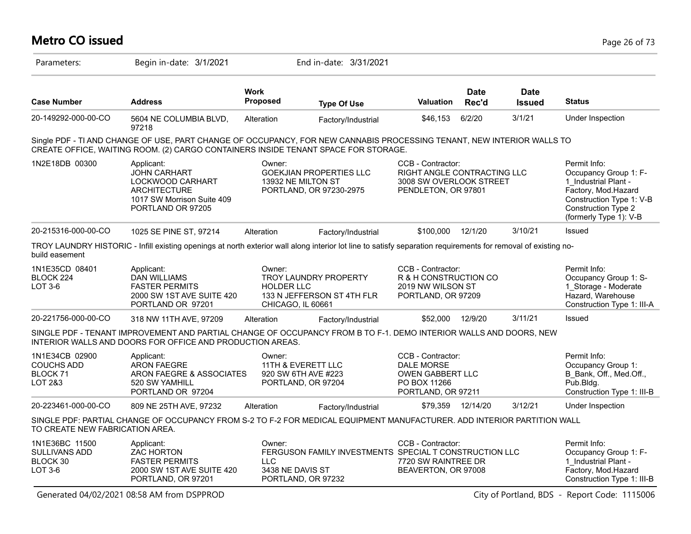#### **Metro CO issued** Page 26 of 73 Parameters: Begin in-date: 3/1/2021 End in-date: 3/31/2021 **Work Case Number Address Proposed Type Of Use Valuation Status Date Rec'd Date Issued** 20-149292-000-00-CO 5604 NE COLUMBIA BLVD, 97218 Alteration Factory/Industrial \$46,153 6/2/20 3/1/21 Under Inspection Single PDF - TI AND CHANGE OF USE, PART CHANGE OF OCCUPANCY, FOR NEW CANNABIS PROCESSING TENANT, NEW INTERIOR WALLS TO CREATE OFFICE, WAITING ROOM. (2) CARGO CONTAINERS INSIDE TENANT SPACE FOR STORAGE. 1N2E18DB 00300 Applicant: A CONDITE: CCB - Contractor: Permit Info: CND Permit Info: Occupancy Group 1: F-1\_Industrial Plant - Factory, Mod.Hazard Construction Type 1: V-B Construction Type 2 (formerly Type 1): V-B CCB - Contractor: RIGHT ANGLE CONTRACTING LLC 3008 SW OVERLOOK STREET PENDLETON, OR 97801 Owner: GOEKJIAN PROPERTIES LLC 13932 NE MILTON ST PORTLAND, OR 97230-2975 Applicant: JOHN CARHART LOCKWOOD CARHART **ARCHITECTURE** 1017 SW Morrison Suite 409 PORTLAND OR 97205 20-215316-000-00-CO 1025 SE PINE ST, 97214 Alteration Factory/Industrial \$100,000 12/1/20 3/10/21 Issued TROY LAUNDRY HISTORIC - Infill existing openings at north exterior wall along interior lot line to satisfy separation requirements for removal of existing nobuild easement 1N1E35CD 08401 BLOCK 224 LOT 3-6 Permit Info: Occupancy Group 1: S-1\_Storage - Moderate Hazard, Warehouse Construction Type 1: III-A CCB - Contractor: R & H CONSTRUCTION CO 2019 NW WILSON ST PORTLAND, OR 97209 Owner: TROY LAUNDRY PROPERTY HOLDER LLC 133 N JEFFERSON ST 4TH FLR CHICAGO, IL 60661 Applicant: DAN WILLIAMS FASTER PERMITS 2000 SW 1ST AVE SUITE 420 PORTLAND OR 97201 20-221756-000-00-CO 318 NW 11TH AVE, 97209 Alteration Factory/Industrial \$52,000 12/9/20 3/11/21 Issued SINGLE PDF - TENANT IMPROVEMENT AND PARTIAL CHANGE OF OCCUPANCY FROM B TO F-1. DEMO INTERIOR WALLS AND DOORS, NEW INTERIOR WALLS AND DOORS FOR OFFICE AND PRODUCTION AREAS. 1N1E34CB 02900 COUCHS ADD BLOCK 71 LOT 2&3 Permit Info: Occupancy Group 1: B\_Bank, Off., Med.Off., Pub.Bldg. Construction Type 1: III-B CCB - Contractor: DALE MORSE OWEN GABBERT LLC PO BOX 11266 PORTLAND, OR 97211 Owner: 11TH & EVERETT LLC 920 SW 6TH AVE #223 PORTLAND, OR 97204 Applicant: ARON FAEGRE ARON FAEGRE & ASSOCIATES 520 SW YAMHILL PORTLAND OR 97204 20-223461-000-00-CO 809 NE 25TH AVE, 97232 Alteration Factory/Industrial \$79,359 12/14/20 3/12/21 Under Inspection SINGLE PDF: PARTIAL CHANGE OF OCCUPANCY FROM S-2 TO F-2 FOR MEDICAL EQUIPMENT MANUFACTURER. ADD INTERIOR PARTITION WALL TO CREATE NEW FABRICATION AREA. 1N1E36BC 11500 SULLIVANS ADD BLOCK 30 LOT 3-6 Permit Info: Occupancy Group 1: F-1 Industrial Plant -Factory, Mod.Hazard Construction Type 1: III-B CCB - Contractor: FERGUSON FAMILY INVESTMENTS SPECIAL T CONSTRUCTION LLC 7720 SW RAINTREE DR BEAVERTON, OR 97008 Owner: LLC 3438 NE DAVIS ST PORTLAND, OR 97232 Applicant: ZAC HORTON FASTER PERMITS 2000 SW 1ST AVE SUITE 420 PORTLAND, OR 97201

Generated 04/02/2021 08:58 AM from DSPPROD City of Portland, BDS - Report Code: 1115006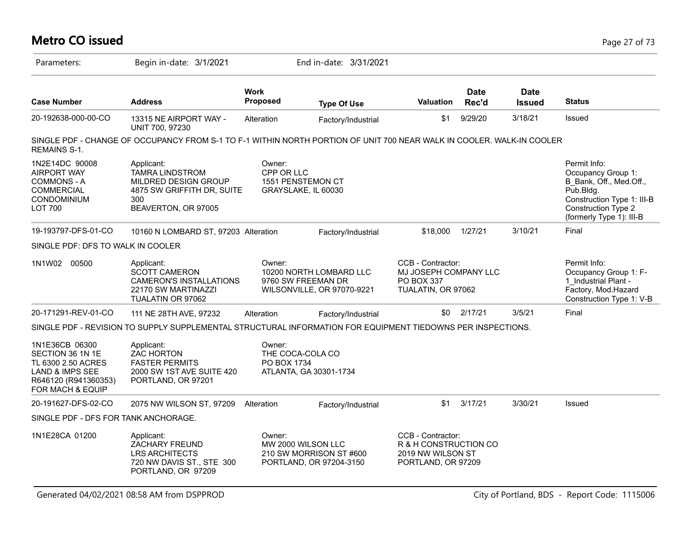#### **Metro CO issued** Page 27 of 73 Parameters: Begin in-date: 3/1/2021 End in-date: 3/31/2021 **Work Case Number Address Proposed Type Of Use Valuation Status Date Rec'd Date Issued** 20-192638-000-00-CO 13315 NE AIRPORT WAY - UNIT 700, 97230 Alteration Factory/Industrial \$1 9/29/20 3/18/21 Issued SINGLE PDF - CHANGE OF OCCUPANCY FROM S-1 TO F-1 WITHIN NORTH PORTION OF UNIT 700 NEAR WALK IN COOLER. WAI K-IN COOI FR REMAINS S-1. 1N2E14DC 90008 AIRPORT WAY COMMONS - A COMMERCIAL CONDOMINIUM LOT 700 Permit Info: Occupancy Group 1: B\_Bank, Off., Med.Off., Pub.Bldg. Construction Type 1: III-B Construction Type 2 (formerly Type 1): III-B Owner: CPP OR LLC 1551 PENSTEMON CT GRAYSLAKE, IL 60030 Applicant: TAMRA LINDSTROM MILDRED DESIGN GROUP 4875 SW GRIFFITH DR, SUITE 300 BEAVERTON, OR 97005 19-193797-DFS-01-CO 10160 N LOMBARD ST, 97203 Alteration Factory/Industrial \$18,000 1/27/21 3/10/21 Final SINGLE PDF: DFS TO WALK IN COOLER 1N1W02 00500 Applicant: COB Owner: CCB Contractor: Permit Info: Occupancy Group 1: F-1\_Industrial Plant - Factory, Mod.Hazard Construction Type 1: V-B CCB - Contractor: MJ JOSEPH COMPANY LLC PO BOX 337 TUALATIN, OR 97062 Owner: 10200 NORTH LOMBARD LLC 9760 SW FREEMAN DR WILSONVILLE, OR 97070-9221 Applicant: SCOTT CAMERON CAMERON'S INSTALLATIONS 22170 SW MARTINAZZI TUALATIN OR 97062 20-171291-REV-01-CO 111 NE 28TH AVE, 97232 Alteration Factory/Industrial \$0 2/17/21 3/5/21 Final SINGLE PDF - REVISION TO SUPPLY SUPPLEMENTAL STRUCTURAL INFORMATION FOR EQUIPMENT TIEDOWNS PER INSPECTIONS. 1N1E36CB 06300 SECTION 36 1N 1E TL 6300 2.50 ACRES LAND & IMPS SEE R646120 (R941360353) FOR MACH & EQUIP Owner: THE COCA-COLA CO PO BOX 1734 ATLANTA, GA 30301-1734 Applicant: ZAC HORTON FASTER PERMITS 2000 SW 1ST AVE SUITE 420 PORTLAND, OR 97201 20-191627-DFS-02-CO 2075 NW WILSON ST, 97209 Alteration Factory/Industrial \$1 3/17/21 3/30/21 Issued SINGLE PDF - DFS FOR TANK ANCHORAGE. 1N1E28CA 01200 CCB - Contractor: R & H CONSTRUCTION CO 2019 NW WILSON ST PORTLAND, OR 97209 Owner: MW 2000 WILSON LLC 210 SW MORRISON ST #600 PORTLAND, OR 97204-3150 Applicant: ZACHARY FREUND LRS ARCHITECTS 720 NW DAVIS ST., STE 300 PORTLAND, OR 97209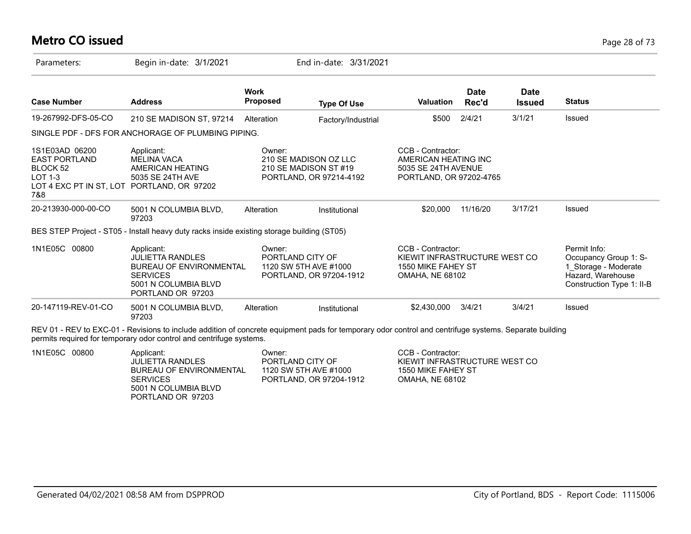#### **Metro CO issued** Page 28 of 73

| Parameters:                                                                                                          | Begin in-date: 3/1/2021                                                                                                                 |                                | End in-date: 3/31/2021                                                    |                                                                                                    |                      |                              |                                                                                                                 |
|----------------------------------------------------------------------------------------------------------------------|-----------------------------------------------------------------------------------------------------------------------------------------|--------------------------------|---------------------------------------------------------------------------|----------------------------------------------------------------------------------------------------|----------------------|------------------------------|-----------------------------------------------------------------------------------------------------------------|
| <b>Case Number</b>                                                                                                   | <b>Address</b>                                                                                                                          | <b>Work</b><br><b>Proposed</b> | <b>Type Of Use</b>                                                        | Valuation                                                                                          | <b>Date</b><br>Rec'd | <b>Date</b><br><b>Issued</b> | <b>Status</b>                                                                                                   |
| 19-267992-DFS-05-CO                                                                                                  | 210 SE MADISON ST, 97214                                                                                                                | Alteration                     | Factory/Industrial                                                        | \$500                                                                                              | 2/4/21               | 3/1/21                       | Issued                                                                                                          |
|                                                                                                                      | SINGLE PDF - DFS FOR ANCHORAGE OF PLUMBING PIPING.                                                                                      |                                |                                                                           |                                                                                                    |                      |                              |                                                                                                                 |
| 1S1E03AD 06200<br><b>EAST PORTLAND</b><br>BLOCK 52<br>$LOT 1-3$<br>LOT 4 EXC PT IN ST, LOT PORTLAND, OR 97202<br>7&8 | Applicant:<br><b>MELINA VACA</b><br>AMERICAN HEATING<br>5035 SE 24TH AVE                                                                | Owner:                         | 210 SE MADISON OZ LLC<br>210 SE MADISON ST #19<br>PORTLAND, OR 97214-4192 | CCB - Contractor:<br>AMERICAN HEATING INC<br>5035 SE 24TH AVENUE<br>PORTLAND, OR 97202-4765        |                      |                              |                                                                                                                 |
| 20-213930-000-00-CO                                                                                                  | 5001 N COLUMBIA BLVD,<br>97203                                                                                                          | Alteration                     | Institutional                                                             | \$20,000                                                                                           | 11/16/20             | 3/17/21                      | <b>Issued</b>                                                                                                   |
|                                                                                                                      | BES STEP Project - ST05 - Install heavy duty racks inside existing storage building (ST05)                                              |                                |                                                                           |                                                                                                    |                      |                              |                                                                                                                 |
| 1N1E05C 00800                                                                                                        | Applicant:<br><b>JULIETTA RANDLES</b><br><b>BUREAU OF ENVIRONMENTAL</b><br><b>SERVICES</b><br>5001 N COLUMBIA BLVD<br>PORTLAND OR 97203 | Owner:                         | PORTLAND CITY OF<br>1120 SW 5TH AVE #1000<br>PORTLAND, OR 97204-1912      | CCB - Contractor:<br>KIEWIT INFRASTRUCTURE WEST CO<br>1550 MIKE FAHEY ST<br><b>OMAHA, NE 68102</b> |                      |                              | Permit Info:<br>Occupancy Group 1: S-<br>1_Storage - Moderate<br>Hazard, Warehouse<br>Construction Type 1: II-B |
| 20-147119-REV-01-CO                                                                                                  | 5001 N COLUMBIA BLVD,<br>97203                                                                                                          | Alteration                     | Institutional                                                             | \$2,430,000                                                                                        | 3/4/21               | 3/4/21                       | Issued                                                                                                          |

permits required for temporary odor control and centrifuge systems.

| Applicant:              | Owner:                  | CCB - Contractor:             |
|-------------------------|-------------------------|-------------------------------|
| <b>JULIETTA RANDLES</b> | PORTLAND CITY OF        | KIEWIT INFRASTRUCTURE WEST CO |
| BUREAU OF ENVIRONMENTAL | 1120 SW 5TH AVE #1000   | 1550 MIKE FAHEY ST            |
| <b>SERVICES</b>         | PORTLAND, OR 97204-1912 | <b>OMAHA, NE 68102</b>        |
| 5001 N COLUMBIA BLVD    |                         |                               |
| PORTLAND OR 97203       |                         |                               |
| 1N1E05C 00800           |                         |                               |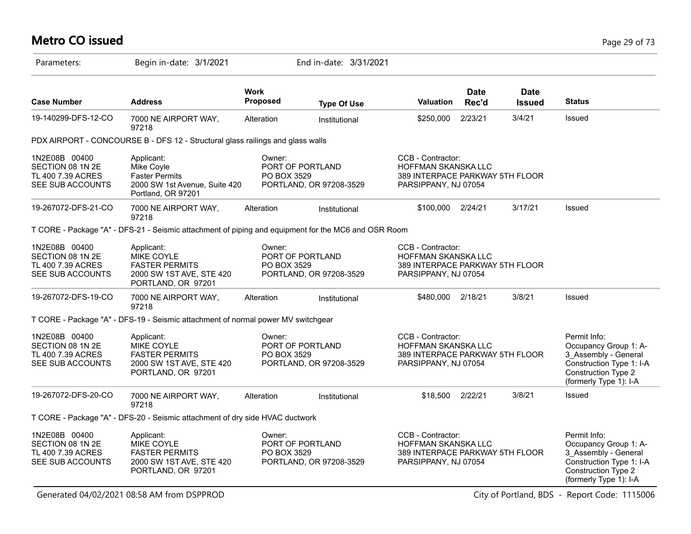# **Metro CO issued** Page 29 of 73

| Parameters:                                                                | Begin in-date: 3/1/2021                                                                                  |                         | End in-date: 3/31/2021                      |                                                                                                            |                      |                              |                                                                                                                                            |
|----------------------------------------------------------------------------|----------------------------------------------------------------------------------------------------------|-------------------------|---------------------------------------------|------------------------------------------------------------------------------------------------------------|----------------------|------------------------------|--------------------------------------------------------------------------------------------------------------------------------------------|
| <b>Case Number</b>                                                         | <b>Address</b>                                                                                           | <b>Work</b><br>Proposed | <b>Type Of Use</b>                          | <b>Valuation</b>                                                                                           | <b>Date</b><br>Rec'd | <b>Date</b><br><b>Issued</b> | <b>Status</b>                                                                                                                              |
| 19-140299-DFS-12-CO                                                        | 7000 NE AIRPORT WAY,<br>97218                                                                            | Alteration              | Institutional                               | \$250,000                                                                                                  | 2/23/21              | 3/4/21                       | Issued                                                                                                                                     |
|                                                                            | PDX AIRPORT - CONCOURSE B - DFS 12 - Structural glass railings and glass walls                           |                         |                                             |                                                                                                            |                      |                              |                                                                                                                                            |
| 1N2E08B 00400<br>SECTION 08 1N 2E<br>TL 400 7.39 ACRES<br>SEE SUB ACCOUNTS | Applicant:<br>Mike Coyle<br><b>Faster Permits</b><br>2000 SW 1st Avenue, Suite 420<br>Portland, OR 97201 | Owner:<br>PO BOX 3529   | PORT OF PORTLAND<br>PORTLAND, OR 97208-3529 | CCB - Contractor:<br>HOFFMAN SKANSKA LLC<br>389 INTERPACE PARKWAY 5TH FLOOR<br>PARSIPPANY, NJ 07054        |                      |                              |                                                                                                                                            |
| 19-267072-DFS-21-CO                                                        | 7000 NE AIRPORT WAY,<br>97218                                                                            | Alteration              | Institutional                               | \$100,000                                                                                                  | 2/24/21              | 3/17/21                      | Issued                                                                                                                                     |
|                                                                            | T CORE - Package "A" - DFS-21 - Seismic attachment of piping and equipment for the MC6 and OSR Room      |                         |                                             |                                                                                                            |                      |                              |                                                                                                                                            |
| 1N2E08B 00400<br>SECTION 08 1N 2E<br>TL 400 7.39 ACRES<br>SEE SUB ACCOUNTS | Applicant:<br>MIKE COYLE<br><b>FASTER PERMITS</b><br>2000 SW 1ST AVE, STE 420<br>PORTLAND, OR 97201      | Owner:<br>PO BOX 3529   | PORT OF PORTLAND<br>PORTLAND, OR 97208-3529 | CCB - Contractor:<br><b>HOFFMAN SKANSKA LLC</b><br>389 INTERPACE PARKWAY 5TH FLOOR<br>PARSIPPANY, NJ 07054 |                      |                              |                                                                                                                                            |
| 19-267072-DFS-19-CO                                                        | 7000 NE AIRPORT WAY,<br>97218                                                                            | Alteration              | Institutional                               | \$480,000 2/18/21                                                                                          |                      | 3/8/21                       | Issued                                                                                                                                     |
|                                                                            | T CORE - Package "A" - DFS-19 - Seismic attachment of normal power MV switchgear                         |                         |                                             |                                                                                                            |                      |                              |                                                                                                                                            |
| 1N2E08B 00400<br>SECTION 08 1N 2E<br>TL 400 7.39 ACRES<br>SEE SUB ACCOUNTS | Applicant:<br>MIKE COYLE<br><b>FASTER PERMITS</b><br>2000 SW 1ST AVE, STE 420<br>PORTLAND, OR 97201      | Owner:<br>PO BOX 3529   | PORT OF PORTLAND<br>PORTLAND, OR 97208-3529 | CCB - Contractor:<br><b>HOFFMAN SKANSKA LLC</b><br>389 INTERPACE PARKWAY 5TH FLOOR<br>PARSIPPANY, NJ 07054 |                      |                              | Permit Info:<br>Occupancy Group 1: A-<br>3_Assembly - General<br>Construction Type 1: I-A<br>Construction Type 2<br>(formerly Type 1): I-A |
| 19-267072-DFS-20-CO                                                        | 7000 NE AIRPORT WAY,<br>97218                                                                            | Alteration              | Institutional                               | \$18,500                                                                                                   | 2/22/21              | 3/8/21                       | Issued                                                                                                                                     |
|                                                                            | T CORE - Package "A" - DFS-20 - Seismic attachment of dry side HVAC ductwork                             |                         |                                             |                                                                                                            |                      |                              |                                                                                                                                            |
| 1N2E08B 00400<br>SECTION 08 1N 2E<br>TL 400 7.39 ACRES<br>SEE SUB ACCOUNTS | Applicant:<br>MIKE COYLE<br><b>FASTER PERMITS</b><br>2000 SW 1ST AVE, STE 420<br>PORTLAND, OR 97201      | Owner:<br>PO BOX 3529   | PORT OF PORTLAND<br>PORTLAND, OR 97208-3529 | CCB - Contractor:<br>HOFFMAN SKANSKA LLC<br>389 INTERPACE PARKWAY 5TH FLOOR<br>PARSIPPANY, NJ 07054        |                      |                              | Permit Info:<br>Occupancy Group 1: A-<br>3 Assembly - General<br>Construction Type 1: I-A<br>Construction Type 2<br>(formerly Type 1): I-A |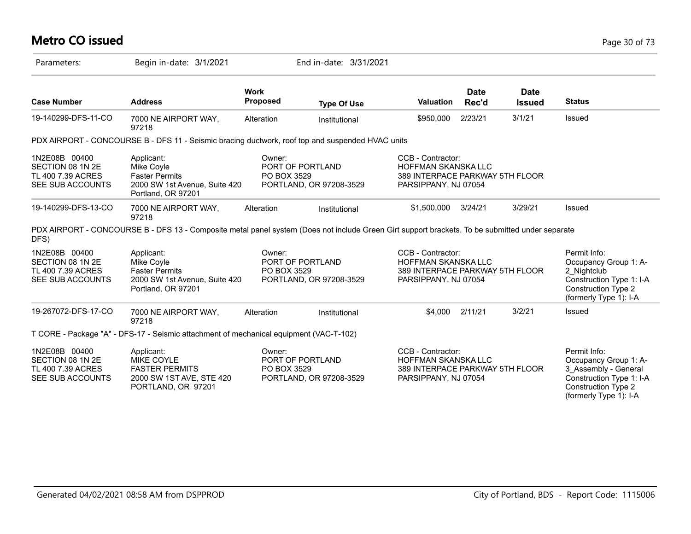# **Metro CO issued** Page 30 of 73

| Parameters:                                                                | Begin in-date: 3/1/2021                                                                                                                         |                         | End in-date: 3/31/2021                      |                                                                                                            |                      |                              |                                                                                                                                                   |
|----------------------------------------------------------------------------|-------------------------------------------------------------------------------------------------------------------------------------------------|-------------------------|---------------------------------------------|------------------------------------------------------------------------------------------------------------|----------------------|------------------------------|---------------------------------------------------------------------------------------------------------------------------------------------------|
| <b>Case Number</b>                                                         | <b>Address</b>                                                                                                                                  | <b>Work</b><br>Proposed | <b>Type Of Use</b>                          | <b>Valuation</b>                                                                                           | <b>Date</b><br>Rec'd | <b>Date</b><br><b>Issued</b> | <b>Status</b>                                                                                                                                     |
| 19-140299-DFS-11-CO                                                        | 7000 NE AIRPORT WAY,<br>97218                                                                                                                   | Alteration              | Institutional                               | \$950,000                                                                                                  | 2/23/21              | 3/1/21                       | Issued                                                                                                                                            |
|                                                                            | PDX AIRPORT - CONCOURSE B - DFS 11 - Seismic bracing ductwork, roof top and suspended HVAC units                                                |                         |                                             |                                                                                                            |                      |                              |                                                                                                                                                   |
| 1N2E08B 00400<br>SECTION 08 1N 2E<br>TL 400 7.39 ACRES<br>SEE SUB ACCOUNTS | Applicant:<br>Mike Coyle<br><b>Faster Permits</b><br>2000 SW 1st Avenue, Suite 420<br>Portland, OR 97201                                        | Owner:<br>PO BOX 3529   | PORT OF PORTLAND<br>PORTLAND, OR 97208-3529 | CCB - Contractor:<br><b>HOFFMAN SKANSKA LLC</b><br>389 INTERPACE PARKWAY 5TH FLOOR<br>PARSIPPANY, NJ 07054 |                      |                              |                                                                                                                                                   |
| 19-140299-DFS-13-CO                                                        | 7000 NE AIRPORT WAY,<br>97218                                                                                                                   | Alteration              | Institutional                               | \$1,500,000                                                                                                | 3/24/21              | 3/29/21                      | Issued                                                                                                                                            |
| DFS)                                                                       | PDX AIRPORT - CONCOURSE B - DFS 13 - Composite metal panel system (Does not include Green Girt support brackets. To be submitted under separate |                         |                                             |                                                                                                            |                      |                              |                                                                                                                                                   |
| 1N2E08B 00400<br>SECTION 08 1N 2E<br>TL 400 7.39 ACRES<br>SEE SUB ACCOUNTS | Applicant:<br>Mike Coyle<br><b>Faster Permits</b><br>2000 SW 1st Avenue, Suite 420<br>Portland, OR 97201                                        | Owner:<br>PO BOX 3529   | PORT OF PORTLAND<br>PORTLAND, OR 97208-3529 | CCB - Contractor:<br><b>HOFFMAN SKANSKA LLC</b><br>389 INTERPACE PARKWAY 5TH FLOOR<br>PARSIPPANY, NJ 07054 |                      |                              | Permit Info:<br>Occupancy Group 1: A-<br>2 Nightclub<br>Construction Type 1: I-A<br><b>Construction Type 2</b><br>(formerly Type 1): I-A          |
| 19-267072-DFS-17-CO                                                        | 7000 NE AIRPORT WAY,<br>97218                                                                                                                   | Alteration              | Institutional                               | \$4.000                                                                                                    | 2/11/21              | 3/2/21                       | Issued                                                                                                                                            |
|                                                                            | T CORE - Package "A" - DFS-17 - Seismic attachment of mechanical equipment (VAC-T-102)                                                          |                         |                                             |                                                                                                            |                      |                              |                                                                                                                                                   |
| 1N2E08B 00400<br>SECTION 08 1N 2E<br>TL 400 7.39 ACRES<br>SEE SUB ACCOUNTS | Applicant:<br><b>MIKE COYLE</b><br><b>FASTER PERMITS</b><br>2000 SW 1ST AVE, STE 420<br>PORTLAND, OR 97201                                      | Owner:<br>PO BOX 3529   | PORT OF PORTLAND<br>PORTLAND, OR 97208-3529 | CCB - Contractor:<br>HOFFMAN SKANSKA LLC<br>389 INTERPACE PARKWAY 5TH FLOOR<br>PARSIPPANY, NJ 07054        |                      |                              | Permit Info:<br>Occupancy Group 1: A-<br>3 Assembly - General<br>Construction Type 1: I-A<br><b>Construction Type 2</b><br>(formerly Type 1): I-A |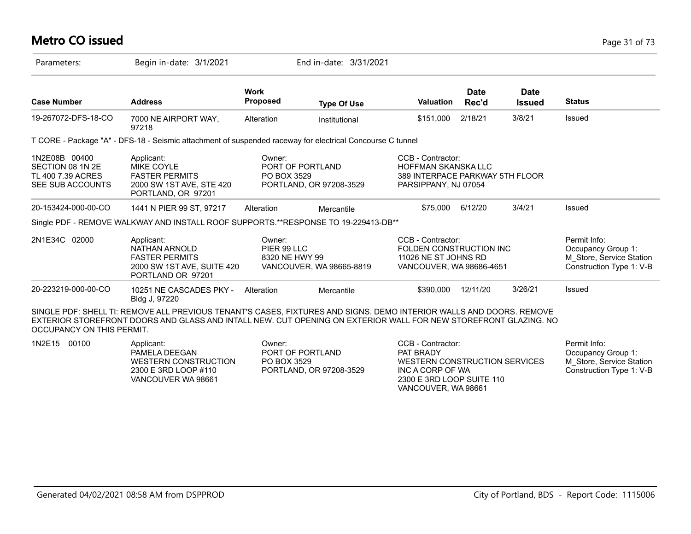# **Metro CO issued** Page 31 of 73

| Parameters:                                                                | Begin in-date: 3/1/2021                                                                                                                                                                                                                |                                           | End in-date: 3/31/2021   |                                                                                                                                         |                      |                       |                                                                                            |
|----------------------------------------------------------------------------|----------------------------------------------------------------------------------------------------------------------------------------------------------------------------------------------------------------------------------------|-------------------------------------------|--------------------------|-----------------------------------------------------------------------------------------------------------------------------------------|----------------------|-----------------------|--------------------------------------------------------------------------------------------|
| <b>Case Number</b>                                                         | <b>Address</b>                                                                                                                                                                                                                         | <b>Work</b><br><b>Proposed</b>            | <b>Type Of Use</b>       | <b>Valuation</b>                                                                                                                        | <b>Date</b><br>Rec'd | Date<br><b>Issued</b> | <b>Status</b>                                                                              |
| 19-267072-DFS-18-CO                                                        | 7000 NE AIRPORT WAY,<br>97218                                                                                                                                                                                                          | Alteration                                | Institutional            | \$151,000                                                                                                                               | 2/18/21              | 3/8/21                | Issued                                                                                     |
|                                                                            | T CORE - Package "A" - DFS-18 - Seismic attachment of suspended raceway for electrical Concourse C tunnel                                                                                                                              |                                           |                          |                                                                                                                                         |                      |                       |                                                                                            |
| 1N2E08B 00400<br>SECTION 08 1N 2E<br>TL 400 7.39 ACRES<br>SEE SUB ACCOUNTS | Applicant:<br>MIKE COYLE<br><b>FASTER PERMITS</b><br>2000 SW 1ST AVE, STE 420<br>PORTLAND, OR 97201                                                                                                                                    | Owner:<br>PORT OF PORTLAND<br>PO BOX 3529 | PORTLAND, OR 97208-3529  | CCB - Contractor:<br><b>HOFFMAN SKANSKA LLC</b><br>389 INTERPACE PARKWAY 5TH FLOOR<br>PARSIPPANY, NJ 07054                              |                      |                       |                                                                                            |
| 20-153424-000-00-CO                                                        | 1441 N PIER 99 ST, 97217                                                                                                                                                                                                               | Alteration                                | Mercantile               | \$75,000 6/12/20                                                                                                                        |                      | 3/4/21                | Issued                                                                                     |
|                                                                            | Single PDF - REMOVE WALKWAY AND INSTALL ROOF SUPPORTS.**RESPONSE TO 19-229413-DB**                                                                                                                                                     |                                           |                          |                                                                                                                                         |                      |                       |                                                                                            |
| 2N1E34C 02000                                                              | Applicant:<br>NATHAN ARNOLD<br><b>FASTER PERMITS</b><br>2000 SW 1ST AVE, SUITE 420<br>PORTLAND OR 97201                                                                                                                                | Owner:<br>PIER 99 LLC<br>8320 NE HWY 99   | VANCOUVER, WA 98665-8819 | CCB - Contractor:<br>FOLDEN CONSTRUCTION INC<br>11026 NE ST JOHNS RD<br>VANCOUVER, WA 98686-4651                                        |                      |                       | Permit Info:<br>Occupancy Group 1:<br>M Store, Service Station<br>Construction Type 1: V-B |
| 20-223219-000-00-CO                                                        | 10251 NE CASCADES PKY -<br>Bldg J, 97220                                                                                                                                                                                               | Alteration                                | Mercantile               | \$390,000                                                                                                                               | 12/11/20             | 3/26/21               | Issued                                                                                     |
| OCCUPANCY ON THIS PERMIT.                                                  | SINGLE PDF: SHELL TI: REMOVE ALL PREVIOUS TENANT'S CASES, FIXTURES AND SIGNS. DEMO INTERIOR WALLS AND DOORS. REMOVE<br>EXTERIOR STOREFRONT DOORS AND GLASS AND INTALL NEW. CUT OPENING ON EXTERIOR WALL FOR NEW STOREFRONT GLAZING. NO |                                           |                          |                                                                                                                                         |                      |                       |                                                                                            |
| 1N2E15<br>00100                                                            | Applicant:<br>PAMELA DEEGAN<br><b>WESTERN CONSTRUCTION</b><br>2300 E 3RD LOOP #110<br>VANCOUVER WA 98661                                                                                                                               | Owner:<br>PORT OF PORTLAND<br>PO BOX 3529 | PORTLAND, OR 97208-3529  | CCB - Contractor:<br>PAT BRADY<br>WESTERN CONSTRUCTION SERVICES<br>INC A CORP OF WA<br>2300 E 3RD LOOP SUITE 110<br>VANCOUVER, WA 98661 |                      |                       | Permit Info:<br>Occupancy Group 1:<br>M Store, Service Station<br>Construction Type 1: V-B |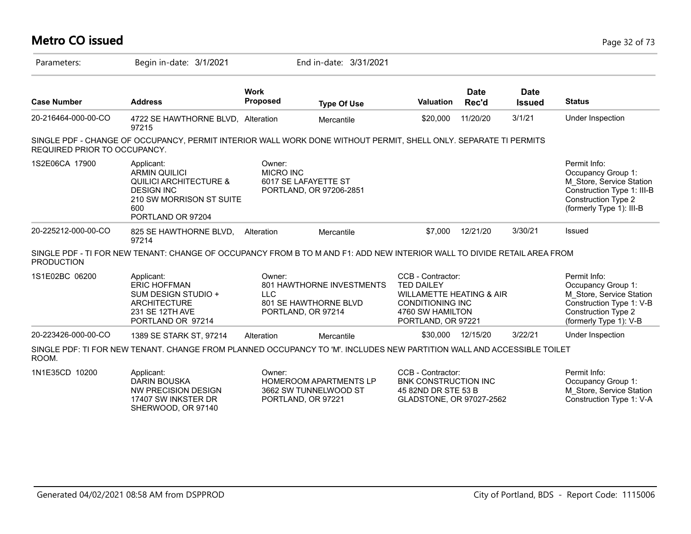| <b>Metro CO issued</b>       |                                                                                                                                                      |                                |                                                                              |                                                                                                                                                    |                      |                              | Page 32 of 73                                                                                                                                          |
|------------------------------|------------------------------------------------------------------------------------------------------------------------------------------------------|--------------------------------|------------------------------------------------------------------------------|----------------------------------------------------------------------------------------------------------------------------------------------------|----------------------|------------------------------|--------------------------------------------------------------------------------------------------------------------------------------------------------|
| Parameters:                  | Begin in-date: 3/1/2021                                                                                                                              |                                | End in-date: 3/31/2021                                                       |                                                                                                                                                    |                      |                              |                                                                                                                                                        |
| <b>Case Number</b>           | <b>Address</b>                                                                                                                                       | <b>Work</b><br><b>Proposed</b> | <b>Type Of Use</b>                                                           | <b>Valuation</b>                                                                                                                                   | <b>Date</b><br>Rec'd | <b>Date</b><br><b>Issued</b> | <b>Status</b>                                                                                                                                          |
| 20-216464-000-00-CO          | 4722 SE HAWTHORNE BLVD, Alteration<br>97215                                                                                                          |                                | Mercantile                                                                   | \$20,000                                                                                                                                           | 11/20/20             | 3/1/21                       | Under Inspection                                                                                                                                       |
| REQUIRED PRIOR TO OCCUPANCY. | SINGLE PDF - CHANGE OF OCCUPANCY, PERMIT INTERIOR WALL WORK DONE WITHOUT PERMIT, SHELL ONLY. SEPARATE TI PERMITS                                     |                                |                                                                              |                                                                                                                                                    |                      |                              |                                                                                                                                                        |
| 1S2E06CA 17900               | Applicant:<br><b>ARMIN QUILICI</b><br><b>QUILICI ARCHITECTURE &amp;</b><br><b>DESIGN INC</b><br>210 SW MORRISON ST SUITE<br>600<br>PORTLAND OR 97204 | Owner:<br><b>MICRO INC</b>     | 6017 SE LAFAYETTE ST<br>PORTLAND, OR 97206-2851                              |                                                                                                                                                    |                      |                              | Permit Info:<br>Occupancy Group 1:<br>M Store, Service Station<br>Construction Type 1: III-B<br><b>Construction Type 2</b><br>(formerly Type 1): III-B |
| 20-225212-000-00-CO          | 825 SE HAWTHORNE BLVD,<br>97214                                                                                                                      | Alteration                     | Mercantile                                                                   | \$7,000                                                                                                                                            | 12/21/20             | 3/30/21                      | Issued                                                                                                                                                 |
| <b>PRODUCTION</b>            | SINGLE PDF - TI FOR NEW TENANT: CHANGE OF OCCUPANCY FROM B TO M AND F1: ADD NEW INTERIOR WALL TO DIVIDE RETAIL AREA FROM                             |                                |                                                                              |                                                                                                                                                    |                      |                              |                                                                                                                                                        |
| 1S1E02BC 06200               | Applicant:<br><b>ERIC HOFFMAN</b><br>SUM DESIGN STUDIO +<br><b>ARCHITECTURE</b><br>231 SE 12TH AVE<br>PORTLAND OR 97214                              | Owner:<br><b>LLC</b>           | 801 HAWTHORNE INVESTMENTS<br>801 SE HAWTHORNE BLVD<br>PORTLAND, OR 97214     | CCB - Contractor:<br><b>TED DAILEY</b><br><b>WILLAMETTE HEATING &amp; AIR</b><br><b>CONDITIONING INC</b><br>4760 SW HAMILTON<br>PORTLAND, OR 97221 |                      |                              | Permit Info:<br>Occupancy Group 1:<br>M_Store, Service Station<br>Construction Type 1: V-B<br><b>Construction Type 2</b><br>(formerly Type 1): V-B     |
| 20-223426-000-00-CO          | 1389 SE STARK ST, 97214                                                                                                                              | Alteration                     | Mercantile                                                                   | \$30,000                                                                                                                                           | 12/15/20             | 3/22/21                      | Under Inspection                                                                                                                                       |
| ROOM.                        | SINGLE PDF: TI FOR NEW TENANT. CHANGE FROM PLANNED OCCUPANCY TO 'M'. INCLUDES NEW PARTITION WALL AND ACCESSIBLE TOILET                               |                                |                                                                              |                                                                                                                                                    |                      |                              |                                                                                                                                                        |
| 1N1E35CD 10200               | Applicant:<br><b>DARIN BOUSKA</b><br>NW PRECISION DESIGN<br>17407 SW INKSTER DR<br>SHERWOOD, OR 97140                                                | Owner:                         | <b>HOMEROOM APARTMENTS LP</b><br>3662 SW TUNNELWOOD ST<br>PORTLAND, OR 97221 | CCB - Contractor:<br><b>BNK CONSTRUCTION INC</b><br>45 82ND DR STE 53 B<br>GLADSTONE, OR 97027-2562                                                |                      |                              | Permit Info:<br>Occupancy Group 1:<br>M Store, Service Station<br>Construction Type 1: V-A                                                             |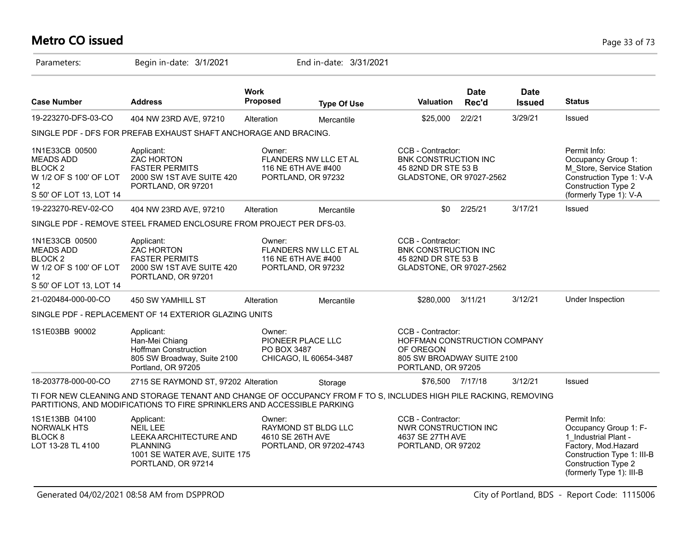# **Metro CO issued** Page 33 of 73

| Parameters:                                                                                                         | Begin in-date: 3/1/2021                                                                                                                                                                     |                            | End in-date: 3/31/2021                                             |                                                                                                                    |                      |                              |                                                                                                                                                                              |
|---------------------------------------------------------------------------------------------------------------------|---------------------------------------------------------------------------------------------------------------------------------------------------------------------------------------------|----------------------------|--------------------------------------------------------------------|--------------------------------------------------------------------------------------------------------------------|----------------------|------------------------------|------------------------------------------------------------------------------------------------------------------------------------------------------------------------------|
| <b>Case Number</b>                                                                                                  | <b>Address</b>                                                                                                                                                                              | <b>Work</b><br>Proposed    | <b>Type Of Use</b>                                                 | <b>Valuation</b>                                                                                                   | <b>Date</b><br>Rec'd | <b>Date</b><br><b>Issued</b> | <b>Status</b>                                                                                                                                                                |
| 19-223270-DFS-03-CO                                                                                                 | 404 NW 23RD AVE, 97210                                                                                                                                                                      | Alteration                 | Mercantile                                                         | \$25,000                                                                                                           | 2/2/21               | 3/29/21                      | Issued                                                                                                                                                                       |
|                                                                                                                     | SINGLE PDF - DFS FOR PREFAB EXHAUST SHAFT ANCHORAGE AND BRACING.                                                                                                                            |                            |                                                                    |                                                                                                                    |                      |                              |                                                                                                                                                                              |
| 1N1E33CB 00500<br><b>MEADS ADD</b><br>BLOCK <sub>2</sub><br>W 1/2 OF S 100' OF LOT<br>12<br>S 50' OF LOT 13, LOT 14 | Applicant:<br><b>ZAC HORTON</b><br><b>FASTER PERMITS</b><br>2000 SW 1ST AVE SUITE 420<br>PORTLAND, OR 97201                                                                                 | Owner:                     | FLANDERS NW LLC ET AL<br>116 NE 6TH AVE #400<br>PORTLAND, OR 97232 | CCB - Contractor:<br>BNK CONSTRUCTION INC<br>45 82ND DR STE 53 B<br>GLADSTONE, OR 97027-2562                       |                      |                              | Permit Info:<br>Occupancy Group 1:<br>M_Store, Service Station<br>Construction Type 1: V-A<br>Construction Type 2<br>(formerly Type 1): V-A                                  |
| 19-223270-REV-02-CO                                                                                                 | 404 NW 23RD AVE, 97210                                                                                                                                                                      | Alteration                 | Mercantile                                                         | \$0                                                                                                                | 2/25/21              | 3/17/21                      | Issued                                                                                                                                                                       |
|                                                                                                                     | SINGLE PDF - REMOVE STEEL FRAMED ENCLOSURE FROM PROJECT PER DFS-03.                                                                                                                         |                            |                                                                    |                                                                                                                    |                      |                              |                                                                                                                                                                              |
| 1N1E33CB 00500<br><b>MEADS ADD</b><br>BLOCK <sub>2</sub><br>W 1/2 OF S 100' OF LOT<br>12<br>S 50' OF LOT 13, LOT 14 | Applicant:<br><b>ZAC HORTON</b><br><b>FASTER PERMITS</b><br>2000 SW 1ST AVE SUITE 420<br>PORTLAND, OR 97201                                                                                 | Owner:                     | FLANDERS NW LLC ET AL<br>116 NE 6TH AVE #400<br>PORTLAND, OR 97232 | CCB - Contractor:<br><b>BNK CONSTRUCTION INC</b><br>45 82ND DR STE 53 B<br>GLADSTONE, OR 97027-2562                |                      |                              |                                                                                                                                                                              |
| 21-020484-000-00-CO                                                                                                 | <b>450 SW YAMHILL ST</b>                                                                                                                                                                    | Alteration                 | Mercantile                                                         | \$280,000                                                                                                          | 3/11/21              | 3/12/21                      | Under Inspection                                                                                                                                                             |
|                                                                                                                     | SINGLE PDF - REPLACEMENT OF 14 EXTERIOR GLAZING UNITS                                                                                                                                       |                            |                                                                    |                                                                                                                    |                      |                              |                                                                                                                                                                              |
| 1S1E03BB 90002                                                                                                      | Applicant:<br>Han-Mei Chiang<br><b>Hoffman Construction</b><br>805 SW Broadway, Suite 2100<br>Portland, OR 97205                                                                            | Owner:<br>PO BOX 3487      | PIONEER PLACE LLC<br>CHICAGO, IL 60654-3487                        | CCB - Contractor:<br>HOFFMAN CONSTRUCTION COMPANY<br>OF OREGON<br>805 SW BROADWAY SUITE 2100<br>PORTLAND, OR 97205 |                      |                              |                                                                                                                                                                              |
| 18-203778-000-00-CO                                                                                                 | 2715 SE RAYMOND ST, 97202 Alteration                                                                                                                                                        |                            | Storage                                                            | \$76,500 7/17/18                                                                                                   |                      | 3/12/21                      | Issued                                                                                                                                                                       |
|                                                                                                                     | TI FOR NEW CLEANING AND STORAGE TENANT AND CHANGE OF OCCUPANCY FROM F TO S, INCLUDES HIGH PILE RACKING, REMOVING<br>PARTITIONS, AND MODIFICATIONS TO FIRE SPRINKLERS AND ACCESSIBLE PARKING |                            |                                                                    |                                                                                                                    |                      |                              |                                                                                                                                                                              |
| 1S1E13BB 04100<br><b>NORWALK HTS</b><br>BLOCK <sub>8</sub><br>LOT 13-28 TL 4100                                     | Applicant:<br><b>NEIL LEE</b><br>LEEKA ARCHITECTURE AND<br><b>PLANNING</b><br>1001 SE WATER AVE, SUITE 175<br>PORTLAND, OR 97214                                                            | Owner:<br>4610 SE 26TH AVE | RAYMOND ST BLDG LLC<br>PORTLAND, OR 97202-4743                     | CCB - Contractor:<br>NWR CONSTRUCTION INC<br>4637 SE 27TH AVE<br>PORTLAND, OR 97202                                |                      |                              | Permit Info:<br>Occupancy Group 1: F-<br>1 Industrial Plant -<br>Factory, Mod.Hazard<br>Construction Type 1: III-B<br><b>Construction Type 2</b><br>(formerly Type 1): III-B |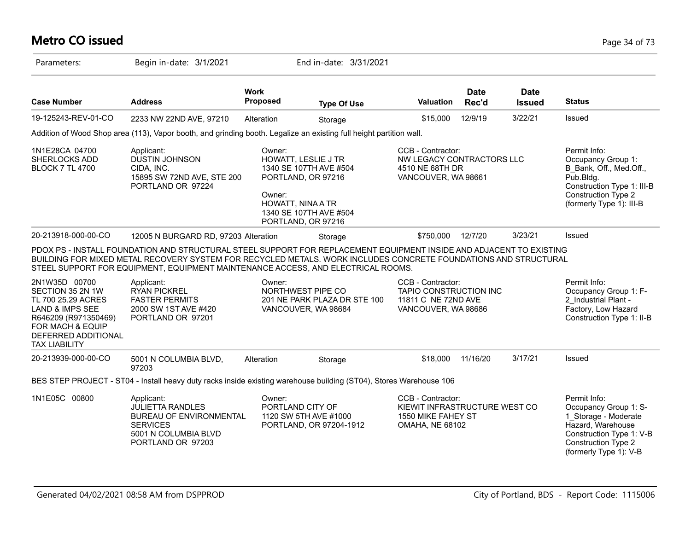# **Metro CO issued** Page 34 of 73

| Parameters:                                                                                                                                                           | Begin in-date: 3/1/2021                                                                                                                                                                                                                                                                                                    |                                       | End in-date: 3/31/2021                                                                                              |                                                                                                    |                      |                              |                                                                                                                                                                        |
|-----------------------------------------------------------------------------------------------------------------------------------------------------------------------|----------------------------------------------------------------------------------------------------------------------------------------------------------------------------------------------------------------------------------------------------------------------------------------------------------------------------|---------------------------------------|---------------------------------------------------------------------------------------------------------------------|----------------------------------------------------------------------------------------------------|----------------------|------------------------------|------------------------------------------------------------------------------------------------------------------------------------------------------------------------|
| <b>Case Number</b>                                                                                                                                                    | <b>Address</b>                                                                                                                                                                                                                                                                                                             | <b>Work</b><br><b>Proposed</b>        | <b>Type Of Use</b>                                                                                                  | Valuation                                                                                          | <b>Date</b><br>Rec'd | <b>Date</b><br><b>Issued</b> | <b>Status</b>                                                                                                                                                          |
| 19-125243-REV-01-CO                                                                                                                                                   | 2233 NW 22ND AVE, 97210                                                                                                                                                                                                                                                                                                    | Alteration                            | Storage                                                                                                             | \$15,000                                                                                           | 12/9/19              | 3/22/21                      | Issued                                                                                                                                                                 |
|                                                                                                                                                                       | Addition of Wood Shop area (113), Vapor booth, and grinding booth. Legalize an existing full height partition wall.                                                                                                                                                                                                        |                                       |                                                                                                                     |                                                                                                    |                      |                              |                                                                                                                                                                        |
| 1N1E28CA 04700<br>SHERLOCKS ADD<br><b>BLOCK 7 TL 4700</b>                                                                                                             | Applicant:<br><b>DUSTIN JOHNSON</b><br>CIDA, INC.<br>15895 SW 72ND AVE, STE 200<br>PORTLAND OR 97224                                                                                                                                                                                                                       | Owner:<br>Owner:<br>HOWATT, NINA A TR | HOWATT, LESLIE J TR<br>1340 SE 107TH AVE #504<br>PORTLAND, OR 97216<br>1340 SE 107TH AVE #504<br>PORTLAND, OR 97216 | CCB - Contractor:<br>NW LEGACY CONTRACTORS LLC<br>4510 NE 68TH DR<br>VANCOUVER, WA 98661           |                      |                              | Permit Info:<br>Occupancy Group 1:<br>B Bank, Off., Med.Off.,<br>Pub.Bldg.<br>Construction Type 1: III-B<br>Construction Type 2<br>(formerly Type 1): III-B            |
| 20-213918-000-00-CO                                                                                                                                                   | 12005 N BURGARD RD, 97203 Alteration                                                                                                                                                                                                                                                                                       |                                       | Storage                                                                                                             | \$750,000                                                                                          | 12/7/20              | 3/23/21                      | Issued                                                                                                                                                                 |
|                                                                                                                                                                       | PDOX PS - INSTALL FOUNDATION AND STRUCTURAL STEEL SUPPORT FOR REPLACEMENT EQUIPMENT INSIDE AND ADJACENT TO EXISTING<br>BUILDING FOR MIXED METAL RECOVERY SYSTEM FOR RECYCLED METALS. WORK INCLUDES CONCRETE FOUNDATIONS AND STRUCTURAL<br>STEEL SUPPORT FOR EQUIPMENT, EQUIPMENT MAINTENANCE ACCESS, AND ELECTRICAL ROOMS. |                                       |                                                                                                                     |                                                                                                    |                      |                              |                                                                                                                                                                        |
| 2N1W35D 00700<br>SECTION 35 2N 1W<br>TL 700 25.29 ACRES<br>LAND & IMPS SEE<br>R646209 (R971350469)<br>FOR MACH & EQUIP<br>DEFERRED ADDITIONAL<br><b>TAX LIABILITY</b> | Applicant:<br><b>RYAN PICKREL</b><br><b>FASTER PERMITS</b><br>2000 SW 1ST AVE #420<br>PORTLAND OR 97201                                                                                                                                                                                                                    | Owner:                                | NORTHWEST PIPE CO<br>201 NE PARK PLAZA DR STE 100<br>VANCOUVER, WA 98684                                            | CCB - Contractor:<br>TAPIO CONSTRUCTION INC<br>11811 C NE 72ND AVE<br>VANCOUVER, WA 98686          |                      |                              | Permit Info:<br>Occupancy Group 1: F-<br>2_Industrial Plant -<br>Factory, Low Hazard<br>Construction Type 1: II-B                                                      |
| 20-213939-000-00-CO                                                                                                                                                   | 5001 N COLUMBIA BLVD,<br>97203                                                                                                                                                                                                                                                                                             | Alteration                            | Storage                                                                                                             | \$18,000                                                                                           | 11/16/20             | 3/17/21                      | Issued                                                                                                                                                                 |
|                                                                                                                                                                       | BES STEP PROJECT - ST04 - Install heavy duty racks inside existing warehouse building (ST04), Stores Warehouse 106                                                                                                                                                                                                         |                                       |                                                                                                                     |                                                                                                    |                      |                              |                                                                                                                                                                        |
| 1N1E05C 00800                                                                                                                                                         | Applicant:<br><b>JULIETTA RANDLES</b><br>BUREAU OF ENVIRONMENTAL<br><b>SERVICES</b><br>5001 N COLUMBIA BLVD<br>PORTLAND OR 97203                                                                                                                                                                                           | Owner:<br>PORTLAND CITY OF            | 1120 SW 5TH AVE #1000<br>PORTLAND, OR 97204-1912                                                                    | CCB - Contractor:<br>KIEWIT INFRASTRUCTURE WEST CO<br>1550 MIKE FAHEY ST<br><b>OMAHA, NE 68102</b> |                      |                              | Permit Info:<br>Occupancy Group 1: S-<br>1_Storage - Moderate<br>Hazard, Warehouse<br>Construction Type 1: V-B<br><b>Construction Type 2</b><br>(formerly Type 1): V-B |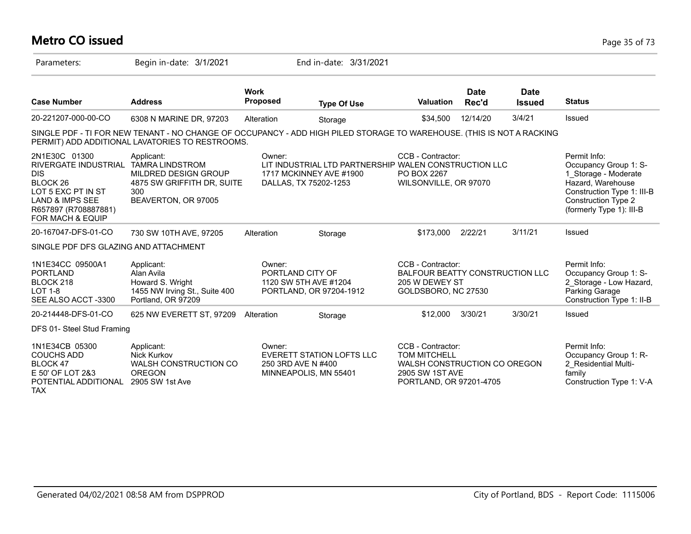# **Metro CO issued** Page 35 of 73

| Parameters:                                                                                                                                                                | Begin in-date: 3/1/2021                                                                                                                                                  |                                                                                | End in-date: 3/31/2021                                |                                                                                                                               |                      |                              |                                                                                                                                                                     |
|----------------------------------------------------------------------------------------------------------------------------------------------------------------------------|--------------------------------------------------------------------------------------------------------------------------------------------------------------------------|--------------------------------------------------------------------------------|-------------------------------------------------------|-------------------------------------------------------------------------------------------------------------------------------|----------------------|------------------------------|---------------------------------------------------------------------------------------------------------------------------------------------------------------------|
| <b>Case Number</b>                                                                                                                                                         | <b>Address</b>                                                                                                                                                           | <b>Work</b><br><b>Proposed</b>                                                 | <b>Type Of Use</b>                                    | <b>Valuation</b>                                                                                                              | <b>Date</b><br>Rec'd | <b>Date</b><br><b>Issued</b> | <b>Status</b>                                                                                                                                                       |
| 20-221207-000-00-CO                                                                                                                                                        | 6308 N MARINE DR, 97203                                                                                                                                                  | Alteration                                                                     | Storage                                               | \$34,500                                                                                                                      | 12/14/20             | 3/4/21                       | Issued                                                                                                                                                              |
|                                                                                                                                                                            | SINGLE PDF - TI FOR NEW TENANT - NO CHANGE OF OCCUPANCY - ADD HIGH PILED STORAGE TO WAREHOUSE. (THIS IS NOT A RACKING<br>PERMIT) ADD ADDITIONAL LAVATORIES TO RESTROOMS. |                                                                                |                                                       |                                                                                                                               |                      |                              |                                                                                                                                                                     |
| 2N1E30C 01300<br>RIVERGATE INDUSTRIAL<br><b>DIS</b><br>BLOCK <sub>26</sub><br>LOT 5 EXC PT IN ST<br><b>LAND &amp; IMPS SEE</b><br>R657897 (R708887881)<br>FOR MACH & EQUIP | Applicant:<br><b>TAMRA LINDSTROM</b><br>MILDRED DESIGN GROUP<br>4875 SW GRIFFITH DR, SUITE<br>300<br>BEAVERTON, OR 97005                                                 | Owner:<br>1717 MCKINNEY AVE #1900<br>DALLAS, TX 75202-1253                     | LIT INDUSTRIAL LTD PARTNERSHIP WALEN CONSTRUCTION LLC | CCB - Contractor:<br><b>PO BOX 2267</b><br>WILSONVILLE, OR 97070                                                              |                      |                              | Permit Info:<br>Occupancy Group 1: S-<br>1_Storage - Moderate<br>Hazard, Warehouse<br>Construction Type 1: III-B<br>Construction Type 2<br>(formerly Type 1): III-B |
| 20-167047-DFS-01-CO                                                                                                                                                        | 730 SW 10TH AVE, 97205                                                                                                                                                   | Alteration                                                                     | Storage                                               | \$173,000                                                                                                                     | 2/22/21              | 3/11/21                      | Issued                                                                                                                                                              |
| SINGLE PDF DFS GLAZING AND ATTACHMENT                                                                                                                                      |                                                                                                                                                                          |                                                                                |                                                       |                                                                                                                               |                      |                              |                                                                                                                                                                     |
| 1N1E34CC 09500A1<br><b>PORTLAND</b><br>BLOCK 218<br><b>LOT 1-8</b><br>SEE ALSO ACCT-3300                                                                                   | Applicant:<br>Alan Avila<br>Howard S. Wright<br>1455 NW Irving St., Suite 400<br>Portland, OR 97209                                                                      | Owner:<br>PORTLAND CITY OF<br>1120 SW 5TH AVE #1204<br>PORTLAND, OR 97204-1912 |                                                       | CCB - Contractor:<br>BALFOUR BEATTY CONSTRUCTION LLC<br>205 W DEWEY ST<br>GOLDSBORO, NC 27530                                 |                      |                              | Permit Info:<br>Occupancy Group 1: S-<br>2_Storage - Low Hazard,<br>Parking Garage<br>Construction Type 1: II-B                                                     |
| 20-214448-DFS-01-CO                                                                                                                                                        | 625 NW EVERETT ST, 97209                                                                                                                                                 | Alteration                                                                     | Storage                                               | \$12,000                                                                                                                      | 3/30/21              | 3/30/21                      | <b>Issued</b>                                                                                                                                                       |
| DFS 01- Steel Stud Framing                                                                                                                                                 |                                                                                                                                                                          |                                                                                |                                                       |                                                                                                                               |                      |                              |                                                                                                                                                                     |
| 1N1E34CB 05300<br><b>COUCHS ADD</b><br><b>BLOCK 47</b><br>E 50' OF LOT 2&3<br>POTENTIAL ADDITIONAL<br><b>TAX</b>                                                           | Applicant:<br>Nick Kurkov<br>WALSH CONSTRUCTION CO<br><b>OREGON</b><br>2905 SW 1st Ave                                                                                   | Owner:<br>250 3RD AVE N #400<br>MINNEAPOLIS, MN 55401                          | <b>EVERETT STATION LOFTS LLC</b>                      | CCB - Contractor:<br><b>TOM MITCHELL</b><br>WALSH CONSTRUCTION CO OREGON<br><b>2905 SW 1ST AVE</b><br>PORTLAND, OR 97201-4705 |                      |                              | Permit Info:<br>Occupancy Group 1: R-<br>2 Residential Multi-<br>family<br>Construction Type 1: V-A                                                                 |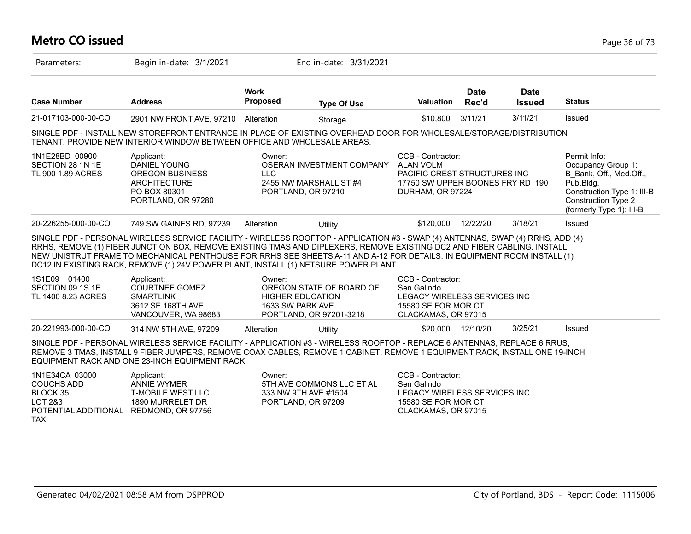# **Metro CO issued** Page 36 of 73

| Parameters:                                                                                                               | Begin in-date: 3/1/2021                                                                                                                                                                                                                                                                                                                                                                                                                                                      |                                                       | End in-date: 3/31/2021                                                    |                                                                                                                               |                      |                              |                                                                                                                                                             |
|---------------------------------------------------------------------------------------------------------------------------|------------------------------------------------------------------------------------------------------------------------------------------------------------------------------------------------------------------------------------------------------------------------------------------------------------------------------------------------------------------------------------------------------------------------------------------------------------------------------|-------------------------------------------------------|---------------------------------------------------------------------------|-------------------------------------------------------------------------------------------------------------------------------|----------------------|------------------------------|-------------------------------------------------------------------------------------------------------------------------------------------------------------|
| <b>Case Number</b>                                                                                                        | <b>Address</b>                                                                                                                                                                                                                                                                                                                                                                                                                                                               | <b>Work</b><br><b>Proposed</b>                        | <b>Type Of Use</b>                                                        | <b>Valuation</b>                                                                                                              | <b>Date</b><br>Rec'd | <b>Date</b><br><b>Issued</b> | <b>Status</b>                                                                                                                                               |
| 21-017103-000-00-CO                                                                                                       | 2901 NW FRONT AVE, 97210 Alteration                                                                                                                                                                                                                                                                                                                                                                                                                                          |                                                       | Storage                                                                   | \$10,800                                                                                                                      | 3/11/21              | 3/11/21                      | Issued                                                                                                                                                      |
|                                                                                                                           | SINGLE PDF - INSTALL NEW STOREFRONT ENTRANCE IN PLACE OF EXISTING OVERHEAD DOOR FOR WHOLESALE/STORAGE/DISTRIBUTION<br>TENANT. PROVIDE NEW INTERIOR WINDOW BETWEEN OFFICE AND WHOLESALE AREAS.                                                                                                                                                                                                                                                                                |                                                       |                                                                           |                                                                                                                               |                      |                              |                                                                                                                                                             |
| 1N1E28BD 00900<br>SECTION 28 1N 1E<br>TL 900 1.89 ACRES                                                                   | Applicant:<br><b>DANIEL YOUNG</b><br><b>OREGON BUSINESS</b><br><b>ARCHITECTURE</b><br>PO BOX 80301<br>PORTLAND, OR 97280                                                                                                                                                                                                                                                                                                                                                     | Owner:<br><b>LLC</b>                                  | OSERAN INVESTMENT COMPANY<br>2455 NW MARSHALL ST #4<br>PORTLAND, OR 97210 | CCB - Contractor:<br><b>ALAN VOLM</b><br>PACIFIC CREST STRUCTURES INC<br>17750 SW UPPER BOONES FRY RD 190<br>DURHAM, OR 97224 |                      |                              | Permit Info:<br>Occupancy Group 1:<br>B Bank, Off., Med.Off.,<br>Pub.Bldg.<br>Construction Type 1: III-B<br>Construction Type 2<br>(formerly Type 1): III-B |
| 20-226255-000-00-CO                                                                                                       | 749 SW GAINES RD, 97239                                                                                                                                                                                                                                                                                                                                                                                                                                                      | Alteration                                            | Utility                                                                   | \$120,000                                                                                                                     | 12/22/20             | 3/18/21                      | Issued                                                                                                                                                      |
|                                                                                                                           | SINGLE PDF - PERSONAL WIRELESS SERVICE FACILITY - WIRELESS ROOFTOP - APPLICATION #3 - SWAP (4) ANTENNAS, SWAP (4) RRHS, ADD (4)<br>RRHS, REMOVE (1) FIBER JUNCTION BOX, REMOVE EXISTING TMAS AND DIPLEXERS, REMOVE EXISTING DC2 AND FIBER CABLING. INSTALL<br>NEW UNISTRUT FRAME TO MECHANICAL PENTHOUSE FOR RRHS SEE SHEETS A-11 AND A-12 FOR DETAILS. IN EQUIPMENT ROOM INSTALL (1)<br>DC12 IN EXISTING RACK, REMOVE (1) 24V POWER PLANT, INSTALL (1) NETSURE POWER PLANT. |                                                       |                                                                           |                                                                                                                               |                      |                              |                                                                                                                                                             |
| 1S1E09 01400<br>SECTION 09 1S 1E<br>TL 1400 8.23 ACRES                                                                    | Applicant:<br><b>COURTNEE GOMEZ</b><br><b>SMARTLINK</b><br>3612 SE 168TH AVE<br>VANCOUVER, WA 98683                                                                                                                                                                                                                                                                                                                                                                          | Owner:<br><b>HIGHER EDUCATION</b><br>1633 SW PARK AVE | OREGON STATE OF BOARD OF<br>PORTLAND, OR 97201-3218                       | CCB - Contractor:<br>Sen Galindo<br>LEGACY WIRELESS SERVICES INC<br>15580 SE FOR MOR CT<br>CLACKAMAS, OR 97015                |                      |                              |                                                                                                                                                             |
| 20-221993-000-00-CO                                                                                                       | 314 NW 5TH AVE, 97209                                                                                                                                                                                                                                                                                                                                                                                                                                                        | Alteration                                            | Utility                                                                   | \$20,000                                                                                                                      | 12/10/20             | 3/25/21                      | Issued                                                                                                                                                      |
|                                                                                                                           | SINGLE PDF - PERSONAL WIRELESS SERVICE FACILITY - APPLICATION #3 - WIRELESS ROOFTOP - REPLACE 6 ANTENNAS, REPLACE 6 RRUS,<br>REMOVE 3 TMAS, INSTALL 9 FIBER JUMPERS, REMOVE COAX CABLES, REMOVE 1 CABINET, REMOVE 1 EQUIPMENT RACK, INSTALL ONE 19-INCH<br>EQUIPMENT RACK AND ONE 23-INCH EQUIPMENT RACK.                                                                                                                                                                    |                                                       |                                                                           |                                                                                                                               |                      |                              |                                                                                                                                                             |
| 1N1E34CA 03000<br><b>COUCHS ADD</b><br><b>BLOCK 35</b><br>LOT 2&3<br>POTENTIAL ADDITIONAL REDMOND, OR 97756<br><b>TAX</b> | Applicant:<br><b>ANNIE WYMER</b><br><b>T-MOBILE WEST LLC</b><br>1890 MURRELET DR                                                                                                                                                                                                                                                                                                                                                                                             | Owner:                                                | 5TH AVE COMMONS LLC ET AL<br>333 NW 9TH AVE #1504<br>PORTLAND, OR 97209   | CCB - Contractor:<br>Sen Galindo<br>LEGACY WIRELESS SERVICES INC<br>15580 SE FOR MOR CT<br>CLACKAMAS, OR 97015                |                      |                              |                                                                                                                                                             |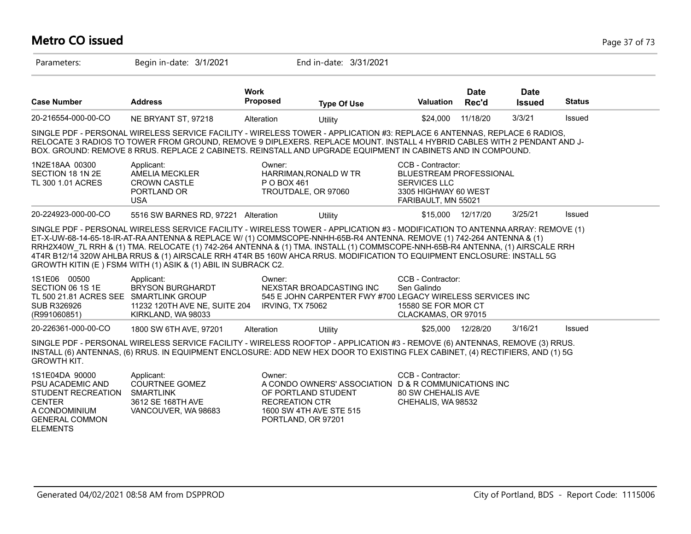# **Metro CO issued** Page 37 of 73

| Parameters:                                                                                                                            | Begin in-date: 3/1/2021                                                                                                                                                                                                                                                                                                                                                                                                                                                                                                                                                            |                                                                                                         | End in-date: 3/31/2021                                                                 |                                                                                                                    |                      |                              |               |
|----------------------------------------------------------------------------------------------------------------------------------------|------------------------------------------------------------------------------------------------------------------------------------------------------------------------------------------------------------------------------------------------------------------------------------------------------------------------------------------------------------------------------------------------------------------------------------------------------------------------------------------------------------------------------------------------------------------------------------|---------------------------------------------------------------------------------------------------------|----------------------------------------------------------------------------------------|--------------------------------------------------------------------------------------------------------------------|----------------------|------------------------------|---------------|
| <b>Case Number</b>                                                                                                                     | <b>Address</b>                                                                                                                                                                                                                                                                                                                                                                                                                                                                                                                                                                     | <b>Work</b><br>Proposed                                                                                 | <b>Type Of Use</b>                                                                     | Valuation                                                                                                          | <b>Date</b><br>Rec'd | <b>Date</b><br><b>Issued</b> | <b>Status</b> |
| 20-216554-000-00-CO                                                                                                                    | NE BRYANT ST, 97218                                                                                                                                                                                                                                                                                                                                                                                                                                                                                                                                                                | Alteration                                                                                              | Utility                                                                                | \$24,000                                                                                                           | 11/18/20             | 3/3/21                       | Issued        |
|                                                                                                                                        | SINGLE PDF - PERSONAL WIRELESS SERVICE FACILITY - WIRELESS TOWER - APPLICATION #3: REPLACE 6 ANTENNAS, REPLACE 6 RADIOS,<br>RELOCATE 3 RADIOS TO TOWER FROM GROUND, REMOVE 9 DIPLEXERS. REPLACE MOUNT. INSTALL 4 HYBRID CABLES WITH 2 PENDANT AND J-<br>BOX. GROUND: REMOVE 8 RRUS. REPLACE 2 CABINETS. REINSTALL AND UPGRADE EQUIPMENT IN CABINETS AND IN COMPOUND.                                                                                                                                                                                                               |                                                                                                         |                                                                                        |                                                                                                                    |                      |                              |               |
| 1N2E18AA 00300<br>SECTION 18 1N 2E<br>TL 300 1.01 ACRES                                                                                | Applicant:<br>AMELIA MECKLER<br><b>CROWN CASTLE</b><br>PORTLAND OR<br><b>USA</b>                                                                                                                                                                                                                                                                                                                                                                                                                                                                                                   | Owner:<br>HARRIMAN, RONALD W TR<br>P O BOX 461<br>TROUTDALE, OR 97060                                   |                                                                                        | CCB - Contractor:<br>BLUESTREAM PROFESSIONAL<br><b>SERVICES LLC</b><br>3305 HIGHWAY 60 WEST<br>FARIBAULT, MN 55021 |                      |                              |               |
| 20-224923-000-00-CO                                                                                                                    | 5516 SW BARNES RD, 97221 Alteration                                                                                                                                                                                                                                                                                                                                                                                                                                                                                                                                                |                                                                                                         | Utility                                                                                | \$15,000                                                                                                           | 12/17/20             | 3/25/21                      | Issued        |
|                                                                                                                                        | SINGLE PDF - PERSONAL WIRELESS SERVICE FACILITY - WIRELESS TOWER - APPLICATION #3 - MODIFICATION TO ANTENNA ARRAY: REMOVE (1)<br>ET-X-UW-68-14-65-18-IR-AT-RA ANTENNA & REPLACE W/ (1) COMMSCOPE-NNHH-65B-R4 ANTENNA. REMOVE (1) 742-264 ANTENNA & (1)<br>RRH2X40W 7L RRH & (1) TMA. RELOCATE (1) 742-264 ANTENNA & (1) TMA. INSTALL (1) COMMSCOPE-NNH-65B-R4 ANTENNA, (1) AIRSCALE RRH<br>4T4R B12/14 320W AHLBA RRUS & (1) AIRSCALE RRH 4T4R B5 160W AHCA RRUS. MODIFICATION TO EQUIPMENT ENCLOSURE: INSTALL 5G<br>GROWTH KITIN (E) FSM4 WITH (1) ASIK & (1) ABIL IN SUBRACK C2. |                                                                                                         |                                                                                        |                                                                                                                    |                      |                              |               |
| 1S1E06 00500<br>SECTION 06 1S 1E<br>TL 500 21.81 ACRES SEE SMARTLINK GROUP<br><b>SUB R326926</b><br>(R991060851)                       | Applicant:<br><b>BRYSON BURGHARDT</b><br>11232 120TH AVE NE, SUITE 204<br>KIRKLAND, WA 98033                                                                                                                                                                                                                                                                                                                                                                                                                                                                                       | Owner:<br>IRVING, TX 75062                                                                              | NEXSTAR BROADCASTING INC<br>545 E JOHN CARPENTER FWY #700 LEGACY WIRELESS SERVICES INC | CCB - Contractor:<br>Sen Galindo<br>15580 SE FOR MOR CT<br>CLACKAMAS, OR 97015                                     |                      |                              |               |
| 20-226361-000-00-CO                                                                                                                    | 1800 SW 6TH AVE, 97201                                                                                                                                                                                                                                                                                                                                                                                                                                                                                                                                                             | Alteration                                                                                              | Utility                                                                                | \$25,000                                                                                                           | 12/28/20             | 3/16/21                      | Issued        |
| <b>GROWTH KIT.</b>                                                                                                                     | SINGLE PDF - PERSONAL WIRELESS SERVICE FACILITY - WIRELESS ROOFTOP - APPLICATION #3 - REMOVE (6) ANTENNAS, REMOVE (3) RRUS.<br>INSTALL (6) ANTENNAS, (6) RRUS. IN EQUIPMENT ENCLOSURE: ADD NEW HEX DOOR TO EXISTING FLEX CABINET, (4) RECTIFIERS, AND (1) 5G                                                                                                                                                                                                                                                                                                                       |                                                                                                         |                                                                                        |                                                                                                                    |                      |                              |               |
| 1S1E04DA 90000<br>PSU ACADEMIC AND<br>STUDENT RECREATION<br><b>CENTER</b><br>A CONDOMINIUM<br><b>GENERAL COMMON</b><br><b>ELEMENTS</b> | Applicant:<br><b>COURTNEE GOMEZ</b><br><b>SMARTLINK</b><br>3612 SE 168TH AVE<br>VANCOUVER, WA 98683                                                                                                                                                                                                                                                                                                                                                                                                                                                                                | Owner:<br>OF PORTLAND STUDENT<br><b>RECREATION CTR</b><br>1600 SW 4TH AVE STE 515<br>PORTLAND, OR 97201 | A CONDO OWNERS' ASSOCIATION D & R COMMUNICATIONS INC                                   | CCB - Contractor:<br>80 SW CHEHALIS AVE<br>CHEHALIS, WA 98532                                                      |                      |                              |               |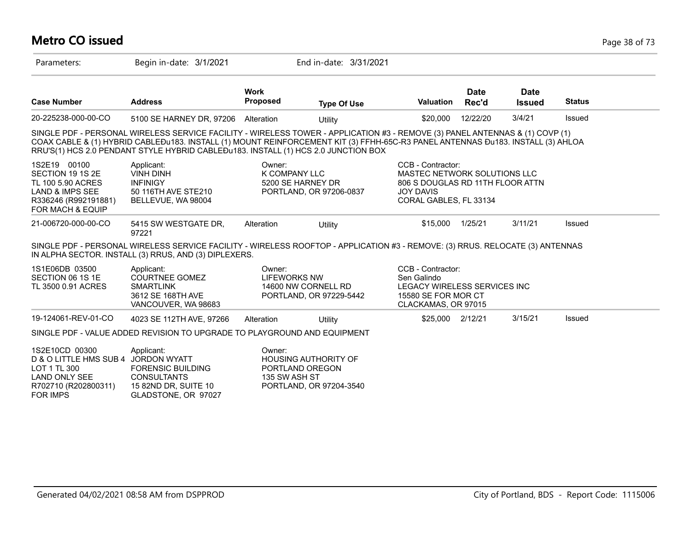# **Metro CO issued** Page 38 of 73

| Parameters:                                                                                                                     | Begin in-date: 3/1/2021                                                                                                                                                                                                                                                                                                                                |                         | End in-date: 3/31/2021                                                    |                                                                                                                                     |                      |                              |               |
|---------------------------------------------------------------------------------------------------------------------------------|--------------------------------------------------------------------------------------------------------------------------------------------------------------------------------------------------------------------------------------------------------------------------------------------------------------------------------------------------------|-------------------------|---------------------------------------------------------------------------|-------------------------------------------------------------------------------------------------------------------------------------|----------------------|------------------------------|---------------|
| <b>Case Number</b>                                                                                                              | <b>Address</b>                                                                                                                                                                                                                                                                                                                                         | <b>Work</b><br>Proposed | <b>Type Of Use</b>                                                        | <b>Valuation</b>                                                                                                                    | <b>Date</b><br>Rec'd | <b>Date</b><br><b>Issued</b> | <b>Status</b> |
| 20-225238-000-00-CO                                                                                                             | 5100 SE HARNEY DR, 97206 Alteration                                                                                                                                                                                                                                                                                                                    |                         | Utility                                                                   | \$20,000                                                                                                                            | 12/22/20             | 3/4/21                       | Issued        |
|                                                                                                                                 | SINGLE PDF - PERSONAL WIRELESS SERVICE FACILITY - WIRELESS TOWER - APPLICATION #3 - REMOVE (3) PANEL ANTENNAS & (1) COVP (1)<br>COAX CABLE & (1) HYBRID CABLEĐu183. INSTALL (1) MOUNT REINFORCEMENT KIT (3) FFHH-65C-R3 PANEL ANTENNAS ĐU183. INSTALL (3) AHLOA<br>RRU'S(1) HCS 2.0 PENDANT STYLE HYBRID CABLE Du183. INSTALL (1) HCS 2.0 JUNCTION BOX |                         |                                                                           |                                                                                                                                     |                      |                              |               |
| 1S2E19 00100<br>SECTION 19 1S 2E<br>TL 100 5.90 ACRES<br>LAND & IMPS SEE<br>R336246 (R992191881)<br><b>FOR MACH &amp; EQUIP</b> | Applicant:<br><b>VINH DINH</b><br><b>INFINIGY</b><br>50 116TH AVE STE210<br>BELLEVUE, WA 98004                                                                                                                                                                                                                                                         | Owner:<br>K COMPANY LLC | 5200 SE HARNEY DR<br>PORTLAND, OR 97206-0837                              | CCB - Contractor:<br>MASTEC NETWORK SOLUTIONS LLC<br>806 S DOUGLAS RD 11TH FLOOR ATTN<br><b>JOY DAVIS</b><br>CORAL GABLES, FL 33134 |                      |                              |               |
| 21-006720-000-00-CO                                                                                                             | 5415 SW WESTGATE DR,<br>97221                                                                                                                                                                                                                                                                                                                          | Alteration              | Utility                                                                   | \$15,000                                                                                                                            | 1/25/21              | 3/11/21                      | Issued        |
|                                                                                                                                 | SINGLE PDF - PERSONAL WIRELESS SERVICE FACILITY - WIRELESS ROOFTOP - APPLICATION #3 - REMOVE: (3) RRUS. RELOCATE (3) ANTENNAS<br>IN ALPHA SECTOR. INSTALL (3) RRUS, AND (3) DIPLEXERS.                                                                                                                                                                 |                         |                                                                           |                                                                                                                                     |                      |                              |               |
| 1S1E06DB 03500<br>SECTION 06 1S 1E<br>TL 3500 0.91 ACRES                                                                        | Applicant:<br><b>COURTNEE GOMEZ</b><br><b>SMARTLINK</b><br>3612 SE 168TH AVE<br>VANCOUVER, WA 98683                                                                                                                                                                                                                                                    | Owner:<br>LIFEWORKS NW  | 14600 NW CORNELL RD<br>PORTLAND, OR 97229-5442                            | CCB - Contractor:<br>Sen Galindo<br>LEGACY WIRELESS SERVICES INC<br>15580 SE FOR MOR CT<br>CLACKAMAS, OR 97015                      |                      |                              |               |
| 19-124061-REV-01-CO                                                                                                             | 4023 SE 112TH AVE, 97266                                                                                                                                                                                                                                                                                                                               | Alteration              | Utility                                                                   | \$25,000 2/12/21                                                                                                                    |                      | 3/15/21                      | Issued        |
|                                                                                                                                 | SINGLE PDF - VALUE ADDED REVISION TO UPGRADE TO PLAYGROUND AND EQUIPMENT                                                                                                                                                                                                                                                                               |                         |                                                                           |                                                                                                                                     |                      |                              |               |
| 1S2E10CD 00300<br>D & O LITTLE HMS SUB 4<br>LOT 1 TL 300<br><b>LAND ONLY SEE</b><br>R702710 (R202800311)<br><b>FOR IMPS</b>     | Applicant:<br><b>JORDON WYATT</b><br><b>FORENSIC BUILDING</b><br><b>CONSULTANTS</b><br>15 82ND DR, SUITE 10<br>GLADSTONE, OR 97027                                                                                                                                                                                                                     | Owner:<br>135 SW ASH ST | <b>HOUSING AUTHORITY OF</b><br>PORTLAND OREGON<br>PORTLAND, OR 97204-3540 |                                                                                                                                     |                      |                              |               |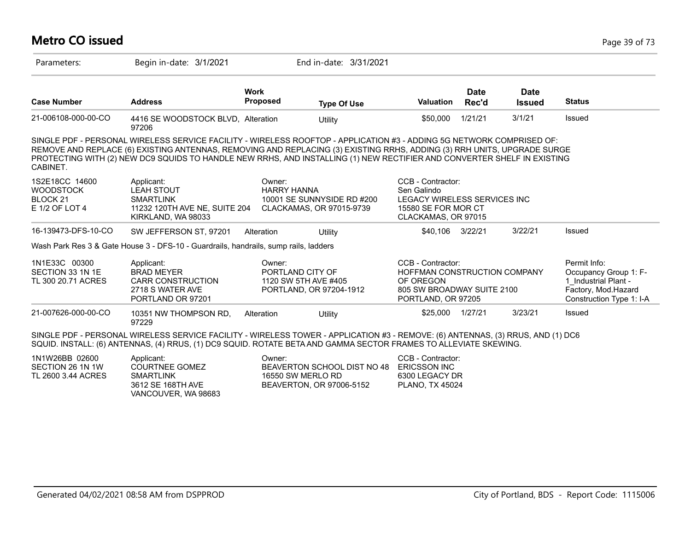#### **Metro CO issued** Page 39 of 73 Parameters: Begin in-date: 3/1/2021 End in-date: 3/31/2021 **Work Case Number Address Proposed Type Of Use Valuation Status Date Rec'd Date Issued** 21-006108-000-00-CO 4416 SE WOODSTOCK BLVD, 97206 Alteration Utility \$50,000 1/21/21 3/1/21 Issued SINGLE PDF - PERSONAL WIRELESS SERVICE FACILITY - WIRELESS ROOFTOP - APPLICATION #3 - ADDING 5G NETWORK COMPRISED OF: REMOVE AND REPLACE (6) EXISTING ANTENNAS, REMOVING AND REPLACING (3) EXISTING RRHS, ADDING (3) RRH UNITS, UPGRADE SURGE PROTECTING WITH (2) NEW DC9 SQUIDS TO HANDLE NEW RRHS, AND INSTALLING (1) NEW RECTIFIER AND CONVERTER SHELF IN EXISTING **CARINET** 1S2E18CC 14600 **WOODSTOCK** BLOCK 21 E 1/2 OF LOT 4 CCB - Contractor: Sen Galindo LEGACY WIRELESS SERVICES INC 15580 SE FOR MOR CT CLACKAMAS, OR 97015 Owner: HARRY HANNA 10001 SE SUNNYSIDE RD #200 CLACKAMAS, OR 97015-9739 Applicant: LEAH STOUT SMARTLINK 11232 120TH AVE NE, SUITE 204 KIRKLAND, WA 98033 16-139473-DFS-10-CO SW JEFFERSON ST, 97201 Alteration Utility 16-139473-DFS-10-CO SW JEFFERSON ST, 97201 Alteration Wash Park Res 3 & Gate House 3 - DFS-10 - Guardrails, handrails, sump rails, ladders 1N1E33C 00300 SECTION 33 1N 1E TL 300 20.71 ACRES Permit Info: Occupancy Group 1: F-1\_Industrial Plant - Factory, Mod.Hazard Construction Type 1: I-A CCB - Contractor: HOFFMAN CONSTRUCTION COMPANY OF OREGON 805 SW BROADWAY SUITE 2100 PORTLAND, OR 97205 Owner: PORTLAND CITY OF 1120 SW 5TH AVE #405 PORTLAND, OR 97204-1912 Applicant: BRAD MEYER CARR CONSTRUCTION 2718 S WATER AVE PORTLAND OR 97201 21-007626-000-00-CO 10351 NW THOMPSON RD, 97229 Alteration Utility \$25,000 1/27/21 3/23/21 Issued SINGLE PDF - PERSONAL WIRELESS SERVICE FACILITY - WIRELESS TOWER - APPLICATION #3 - REMOVE: (6) ANTENNAS, (3) RRUS, AND (1) DC6 SQUID. INSTALL: (6) ANTENNAS, (4) RRUS, (1) DC9 SQUID. ROTATE BETA AND GAMMA SECTOR FRAMES TO ALLEVIATE SKEWING. 1N1W26BB 02600

| 1N1W26BB 02600     | Applicant:          | Owner:                      | CCB - Contractor:   |
|--------------------|---------------------|-----------------------------|---------------------|
| SECTION 26 1N 1W   | COURTNEE GOMEZ      | BEAVERTON SCHOOL DIST NO 48 | <b>ERICSSON INC</b> |
| TL 2600 3.44 ACRES | <b>SMARTLINK</b>    | 16550 SW MERLO RD           | 6300 LEGACY DR      |
|                    | 3612 SE 168TH AVE   | BEAVERTON, OR 97006-5152    | PLANO. TX 45024     |
|                    | VANCOUVER, WA 98683 |                             |                     |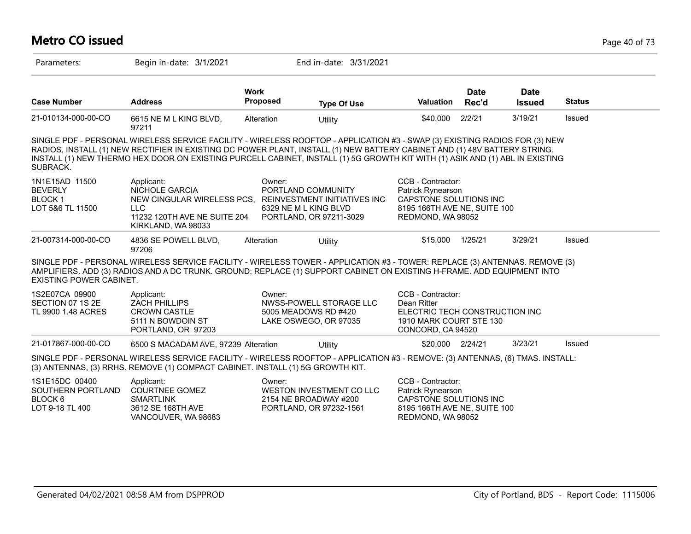#### **Metro CO issued** Page 40 of 73 Parameters: Begin in-date: 3/1/2021 End in-date: 3/31/2021 **Work Case Number Address Proposed Type Of Use Valuation Status Date Rec'd Date Issued** 21-010134-000-00-CO 6615 NE M L KING BLVD, 97211 Alteration Utility \$40,000 2/2/21 3/19/21 Issued SINGLE PDF - PERSONAL WIRELESS SERVICE FACILITY - WIRELESS ROOFTOP - APPLICATION #3 - SWAP (3) EXISTING RADIOS FOR (3) NEW RADIOS, INSTALL (1) NEW RECTIFIER IN EXISTING DC POWER PLANT, INSTALL (1) NEW BATTERY CABINET AND (1) 48V BATTERY STRING. INSTALL (1) NEW THERMO HEX DOOR ON EXISTING PURCELL CABINET, INSTALL (1) 5G GROWTH KIT WITH (1) ASIK AND (1) ABL IN EXISTING **SUBRACK.** 1N1E15AD 11500 BEVERLY BLOCK 1 LOT 5&6 TL 11500 CCB - Contractor: Patrick Rynearson CAPSTONE SOLUTIONS INC 8195 166TH AVE NE, SUITE 100 REDMOND, WA 98052 Owner: PORTLAND COMMUNITY NEW CINGULAR WIRELESS PCS, REINVESTMENT INITIATIVES INC 6329 NE M L KING BLVD PORTLAND, OR 97211-3029 Applicant: NICHOLE GARCIA LLC 11232 120TH AVE NE SUITE 204 KIRKLAND, WA 98033 21-007314-000-00-CO 4836 SE POWELL BLVD, 97206 Alteration Utility \$15,000 1/25/21 3/29/21 Issued SINGLE PDF - PERSONAL WIRELESS SERVICE FACILITY - WIRELESS TOWER - APPLICATION #3 - TOWER: REPLACE (3) ANTENNAS. REMOVE (3) AMPLIFIERS. ADD (3) RADIOS AND A DC TRUNK. GROUND: REPLACE (1) SUPPORT CABINET ON EXISTING H-FRAME. ADD EQUIPMENT INTO EXISTING POWER CABINET. 1S2E07CA 09900 SECTION 07 1S 2E TL 9900 1.48 ACRES CCB - Contractor: Dean Ritter ELECTRIC TECH CONSTRUCTION INC 1910 MARK COURT STE 130 CONCORD, CA 94520 Owner: NWSS-POWELL STORAGE LLC 5005 MEADOWS RD #420 LAKE OSWEGO, OR 97035 Applicant: ZACH PHILLIPS CROWN CASTLE 5111 N BOWDOIN ST PORTLAND, OR 97203 21-017867-000-00-CO 6500 S MACADAM AVE, 97239 Alteration Utility \$20,000 2/24/21 3/23/21 Issued SINGLE PDF - PERSONAL WIRELESS SERVICE FACILITY - WIRELESS ROOFTOP - APPLICATION #3 - REMOVE: (3) ANTENNAS, (6) TMAS. INSTALL: (3) ANTENNAS, (3) RRHS. REMOVE (1) COMPACT CABINET. INSTALL (1) 5G GROWTH KIT. 1S1E15DC 00400 SOUTHERN PORTLAND BLOCK 6 LOT 9-18 TL 400 CCB - Contractor: Patrick Rynearson CAPSTONE SOLUTIONS INC 8195 166TH AVE NE, SUITE 100 REDMOND, WA 98052 Owner: WESTON INVESTMENT CO LLC 2154 NE BROADWAY #200 PORTLAND, OR 97232-1561 Applicant: COURTNEE GOMEZ SMARTLINK 3612 SE 168TH AVE VANCOUVER, WA 98683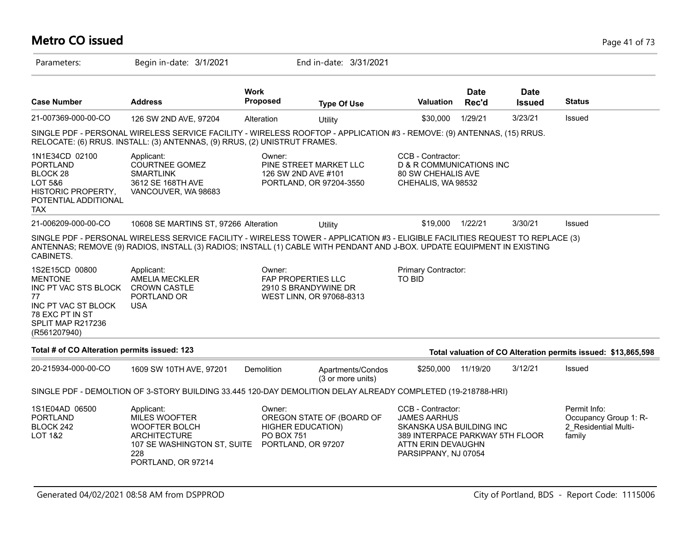# **Metro CO issued** Page 41 of 73

| Parameters:                                                                                                                                   | Begin in-date: 3/1/2021                                                                                                                                                                                                                                   |                                                                        | End in-date: 3/31/2021                            |                                                                                                                                                       |                      |                              |                                                                         |
|-----------------------------------------------------------------------------------------------------------------------------------------------|-----------------------------------------------------------------------------------------------------------------------------------------------------------------------------------------------------------------------------------------------------------|------------------------------------------------------------------------|---------------------------------------------------|-------------------------------------------------------------------------------------------------------------------------------------------------------|----------------------|------------------------------|-------------------------------------------------------------------------|
| <b>Case Number</b>                                                                                                                            | <b>Address</b>                                                                                                                                                                                                                                            | <b>Work</b><br>Proposed                                                | <b>Type Of Use</b>                                | <b>Valuation</b>                                                                                                                                      | <b>Date</b><br>Rec'd | <b>Date</b><br><b>Issued</b> | <b>Status</b>                                                           |
| 21-007369-000-00-CO                                                                                                                           | 126 SW 2ND AVE, 97204                                                                                                                                                                                                                                     | Alteration                                                             | Utility                                           | \$30,000                                                                                                                                              | 1/29/21              | 3/23/21                      | Issued                                                                  |
|                                                                                                                                               | SINGLE PDF - PERSONAL WIRELESS SERVICE FACILITY - WIRELESS ROOFTOP - APPLICATION #3 - REMOVE: (9) ANTENNAS, (15) RRUS.<br>RELOCATE: (6) RRUS. INSTALL: (3) ANTENNAS, (9) RRUS, (2) UNISTRUT FRAMES.                                                       |                                                                        |                                                   |                                                                                                                                                       |                      |                              |                                                                         |
| 1N1E34CD 02100<br><b>PORTLAND</b><br>BLOCK <sub>28</sub><br>LOT 5&6<br>HISTORIC PROPERTY,<br>POTENTIAL ADDITIONAL<br>TAX.                     | Applicant:<br><b>COURTNEE GOMEZ</b><br><b>SMARTLINK</b><br>3612 SE 168TH AVE<br>VANCOUVER, WA 98683                                                                                                                                                       | Owner:<br>126 SW 2ND AVE #101                                          | PINE STREET MARKET LLC<br>PORTLAND, OR 97204-3550 | CCB - Contractor:<br><b>D &amp; R COMMUNICATIONS INC</b><br>80 SW CHEHALIS AVE<br>CHEHALIS, WA 98532                                                  |                      |                              |                                                                         |
| 21-006209-000-00-CO                                                                                                                           | 10608 SE MARTINS ST, 97266 Alteration                                                                                                                                                                                                                     |                                                                        | Utility                                           | \$19,000                                                                                                                                              | 1/22/21              | 3/30/21                      | Issued                                                                  |
| CABINETS.                                                                                                                                     | SINGLE PDF - PERSONAL WIRELESS SERVICE FACILITY - WIRELESS TOWER - APPLICATION #3 - ELIGIBLE FACILITIES REQUEST TO REPLACE (3)<br>ANTENNAS; REMOVE (9) RADIOS, INSTALL (3) RADIOS; INSTALL (1) CABLE WITH PENDANT AND J-BOX. UPDATE EQUIPMENT IN EXISTING |                                                                        |                                                   |                                                                                                                                                       |                      |                              |                                                                         |
| 1S2E15CD 00800<br><b>MENTONE</b><br>INC PT VAC STS BLOCK<br>77<br>INC PT VAC ST BLOCK<br>78 EXC PT IN ST<br>SPLIT MAP R217236<br>(R561207940) | Applicant:<br>AMELIA MECKLER<br><b>CROWN CASTLE</b><br>PORTLAND OR<br><b>USA</b>                                                                                                                                                                          | Owner:<br>FAP PROPERTIES LLC                                           | 2910 S BRANDYWINE DR<br>WEST LINN, OR 97068-8313  | Primary Contractor:<br>TO BID                                                                                                                         |                      |                              |                                                                         |
| Total # of CO Alteration permits issued: 123                                                                                                  |                                                                                                                                                                                                                                                           |                                                                        |                                                   |                                                                                                                                                       |                      |                              | Total valuation of CO Alteration permits issued: \$13,865,598           |
| 20-215934-000-00-CO                                                                                                                           | 1609 SW 10TH AVE, 97201                                                                                                                                                                                                                                   | Demolition                                                             | Apartments/Condos<br>(3 or more units)            | \$250,000                                                                                                                                             | 11/19/20             | 3/12/21                      | Issued                                                                  |
|                                                                                                                                               | SINGLE PDF - DEMOLTION OF 3-STORY BUILDING 33.445 120-DAY DEMOLITION DELAY ALREADY COMPLETED (19-218788-HRI)                                                                                                                                              |                                                                        |                                                   |                                                                                                                                                       |                      |                              |                                                                         |
| 1S1E04AD 06500<br><b>PORTLAND</b><br>BLOCK 242<br><b>LOT 1&amp;2</b>                                                                          | Applicant:<br>MILES WOOFTER<br><b>WOOFTER BOLCH</b><br><b>ARCHITECTURE</b><br>107 SE WASHINGTON ST, SUITE<br>228<br>PORTLAND, OR 97214                                                                                                                    | Owner:<br><b>HIGHER EDUCATION)</b><br>PO BOX 751<br>PORTLAND, OR 97207 | OREGON STATE OF (BOARD OF                         | CCB - Contractor:<br><b>JAMES AARHUS</b><br>SKANSKA USA BUILDING INC<br>389 INTERPACE PARKWAY 5TH FLOOR<br>ATTN ERIN DEVAUGHN<br>PARSIPPANY, NJ 07054 |                      |                              | Permit Info:<br>Occupancy Group 1: R-<br>2 Residential Multi-<br>family |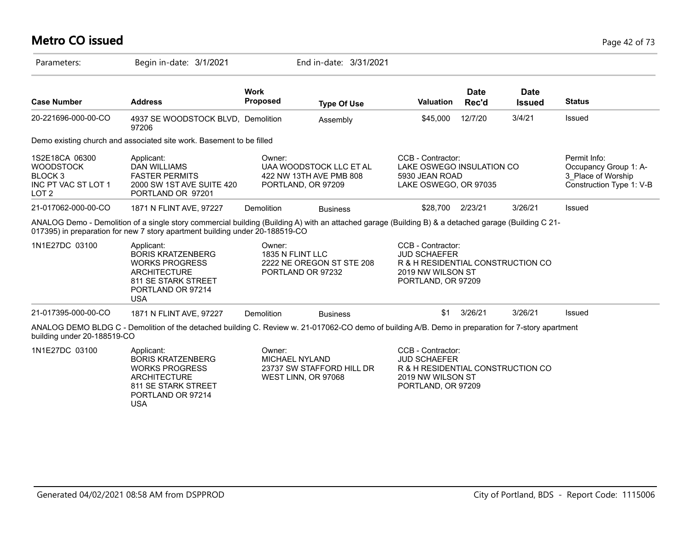# **Metro CO issued** Page 42 of 73

| Parameters:                                                                                         | Begin in-date: 3/1/2021                                                                                                                                                                                                              |                                                                                     | End in-date: 3/31/2021                             |                                                                                                                          |                      |                              |                                                                                         |
|-----------------------------------------------------------------------------------------------------|--------------------------------------------------------------------------------------------------------------------------------------------------------------------------------------------------------------------------------------|-------------------------------------------------------------------------------------|----------------------------------------------------|--------------------------------------------------------------------------------------------------------------------------|----------------------|------------------------------|-----------------------------------------------------------------------------------------|
| <b>Case Number</b>                                                                                  | <b>Address</b>                                                                                                                                                                                                                       | <b>Work</b><br><b>Proposed</b>                                                      | <b>Type Of Use</b>                                 | <b>Valuation</b>                                                                                                         | <b>Date</b><br>Rec'd | <b>Date</b><br><b>Issued</b> | <b>Status</b>                                                                           |
| 20-221696-000-00-CO                                                                                 | 4937 SE WOODSTOCK BLVD, Demolition<br>97206                                                                                                                                                                                          |                                                                                     | Assembly                                           | \$45,000                                                                                                                 | 12/7/20              | 3/4/21                       | Issued                                                                                  |
|                                                                                                     | Demo existing church and associated site work. Basement to be filled                                                                                                                                                                 |                                                                                     |                                                    |                                                                                                                          |                      |                              |                                                                                         |
| 1S2E18CA 06300<br><b>WOODSTOCK</b><br>BLOCK <sub>3</sub><br>INC PT VAC ST LOT 1<br>LOT <sub>2</sub> | Applicant:<br><b>DAN WILLIAMS</b><br><b>FASTER PERMITS</b><br>2000 SW 1ST AVE SUITE 420<br>PORTLAND OR 97201                                                                                                                         | Owner:<br>PORTLAND, OR 97209                                                        | UAA WOODSTOCK LLC ET AL<br>422 NW 13TH AVE PMB 808 | CCB - Contractor:<br>LAKE OSWEGO INSULATION CO<br>5930 JEAN ROAD<br>LAKE OSWEGO, OR 97035                                |                      |                              | Permit Info:<br>Occupancy Group 1: A-<br>3 Place of Worship<br>Construction Type 1: V-B |
| 21-017062-000-00-CO                                                                                 | 1871 N FLINT AVE, 97227                                                                                                                                                                                                              | Demolition                                                                          | <b>Business</b>                                    | \$28,700 2/23/21                                                                                                         |                      | 3/26/21                      | Issued                                                                                  |
|                                                                                                     | ANALOG Demo - Demolition of a single story commercial building (Building A) with an attached garage (Building B) & a detached garage (Building C 21-<br>017395) in preparation for new 7 story apartment building under 20-188519-CO |                                                                                     |                                                    |                                                                                                                          |                      |                              |                                                                                         |
| 1N1E27DC 03100                                                                                      | Applicant:<br><b>BORIS KRATZENBERG</b><br><b>WORKS PROGRESS</b><br><b>ARCHITECTURE</b><br>811 SE STARK STREET<br>PORTLAND OR 97214<br><b>USA</b>                                                                                     | Owner:<br>1835 N FLINT LLC<br>2222 NE OREGON ST STE 208<br>PORTLAND OR 97232        |                                                    | CCB - Contractor:<br><b>JUD SCHAEFER</b><br>R & H RESIDENTIAL CONSTRUCTION CO<br>2019 NW WILSON ST<br>PORTLAND, OR 97209 |                      |                              |                                                                                         |
| 21-017395-000-00-CO                                                                                 | 1871 N FLINT AVE, 97227                                                                                                                                                                                                              | Demolition                                                                          | <b>Business</b>                                    | \$1                                                                                                                      | 3/26/21              | 3/26/21                      | Issued                                                                                  |
| building under 20-188519-CO                                                                         | ANALOG DEMO BLDG C - Demolition of the detached building C. Review w. 21-017062-CO demo of building A/B. Demo in preparation for 7-story apartment                                                                                   |                                                                                     |                                                    |                                                                                                                          |                      |                              |                                                                                         |
| 1N1E27DC 03100                                                                                      | Applicant:<br><b>BORIS KRATZENBERG</b><br><b>WORKS PROGRESS</b><br><b>ARCHITECTURE</b><br>811 SE STARK STREET<br>PORTLAND OR 97214<br><b>USA</b>                                                                                     | Owner:<br><b>MICHAEL NYLAND</b><br>23737 SW STAFFORD HILL DR<br>WEST LINN, OR 97068 |                                                    | CCB - Contractor:<br><b>JUD SCHAEFER</b><br>R & H RESIDENTIAL CONSTRUCTION CO<br>2019 NW WILSON ST<br>PORTLAND, OR 97209 |                      |                              |                                                                                         |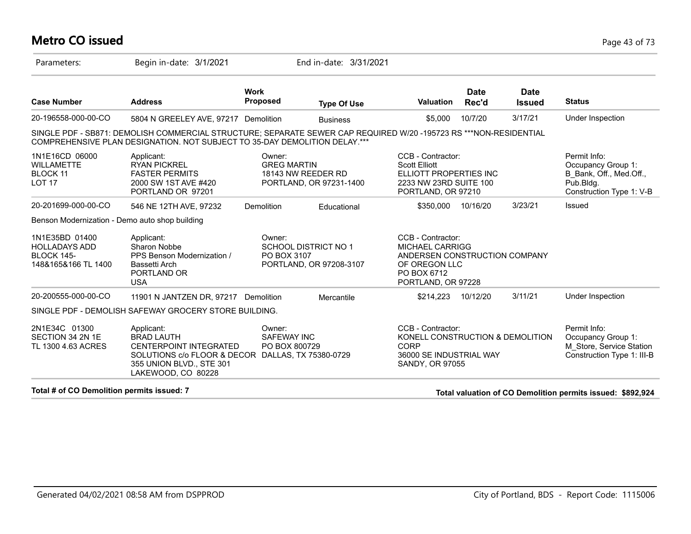### **Metro CO issued** Page 43 of 73

| Parameters:                                                                        | Begin in-date: 3/1/2021                                                                                                                                                                         |                                               | End in-date: 3/31/2021                          |                                                                                                                                    |                      |                              |                                                                                                        |
|------------------------------------------------------------------------------------|-------------------------------------------------------------------------------------------------------------------------------------------------------------------------------------------------|-----------------------------------------------|-------------------------------------------------|------------------------------------------------------------------------------------------------------------------------------------|----------------------|------------------------------|--------------------------------------------------------------------------------------------------------|
| <b>Case Number</b>                                                                 | <b>Address</b>                                                                                                                                                                                  | <b>Work</b><br>Proposed                       | <b>Type Of Use</b>                              | <b>Valuation</b>                                                                                                                   | <b>Date</b><br>Rec'd | <b>Date</b><br><b>Issued</b> | <b>Status</b>                                                                                          |
| 20-196558-000-00-CO                                                                | 5804 N GREELEY AVE, 97217 Demolition                                                                                                                                                            |                                               | <b>Business</b>                                 | \$5,000                                                                                                                            | 10/7/20              | 3/17/21                      | Under Inspection                                                                                       |
|                                                                                    | SINGLE PDF - SB871: DEMOLISH COMMERCIAL STRUCTURE; SEPARATE SEWER CAP REQUIRED W/20 -195723 RS ***NON-RESIDENTIAL<br>COMPREHENSIVE PLAN DESIGNATION. NOT SUBJECT TO 35-DAY DEMOLITION DELAY.*** |                                               |                                                 |                                                                                                                                    |                      |                              |                                                                                                        |
| 1N1E16CD 06000<br><b>WILLAMETTE</b><br>BLOCK 11<br>LOT <sub>17</sub>               | Applicant:<br><b>RYAN PICKREL</b><br><b>FASTER PERMITS</b><br>2000 SW 1ST AVE #420<br>PORTLAND OR 97201                                                                                         | Owner:<br><b>GREG MARTIN</b>                  | 18143 NW REEDER RD<br>PORTLAND, OR 97231-1400   | CCB - Contractor:<br><b>Scott Elliott</b><br>ELLIOTT PROPERTIES INC<br>2233 NW 23RD SUITE 100<br>PORTLAND, OR 97210                |                      |                              | Permit Info:<br>Occupancy Group 1:<br>B Bank, Off., Med.Off.,<br>Pub.Bldg.<br>Construction Type 1: V-B |
| 20-201699-000-00-CO                                                                | 546 NE 12TH AVE, 97232                                                                                                                                                                          | Demolition                                    | Educational                                     | \$350,000                                                                                                                          | 10/16/20             | 3/23/21                      | <b>Issued</b>                                                                                          |
| Benson Modernization - Demo auto shop building                                     |                                                                                                                                                                                                 |                                               |                                                 |                                                                                                                                    |                      |                              |                                                                                                        |
| 1N1E35BD 01400<br><b>HOLLADAYS ADD</b><br><b>BLOCK 145-</b><br>148&165&166 TL 1400 | Applicant:<br>Sharon Nobbe<br>PPS Benson Modernization /<br>Bassetti Arch<br>PORTLAND OR<br><b>USA</b>                                                                                          | Owner:<br>PO BOX 3107                         | SCHOOL DISTRICT NO 1<br>PORTLAND, OR 97208-3107 | CCB - Contractor:<br><b>MICHAEL CARRIGG</b><br>ANDERSEN CONSTRUCTION COMPANY<br>OF OREGON LLC<br>PO BOX 6712<br>PORTLAND, OR 97228 |                      |                              |                                                                                                        |
| 20-200555-000-00-CO                                                                | 11901 N JANTZEN DR, 97217 Demolition                                                                                                                                                            |                                               | Mercantile                                      | \$214,223                                                                                                                          | 10/12/20             | 3/11/21                      | Under Inspection                                                                                       |
|                                                                                    | SINGLE PDF - DEMOLISH SAFEWAY GROCERY STORE BUILDING.                                                                                                                                           |                                               |                                                 |                                                                                                                                    |                      |                              |                                                                                                        |
| 2N1E34C 01300<br>SECTION 34 2N 1E<br>TL 1300 4.63 ACRES                            | Applicant:<br><b>BRAD LAUTH</b><br><b>CENTERPOINT INTEGRATED</b><br>SOLUTIONS C/o FLOOR & DECOR DALLAS, TX 75380-0729<br>355 UNION BLVD., STE 301<br>LAKEWOOD, CO 80228                         | Owner:<br><b>SAFEWAY INC</b><br>PO BOX 800729 |                                                 | CCB - Contractor:<br>KONELL CONSTRUCTION & DEMOLITION<br><b>CORP</b><br>36000 SE INDUSTRIAL WAY<br>SANDY, OR 97055                 |                      |                              | Permit Info:<br>Occupancy Group 1:<br>M Store, Service Station<br>Construction Type 1: III-B           |
| Total # of CO Demolition permits issued: 7                                         |                                                                                                                                                                                                 |                                               |                                                 |                                                                                                                                    |                      |                              | Total valuation of CO Demolition permits issued: \$892,924                                             |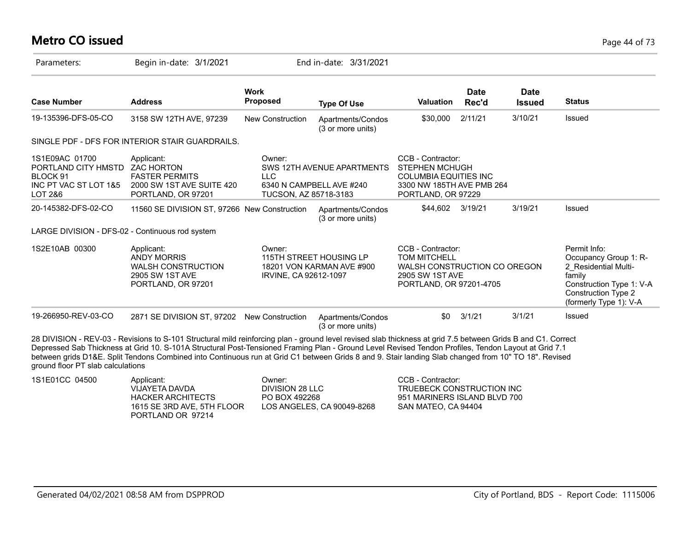# **Metro CO issued** Page 44 of 73

| Parameters:                                                                                      | Begin in-date: 3/1/2021                                                                                                                                                                                                                                                                                                                                                                                                                                                     |                                                   | End in-date: 3/31/2021                                 |                                                                                                                               |                      |                              |                                                                                                                                                             |
|--------------------------------------------------------------------------------------------------|-----------------------------------------------------------------------------------------------------------------------------------------------------------------------------------------------------------------------------------------------------------------------------------------------------------------------------------------------------------------------------------------------------------------------------------------------------------------------------|---------------------------------------------------|--------------------------------------------------------|-------------------------------------------------------------------------------------------------------------------------------|----------------------|------------------------------|-------------------------------------------------------------------------------------------------------------------------------------------------------------|
| <b>Case Number</b>                                                                               | <b>Address</b>                                                                                                                                                                                                                                                                                                                                                                                                                                                              | <b>Work</b><br><b>Proposed</b>                    | <b>Type Of Use</b>                                     | <b>Valuation</b>                                                                                                              | <b>Date</b><br>Rec'd | <b>Date</b><br><b>Issued</b> | <b>Status</b>                                                                                                                                               |
| 19-135396-DFS-05-CO                                                                              | 3158 SW 12TH AVE, 97239                                                                                                                                                                                                                                                                                                                                                                                                                                                     | <b>New Construction</b>                           | Apartments/Condos<br>(3 or more units)                 | \$30,000                                                                                                                      | 2/11/21              | 3/10/21                      | Issued                                                                                                                                                      |
|                                                                                                  | SINGLE PDF - DFS FOR INTERIOR STAIR GUARDRAILS.                                                                                                                                                                                                                                                                                                                                                                                                                             |                                                   |                                                        |                                                                                                                               |                      |                              |                                                                                                                                                             |
| 1S1E09AC 01700<br>PORTLAND CITY HMSTD ZAC HORTON<br>BLOCK 91<br>INC PT VAC ST LOT 1&5<br>LOT 2&6 | Applicant:<br><b>FASTER PERMITS</b><br>2000 SW 1ST AVE SUITE 420<br>PORTLAND, OR 97201                                                                                                                                                                                                                                                                                                                                                                                      | Owner:<br>$\sqcup$ C<br>TUCSON, AZ 85718-3183     | SWS 12TH AVENUE APARTMENTS<br>6340 N CAMPBELL AVE #240 | CCB - Contractor:<br><b>STEPHEN MCHUGH</b><br><b>COLUMBIA EQUITIES INC</b><br>3300 NW 185TH AVE PMB 264<br>PORTLAND, OR 97229 |                      |                              |                                                                                                                                                             |
| 20-145382-DFS-02-CO                                                                              | 11560 SE DIVISION ST, 97266 New Construction                                                                                                                                                                                                                                                                                                                                                                                                                                |                                                   | Apartments/Condos<br>(3 or more units)                 | \$44,602 3/19/21                                                                                                              |                      | 3/19/21                      | Issued                                                                                                                                                      |
| LARGE DIVISION - DFS-02 - Continuous rod system                                                  |                                                                                                                                                                                                                                                                                                                                                                                                                                                                             |                                                   |                                                        |                                                                                                                               |                      |                              |                                                                                                                                                             |
| 1S2E10AB 00300                                                                                   | Applicant:<br><b>ANDY MORRIS</b><br><b>WALSH CONSTRUCTION</b><br>2905 SW 1ST AVE<br>PORTLAND, OR 97201                                                                                                                                                                                                                                                                                                                                                                      | Owner:<br>IRVINE, CA 92612-1097                   | 115TH STREET HOUSING LP<br>18201 VON KARMAN AVE #900   | CCB - Contractor:<br><b>TOM MITCHELL</b><br>WALSH CONSTRUCTION CO OREGON<br>2905 SW 1ST AVE<br>PORTLAND, OR 97201-4705        |                      |                              | Permit Info:<br>Occupancy Group 1: R-<br>2 Residential Multi-<br>family<br>Construction Type 1: V-A<br><b>Construction Type 2</b><br>(formerly Type 1): V-A |
| 19-266950-REV-03-CO                                                                              | 2871 SE DIVISION ST, 97202 New Construction                                                                                                                                                                                                                                                                                                                                                                                                                                 |                                                   | Apartments/Condos<br>(3 or more units)                 | \$0                                                                                                                           | 3/1/21               | 3/1/21                       | Issued                                                                                                                                                      |
| ground floor PT slab calculations                                                                | 28 DIVISION - REV-03 - Revisions to S-101 Structural mild reinforcing plan - ground level revised slab thickness at grid 7.5 between Grids B and C1. Correct<br>Depressed Sab Thickness at Grid 10. S-101A Structural Post-Tensioned Framing Plan - Ground Level Revised Tendon Profiles, Tendon Layout at Grid 7.1<br>between grids D1&E. Split Tendons Combined into Continuous run at Grid C1 between Grids 8 and 9. Stair landing Slab changed from 10" TO 18". Revised |                                                   |                                                        |                                                                                                                               |                      |                              |                                                                                                                                                             |
| 1S1E01CC 04500                                                                                   | Applicant:<br><b>VIJAYETA DAVDA</b><br><b>HACKER ARCHITECTS</b><br>1615 SE 3RD AVE, 5TH FLOOR                                                                                                                                                                                                                                                                                                                                                                               | Owner:<br><b>DIVISION 28 LLC</b><br>PO BOX 492268 | LOS ANGELES, CA 90049-8268                             | CCB - Contractor:<br>TRUEBECK CONSTRUCTION INC<br>951 MARINERS ISLAND BLVD 700<br>SAN MATEO, CA 94404                         |                      |                              |                                                                                                                                                             |

PORTLAND OR 97214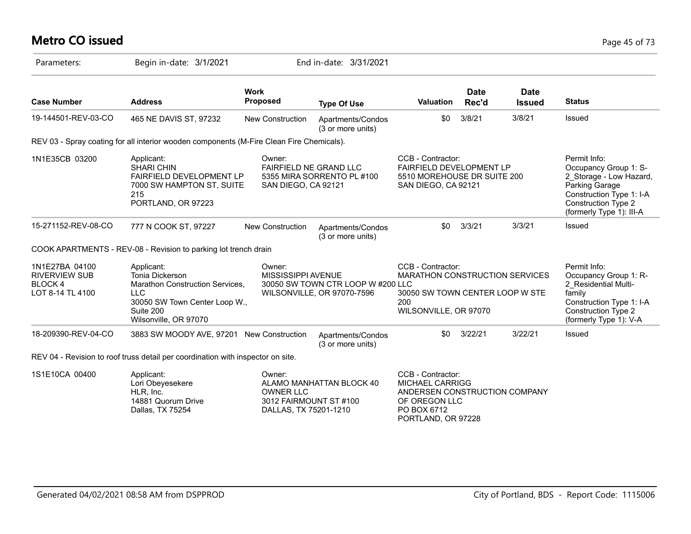### **Metro CO issued** Page 45 of 73

| Parameters:                                                           | Begin in-date: 3/1/2021                                                                                                                               |                                                         | End in-date: 3/31/2021                                          |                                                                                                                               |                      |                              |                                                                                                                                                                   |
|-----------------------------------------------------------------------|-------------------------------------------------------------------------------------------------------------------------------------------------------|---------------------------------------------------------|-----------------------------------------------------------------|-------------------------------------------------------------------------------------------------------------------------------|----------------------|------------------------------|-------------------------------------------------------------------------------------------------------------------------------------------------------------------|
| <b>Case Number</b>                                                    | <b>Address</b>                                                                                                                                        | <b>Work</b><br><b>Proposed</b>                          | <b>Type Of Use</b>                                              | <b>Valuation</b>                                                                                                              | <b>Date</b><br>Rec'd | <b>Date</b><br><b>Issued</b> | <b>Status</b>                                                                                                                                                     |
| 19-144501-REV-03-CO                                                   | 465 NE DAVIS ST, 97232                                                                                                                                | <b>New Construction</b>                                 | Apartments/Condos<br>(3 or more units)                          | \$0                                                                                                                           | 3/8/21               | 3/8/21                       | Issued                                                                                                                                                            |
|                                                                       | REV 03 - Spray coating for all interior wooden components (M-Fire Clean Fire Chemicals).                                                              |                                                         |                                                                 |                                                                                                                               |                      |                              |                                                                                                                                                                   |
| 1N1E35CB 03200                                                        | Applicant:<br><b>SHARI CHIN</b><br><b>FAIRFIELD DEVELOPMENT LP</b><br>7000 SW HAMPTON ST, SUITE<br>215<br>PORTLAND, OR 97223                          | Owner:<br>FAIRFIELD NE GRAND LLC<br>SAN DIEGO, CA 92121 | 5355 MIRA SORRENTO PL #100                                      | CCB - Contractor:<br>FAIRFIELD DEVELOPMENT LP<br>5510 MOREHOUSE DR SUITE 200<br>SAN DIEGO, CA 92121                           |                      |                              | Permit Info:<br>Occupancy Group 1: S-<br>2 Storage - Low Hazard,<br>Parking Garage<br>Construction Type 1: I-A<br>Construction Type 2<br>(formerly Type 1): III-A |
| 15-271152-REV-08-CO                                                   | 777 N COOK ST, 97227                                                                                                                                  | <b>New Construction</b>                                 | Apartments/Condos<br>(3 or more units)                          | \$0                                                                                                                           | 3/3/21               | 3/3/21                       | Issued                                                                                                                                                            |
|                                                                       | COOK APARTMENTS - REV-08 - Revision to parking lot trench drain                                                                                       |                                                         |                                                                 |                                                                                                                               |                      |                              |                                                                                                                                                                   |
| 1N1E27BA 04100<br><b>RIVERVIEW SUB</b><br>BLOCK 4<br>LOT 8-14 TL 4100 | Applicant:<br>Tonia Dickerson<br>Marathon Construction Services,<br><b>LLC</b><br>30050 SW Town Center Loop W.,<br>Suite 200<br>Wilsonville, OR 97070 | Owner:<br>MISSISSIPPI AVENUE                            | 30050 SW TOWN CTR LOOP W #200 LLC<br>WILSONVILLE, OR 97070-7596 | CCB - Contractor:<br><b>MARATHON CONSTRUCTION SERVICES</b><br>30050 SW TOWN CENTER LOOP W STE<br>200<br>WILSONVILLE, OR 97070 |                      |                              | Permit Info:<br>Occupancy Group 1: R-<br>2_Residential Multi-<br>family<br>Construction Type 1: I-A<br><b>Construction Type 2</b><br>(formerly Type 1): V-A       |
| 18-209390-REV-04-CO                                                   | 3883 SW MOODY AVE, 97201 New Construction                                                                                                             |                                                         | Apartments/Condos<br>(3 or more units)                          | \$0                                                                                                                           | 3/22/21              | 3/22/21                      | <b>Issued</b>                                                                                                                                                     |
|                                                                       | REV 04 - Revision to roof truss detail per coordination with inspector on site.                                                                       |                                                         |                                                                 |                                                                                                                               |                      |                              |                                                                                                                                                                   |
| 1S1E10CA 00400                                                        | Applicant:<br>Lori Obeyesekere<br>HLR, Inc.<br>14881 Quorum Drive                                                                                     | Owner:<br><b>OWNER LLC</b><br>3012 FAIRMOUNT ST #100    | ALAMO MANHATTAN BLOCK 40                                        | CCB - Contractor:<br><b>MICHAEL CARRIGG</b><br>ANDERSEN CONSTRUCTION COMPANY<br>OF OREGON LLC                                 |                      |                              |                                                                                                                                                                   |

DALLAS, TX 75201-1210

PO BOX 6712

PORTLAND, OR 97228

Dallas, TX 75254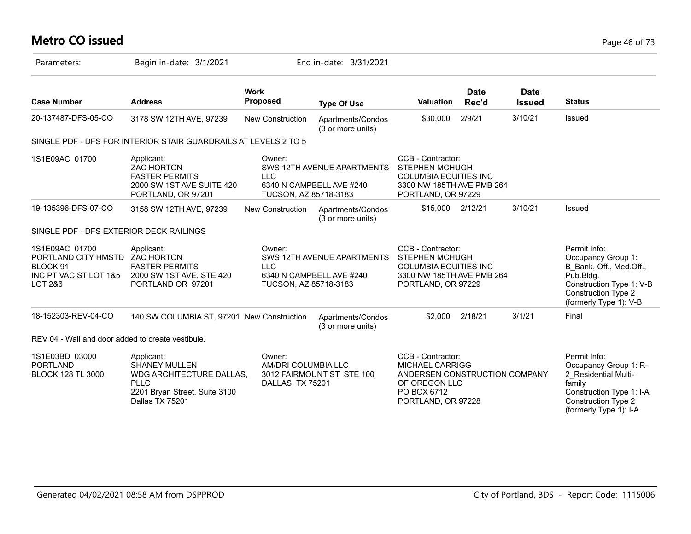# **Metro CO issued** Page 46 of 73

| Parameters:                                                                           | Begin in-date: 3/1/2021                                                                                                           |                                                   | End in-date: 3/31/2021                                 |                                                                                                                                    |                      |                              |                                                                                                                                                                |
|---------------------------------------------------------------------------------------|-----------------------------------------------------------------------------------------------------------------------------------|---------------------------------------------------|--------------------------------------------------------|------------------------------------------------------------------------------------------------------------------------------------|----------------------|------------------------------|----------------------------------------------------------------------------------------------------------------------------------------------------------------|
| <b>Case Number</b>                                                                    | <b>Address</b>                                                                                                                    | <b>Work</b><br>Proposed                           | <b>Type Of Use</b>                                     | <b>Valuation</b>                                                                                                                   | <b>Date</b><br>Rec'd | <b>Date</b><br><b>Issued</b> | <b>Status</b>                                                                                                                                                  |
| 20-137487-DFS-05-CO                                                                   | 3178 SW 12TH AVE, 97239                                                                                                           | <b>New Construction</b>                           | Apartments/Condos<br>(3 or more units)                 | \$30,000                                                                                                                           | 2/9/21               | 3/10/21                      | Issued                                                                                                                                                         |
|                                                                                       | SINGLE PDF - DFS FOR INTERIOR STAIR GUARDRAILS AT LEVELS 2 TO 5                                                                   |                                                   |                                                        |                                                                                                                                    |                      |                              |                                                                                                                                                                |
| 1S1E09AC 01700                                                                        | Applicant:<br><b>ZAC HORTON</b><br><b>FASTER PERMITS</b><br>2000 SW 1ST AVE SUITE 420<br>PORTLAND, OR 97201                       | Owner:<br><b>LLC</b><br>TUCSON, AZ 85718-3183     | SWS 12TH AVENUE APARTMENTS<br>6340 N CAMPBELL AVE #240 | CCB - Contractor:<br><b>STEPHEN MCHUGH</b><br><b>COLUMBIA EQUITIES INC</b><br>3300 NW 185TH AVE PMB 264<br>PORTLAND, OR 97229      |                      |                              |                                                                                                                                                                |
| 19-135396-DFS-07-CO                                                                   | 3158 SW 12TH AVE, 97239                                                                                                           | New Construction                                  | Apartments/Condos<br>(3 or more units)                 | \$15,000 2/12/21                                                                                                                   |                      | 3/10/21                      | Issued                                                                                                                                                         |
| SINGLE PDF - DFS EXTERIOR DECK RAILINGS                                               |                                                                                                                                   |                                                   |                                                        |                                                                                                                                    |                      |                              |                                                                                                                                                                |
| 1S1E09AC 01700<br>PORTLAND CITY HMSTD<br>BLOCK 91<br>INC PT VAC ST LOT 1&5<br>LOT 2&6 | Applicant:<br><b>ZAC HORTON</b><br><b>FASTER PERMITS</b><br>2000 SW 1ST AVE, STE 420<br>PORTLAND OR 97201                         | Owner:<br><b>LLC</b><br>TUCSON, AZ 85718-3183     | SWS 12TH AVENUE APARTMENTS<br>6340 N CAMPBELL AVE #240 | CCB - Contractor:<br><b>STEPHEN MCHUGH</b><br><b>COLUMBIA EQUITIES INC</b><br>3300 NW 185TH AVE PMB 264<br>PORTLAND, OR 97229      |                      |                              | Permit Info:<br>Occupancy Group 1:<br>B Bank, Off., Med.Off.,<br>Pub.Bldg.<br>Construction Type 1: V-B<br><b>Construction Type 2</b><br>(formerly Type 1): V-B |
| 18-152303-REV-04-CO                                                                   | 140 SW COLUMBIA ST, 97201 New Construction                                                                                        |                                                   | Apartments/Condos<br>(3 or more units)                 | \$2,000                                                                                                                            | 2/18/21              | 3/1/21                       | Final                                                                                                                                                          |
| REV 04 - Wall and door added to create vestibule.                                     |                                                                                                                                   |                                                   |                                                        |                                                                                                                                    |                      |                              |                                                                                                                                                                |
| 1S1E03BD 03000<br><b>PORTLAND</b><br><b>BLOCK 128 TL 3000</b>                         | Applicant:<br><b>SHANEY MULLEN</b><br>WDG ARCHITECTURE DALLAS,<br><b>PLLC</b><br>2201 Bryan Street, Suite 3100<br>Dallas TX 75201 | Owner:<br>AM/DRI COLUMBIA LLC<br>DALLAS, TX 75201 | 3012 FAIRMOUNT ST STE 100                              | CCB - Contractor:<br><b>MICHAEL CARRIGG</b><br>ANDERSEN CONSTRUCTION COMPANY<br>OF OREGON LLC<br>PO BOX 6712<br>PORTLAND, OR 97228 |                      |                              | Permit Info:<br>Occupancy Group 1: R-<br>2 Residential Multi-<br>family<br>Construction Type 1: I-A<br><b>Construction Type 2</b><br>(formerly Type 1): I-A    |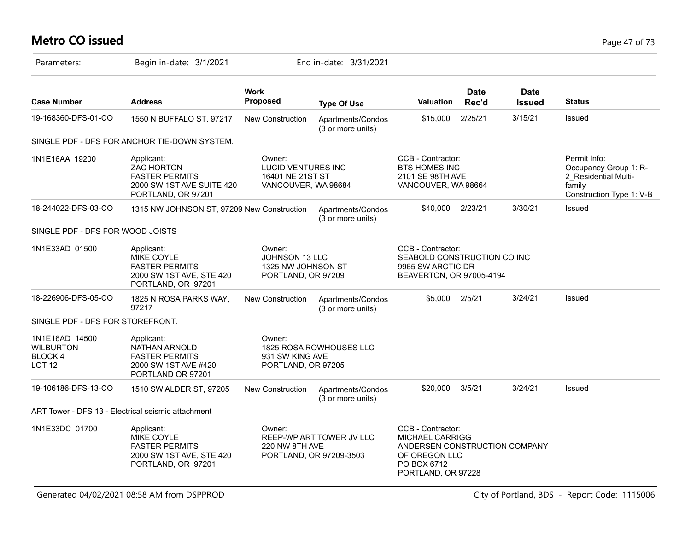# **Metro CO issued** Page 47 of 73

| Parameters:                                                        | Begin in-date: 3/1/2021                                                                                     |                                                                                | End in-date: 3/31/2021                              |                                                                                                                                    |                      |                              |                                                                                                     |
|--------------------------------------------------------------------|-------------------------------------------------------------------------------------------------------------|--------------------------------------------------------------------------------|-----------------------------------------------------|------------------------------------------------------------------------------------------------------------------------------------|----------------------|------------------------------|-----------------------------------------------------------------------------------------------------|
| <b>Case Number</b>                                                 | <b>Address</b>                                                                                              | <b>Work</b><br>Proposed                                                        | <b>Type Of Use</b>                                  | <b>Valuation</b>                                                                                                                   | <b>Date</b><br>Rec'd | <b>Date</b><br><b>Issued</b> | <b>Status</b>                                                                                       |
| 19-168360-DFS-01-CO                                                | 1550 N BUFFALO ST, 97217                                                                                    | <b>New Construction</b>                                                        | Apartments/Condos<br>(3 or more units)              | \$15,000                                                                                                                           | 2/25/21              | 3/15/21                      | Issued                                                                                              |
|                                                                    | SINGLE PDF - DFS FOR ANCHOR TIE-DOWN SYSTEM.                                                                |                                                                                |                                                     |                                                                                                                                    |                      |                              |                                                                                                     |
| 1N1E16AA 19200                                                     | Applicant:<br><b>ZAC HORTON</b><br><b>FASTER PERMITS</b><br>2000 SW 1ST AVE SUITE 420<br>PORTLAND, OR 97201 | Owner:<br><b>LUCID VENTURES INC</b><br>16401 NE 21ST ST<br>VANCOUVER, WA 98684 |                                                     | CCB - Contractor:<br><b>BTS HOMES INC</b><br>2101 SE 98TH AVE<br>VANCOUVER, WA 98664                                               |                      |                              | Permit Info:<br>Occupancy Group 1: R-<br>2 Residential Multi-<br>family<br>Construction Type 1: V-B |
| 18-244022-DFS-03-CO                                                | 1315 NW JOHNSON ST, 97209 New Construction                                                                  |                                                                                | Apartments/Condos<br>(3 or more units)              | \$40,000                                                                                                                           | 2/23/21              | 3/30/21                      | Issued                                                                                              |
| SINGLE PDF - DFS FOR WOOD JOISTS                                   |                                                                                                             |                                                                                |                                                     |                                                                                                                                    |                      |                              |                                                                                                     |
| 1N1E33AD 01500                                                     | Applicant:<br>MIKE COYLE<br><b>FASTER PERMITS</b><br>2000 SW 1ST AVE, STE 420<br>PORTLAND, OR 97201         | Owner:<br>JOHNSON 13 LLC<br>1325 NW JOHNSON ST<br>PORTLAND, OR 97209           |                                                     | CCB - Contractor:<br>SEABOLD CONSTRUCTION CO INC<br>9965 SW ARCTIC DR<br>BEAVERTON, OR 97005-4194                                  |                      |                              |                                                                                                     |
| 18-226906-DFS-05-CO                                                | 1825 N ROSA PARKS WAY,<br>97217                                                                             | <b>New Construction</b>                                                        | Apartments/Condos<br>(3 or more units)              | \$5.000                                                                                                                            | 2/5/21               | 3/24/21                      | Issued                                                                                              |
| SINGLE PDF - DFS FOR STOREFRONT.                                   |                                                                                                             |                                                                                |                                                     |                                                                                                                                    |                      |                              |                                                                                                     |
| 1N1E16AD 14500<br><b>WILBURTON</b><br>BLOCK 4<br>LOT <sub>12</sub> | Applicant:<br>NATHAN ARNOLD<br><b>FASTER PERMITS</b><br>2000 SW 1ST AVE #420<br>PORTLAND OR 97201           | Owner:<br>931 SW KING AVE<br>PORTLAND, OR 97205                                | 1825 ROSA ROWHOUSES LLC                             |                                                                                                                                    |                      |                              |                                                                                                     |
| 19-106186-DFS-13-CO                                                | 1510 SW ALDER ST, 97205                                                                                     | New Construction                                                               | Apartments/Condos<br>(3 or more units)              | \$20,000                                                                                                                           | 3/5/21               | 3/24/21                      | Issued                                                                                              |
|                                                                    | ART Tower - DFS 13 - Electrical seismic attachment                                                          |                                                                                |                                                     |                                                                                                                                    |                      |                              |                                                                                                     |
| 1N1E33DC 01700                                                     | Applicant:<br>MIKE COYLE<br><b>FASTER PERMITS</b><br>2000 SW 1ST AVE, STE 420<br>PORTLAND, OR 97201         | Owner:<br>220 NW 8TH AVE                                                       | REEP-WP ART TOWER JV LLC<br>PORTLAND, OR 97209-3503 | CCB - Contractor:<br><b>MICHAEL CARRIGG</b><br>ANDERSEN CONSTRUCTION COMPANY<br>OF OREGON LLC<br>PO BOX 6712<br>PORTLAND, OR 97228 |                      |                              |                                                                                                     |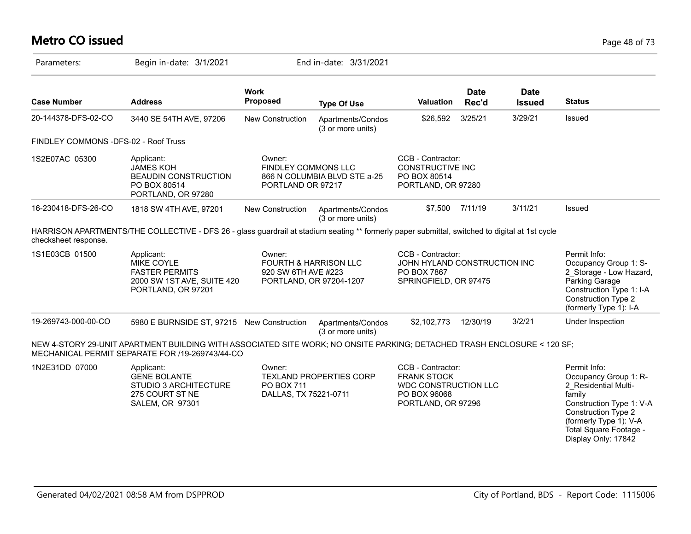### **Metro CO issued** Page 48 of 73

| Parameters:                          | Begin in-date: 3/1/2021                                                                                                                                                    |                                                                   | End in-date: 3/31/2021                 |                                                                                                              |                      |                              |                                                                                                                                                                                |
|--------------------------------------|----------------------------------------------------------------------------------------------------------------------------------------------------------------------------|-------------------------------------------------------------------|----------------------------------------|--------------------------------------------------------------------------------------------------------------|----------------------|------------------------------|--------------------------------------------------------------------------------------------------------------------------------------------------------------------------------|
| <b>Case Number</b>                   | <b>Address</b>                                                                                                                                                             | <b>Work</b><br>Proposed                                           | <b>Type Of Use</b>                     | <b>Valuation</b>                                                                                             | <b>Date</b><br>Rec'd | <b>Date</b><br><b>Issued</b> | <b>Status</b>                                                                                                                                                                  |
| 20-144378-DFS-02-CO                  | 3440 SE 54TH AVE, 97206                                                                                                                                                    | New Construction                                                  | Apartments/Condos<br>(3 or more units) | \$26,592                                                                                                     | 3/25/21              | 3/29/21                      | Issued                                                                                                                                                                         |
| FINDLEY COMMONS -DFS-02 - Roof Truss |                                                                                                                                                                            |                                                                   |                                        |                                                                                                              |                      |                              |                                                                                                                                                                                |
| 1S2E07AC 05300                       | Applicant:<br><b>JAMES KOH</b><br><b>BEAUDIN CONSTRUCTION</b><br>PO BOX 80514<br>PORTLAND, OR 97280                                                                        | Owner:<br><b>FINDLEY COMMONS LLC</b><br>PORTLAND OR 97217         | 866 N COLUMBIA BLVD STE a-25           | CCB - Contractor:<br><b>CONSTRUCTIVE INC</b><br>PO BOX 80514<br>PORTLAND, OR 97280                           |                      |                              |                                                                                                                                                                                |
| 16-230418-DFS-26-CO                  | 1818 SW 4TH AVE, 97201                                                                                                                                                     | <b>New Construction</b>                                           | Apartments/Condos<br>(3 or more units) | \$7,500                                                                                                      | 7/11/19              | 3/11/21                      | Issued                                                                                                                                                                         |
| checksheet response.                 | HARRISON APARTMENTS/THE COLLECTIVE - DFS 26 - glass guardrail at stadium seating ** formerly paper submittal, switched to digital at 1st cycle                             |                                                                   |                                        |                                                                                                              |                      |                              |                                                                                                                                                                                |
| 1S1E03CB 01500                       | Applicant:<br>MIKE COYLE<br><b>FASTER PERMITS</b><br>2000 SW 1ST AVE, SUITE 420<br>PORTLAND, OR 97201                                                                      | Owner:<br><b>FOURTH &amp; HARRISON LLC</b><br>920 SW 6TH AVE #223 | PORTLAND, OR 97204-1207                | CCB - Contractor:<br>JOHN HYLAND CONSTRUCTION INC<br>PO BOX 7867<br>SPRINGFIELD, OR 97475                    |                      |                              | Permit Info:<br>Occupancy Group 1: S-<br>2 Storage - Low Hazard,<br>Parking Garage<br>Construction Type 1: I-A<br><b>Construction Type 2</b><br>(formerly Type 1): I-A         |
| 19-269743-000-00-CO                  | 5980 E BURNSIDE ST, 97215 New Construction                                                                                                                                 |                                                                   | Apartments/Condos<br>(3 or more units) | \$2,102,773                                                                                                  | 12/30/19             | 3/2/21                       | Under Inspection                                                                                                                                                               |
|                                      | NEW 4-STORY 29-UNIT APARTMENT BUILDING WITH ASSOCIATED SITE WORK; NO ONSITE PARKING; DETACHED TRASH ENCLOSURE < 120 SF;<br>MECHANICAL PERMIT SEPARATE FOR /19-269743/44-CO |                                                                   |                                        |                                                                                                              |                      |                              |                                                                                                                                                                                |
| 1N2E31DD 07000                       | Applicant:<br><b>GENE BOLANTE</b><br><b>STUDIO 3 ARCHITECTURE</b><br>275 COURT ST NE<br><b>SALEM, OR 97301</b>                                                             | Owner:<br><b>PO BOX 711</b><br>DALLAS, TX 75221-0711              | <b>TEXLAND PROPERTIES CORP</b>         | CCB - Contractor:<br><b>FRANK STOCK</b><br><b>WDC CONSTRUCTION LLC</b><br>PO BOX 96068<br>PORTLAND, OR 97296 |                      |                              | Permit Info:<br>Occupancy Group 1: R-<br>2 Residential Multi-<br>family<br>Construction Type 1: V-A<br>Construction Type 2<br>(formerly Type 1): V-A<br>Total Square Footage - |

Display Only: 17842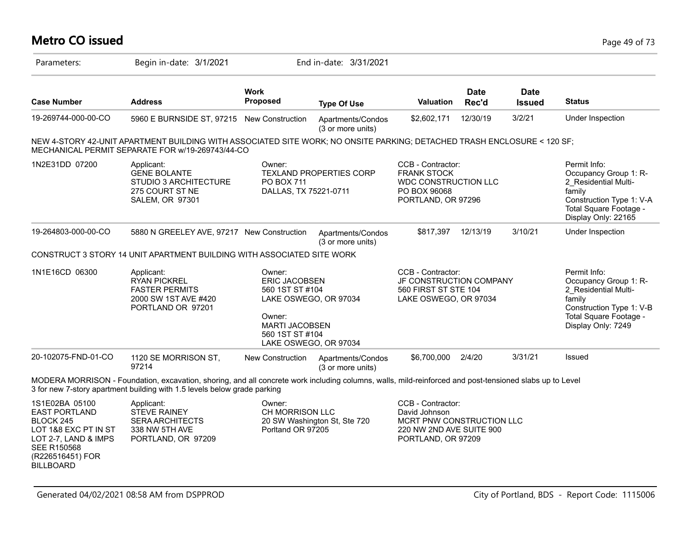### **Metro CO issued** Page 49 of 73

| Parameters:                                                                                                                                                       | Begin in-date: 3/1/2021                                                                                                                                                                                                             |                                                                                                                                                           | End in-date: 3/31/2021                 |                                                                                                                   |                      |                              |                                                                                                                                                      |
|-------------------------------------------------------------------------------------------------------------------------------------------------------------------|-------------------------------------------------------------------------------------------------------------------------------------------------------------------------------------------------------------------------------------|-----------------------------------------------------------------------------------------------------------------------------------------------------------|----------------------------------------|-------------------------------------------------------------------------------------------------------------------|----------------------|------------------------------|------------------------------------------------------------------------------------------------------------------------------------------------------|
| <b>Case Number</b>                                                                                                                                                | <b>Address</b>                                                                                                                                                                                                                      | <b>Work</b><br>Proposed                                                                                                                                   | <b>Type Of Use</b>                     | Valuation                                                                                                         | <b>Date</b><br>Rec'd | <b>Date</b><br><b>Issued</b> | <b>Status</b>                                                                                                                                        |
| 19-269744-000-00-CO                                                                                                                                               | 5960 E BURNSIDE ST, 97215 New Construction                                                                                                                                                                                          |                                                                                                                                                           | Apartments/Condos<br>(3 or more units) | \$2,602,171                                                                                                       | 12/30/19             | 3/2/21                       | Under Inspection                                                                                                                                     |
|                                                                                                                                                                   | NEW 4-STORY 42-UNIT APARTMENT BUILDING WITH ASSOCIATED SITE WORK; NO ONSITE PARKING; DETACHED TRASH ENCLOSURE < 120 SF;<br>MECHANICAL PERMIT SEPARATE FOR w/19-269743/44-CO                                                         |                                                                                                                                                           |                                        |                                                                                                                   |                      |                              |                                                                                                                                                      |
| 1N2E31DD 07200                                                                                                                                                    | Applicant:<br><b>GENE BOLANTE</b><br>STUDIO 3 ARCHITECTURE<br>275 COURT ST NE<br><b>SALEM, OR 97301</b>                                                                                                                             | Owner:<br><b>PO BOX 711</b><br>DALLAS, TX 75221-0711                                                                                                      | <b>TEXLAND PROPERTIES CORP</b>         | CCB - Contractor:<br><b>FRANK STOCK</b><br>WDC CONSTRUCTION LLC<br>PO BOX 96068<br>PORTLAND, OR 97296             |                      |                              | Permit Info:<br>Occupancy Group 1: R-<br>2 Residential Multi-<br>family<br>Construction Type 1: V-A<br>Total Square Footage -<br>Display Only: 22165 |
| 19-264803-000-00-CO                                                                                                                                               | 5880 N GREELEY AVE, 97217 New Construction                                                                                                                                                                                          |                                                                                                                                                           | Apartments/Condos<br>(3 or more units) | \$817,397                                                                                                         | 12/13/19             | 3/10/21                      | Under Inspection                                                                                                                                     |
|                                                                                                                                                                   | CONSTRUCT 3 STORY 14 UNIT APARTMENT BUILDING WITH ASSOCIATED SITE WORK                                                                                                                                                              |                                                                                                                                                           |                                        |                                                                                                                   |                      |                              |                                                                                                                                                      |
| 1N1E16CD 06300                                                                                                                                                    | Applicant:<br><b>RYAN PICKREL</b><br><b>FASTER PERMITS</b><br>2000 SW 1ST AVE #420<br>PORTLAND OR 97201                                                                                                                             | Owner:<br><b>ERIC JACOBSEN</b><br>560 1ST ST #104<br>LAKE OSWEGO, OR 97034<br>Owner:<br><b>MARTI JACOBSEN</b><br>560 1ST ST #104<br>LAKE OSWEGO, OR 97034 |                                        | CCB - Contractor:<br>JF CONSTRUCTION COMPANY<br>560 FIRST ST STE 104<br>LAKE OSWEGO, OR 97034                     |                      |                              | Permit Info:<br>Occupancy Group 1: R-<br>2 Residential Multi-<br>family<br>Construction Type 1: V-B<br>Total Square Footage -<br>Display Only: 7249  |
| 20-102075-FND-01-CO                                                                                                                                               | 1120 SE MORRISON ST,<br>97214                                                                                                                                                                                                       | New Construction                                                                                                                                          | Apartments/Condos<br>(3 or more units) | \$6,700,000                                                                                                       | 2/4/20               | 3/31/21                      | Issued                                                                                                                                               |
|                                                                                                                                                                   | MODERA MORRISON - Foundation, excavation, shoring, and all concrete work including columns, walls, mild-reinforced and post-tensioned slabs up to Level<br>3 for new 7-story apartment building with 1.5 levels below grade parking |                                                                                                                                                           |                                        |                                                                                                                   |                      |                              |                                                                                                                                                      |
| 1S1E02BA 05100<br><b>EAST PORTLAND</b><br>BLOCK 245<br>LOT 1&8 EXC PT IN ST<br>LOT 2-7, LAND & IMPS<br><b>SEE R150568</b><br>(R226516451) FOR<br><b>BILLBOARD</b> | Applicant:<br><b>STEVE RAINEY</b><br><b>SERA ARCHITECTS</b><br>338 NW 5TH AVE<br>PORTLAND, OR 97209                                                                                                                                 | Owner:<br>CH MORRISON LLC<br>Porltand OR 97205                                                                                                            | 20 SW Washington St, Ste 720           | CCB - Contractor:<br>David Johnson<br>MCRT PNW CONSTRUCTION LLC<br>220 NW 2ND AVE SUITE 900<br>PORTLAND, OR 97209 |                      |                              |                                                                                                                                                      |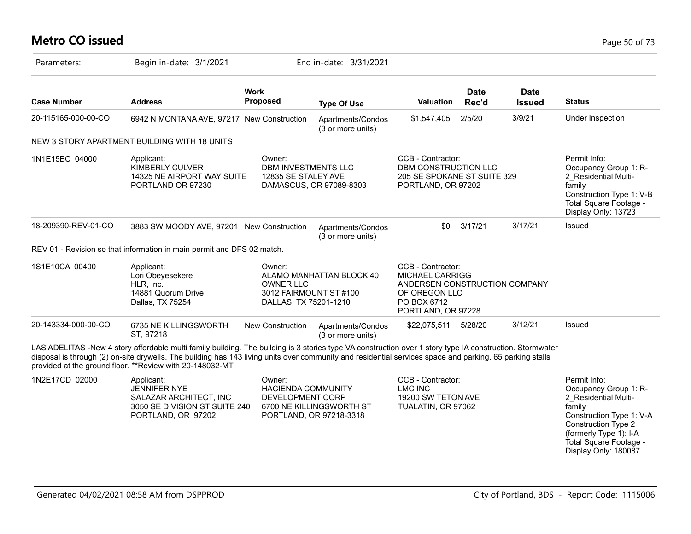# **Metro CO issued** Page 50 of 73

| Parameters:         | Begin in-date: 3/1/2021                                                                                                                                                                                                                                                                                                                                                           |                                                                               | End in-date: 3/31/2021                              |                                                                                                                                    |                      |                              |                                                                                                                                                                                                        |
|---------------------|-----------------------------------------------------------------------------------------------------------------------------------------------------------------------------------------------------------------------------------------------------------------------------------------------------------------------------------------------------------------------------------|-------------------------------------------------------------------------------|-----------------------------------------------------|------------------------------------------------------------------------------------------------------------------------------------|----------------------|------------------------------|--------------------------------------------------------------------------------------------------------------------------------------------------------------------------------------------------------|
| <b>Case Number</b>  | <b>Address</b>                                                                                                                                                                                                                                                                                                                                                                    | <b>Work</b><br><b>Proposed</b>                                                | <b>Type Of Use</b>                                  | <b>Valuation</b>                                                                                                                   | <b>Date</b><br>Rec'd | <b>Date</b><br><b>Issued</b> | <b>Status</b>                                                                                                                                                                                          |
| 20-115165-000-00-CO | 6942 N MONTANA AVE, 97217 New Construction                                                                                                                                                                                                                                                                                                                                        |                                                                               | Apartments/Condos<br>(3 or more units)              | \$1,547,405                                                                                                                        | 2/5/20               | 3/9/21                       | Under Inspection                                                                                                                                                                                       |
|                     | NEW 3 STORY APARTMENT BUILDING WITH 18 UNITS                                                                                                                                                                                                                                                                                                                                      |                                                                               |                                                     |                                                                                                                                    |                      |                              |                                                                                                                                                                                                        |
| 1N1E15BC 04000      | Applicant:<br><b>KIMBERLY CULVER</b><br>14325 NE AIRPORT WAY SUITE<br>PORTLAND OR 97230                                                                                                                                                                                                                                                                                           | Owner:<br><b>DBM INVESTMENTS LLC</b><br>12835 SE STALEY AVE                   | DAMASCUS, OR 97089-8303                             | CCB - Contractor:<br>DBM CONSTRUCTION LLC<br>205 SE SPOKANE ST SUITE 329<br>PORTLAND, OR 97202                                     |                      |                              | Permit Info:<br>Occupancy Group 1: R-<br>2 Residential Multi-<br>family<br>Construction Type 1: V-B<br>Total Square Footage -<br>Display Only: 13723                                                   |
| 18-209390-REV-01-CO | 3883 SW MOODY AVE, 97201 New Construction                                                                                                                                                                                                                                                                                                                                         |                                                                               | Apartments/Condos<br>(3 or more units)              | \$0                                                                                                                                | 3/17/21              | 3/17/21                      | Issued                                                                                                                                                                                                 |
|                     | REV 01 - Revision so that information in main permit and DFS 02 match.                                                                                                                                                                                                                                                                                                            |                                                                               |                                                     |                                                                                                                                    |                      |                              |                                                                                                                                                                                                        |
| 1S1E10CA 00400      | Applicant:<br>Lori Obeyesekere<br>HLR, Inc.<br>14881 Quorum Drive<br>Dallas, TX 75254                                                                                                                                                                                                                                                                                             | Owner:<br><b>OWNER LLC</b><br>3012 FAIRMOUNT ST #100<br>DALLAS, TX 75201-1210 | ALAMO MANHATTAN BLOCK 40                            | CCB - Contractor:<br><b>MICHAEL CARRIGG</b><br>ANDERSEN CONSTRUCTION COMPANY<br>OF OREGON LLC<br>PO BOX 6712<br>PORTLAND, OR 97228 |                      |                              |                                                                                                                                                                                                        |
| 20-143334-000-00-CO | 6735 NE KILLINGSWORTH<br>ST, 97218                                                                                                                                                                                                                                                                                                                                                | New Construction                                                              | Apartments/Condos<br>(3 or more units)              | \$22,075,511   5/28/20                                                                                                             |                      | 3/12/21                      | Issued                                                                                                                                                                                                 |
|                     | LAS ADELITAS -New 4 story affordable multi family building. The building is 3 stories type VA construction over 1 story type IA construction. Stormwater<br>disposal is through (2) on-site drywells. The building has 143 living units over community and residential services space and parking. 65 parking stalls<br>provided at the ground floor. ** Review with 20-148032-MT |                                                                               |                                                     |                                                                                                                                    |                      |                              |                                                                                                                                                                                                        |
| 1N2E17CD 02000      | Applicant:<br>JENNIFER NYE<br>SALAZAR ARCHITECT, INC<br>3050 SE DIVISION ST SUITE 240<br>PORTLAND, OR 97202                                                                                                                                                                                                                                                                       | Owner:<br><b>HACIENDA COMMUNITY</b><br>DEVELOPMENT CORP                       | 6700 NE KILLINGSWORTH ST<br>PORTLAND, OR 97218-3318 | CCB - Contractor:<br><b>LMC INC</b><br>19200 SW TETON AVE<br>TUALATIN, OR 97062                                                    |                      |                              | Permit Info:<br>Occupancy Group 1: R-<br>2 Residential Multi-<br>family<br>Construction Type 1: V-A<br>Construction Type 2<br>(formerly Type 1): I-A<br>Total Square Footage -<br>Display Only: 180087 |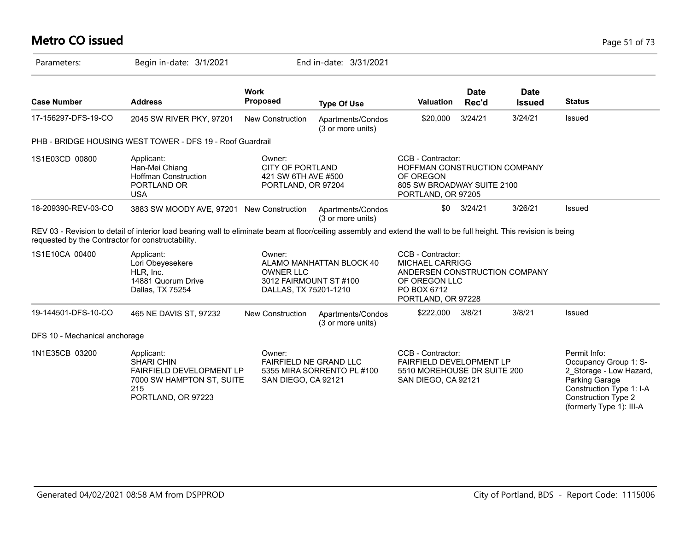# **Metro CO issued** Page 51 of 73

| Parameters:                                       | Begin in-date: 3/1/2021                                                                                                                                             |                                                                                | End in-date: 3/31/2021                 |                                                                                                                                    |                      |                              |                                                                                                                                                                          |
|---------------------------------------------------|---------------------------------------------------------------------------------------------------------------------------------------------------------------------|--------------------------------------------------------------------------------|----------------------------------------|------------------------------------------------------------------------------------------------------------------------------------|----------------------|------------------------------|--------------------------------------------------------------------------------------------------------------------------------------------------------------------------|
| <b>Case Number</b>                                | <b>Address</b>                                                                                                                                                      | <b>Work</b><br><b>Proposed</b>                                                 | <b>Type Of Use</b>                     | <b>Valuation</b>                                                                                                                   | <b>Date</b><br>Rec'd | <b>Date</b><br><b>Issued</b> | <b>Status</b>                                                                                                                                                            |
| 17-156297-DFS-19-CO                               | 2045 SW RIVER PKY, 97201                                                                                                                                            | <b>New Construction</b>                                                        | Apartments/Condos<br>(3 or more units) | \$20,000                                                                                                                           | 3/24/21              | 3/24/21                      | Issued                                                                                                                                                                   |
|                                                   | PHB - BRIDGE HOUSING WEST TOWER - DFS 19 - Roof Guardrail                                                                                                           |                                                                                |                                        |                                                                                                                                    |                      |                              |                                                                                                                                                                          |
| 1S1E03CD 00800                                    | Applicant:<br>Han-Mei Chiang<br><b>Hoffman Construction</b><br>PORTLAND OR<br><b>USA</b>                                                                            | Owner:<br><b>CITY OF PORTLAND</b><br>421 SW 6TH AVE #500<br>PORTLAND, OR 97204 |                                        | CCB - Contractor:<br>HOFFMAN CONSTRUCTION COMPANY<br>OF OREGON<br>805 SW BROADWAY SUITE 2100<br>PORTLAND, OR 97205                 |                      |                              |                                                                                                                                                                          |
| 18-209390-REV-03-CO                               | 3883 SW MOODY AVE, 97201 New Construction                                                                                                                           |                                                                                | Apartments/Condos<br>(3 or more units) | \$0                                                                                                                                | 3/24/21              | 3/26/21                      | Issued                                                                                                                                                                   |
| requested by the Contractor for constructability. | REV 03 - Revision to detail of interior load bearing wall to eliminate beam at floor/ceiling assembly and extend the wall to be full height. This revision is being |                                                                                |                                        |                                                                                                                                    |                      |                              |                                                                                                                                                                          |
| 1S1E10CA 00400                                    | Applicant:<br>Lori Obeyesekere<br>HLR. Inc.<br>14881 Quorum Drive<br>Dallas, TX 75254                                                                               | Owner:<br><b>OWNER LLC</b><br>3012 FAIRMOUNT ST #100<br>DALLAS, TX 75201-1210  | ALAMO MANHATTAN BLOCK 40               | CCB - Contractor:<br><b>MICHAEL CARRIGG</b><br>ANDERSEN CONSTRUCTION COMPANY<br>OF OREGON LLC<br>PO BOX 6712<br>PORTLAND, OR 97228 |                      |                              |                                                                                                                                                                          |
| 19-144501-DFS-10-CO                               | 465 NE DAVIS ST, 97232                                                                                                                                              | <b>New Construction</b>                                                        | Apartments/Condos<br>(3 or more units) | \$222,000                                                                                                                          | 3/8/21               | 3/8/21                       | Issued                                                                                                                                                                   |
| DFS 10 - Mechanical anchorage                     |                                                                                                                                                                     |                                                                                |                                        |                                                                                                                                    |                      |                              |                                                                                                                                                                          |
| 1N1E35CB 03200                                    | Applicant:<br><b>SHARI CHIN</b><br><b>FAIRFIELD DEVELOPMENT LP</b><br>7000 SW HAMPTON ST, SUITE<br>215<br>PORTLAND, OR 97223                                        | Owner:<br>FAIRFIELD NE GRAND LLC<br>SAN DIEGO, CA 92121                        | 5355 MIRA SORRENTO PL #100             | CCB - Contractor:<br><b>FAIRFIELD DEVELOPMENT LP</b><br>5510 MOREHOUSE DR SUITE 200<br>SAN DIEGO, CA 92121                         |                      |                              | Permit Info:<br>Occupancy Group 1: S-<br>2_Storage - Low Hazard,<br>Parking Garage<br>Construction Type 1: I-A<br><b>Construction Type 2</b><br>(formerly Type 1): III-A |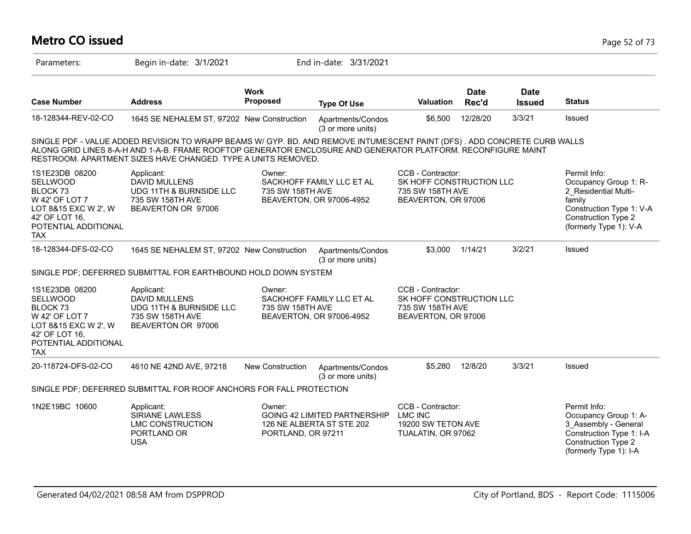# **Metro CO issued** Page 52 of 73

| Parameters:                                                                                                                                     | Begin in-date: 3/1/2021                                                                                                                                                                                                                                                                                    |                              | End in-date: 3/31/2021                                    |                                                                                          |                      |                              |                                                                                                                                                      |
|-------------------------------------------------------------------------------------------------------------------------------------------------|------------------------------------------------------------------------------------------------------------------------------------------------------------------------------------------------------------------------------------------------------------------------------------------------------------|------------------------------|-----------------------------------------------------------|------------------------------------------------------------------------------------------|----------------------|------------------------------|------------------------------------------------------------------------------------------------------------------------------------------------------|
| <b>Case Number</b>                                                                                                                              | <b>Address</b>                                                                                                                                                                                                                                                                                             | <b>Work</b><br>Proposed      | <b>Type Of Use</b>                                        | Valuation                                                                                | <b>Date</b><br>Rec'd | <b>Date</b><br><b>Issued</b> | <b>Status</b>                                                                                                                                        |
| 18-128344-REV-02-CO                                                                                                                             | 1645 SE NEHALEM ST, 97202 New Construction                                                                                                                                                                                                                                                                 |                              | Apartments/Condos<br>(3 or more units)                    | \$6,500                                                                                  | 12/28/20             | 3/3/21                       | Issued                                                                                                                                               |
|                                                                                                                                                 | SINGLE PDF - VALUE ADDED REVISION TO WRAPP BEAMS W/ GYP. BD. AND REMOVE INTUMESCENT PAINT (DFS). ADD CONCRETE CURB WALLS<br>ALONG GRID LINES 8-A-H AND 1-A-B. FRAME ROOFTOP GENERATOR ENCLOSURE AND GENERATOR PLATFORM. RECONFIGURE MAINT<br>RESTROOM. APARTMENT SIZES HAVE CHANGED. TYPE A UNITS REMOVED. |                              |                                                           |                                                                                          |                      |                              |                                                                                                                                                      |
| 1S1E23DB 08200<br>SELLWOOD<br><b>BLOCK73</b><br>W 42' OF LOT 7<br>LOT 8&15 EXC W 2', W<br>42' OF LOT 16,<br>POTENTIAL ADDITIONAL<br>TAX         | Applicant:<br><b>DAVID MULLENS</b><br>UDG 11TH & BURNSIDE LLC<br>735 SW 158TH AVE<br>BEAVERTON OR 97006                                                                                                                                                                                                    | Owner:<br>735 SW 158TH AVE   | SACKHOFF FAMILY LLC ET AL<br>BEAVERTON, OR 97006-4952     | CCB - Contractor:<br>SK HOFF CONSTRUCTION LLC<br>735 SW 158TH AVE<br>BEAVERTON, OR 97006 |                      |                              | Permit Info:<br>Occupancy Group 1: R-<br>2 Residential Multi-<br>family<br>Construction Type 1: V-A<br>Construction Type 2<br>(formerly Type 1): V-A |
| 18-128344-DFS-02-CO                                                                                                                             | 1645 SE NEHALEM ST, 97202 New Construction                                                                                                                                                                                                                                                                 |                              | Apartments/Condos<br>(3 or more units)                    | \$3,000                                                                                  | 1/14/21              | 3/2/21                       | Issued                                                                                                                                               |
|                                                                                                                                                 | SINGLE PDF; DEFERRED SUBMITTAL FOR EARTHBOUND HOLD DOWN SYSTEM                                                                                                                                                                                                                                             |                              |                                                           |                                                                                          |                      |                              |                                                                                                                                                      |
| 1S1E23DB 08200<br><b>SELLWOOD</b><br><b>BLOCK73</b><br>W 42' OF LOT 7<br>LOT 8&15 EXC W 2', W<br>42' OF LOT 16,<br>POTENTIAL ADDITIONAL<br>TAX. | Applicant:<br><b>DAVID MULLENS</b><br>UDG 11TH & BURNSIDE LLC<br>735 SW 158TH AVE<br>BEAVERTON OR 97006                                                                                                                                                                                                    | Owner:<br>735 SW 158TH AVE   | SACKHOFF FAMILY LLC ET AL<br>BEAVERTON, OR 97006-4952     | CCB - Contractor:<br>SK HOFF CONSTRUCTION LLC<br>735 SW 158TH AVE<br>BEAVERTON, OR 97006 |                      |                              |                                                                                                                                                      |
| 20-118724-DFS-02-CO                                                                                                                             | 4610 NE 42ND AVE, 97218                                                                                                                                                                                                                                                                                    | New Construction             | Apartments/Condos<br>(3 or more units)                    | \$5,280                                                                                  | 12/8/20              | 3/3/21                       | Issued                                                                                                                                               |
|                                                                                                                                                 | SINGLE PDF; DEFERRED SUBMITTAL FOR ROOF ANCHORS FOR FALL PROTECTION                                                                                                                                                                                                                                        |                              |                                                           |                                                                                          |                      |                              |                                                                                                                                                      |
| 1N2E19BC 10600                                                                                                                                  | Applicant:<br>SIRIANE LAWLESS<br><b>LMC CONSTRUCTION</b><br>PORTLAND OR<br><b>USA</b>                                                                                                                                                                                                                      | Owner:<br>PORTLAND, OR 97211 | GOING 42 LIMITED PARTNERSHIP<br>126 NE ALBERTA ST STE 202 | CCB - Contractor:<br><b>LMC INC</b><br>19200 SW TETON AVE<br>TUALATIN, OR 97062          |                      |                              | Permit Info:<br>Occupancy Group 1: A-<br>3 Assembly - General<br>Construction Type 1: I-A<br><b>Construction Type 2</b><br>(formerly Type 1): I-A    |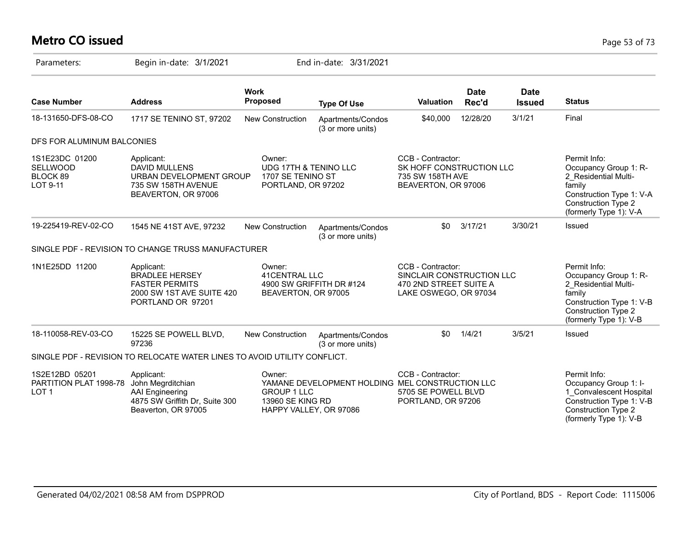# **Metro CO issued** Page 53 of 73

| Parameters:                                                  | Begin in-date: 3/1/2021                                                                                            |                                                                            | End in-date: 3/31/2021                          |                                                                                                   |                      |                              |                                                                                                                                                             |
|--------------------------------------------------------------|--------------------------------------------------------------------------------------------------------------------|----------------------------------------------------------------------------|-------------------------------------------------|---------------------------------------------------------------------------------------------------|----------------------|------------------------------|-------------------------------------------------------------------------------------------------------------------------------------------------------------|
| <b>Case Number</b>                                           | <b>Address</b>                                                                                                     | <b>Work</b><br><b>Proposed</b>                                             | <b>Type Of Use</b>                              | <b>Valuation</b>                                                                                  | <b>Date</b><br>Rec'd | <b>Date</b><br><b>Issued</b> | <b>Status</b>                                                                                                                                               |
| 18-131650-DFS-08-CO                                          | 1717 SE TENINO ST, 97202                                                                                           | <b>New Construction</b>                                                    | Apartments/Condos<br>(3 or more units)          | \$40,000                                                                                          | 12/28/20             | 3/1/21                       | Final                                                                                                                                                       |
| DFS FOR ALUMINUM BALCONIES                                   |                                                                                                                    |                                                                            |                                                 |                                                                                                   |                      |                              |                                                                                                                                                             |
| 1S1E23DC 01200<br><b>SELLWOOD</b><br>BLOCK 89<br>LOT 9-11    | Applicant:<br><b>DAVID MULLENS</b><br>URBAN DEVELOPMENT GROUP<br>735 SW 158TH AVENUE<br>BEAVERTON, OR 97006        | Owner:<br>UDG 17TH & TENINO LLC<br>1707 SE TENINO ST<br>PORTLAND, OR 97202 |                                                 | CCB - Contractor:<br>SK HOFF CONSTRUCTION LLC<br>735 SW 158TH AVE<br>BEAVERTON, OR 97006          |                      |                              | Permit Info:<br>Occupancy Group 1: R-<br>2 Residential Multi-<br>family<br>Construction Type 1: V-A<br><b>Construction Type 2</b><br>(formerly Type 1): V-A |
| 19-225419-REV-02-CO                                          | 1545 NE 41ST AVE, 97232                                                                                            | New Construction                                                           | Apartments/Condos<br>(3 or more units)          | \$0                                                                                               | 3/17/21              | 3/30/21                      | Issued                                                                                                                                                      |
|                                                              | SINGLE PDF - REVISION TO CHANGE TRUSS MANUFACTURER                                                                 |                                                                            |                                                 |                                                                                                   |                      |                              |                                                                                                                                                             |
| 1N1E25DD 11200                                               | Applicant:<br><b>BRADLEE HERSEY</b><br><b>FASTER PERMITS</b><br>2000 SW 1ST AVE SUITE 420<br>PORTLAND OR 97201     | Owner:<br>41CENTRAL LLC<br>BEAVERTON, OR 97005                             | 4900 SW GRIFFITH DR #124                        | CCB - Contractor:<br>SINCLAIR CONSTRUCTION LLC<br>470 2ND STREET SUITE A<br>LAKE OSWEGO, OR 97034 |                      |                              | Permit Info:<br>Occupancy Group 1: R-<br>2 Residential Multi-<br>family<br>Construction Type 1: V-B<br>Construction Type 2<br>(formerly Type 1): V-B        |
| 18-110058-REV-03-CO                                          | 15225 SE POWELL BLVD,<br>97236                                                                                     | New Construction                                                           | Apartments/Condos<br>(3 or more units)          | \$0                                                                                               | 1/4/21               | 3/5/21                       | Issued                                                                                                                                                      |
|                                                              | SINGLE PDF - REVISION TO RELOCATE WATER LINES TO AVOID UTILITY CONFLICT.                                           |                                                                            |                                                 |                                                                                                   |                      |                              |                                                                                                                                                             |
| 1S2E12BD 05201<br>PARTITION PLAT 1998-78<br>LOT <sub>1</sub> | Applicant:<br>John Megrditchian<br><b>AAI</b> Engineering<br>4875 SW Griffith Dr, Suite 300<br>Beaverton, OR 97005 | Owner:<br><b>GROUP 1 LLC</b><br>13960 SE KING RD<br>HAPPY VALLEY, OR 97086 | YAMANE DEVELOPMENT HOLDING MEL CONSTRUCTION LLC | CCB - Contractor:<br>5705 SE POWELL BLVD<br>PORTLAND, OR 97206                                    |                      |                              | Permit Info:<br>Occupancy Group 1: I-<br>1 Convalescent Hospital<br>Construction Type 1: V-B<br><b>Construction Type 2</b><br>(formerly Type 1): V-B        |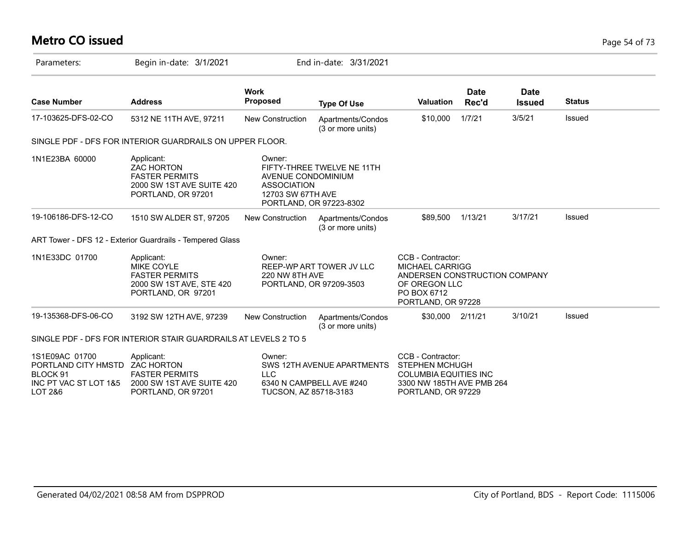# **Metro CO issued** Page 54 of 73

| Parameters:                                                                                      | Begin in-date: 3/1/2021                                                                                                                                                                       |                                                                                                    | End in-date: 3/31/2021                                                                                                             |                                                                                                                               |                      |                              |               |  |
|--------------------------------------------------------------------------------------------------|-----------------------------------------------------------------------------------------------------------------------------------------------------------------------------------------------|----------------------------------------------------------------------------------------------------|------------------------------------------------------------------------------------------------------------------------------------|-------------------------------------------------------------------------------------------------------------------------------|----------------------|------------------------------|---------------|--|
| <b>Case Number</b>                                                                               | <b>Address</b>                                                                                                                                                                                | <b>Work</b><br>Proposed                                                                            | <b>Type Of Use</b>                                                                                                                 | <b>Valuation</b>                                                                                                              | <b>Date</b><br>Rec'd | <b>Date</b><br><b>Issued</b> | <b>Status</b> |  |
| 17-103625-DFS-02-CO                                                                              | 5312 NE 11TH AVE, 97211                                                                                                                                                                       | New Construction                                                                                   | Apartments/Condos<br>(3 or more units)                                                                                             | \$10,000                                                                                                                      | 1/7/21               | 3/5/21                       | Issued        |  |
|                                                                                                  | SINGLE PDF - DFS FOR INTERIOR GUARDRAILS ON UPPER FLOOR.                                                                                                                                      |                                                                                                    |                                                                                                                                    |                                                                                                                               |                      |                              |               |  |
| 1N1E23BA 60000                                                                                   | Applicant:<br><b>ZAC HORTON</b><br><b>FASTER PERMITS</b><br>2000 SW 1ST AVE SUITE 420<br>PORTLAND, OR 97201                                                                                   | Owner:<br>AVENUE CONDOMINIUM<br><b>ASSOCIATION</b><br>12703 SW 67TH AVE<br>PORTLAND, OR 97223-8302 | FIFTY-THREE TWELVE NE 11TH                                                                                                         |                                                                                                                               |                      |                              |               |  |
| 19-106186-DFS-12-CO                                                                              | 1510 SW ALDER ST, 97205                                                                                                                                                                       | <b>New Construction</b>                                                                            | Apartments/Condos<br>(3 or more units)                                                                                             | \$89,500                                                                                                                      | 1/13/21              | 3/17/21                      | Issued        |  |
|                                                                                                  | ART Tower - DFS 12 - Exterior Guardrails - Tempered Glass                                                                                                                                     |                                                                                                    |                                                                                                                                    |                                                                                                                               |                      |                              |               |  |
| 1N1E33DC 01700                                                                                   | Applicant:<br>Owner:<br>REEP-WP ART TOWER JV LLC<br><b>MIKE COYLE</b><br><b>FASTER PERMITS</b><br>220 NW 8TH AVE<br>2000 SW 1ST AVE, STE 420<br>PORTLAND, OR 97209-3503<br>PORTLAND, OR 97201 |                                                                                                    | CCB - Contractor:<br><b>MICHAEL CARRIGG</b><br>ANDERSEN CONSTRUCTION COMPANY<br>OF OREGON LLC<br>PO BOX 6712<br>PORTLAND, OR 97228 |                                                                                                                               |                      |                              |               |  |
| 19-135368-DFS-06-CO                                                                              | 3192 SW 12TH AVE, 97239                                                                                                                                                                       | New Construction                                                                                   | Apartments/Condos<br>(3 or more units)                                                                                             | \$30,000                                                                                                                      | 2/11/21              | 3/10/21                      | Issued        |  |
|                                                                                                  | SINGLE PDF - DFS FOR INTERIOR STAIR GUARDRAILS AT LEVELS 2 TO 5                                                                                                                               |                                                                                                    |                                                                                                                                    |                                                                                                                               |                      |                              |               |  |
| 1S1E09AC 01700<br>PORTLAND CITY HMSTD ZAC HORTON<br>BLOCK 91<br>INC PT VAC ST LOT 1&5<br>LOT 2&6 | Applicant:<br><b>FASTER PERMITS</b><br>2000 SW 1ST AVE SUITE 420<br>PORTLAND, OR 97201                                                                                                        | Owner:<br><b>LLC</b><br>TUCSON, AZ 85718-3183                                                      | SWS 12TH AVENUE APARTMENTS<br>6340 N CAMPBELL AVE #240                                                                             | CCB - Contractor:<br><b>STEPHEN MCHUGH</b><br><b>COLUMBIA EQUITIES INC</b><br>3300 NW 185TH AVE PMB 264<br>PORTLAND, OR 97229 |                      |                              |               |  |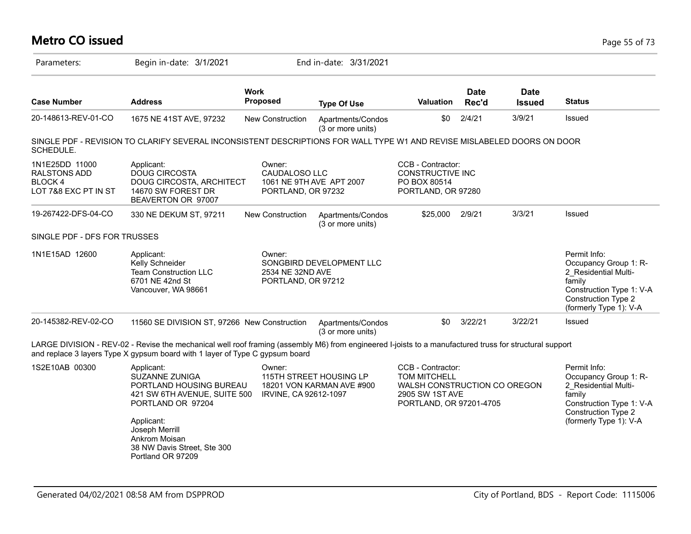#### **Metro CO issued** Page 55 of 73 Parameters: Begin in-date: 3/1/2021 End in-date: 3/31/2021 **Work Case Number Address Proposed Type Of Use Valuation Status Date Rec'd Date Issued** 20-148613-REV-01-CO 1675 NE 41ST AVE, 97232 New Construction Apartments/Condos (3 or more units) \$0 2/4/21 3/9/21 Issued SINGLE PDF - REVISION TO CLARIFY SEVERAL INCONSISTENT DESCRIPTIONS FOR WALL TYPE W1 AND REVISE MISLABELED DOORS ON DOOR SCHEDULE. 1N1E25DD 11000 RALSTONS ADD BLOCK 4 LOT 7&8 EXC PT IN ST CCB - Contractor: CONSTRUCTIVE INC PO BOX 80514 PORTLAND, OR 97280 Owner: CAUDALOSO LLC 1061 NE 9TH AVE APT 2007 PORTLAND, OR 97232 Applicant: DOUG CIRCOSTA DOUG CIRCOSTA, ARCHITECT 14670 SW FOREST DR BEAVERTON OR 97007 19-267422-DFS-04-CO 330 NE DEKUM ST, 97211 New Construction Apartments/Condos (3 or more units) \$25,000 2/9/21 3/3/21 Issued SINGLE PDF - DFS FOR TRUSSES 1N1E15AD 12600 Applicant: CWINET Permit Info: CWINNET Permit Info: Occupancy Group 1: R-2\_Residential Multifamily Construction Type 1: V-A Construction Type 2 (formerly Type 1): V-A Owner: SONGBIRD DEVELOPMENT LLC 2534 NE 32ND AVE PORTLAND, OR 97212 Applicant: Kelly Schneider Team Construction LLC 6701 NE 42nd St Vancouver, WA 98661 20-145382-REV-02-CO 11560 SE DIVISION ST, 97266 New Construction Apartments/Condos (3 or more units) \$0 3/22/21 3/22/21 Issued LARGE DIVISION - REV-02 - Revise the mechanical well roof framing (assembly M6) from engineered I-joists to a manufactured truss for structural support and replace 3 layers Type X gypsum board with 1 layer of Type C gypsum board 1S2E10AB 00300 Permit Info: Occupancy Group 1: R-2\_Residential Multifamily Construction Type 1: V-A Construction Type 2 (formerly Type 1): V-A CCB - Contractor: TOM MITCHELL WALSH CONSTRUCTION CO OREGON 2905 SW 1ST AVE PORTLAND, OR 97201-4705 Owner: 115TH STREET HOUSING LP 18201 VON KARMAN AVE #900 421 SW 6TH AVENUE, SUITE 500 HRVINE, CA 92612-1097 Applicant: SUZANNE ZUNIGA PORTLAND HOUSING BUREAU PORTLAND OR 97204 Applicant: Joseph Merrill Ankrom Moisan 38 NW Davis Street, Ste 300 Portland OR 97209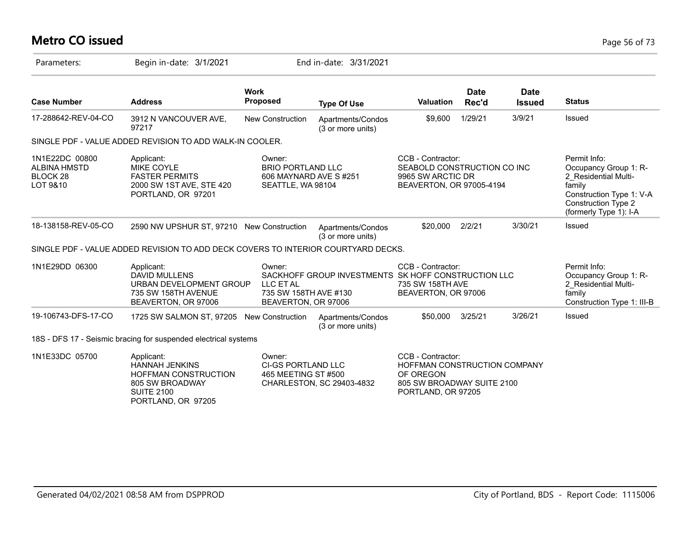# **Metro CO issued** Page 56 of 73

| Parameters:                                                       | Begin in-date: 3/1/2021                                                                                                   |                                                                                  | End in-date: 3/31/2021                              |                                                                                                                    |                      |                              |                                                                                                                                                             |
|-------------------------------------------------------------------|---------------------------------------------------------------------------------------------------------------------------|----------------------------------------------------------------------------------|-----------------------------------------------------|--------------------------------------------------------------------------------------------------------------------|----------------------|------------------------------|-------------------------------------------------------------------------------------------------------------------------------------------------------------|
| <b>Case Number</b>                                                | <b>Address</b>                                                                                                            | <b>Work</b><br>Proposed                                                          | <b>Type Of Use</b>                                  | <b>Valuation</b>                                                                                                   | <b>Date</b><br>Rec'd | <b>Date</b><br><b>Issued</b> | <b>Status</b>                                                                                                                                               |
| 17-288642-REV-04-CO                                               | 3912 N VANCOUVER AVE,<br>97217                                                                                            | <b>New Construction</b>                                                          | Apartments/Condos<br>(3 or more units)              | \$9,600                                                                                                            | 1/29/21              | 3/9/21                       | Issued                                                                                                                                                      |
|                                                                   | SINGLE PDF - VALUE ADDED REVISION TO ADD WALK-IN COOLER.                                                                  |                                                                                  |                                                     |                                                                                                                    |                      |                              |                                                                                                                                                             |
| 1N1E22DC 00800<br>ALBINA HMSTD<br>BLOCK <sub>28</sub><br>LOT 9&10 | Applicant:<br><b>MIKE COYLE</b><br><b>FASTER PERMITS</b><br>2000 SW 1ST AVE, STE 420<br>PORTLAND, OR 97201                | Owner:<br><b>BRIO PORTLAND LLC</b><br>606 MAYNARD AVE S#251<br>SEATTLE, WA 98104 |                                                     | CCB - Contractor:<br>SEABOLD CONSTRUCTION CO INC<br>9965 SW ARCTIC DR<br>BEAVERTON, OR 97005-4194                  |                      |                              | Permit Info:<br>Occupancy Group 1: R-<br>2 Residential Multi-<br>family<br>Construction Type 1: V-A<br><b>Construction Type 2</b><br>(formerly Type 1): I-A |
| 18-138158-REV-05-CO                                               | 2590 NW UPSHUR ST, 97210 New Construction                                                                                 |                                                                                  | Apartments/Condos<br>(3 or more units)              | \$20,000                                                                                                           | 2/2/21               | 3/30/21                      | Issued                                                                                                                                                      |
|                                                                   | SINGLE PDF - VALUE ADDED REVISION TO ADD DECK COVERS TO INTERIOR COURTYARD DECKS.                                         |                                                                                  |                                                     |                                                                                                                    |                      |                              |                                                                                                                                                             |
| 1N1E29DD 06300                                                    | Applicant:<br><b>DAVID MULLENS</b><br>URBAN DEVELOPMENT GROUP<br>735 SW 158TH AVENUE<br>BEAVERTON, OR 97006               | Owner:<br>LLC ET AL<br>735 SW 158TH AVE #130<br>BEAVERTON, OR 97006              | SACKHOFF GROUP INVESTMENTS SK HOFF CONSTRUCTION LLC | CCB - Contractor:<br>735 SW 158TH AVE<br>BEAVERTON, OR 97006                                                       |                      |                              | Permit Info:<br>Occupancy Group 1: R-<br>2 Residential Multi-<br>family<br>Construction Type 1: III-B                                                       |
| 19-106743-DFS-17-CO                                               | 1725 SW SALMON ST, 97205 New Construction                                                                                 |                                                                                  | Apartments/Condos<br>(3 or more units)              | \$50,000                                                                                                           | 3/25/21              | 3/26/21                      | Issued                                                                                                                                                      |
|                                                                   | 18S - DFS 17 - Seismic bracing for suspended electrical systems                                                           |                                                                                  |                                                     |                                                                                                                    |                      |                              |                                                                                                                                                             |
| 1N1E33DC 05700                                                    | Applicant:<br><b>HANNAH JENKINS</b><br>HOFFMAN CONSTRUCTION<br>805 SW BROADWAY<br><b>SUITE 2100</b><br>PORTLAND, OR 97205 | Owner:<br><b>CI-GS PORTLAND LLC</b><br>465 MEETING ST #500                       | CHARLESTON, SC 29403-4832                           | CCB - Contractor:<br>HOFFMAN CONSTRUCTION COMPANY<br>OF OREGON<br>805 SW BROADWAY SUITE 2100<br>PORTLAND, OR 97205 |                      |                              |                                                                                                                                                             |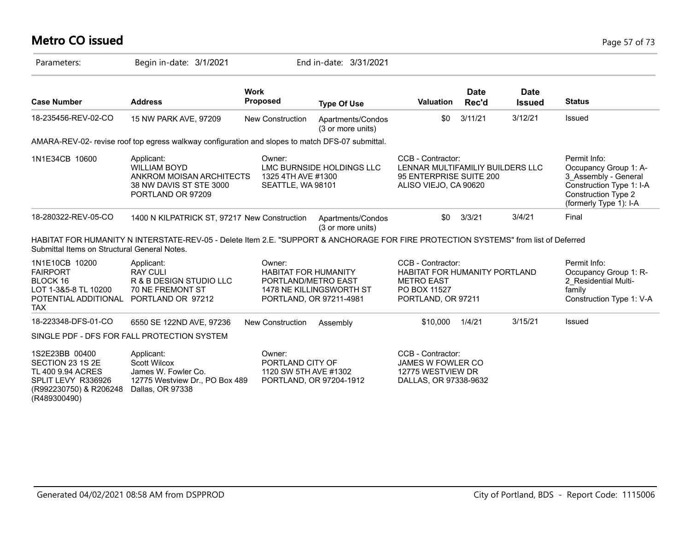# **Metro CO issued** Page 57 of 73

| Parameters:                                                                                                             | Begin in-date: 3/1/2021                                                                                                             |                                                                                         | End in-date: 3/31/2021                 |                                                                                                               |                      |                              |                                                                                                                                                   |
|-------------------------------------------------------------------------------------------------------------------------|-------------------------------------------------------------------------------------------------------------------------------------|-----------------------------------------------------------------------------------------|----------------------------------------|---------------------------------------------------------------------------------------------------------------|----------------------|------------------------------|---------------------------------------------------------------------------------------------------------------------------------------------------|
| <b>Case Number</b>                                                                                                      | <b>Address</b>                                                                                                                      | <b>Work</b><br><b>Proposed</b>                                                          | <b>Type Of Use</b>                     | <b>Valuation</b>                                                                                              | <b>Date</b><br>Rec'd | <b>Date</b><br><b>Issued</b> | <b>Status</b>                                                                                                                                     |
| 18-235456-REV-02-CO                                                                                                     | 15 NW PARK AVE, 97209                                                                                                               | <b>New Construction</b>                                                                 | Apartments/Condos<br>(3 or more units) | \$0                                                                                                           | 3/11/21              | 3/12/21                      | Issued                                                                                                                                            |
|                                                                                                                         | AMARA-REV-02- revise roof top egress walkway configuration and slopes to match DFS-07 submittal.                                    |                                                                                         |                                        |                                                                                                               |                      |                              |                                                                                                                                                   |
| 1N1E34CB 10600                                                                                                          | Applicant:<br><b>WILLIAM BOYD</b><br>ANKROM MOISAN ARCHITECTS<br>38 NW DAVIS ST STE 3000<br>PORTLAND OR 97209                       | Owner:<br>1325 4TH AVE #1300<br>SEATTLE, WA 98101                                       | LMC BURNSIDE HOLDINGS LLC              | CCB - Contractor:<br>LENNAR MULTIFAMILIY BUILDERS LLC<br>95 ENTERPRISE SUITE 200<br>ALISO VIEJO, CA 90620     |                      |                              | Permit Info:<br>Occupancy Group 1: A-<br>3 Assembly - General<br>Construction Type 1: I-A<br><b>Construction Type 2</b><br>(formerly Type 1): I-A |
| 18-280322-REV-05-CO                                                                                                     | 1400 N KILPATRICK ST, 97217 New Construction                                                                                        |                                                                                         | Apartments/Condos<br>(3 or more units) | \$0                                                                                                           | 3/3/21               | 3/4/21                       | Final                                                                                                                                             |
| Submittal Items on Structural General Notes.                                                                            | HABITAT FOR HUMANITY N INTERSTATE-REV-05 - Delete Item 2.E. "SUPPORT & ANCHORAGE FOR FIRE PROTECTION SYSTEMS" from list of Deferred |                                                                                         |                                        |                                                                                                               |                      |                              |                                                                                                                                                   |
| 1N1E10CB 10200<br><b>FAIRPORT</b><br>BLOCK 16<br>LOT 1-3&5-8 TL 10200<br>POTENTIAL ADDITIONAL<br><b>TAX</b>             | Applicant:<br><b>RAY CULI</b><br>R & B DESIGN STUDIO LLC<br><b>70 NE FREMONT ST</b><br>PORTLAND OR 97212                            | Owner:<br><b>HABITAT FOR HUMANITY</b><br>PORTLAND/METRO EAST<br>PORTLAND, OR 97211-4981 | 1478 NE KILLINGSWORTH ST               | CCB - Contractor:<br>HABITAT FOR HUMANITY PORTLAND<br><b>METRO EAST</b><br>PO BOX 11527<br>PORTLAND, OR 97211 |                      |                              | Permit Info:<br>Occupancy Group 1: R-<br>2 Residential Multi-<br>family<br>Construction Type 1: V-A                                               |
| 18-223348-DFS-01-CO                                                                                                     | 6550 SE 122ND AVE, 97236                                                                                                            | <b>New Construction</b>                                                                 | Assembly                               | \$10,000                                                                                                      | 1/4/21               | 3/15/21                      | Issued                                                                                                                                            |
|                                                                                                                         | SINGLE PDF - DFS FOR FALL PROTECTION SYSTEM                                                                                         |                                                                                         |                                        |                                                                                                               |                      |                              |                                                                                                                                                   |
| 1S2E23BB 00400<br>SECTION 23 1S 2E<br>TL 400 9.94 ACRES<br>SPLIT LEVY R336926<br>(R992230750) & R206248<br>(R489300490) | Applicant:<br>Scott Wilcox<br>James W. Fowler Co.<br>12775 Westview Dr., PO Box 489<br>Dallas, OR 97338                             | Owner:<br>PORTLAND CITY OF<br>1120 SW 5TH AVE #1302                                     | PORTLAND, OR 97204-1912                | CCB - Contractor:<br>JAMES W FOWLER CO<br>12775 WESTVIEW DR<br>DALLAS, OR 97338-9632                          |                      |                              |                                                                                                                                                   |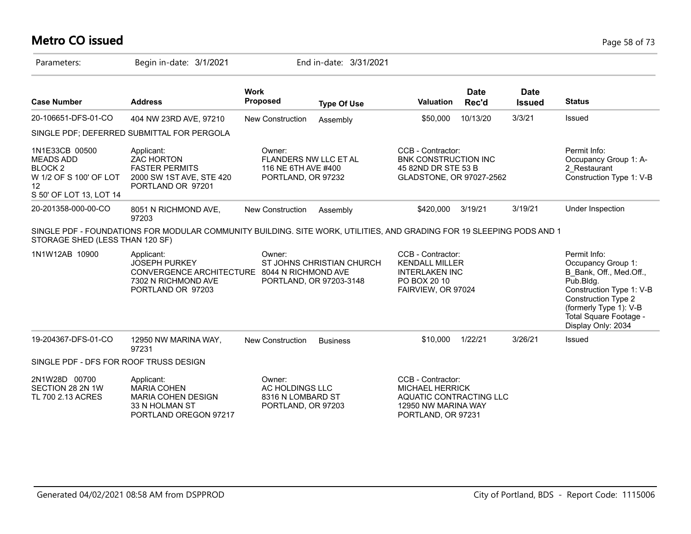# **Metro CO issued** Page 58 of 73

| Parameters:                                                                                                         | Begin in-date: 3/1/2021                                                                                               |                                                                                     | End in-date: 3/31/2021                               |                                                                                                                     |                      |                              |                                                                                                                                                                                                                |
|---------------------------------------------------------------------------------------------------------------------|-----------------------------------------------------------------------------------------------------------------------|-------------------------------------------------------------------------------------|------------------------------------------------------|---------------------------------------------------------------------------------------------------------------------|----------------------|------------------------------|----------------------------------------------------------------------------------------------------------------------------------------------------------------------------------------------------------------|
| <b>Case Number</b>                                                                                                  | <b>Address</b>                                                                                                        | <b>Work</b><br>Proposed                                                             | <b>Type Of Use</b>                                   | <b>Valuation</b>                                                                                                    | <b>Date</b><br>Rec'd | <b>Date</b><br><b>Issued</b> | <b>Status</b>                                                                                                                                                                                                  |
| 20-106651-DFS-01-CO                                                                                                 | 404 NW 23RD AVE, 97210                                                                                                | <b>New Construction</b>                                                             | Assembly                                             | \$50,000                                                                                                            | 10/13/20             | 3/3/21                       | Issued                                                                                                                                                                                                         |
|                                                                                                                     | SINGLE PDF; DEFERRED SUBMITTAL FOR PERGOLA                                                                            |                                                                                     |                                                      |                                                                                                                     |                      |                              |                                                                                                                                                                                                                |
| 1N1E33CB 00500<br><b>MEADS ADD</b><br>BLOCK <sub>2</sub><br>W 1/2 OF S 100' OF LOT<br>12<br>S 50' OF LOT 13, LOT 14 | Applicant:<br><b>ZAC HORTON</b><br><b>FASTER PERMITS</b><br>2000 SW 1ST AVE, STE 420<br>PORTLAND OR 97201             | Owner:<br><b>FLANDERS NW LLC ET AL</b><br>116 NE 6TH AVE #400<br>PORTLAND, OR 97232 |                                                      | CCB - Contractor:<br><b>BNK CONSTRUCTION INC</b><br>45 82ND DR STE 53 B<br>GLADSTONE, OR 97027-2562                 |                      |                              | Permit Info:<br>Occupancy Group 1: A-<br>2 Restaurant<br>Construction Type 1: V-B                                                                                                                              |
| 20-201358-000-00-CO                                                                                                 | 8051 N RICHMOND AVE,<br>97203                                                                                         | <b>New Construction</b>                                                             | Assembly                                             | \$420,000                                                                                                           | 3/19/21              | 3/19/21                      | Under Inspection                                                                                                                                                                                               |
| STORAGE SHED (LESS THAN 120 SF)                                                                                     | SINGLE PDF - FOUNDATIONS FOR MODULAR COMMUNITY BUILDING. SITE WORK, UTILITIES, AND GRADING FOR 19 SLEEPING PODS AND 1 |                                                                                     |                                                      |                                                                                                                     |                      |                              |                                                                                                                                                                                                                |
| 1N1W12AB 10900                                                                                                      | Applicant:<br><b>JOSEPH PURKEY</b><br>CONVERGENCE ARCHITECTURE<br>7302 N RICHMOND AVE<br>PORTLAND OR 97203            | Owner:<br>8044 N RICHMOND AVE                                                       | ST JOHNS CHRISTIAN CHURCH<br>PORTLAND, OR 97203-3148 | CCB - Contractor:<br><b>KENDALL MILLER</b><br><b>INTERLAKEN INC</b><br>PO BOX 20 10<br>FAIRVIEW, OR 97024           |                      |                              | Permit Info:<br>Occupancy Group 1:<br>B Bank, Off., Med.Off.,<br>Pub.Bldg.<br>Construction Type 1: V-B<br><b>Construction Type 2</b><br>(formerly Type 1): V-B<br>Total Square Footage -<br>Display Only: 2034 |
| 19-204367-DFS-01-CO                                                                                                 | 12950 NW MARINA WAY,<br>97231                                                                                         | <b>New Construction</b>                                                             | <b>Business</b>                                      | \$10,000                                                                                                            | 1/22/21              | 3/26/21                      | Issued                                                                                                                                                                                                         |
| SINGLE PDF - DFS FOR ROOF TRUSS DESIGN                                                                              |                                                                                                                       |                                                                                     |                                                      |                                                                                                                     |                      |                              |                                                                                                                                                                                                                |
| 2N1W28D 00700<br>SECTION 28 2N 1W<br>TL 700 2.13 ACRES                                                              | Applicant:<br><b>MARIA COHEN</b><br><b>MARIA COHEN DESIGN</b><br>33 N HOLMAN ST<br>PORTLAND OREGON 97217              | Owner:<br>AC HOLDINGS LLC<br>8316 N LOMBARD ST<br>PORTLAND, OR 97203                |                                                      | CCB - Contractor:<br><b>MICHAEL HERRICK</b><br>AQUATIC CONTRACTING LLC<br>12950 NW MARINA WAY<br>PORTLAND, OR 97231 |                      |                              |                                                                                                                                                                                                                |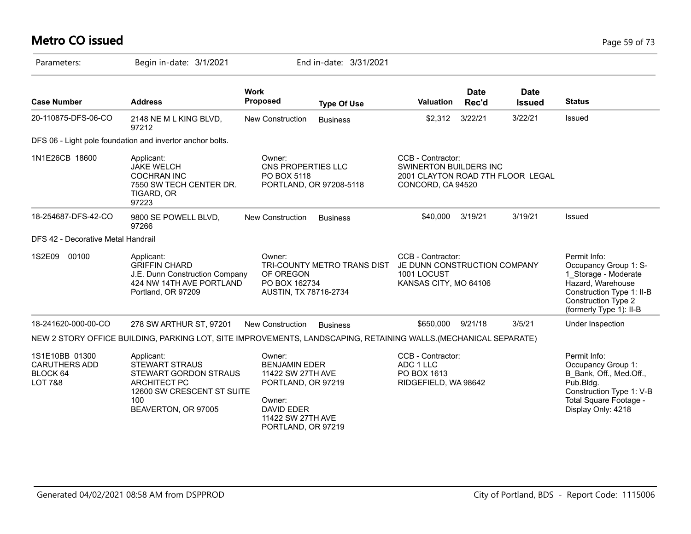### **Metro CO issued** Page 59 of 73

| Parameters:                                                              | Begin in-date: 3/1/2021                                                                                                                         |                                                                                                                                                     | End in-date: 3/31/2021      |                                                                                                       |                      |                              |                                                                                                                                                                          |
|--------------------------------------------------------------------------|-------------------------------------------------------------------------------------------------------------------------------------------------|-----------------------------------------------------------------------------------------------------------------------------------------------------|-----------------------------|-------------------------------------------------------------------------------------------------------|----------------------|------------------------------|--------------------------------------------------------------------------------------------------------------------------------------------------------------------------|
| <b>Case Number</b>                                                       | <b>Address</b>                                                                                                                                  | <b>Work</b><br><b>Proposed</b>                                                                                                                      | <b>Type Of Use</b>          | <b>Valuation</b>                                                                                      | <b>Date</b><br>Rec'd | <b>Date</b><br><b>Issued</b> | <b>Status</b>                                                                                                                                                            |
| 20-110875-DFS-06-CO                                                      | 2148 NE M L KING BLVD,<br>97212                                                                                                                 | New Construction                                                                                                                                    | <b>Business</b>             | \$2,312                                                                                               | 3/22/21              | 3/22/21                      | Issued                                                                                                                                                                   |
|                                                                          | DFS 06 - Light pole foundation and invertor anchor bolts.                                                                                       |                                                                                                                                                     |                             |                                                                                                       |                      |                              |                                                                                                                                                                          |
| 1N1E26CB 18600                                                           | Applicant:<br><b>JAKE WELCH</b><br><b>COCHRAN INC</b><br>7550 SW TECH CENTER DR.<br>TIGARD, OR<br>97223                                         | Owner:<br>CNS PROPERTIES LLC<br>PO BOX 5118                                                                                                         | PORTLAND, OR 97208-5118     | CCB - Contractor:<br>SWINERTON BUILDERS INC<br>2001 CLAYTON ROAD 7TH FLOOR LEGAL<br>CONCORD, CA 94520 |                      |                              |                                                                                                                                                                          |
| 18-254687-DFS-42-CO                                                      | 9800 SE POWELL BLVD,<br>97266                                                                                                                   | <b>New Construction</b>                                                                                                                             | <b>Business</b>             | \$40,000                                                                                              | 3/19/21              | 3/19/21                      | Issued                                                                                                                                                                   |
| DFS 42 - Decorative Metal Handrail                                       |                                                                                                                                                 |                                                                                                                                                     |                             |                                                                                                       |                      |                              |                                                                                                                                                                          |
| 1S2E09<br>00100                                                          | Applicant:<br><b>GRIFFIN CHARD</b><br>J.E. Dunn Construction Company<br>424 NW 14TH AVE PORTLAND<br>Portland, OR 97209                          | Owner:<br>OF OREGON<br>PO BOX 162734<br>AUSTIN, TX 78716-2734                                                                                       | TRI-COUNTY METRO TRANS DIST | CCB - Contractor:<br>JE DUNN CONSTRUCTION COMPANY<br>1001 LOCUST<br>KANSAS CITY, MO 64106             |                      |                              | Permit Info:<br>Occupancy Group 1: S-<br>1 Storage - Moderate<br>Hazard, Warehouse<br>Construction Type 1: II-B<br><b>Construction Type 2</b><br>(formerly Type 1): II-B |
| 18-241620-000-00-CO                                                      | 278 SW ARTHUR ST, 97201                                                                                                                         | New Construction                                                                                                                                    | <b>Business</b>             | \$650,000                                                                                             | 9/21/18              | 3/5/21                       | Under Inspection                                                                                                                                                         |
|                                                                          | NEW 2 STORY OFFICE BUILDING, PARKING LOT, SITE IMPROVEMENTS, LANDSCAPING, RETAINING WALLS. (MECHANICAL SEPARATE)                                |                                                                                                                                                     |                             |                                                                                                       |                      |                              |                                                                                                                                                                          |
| 1S1E10BB 01300<br><b>CARUTHERS ADD</b><br>BLOCK 64<br><b>LOT 7&amp;8</b> | Applicant:<br><b>STEWART STRAUS</b><br>STEWART GORDON STRAUS<br><b>ARCHITECT PC</b><br>12600 SW CRESCENT ST SUITE<br>100<br>BEAVERTON, OR 97005 | Owner:<br><b>BENJAMIN EDER</b><br>11422 SW 27TH AVE<br>PORTLAND, OR 97219<br>Owner:<br><b>DAVID EDER</b><br>11422 SW 27TH AVE<br>PORTLAND, OR 97219 |                             | CCB - Contractor:<br>ADC 1 LLC<br>PO BOX 1613<br>RIDGEFIELD, WA 98642                                 |                      |                              | Permit Info:<br>Occupancy Group 1:<br>B Bank, Off., Med.Off.,<br>Pub.Bldg.<br>Construction Type 1: V-B<br>Total Square Footage -<br>Display Only: 4218                   |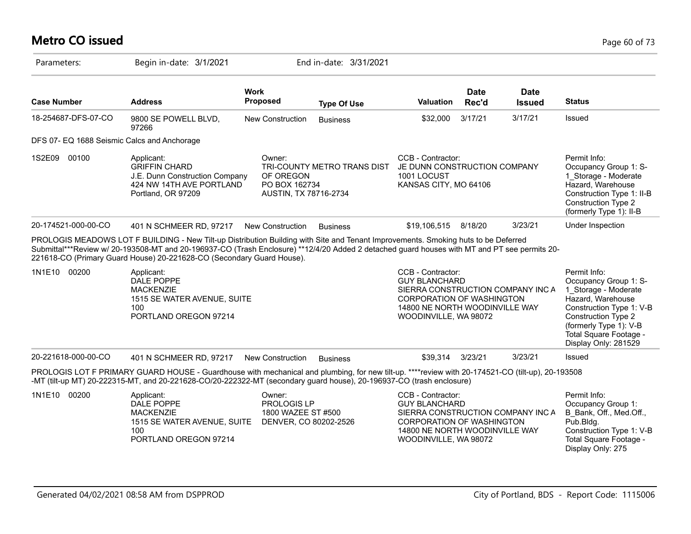# **Metro CO issued** Page 60 of 73

| Parameters:                                 | Begin in-date: 3/1/2021                                                                                                                                                                                                                                                                                                                                                                                                                                                    |                                                                      | End in-date: 3/31/2021      |                                                                                                                                                                               |                      |                              |                                                                                                                                                                                                                          |
|---------------------------------------------|----------------------------------------------------------------------------------------------------------------------------------------------------------------------------------------------------------------------------------------------------------------------------------------------------------------------------------------------------------------------------------------------------------------------------------------------------------------------------|----------------------------------------------------------------------|-----------------------------|-------------------------------------------------------------------------------------------------------------------------------------------------------------------------------|----------------------|------------------------------|--------------------------------------------------------------------------------------------------------------------------------------------------------------------------------------------------------------------------|
| <b>Case Number</b>                          | <b>Address</b>                                                                                                                                                                                                                                                                                                                                                                                                                                                             | <b>Work</b><br><b>Proposed</b>                                       | <b>Type Of Use</b>          | Valuation                                                                                                                                                                     | <b>Date</b><br>Rec'd | <b>Date</b><br><b>Issued</b> | <b>Status</b>                                                                                                                                                                                                            |
| 18-254687-DFS-07-CO                         | 9800 SE POWELL BLVD,<br>97266                                                                                                                                                                                                                                                                                                                                                                                                                                              | <b>New Construction</b>                                              | <b>Business</b>             | \$32,000                                                                                                                                                                      | 3/17/21              | 3/17/21                      | Issued                                                                                                                                                                                                                   |
| DFS 07- EQ 1688 Seismic Calcs and Anchorage |                                                                                                                                                                                                                                                                                                                                                                                                                                                                            |                                                                      |                             |                                                                                                                                                                               |                      |                              |                                                                                                                                                                                                                          |
| 1S2E09 00100                                | Applicant:<br><b>GRIFFIN CHARD</b><br>J.E. Dunn Construction Company<br>424 NW 14TH AVE PORTLAND<br>Portland, OR 97209                                                                                                                                                                                                                                                                                                                                                     | Owner:<br>OF OREGON<br>PO BOX 162734<br>AUSTIN, TX 78716-2734        | TRI-COUNTY METRO TRANS DIST | CCB - Contractor:<br>JE DUNN CONSTRUCTION COMPANY<br>1001 LOCUST<br>KANSAS CITY, MO 64106                                                                                     |                      |                              | Permit Info:<br>Occupancy Group 1: S-<br>1 Storage - Moderate<br>Hazard, Warehouse<br>Construction Type 1: II-B<br><b>Construction Type 2</b><br>(formerly Type 1): II-B                                                 |
| 20-174521-000-00-CO                         | 401 N SCHMEER RD, 97217                                                                                                                                                                                                                                                                                                                                                                                                                                                    | <b>New Construction</b>                                              | <b>Business</b>             | \$19,106,515                                                                                                                                                                  | 8/18/20              | 3/23/21                      | Under Inspection                                                                                                                                                                                                         |
| 1N1E10<br>00200                             | PROLOGIS MEADOWS LOT F BUILDING - New Tilt-up Distribution Building with Site and Tenant Improvements. Smoking huts to be Deferred<br>Submittal***Review w/ 20-193508-MT and 20-196937-CO (Trash Enclosure) **12/4/20 Added 2 detached guard houses with MT and PT see permits 20-<br>221618-CO (Primary Guard House) 20-221628-CO (Secondary Guard House).<br>Applicant:<br>DALE POPPE<br><b>MACKENZIE</b><br>1515 SE WATER AVENUE, SUITE<br>100<br>PORTLAND OREGON 97214 |                                                                      |                             | CCB - Contractor:<br><b>GUY BLANCHARD</b><br>SIERRA CONSTRUCTION COMPANY INC A<br><b>CORPORATION OF WASHINGTON</b><br>14800 NE NORTH WOODINVILLE WAY<br>WOODINVILLE, WA 98072 |                      |                              | Permit Info:<br>Occupancy Group 1: S-<br>1 Storage - Moderate<br>Hazard, Warehouse<br>Construction Type 1: V-B<br><b>Construction Type 2</b><br>(formerly Type 1): V-B<br>Total Square Footage -<br>Display Only: 281529 |
| 20-221618-000-00-CO                         | 401 N SCHMEER RD, 97217                                                                                                                                                                                                                                                                                                                                                                                                                                                    | New Construction                                                     | <b>Business</b>             | \$39,314                                                                                                                                                                      | 3/23/21              | 3/23/21                      | Issued                                                                                                                                                                                                                   |
|                                             | PROLOGIS LOT F PRIMARY GUARD HOUSE - Guardhouse with mechanical and plumbing, for new tilt-up. ****review with 20-174521-CO (tilt-up), 20-193508<br>-MT (tilt-up MT) 20-222315-MT, and 20-221628-CO/20-222322-MT (secondary guard house), 20-196937-CO (trash enclosure)                                                                                                                                                                                                   |                                                                      |                             |                                                                                                                                                                               |                      |                              |                                                                                                                                                                                                                          |
| 1N1E10<br>00200                             | Applicant:<br>DALE POPPE<br><b>MACKENZIE</b><br>1515 SE WATER AVENUE, SUITE<br>100<br>PORTLAND OREGON 97214                                                                                                                                                                                                                                                                                                                                                                | Owner:<br>PROLOGIS LP<br>1800 WAZEE ST #500<br>DENVER, CO 80202-2526 |                             | CCB - Contractor:<br><b>GUY BLANCHARD</b><br>SIERRA CONSTRUCTION COMPANY INC A<br><b>CORPORATION OF WASHINGTON</b><br>14800 NE NORTH WOODINVILLE WAY<br>WOODINVILLE, WA 98072 |                      |                              | Permit Info:<br>Occupancy Group 1:<br>B Bank, Off., Med.Off.,<br>Pub.Bldg.<br>Construction Type 1: V-B<br>Total Square Footage -<br>Display Only: 275                                                                    |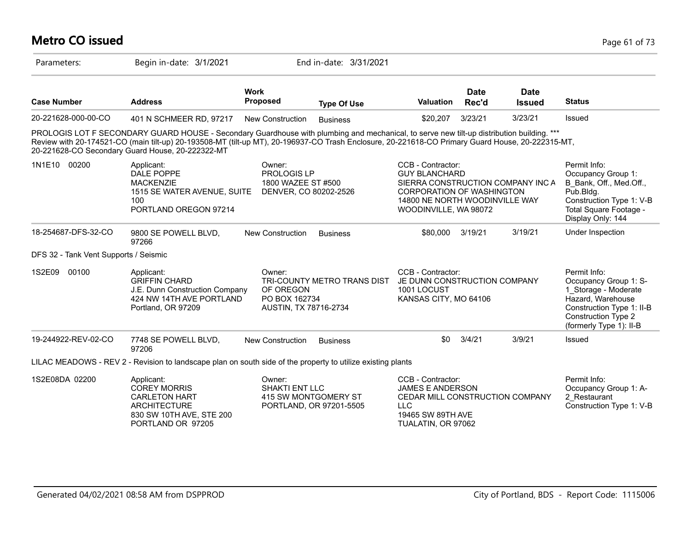#### **Metro CO issued** Page 61 of 73 Parameters: Begin in-date: 3/1/2021 End in-date: 3/31/2021 **Work Case Number Address Proposed Type Of Use Valuation Status Date Rec'd Date Issued** 20-221628-000-00-CO 401 N SCHMEER RD, 97217 New Construction Business \$20,207 3/23/21 3/23/21 Issued PROLOGIS LOT F SECONDARY GUARD HOUSE - Secondary Guardhouse with plumbing and mechanical, to serve new tilt-up distribution building. \*\*\* Review with 20-174521-CO (main tilt-up) 20-193508-MT (tilt-up MT), 20-196937-CO Trash Enclosure, 20-221618-CO Primary Guard House, 20-222315-MT, 20-221628-CO Secondary Guard House, 20-222322-MT 1N1E10 00200 Applicant: Applicant: Owner: CCB - Contractor: Permit Info: Occupancy Group 1: B\_Bank, Off., Med.Off., Pub.Bldg. Construction Type 1: V-B Total Square Footage - Display Only: 144 CCB - Contractor: GUY BLANCHARD SIERRA CONSTRUCTION COMPANY INC A CORPORATION OF WASHINGTON 14800 NE NORTH WOODINVILLE WAY WOODINVILLE, WA 98072 Owner: PROLOGIS LP 1800 WAZEE ST #500 1515 SE WATER AVENUE, SUITE DENVER, CO 80202-2526 Applicant: DALE POPPE **MACKENZIE** 100 PORTLAND OREGON 97214 18-254687-DFS-32-CO 9800 SE POWELL BLVD, 97266 New Construction Business \$80,000 3/19/21 3/19/21 Under Inspection DFS 32 - Tank Vent Supports / Seismic 1S2E09 00100 Permit Info: Occupancy Group 1: S-1\_Storage - Moderate Hazard, Warehouse Construction Type 1: II-B Construction Type 2 (formerly Type 1): II-B CCB - Contractor: JE DUNN CONSTRUCTION COMPANY 1001 LOCUST KANSAS CITY, MO 64106 Owner: TRI-COUNTY METRO TRANS DIST OF OREGON PO BOX 162734 AUSTIN, TX 78716-2734 Applicant: GRIFFIN CHARD J.E. Dunn Construction Company 424 NW 14TH AVE PORTLAND Portland, OR 97209 19-244922-REV-02-CO 7748 SE POWELL BLVD, 97206 New Construction Business 60 3/4/21 3/9/21 Issued LILAC MEADOWS - REV 2 - Revision to landscape plan on south side of the property to utilize existing plants 1S2E08DA 02200 Permit Info: Occupancy Group 1: A-2\_Restaurant Construction Type 1: V-B CCB - Contractor: JAMES E ANDERSON CEDAR MILL CONSTRUCTION COMPANY LLC 19465 SW 89TH AVE TUALATIN, OR 97062 Owner: SHAKTI ENT I I C 415 SW MONTGOMERY ST PORTLAND, OR 97201-5505 Applicant: COREY MORRIS CARLETON HART ARCHITECTURE 830 SW 10TH AVE, STE 200 PORTLAND OR 97205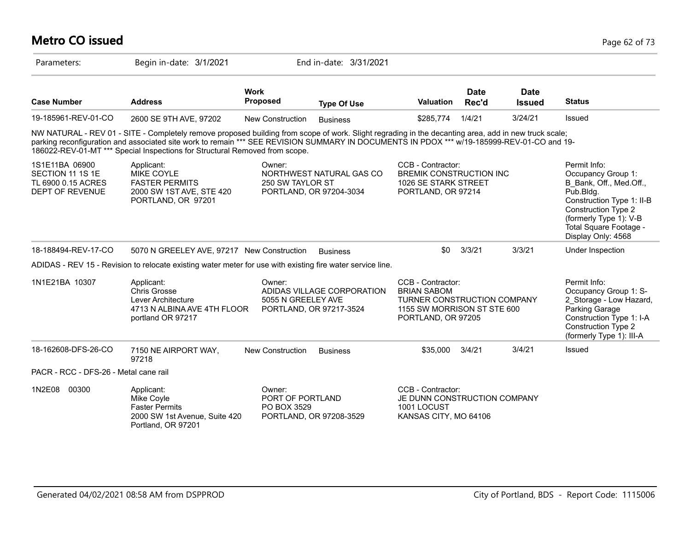#### **Metro CO issued** Page 62 of 73 Parameters: Begin in-date: 3/1/2021 End in-date: 3/31/2021 **Work Case Number Address Proposed Type Of Use Valuation Status Date Rec'd Date Issued** 19-185961-REV-01-CO 2600 SE 9TH AVE, 97202 New Construction Business \$285,774 1/4/21 3/24/21 Issued NW NATURAL - REV 01 - SITE - Completely remove proposed building from scope of work. Slight regrading in the decanting area, add in new truck scale; parking reconfiguration and associated site work to remain \*\*\* SEE REVISION SUMMARY IN DOCUMENTS IN PDOX \*\*\* w/19-185999-REV-01-CO and 19-186022-REV-01-MT \*\*\* Special Inspections for Structural Removed from scope. 1S1E11BA 06900 SECTION 11 1S 1E TL 6900 0.15 ACRES DEPT OF REVENUE Permit Info: Occupancy Group 1: B\_Bank, Off., Med.Off., Pub.Bldg. Construction Type 1: II-B Construction Type 2 (formerly Type 1): V-B Total Square Footage - Display Only: 4568 CCB - Contractor: BREMIK CONSTRUCTION INC 1026 SE STARK STREET PORTLAND, OR 97214 Owner: NORTHWEST NATURAL GAS CO 250 SW TAYLOR ST PORTLAND, OR 97204-3034 Applicant: MIKE COYLE FASTER PERMITS 2000 SW 1ST AVE, STE 420 PORTLAND, OR 97201 18-188494-REV-17-CO 5070 N GREELEY AVE, 97217 New Construction Business \$0 3/3/21 3/3/21 Under Inspection ADIDAS - REV 15 - Revision to relocate existing water meter for use with existing fire water service line. 1N1E21BA 10307 **Applicant:** Applicant: COB - COB - Contractor: Permit Info: Occupancy Group 1: S-2\_Storage - Low Hazard, Parking Garage Construction Type 1: I-A Construction Type 2 (formerly Type 1): III-A CCB - Contractor: BRIAN SABOM TURNER CONSTRUCTION COMPANY 1155 SW MORRISON ST STE 600 PORTLAND, OR 97205 Owner: ADIDAS VILLAGE CORPORATION 5055 N GREELEY AVE PORTLAND, OR 97217-3524 Applicant: Chris Grosse Lever Architecture 4713 N ALBINA AVE 4TH FLOOR portland OR 97217 18-162608-DFS-26-CO 7150 NE AIRPORT WAY, 97218 New Construction Business \$35,000 3/4/21 3/4/21 Issued PACR - RCC - DFS-26 - Metal cane rail 1N2E08 00300 CCB - Contractor: JE DUNN CONSTRUCTION COMPANY 1001 LOCUST KANSAS CITY, MO 64106 Owner: PORT OF PORTLAND PO BOX 3529 PORTLAND, OR 97208-3529 Applicant: Mike Coyle Faster Permits 2000 SW 1st Avenue, Suite 420 Portland, OR 97201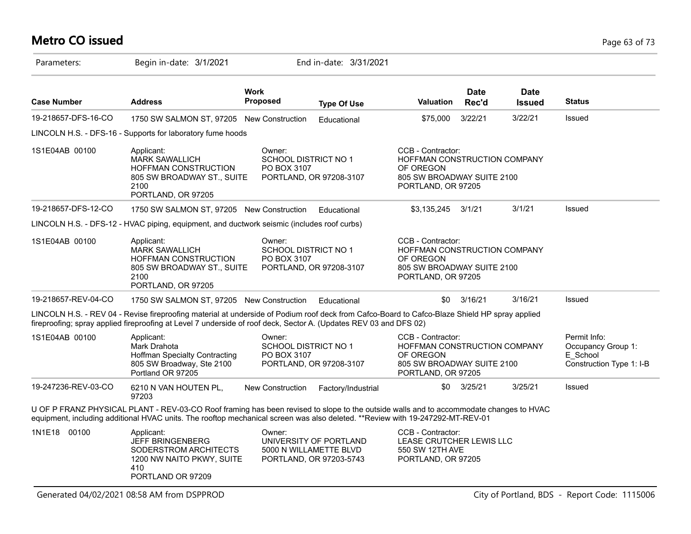# **Metro CO issued** Page 63 of 73

| Parameters:         | Begin in-date: 3/1/2021                                                                                                                                                                                                                                                 |                                                      | End in-date: 3/31/2021                                                      |                                                                                                                    |                      |                              |                                                                            |
|---------------------|-------------------------------------------------------------------------------------------------------------------------------------------------------------------------------------------------------------------------------------------------------------------------|------------------------------------------------------|-----------------------------------------------------------------------------|--------------------------------------------------------------------------------------------------------------------|----------------------|------------------------------|----------------------------------------------------------------------------|
| <b>Case Number</b>  | <b>Address</b>                                                                                                                                                                                                                                                          | <b>Work</b><br><b>Proposed</b>                       | <b>Type Of Use</b>                                                          | Valuation                                                                                                          | <b>Date</b><br>Rec'd | <b>Date</b><br><b>Issued</b> | <b>Status</b>                                                              |
| 19-218657-DFS-16-CO | 1750 SW SALMON ST, 97205 New Construction                                                                                                                                                                                                                               |                                                      | Educational                                                                 | \$75,000                                                                                                           | 3/22/21              | 3/22/21                      | Issued                                                                     |
|                     | LINCOLN H.S. - DFS-16 - Supports for laboratory fume hoods                                                                                                                                                                                                              |                                                      |                                                                             |                                                                                                                    |                      |                              |                                                                            |
| 1S1E04AB 00100      | Applicant:<br><b>MARK SAWALLICH</b><br><b>HOFFMAN CONSTRUCTION</b><br>805 SW BROADWAY ST., SUITE<br>2100<br>PORTLAND, OR 97205                                                                                                                                          | Owner:<br><b>SCHOOL DISTRICT NO 1</b><br>PO BOX 3107 | PORTLAND, OR 97208-3107                                                     | CCB - Contractor:<br>HOFFMAN CONSTRUCTION COMPANY<br>OF OREGON<br>805 SW BROADWAY SUITE 2100<br>PORTLAND, OR 97205 |                      |                              |                                                                            |
| 19-218657-DFS-12-CO | 1750 SW SALMON ST, 97205 New Construction                                                                                                                                                                                                                               |                                                      | Educational                                                                 | \$3,135,245                                                                                                        | 3/1/21               | 3/1/21                       | <b>Issued</b>                                                              |
|                     | LINCOLN H.S. - DFS-12 - HVAC piping, equipment, and ductwork seismic (includes roof curbs)                                                                                                                                                                              |                                                      |                                                                             |                                                                                                                    |                      |                              |                                                                            |
| 1S1E04AB 00100      | Applicant:<br><b>MARK SAWALLICH</b><br>HOFFMAN CONSTRUCTION<br>805 SW BROADWAY ST., SUITE<br>2100<br>PORTLAND, OR 97205                                                                                                                                                 | Owner:<br>SCHOOL DISTRICT NO 1<br>PO BOX 3107        | PORTLAND, OR 97208-3107                                                     | CCB - Contractor:<br>HOFFMAN CONSTRUCTION COMPANY<br>OF OREGON<br>805 SW BROADWAY SUITE 2100<br>PORTLAND, OR 97205 |                      |                              |                                                                            |
| 19-218657-REV-04-CO | 1750 SW SALMON ST, 97205 New Construction                                                                                                                                                                                                                               |                                                      | Educational                                                                 | \$0                                                                                                                | 3/16/21              | 3/16/21                      | Issued                                                                     |
|                     | LINCOLN H.S. - REV 04 - Revise fireproofing material at underside of Podium roof deck from Cafco-Board to Cafco-Blaze Shield HP spray applied<br>fireproofing; spray applied fireproofing at Level 7 underside of roof deck, Sector A. (Updates REV 03 and DFS 02)      |                                                      |                                                                             |                                                                                                                    |                      |                              |                                                                            |
| 1S1E04AB 00100      | Applicant:<br>Mark Drahota<br><b>Hoffman Specialty Contracting</b><br>805 SW Broadway, Ste 2100<br>Portland OR 97205                                                                                                                                                    | Owner:<br>SCHOOL DISTRICT NO 1<br>PO BOX 3107        | PORTLAND, OR 97208-3107                                                     | CCB - Contractor:<br>HOFFMAN CONSTRUCTION COMPANY<br>OF OREGON<br>805 SW BROADWAY SUITE 2100<br>PORTLAND, OR 97205 |                      |                              | Permit Info:<br>Occupancy Group 1:<br>E School<br>Construction Type 1: I-B |
| 19-247236-REV-03-CO | 6210 N VAN HOUTEN PL,<br>97203                                                                                                                                                                                                                                          | New Construction                                     | Factory/Industrial                                                          | <b>SO</b>                                                                                                          | 3/25/21              | 3/25/21                      | Issued                                                                     |
|                     | U OF P FRANZ PHYSICAL PLANT - REV-03-CO Roof framing has been revised to slope to the outside walls and to accommodate changes to HVAC<br>equipment, including additional HVAC units. The rooftop mechanical screen was also deleted. **Review with 19-247292-MT-REV-01 |                                                      |                                                                             |                                                                                                                    |                      |                              |                                                                            |
| 1N1E18 00100        | Applicant:<br><b>JEFF BRINGENBERG</b><br>SODERSTROM ARCHITECTS<br>1200 NW NAITO PKWY, SUITE<br>410<br>PORTLAND OR 97209                                                                                                                                                 | Owner:                                               | UNIVERSITY OF PORTLAND<br>5000 N WILLAMETTE BLVD<br>PORTLAND, OR 97203-5743 | CCB - Contractor:<br>LEASE CRUTCHER LEWIS LLC<br>550 SW 12TH AVE<br>PORTLAND, OR 97205                             |                      |                              |                                                                            |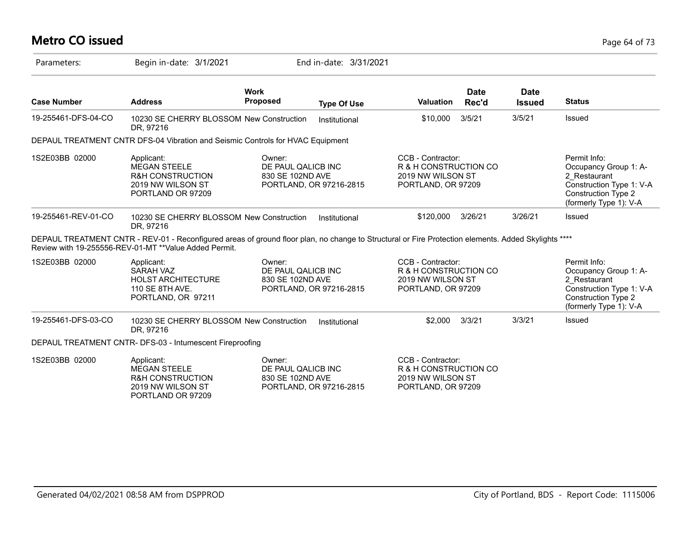# **Metro CO issued** Page 64 of 73

| Parameters:         | Begin in-date: 3/1/2021                                                                                                                                                                                       |                                                  | End in-date: 3/31/2021  |                                                                                       |               |                              |                                                                                                                                           |
|---------------------|---------------------------------------------------------------------------------------------------------------------------------------------------------------------------------------------------------------|--------------------------------------------------|-------------------------|---------------------------------------------------------------------------------------|---------------|------------------------------|-------------------------------------------------------------------------------------------------------------------------------------------|
| <b>Case Number</b>  | <b>Address</b>                                                                                                                                                                                                | <b>Work</b><br><b>Proposed</b>                   | <b>Type Of Use</b>      | <b>Valuation</b>                                                                      | Date<br>Rec'd | <b>Date</b><br><b>Issued</b> | <b>Status</b>                                                                                                                             |
| 19-255461-DFS-04-CO | 10230 SE CHERRY BLOSSOM New Construction<br>DR. 97216                                                                                                                                                         |                                                  | Institutional           | \$10,000                                                                              | 3/5/21        | 3/5/21                       | Issued                                                                                                                                    |
|                     | DEPAUL TREATMENT CNTR DFS-04 Vibration and Seismic Controls for HVAC Equipment                                                                                                                                |                                                  |                         |                                                                                       |               |                              |                                                                                                                                           |
| 1S2E03BB 02000      | Applicant:<br><b>MEGAN STEELE</b><br><b>R&amp;H CONSTRUCTION</b><br>2019 NW WILSON ST<br>PORTLAND OR 97209                                                                                                    | Owner:<br>DE PAUL QALICB INC<br>830 SE 102ND AVE | PORTLAND, OR 97216-2815 | CCB - Contractor:<br>R & H CONSTRUCTION CO<br>2019 NW WILSON ST<br>PORTLAND, OR 97209 |               |                              | Permit Info:<br>Occupancy Group 1: A-<br>2 Restaurant<br>Construction Type 1: V-A<br>Construction Type 2<br>(formerly Type 1): V-A        |
| 19-255461-REV-01-CO | 10230 SE CHERRY BLOSSOM New Construction<br>DR, 97216                                                                                                                                                         |                                                  | Institutional           | \$120,000                                                                             | 3/26/21       | 3/26/21                      | Issued                                                                                                                                    |
|                     | DEPAUL TREATMENT CNTR - REV-01 - Reconfigured areas of ground floor plan, no change to Structural or Fire Protection elements. Added Skylights ****<br>Review with 19-255556-REV-01-MT ** Value Added Permit. |                                                  |                         |                                                                                       |               |                              |                                                                                                                                           |
| 1S2E03BB 02000      | Applicant:<br>SARAH VAZ<br><b>HOLST ARCHITECTURE</b><br>110 SE 8TH AVE.<br>PORTLAND, OR 97211                                                                                                                 | Owner:<br>DE PAUL QALICB INC<br>830 SE 102ND AVE | PORTLAND, OR 97216-2815 | CCB - Contractor:<br>R & H CONSTRUCTION CO<br>2019 NW WILSON ST<br>PORTLAND, OR 97209 |               |                              | Permit Info:<br>Occupancy Group 1: A-<br>2 Restaurant<br>Construction Type 1: V-A<br><b>Construction Type 2</b><br>(formerly Type 1): V-A |
| 19-255461-DFS-03-CO | 10230 SE CHERRY BLOSSOM New Construction<br>DR, 97216                                                                                                                                                         |                                                  | Institutional           | \$2,000                                                                               | 3/3/21        | 3/3/21                       | Issued                                                                                                                                    |
|                     | DEPAUL TREATMENT CNTR- DFS-03 - Intumescent Fireproofing                                                                                                                                                      |                                                  |                         |                                                                                       |               |                              |                                                                                                                                           |
| 1S2E03BB 02000      | Applicant:<br><b>MEGAN STEELE</b><br><b>R&amp;H CONSTRUCTION</b><br>2019 NW WILSON ST<br>PORTLAND OR 97209                                                                                                    | Owner:<br>DE PAUL QALICB INC<br>830 SE 102ND AVE | PORTLAND, OR 97216-2815 | CCB - Contractor:<br>R & H CONSTRUCTION CO<br>2019 NW WILSON ST<br>PORTLAND, OR 97209 |               |                              |                                                                                                                                           |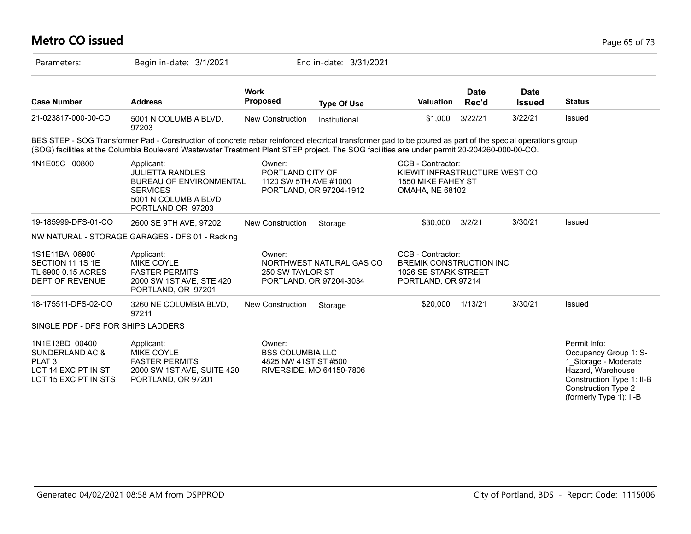| <b>Metro CO issued</b>                                                                                |                                                                                                                                                                                                                                                                                                            |                                                           |                                                     |                                                                                                    |                      |                              | Page 65 of 73                                                                                                                                                            |
|-------------------------------------------------------------------------------------------------------|------------------------------------------------------------------------------------------------------------------------------------------------------------------------------------------------------------------------------------------------------------------------------------------------------------|-----------------------------------------------------------|-----------------------------------------------------|----------------------------------------------------------------------------------------------------|----------------------|------------------------------|--------------------------------------------------------------------------------------------------------------------------------------------------------------------------|
| Parameters:                                                                                           | Begin in-date: 3/1/2021                                                                                                                                                                                                                                                                                    |                                                           | End in-date: 3/31/2021                              |                                                                                                    |                      |                              |                                                                                                                                                                          |
| <b>Case Number</b>                                                                                    | <b>Address</b>                                                                                                                                                                                                                                                                                             | <b>Work</b><br>Proposed                                   | <b>Type Of Use</b>                                  | Valuation                                                                                          | <b>Date</b><br>Rec'd | <b>Date</b><br><b>Issued</b> | <b>Status</b>                                                                                                                                                            |
| 21-023817-000-00-CO                                                                                   | 5001 N COLUMBIA BLVD,<br>97203                                                                                                                                                                                                                                                                             | <b>New Construction</b>                                   | Institutional                                       | \$1,000                                                                                            | 3/22/21              | 3/22/21                      | Issued                                                                                                                                                                   |
|                                                                                                       | BES STEP - SOG Transformer Pad - Construction of concrete rebar reinforced electrical transformer pad to be poured as part of the special operations group<br>(SOG) facilities at the Columbia Boulevard Wastewater Treatment Plant STEP project. The SOG facilities are under permit 20-204260-000-00-CO. |                                                           |                                                     |                                                                                                    |                      |                              |                                                                                                                                                                          |
| 1N1E05C 00800                                                                                         | Applicant:<br><b>JULIETTA RANDLES</b><br><b>BUREAU OF ENVIRONMENTAL</b><br><b>SERVICES</b><br>5001 N COLUMBIA BLVD<br>PORTLAND OR 97203                                                                                                                                                                    | Owner:<br>PORTLAND CITY OF<br>1120 SW 5TH AVE #1000       | PORTLAND, OR 97204-1912                             | CCB - Contractor:<br>KIEWIT INFRASTRUCTURE WEST CO<br>1550 MIKE FAHEY ST<br><b>OMAHA, NE 68102</b> |                      |                              |                                                                                                                                                                          |
| 19-185999-DFS-01-CO                                                                                   | 2600 SE 9TH AVE, 97202                                                                                                                                                                                                                                                                                     | <b>New Construction</b>                                   | Storage                                             | \$30,000                                                                                           | 3/2/21               | 3/30/21                      | Issued                                                                                                                                                                   |
|                                                                                                       | NW NATURAL - STORAGE GARAGES - DFS 01 - Racking                                                                                                                                                                                                                                                            |                                                           |                                                     |                                                                                                    |                      |                              |                                                                                                                                                                          |
| 1S1E11BA 06900<br>SECTION 11 1S 1E<br>TL 6900 0.15 ACRES<br>DEPT OF REVENUE                           | Applicant:<br><b>MIKE COYLE</b><br><b>FASTER PERMITS</b><br>2000 SW 1ST AVE, STE 420<br>PORTLAND, OR 97201                                                                                                                                                                                                 | Owner:<br>250 SW TAYLOR ST                                | NORTHWEST NATURAL GAS CO<br>PORTLAND, OR 97204-3034 | CCB - Contractor:<br><b>BREMIK CONSTRUCTION INC</b><br>1026 SE STARK STREET<br>PORTLAND, OR 97214  |                      |                              |                                                                                                                                                                          |
| 18-175511-DFS-02-CO                                                                                   | 3260 NE COLUMBIA BLVD,<br>97211                                                                                                                                                                                                                                                                            | New Construction                                          | Storage                                             | \$20,000                                                                                           | 1/13/21              | 3/30/21                      | Issued                                                                                                                                                                   |
| SINGLE PDF - DFS FOR SHIPS LADDERS                                                                    |                                                                                                                                                                                                                                                                                                            |                                                           |                                                     |                                                                                                    |                      |                              |                                                                                                                                                                          |
| 1N1E13BD 00400<br>SUNDERLAND AC &<br>PLAT <sub>3</sub><br>LOT 14 EXC PT IN ST<br>LOT 15 EXC PT IN STS | Applicant:<br><b>MIKE COYLE</b><br><b>FASTER PERMITS</b><br>2000 SW 1ST AVE, SUITE 420<br>PORTLAND, OR 97201                                                                                                                                                                                               | Owner:<br><b>BSS COLUMBIA LLC</b><br>4825 NW 41ST ST #500 | RIVERSIDE, MO 64150-7806                            |                                                                                                    |                      |                              | Permit Info:<br>Occupancy Group 1: S-<br>1 Storage - Moderate<br>Hazard, Warehouse<br>Construction Type 1: II-B<br><b>Construction Type 2</b><br>(formerly Type 1): II-B |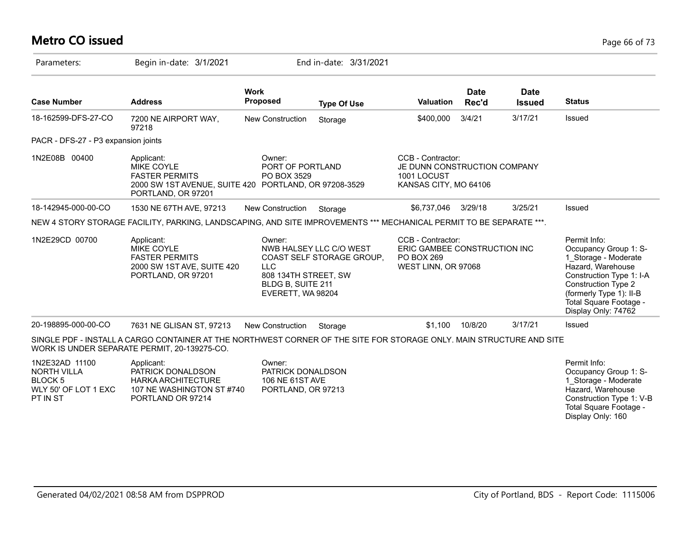# **Metro CO issued** Page 66 of 73

| Parameters:                                                                                    | Begin in-date: 3/1/2021                                                                                                                                              |                                                                                        | End in-date: 3/31/2021                               |                                                                                               |                      |                              |                                                                                                                                                                                                                          |
|------------------------------------------------------------------------------------------------|----------------------------------------------------------------------------------------------------------------------------------------------------------------------|----------------------------------------------------------------------------------------|------------------------------------------------------|-----------------------------------------------------------------------------------------------|----------------------|------------------------------|--------------------------------------------------------------------------------------------------------------------------------------------------------------------------------------------------------------------------|
| <b>Case Number</b>                                                                             | <b>Address</b>                                                                                                                                                       | <b>Work</b><br>Proposed                                                                | <b>Type Of Use</b>                                   | <b>Valuation</b>                                                                              | <b>Date</b><br>Rec'd | <b>Date</b><br><b>Issued</b> | <b>Status</b>                                                                                                                                                                                                            |
| 18-162599-DFS-27-CO                                                                            | 7200 NE AIRPORT WAY,<br>97218                                                                                                                                        | New Construction                                                                       | Storage                                              | \$400,000                                                                                     | 3/4/21               | 3/17/21                      | Issued                                                                                                                                                                                                                   |
| PACR - DFS-27 - P3 expansion joints                                                            |                                                                                                                                                                      |                                                                                        |                                                      |                                                                                               |                      |                              |                                                                                                                                                                                                                          |
| 1N2E08B 00400                                                                                  | Applicant:<br>MIKE COYLE<br><b>FASTER PERMITS</b><br>2000 SW 1ST AVENUE, SUITE 420 PORTLAND, OR 97208-3529<br>PORTLAND, OR 97201                                     | Owner:<br>PORT OF PORTLAND<br>PO BOX 3529                                              |                                                      | CCB - Contractor:<br>JE DUNN CONSTRUCTION COMPANY<br>1001 LOCUST<br>KANSAS CITY, MO 64106     |                      |                              |                                                                                                                                                                                                                          |
| 18-142945-000-00-CO                                                                            | 1530 NE 67TH AVE, 97213                                                                                                                                              | <b>New Construction</b>                                                                | Storage                                              | \$6,737,046                                                                                   | 3/29/18              | 3/25/21                      | Issued                                                                                                                                                                                                                   |
|                                                                                                | NEW 4 STORY STORAGE FACILITY, PARKING, LANDSCAPING, AND SITE IMPROVEMENTS *** MECHANICAL PERMIT TO BE SEPARATE ***.                                                  |                                                                                        |                                                      |                                                                                               |                      |                              |                                                                                                                                                                                                                          |
| 1N2E29CD 00700                                                                                 | Applicant:<br>MIKE COYLE<br><b>FASTER PERMITS</b><br>2000 SW 1ST AVE, SUITE 420<br>PORTLAND, OR 97201                                                                | Owner:<br><b>LLC</b><br>808 134TH STREET, SW<br>BLDG B, SUITE 211<br>EVERETT, WA 98204 | NWB HALSEY LLC C/O WEST<br>COAST SELF STORAGE GROUP, | CCB - Contractor:<br>ERIC GAMBEE CONSTRUCTION INC<br><b>PO BOX 269</b><br>WEST LINN, OR 97068 |                      |                              | Permit Info:<br>Occupancy Group 1: S-<br>1 Storage - Moderate<br>Hazard, Warehouse<br>Construction Type 1: I-A<br><b>Construction Type 2</b><br>(formerly Type 1): II-B<br>Total Square Footage -<br>Display Only: 74762 |
| 20-198895-000-00-CO                                                                            | 7631 NE GLISAN ST, 97213                                                                                                                                             | New Construction                                                                       | Storage                                              | \$1.100                                                                                       | 10/8/20              | 3/17/21                      | Issued                                                                                                                                                                                                                   |
|                                                                                                | SINGLE PDF - INSTALL A CARGO CONTAINER AT THE NORTHWEST CORNER OF THE SITE FOR STORAGE ONLY. MAIN STRUCTURE AND SITE<br>WORK IS UNDER SEPARATE PERMIT, 20-139275-CO. |                                                                                        |                                                      |                                                                                               |                      |                              |                                                                                                                                                                                                                          |
| 1N2E32AD 11100<br><b>NORTH VILLA</b><br>BLOCK <sub>5</sub><br>WLY 50' OF LOT 1 EXC<br>PT IN ST | Applicant:<br>PATRICK DONALDSON<br><b>HARKA ARCHITECTURE</b><br>107 NE WASHINGTON ST #740<br>PORTLAND OR 97214                                                       | Owner:<br>PATRICK DONALDSON<br>106 NE 61ST AVE<br>PORTLAND, OR 97213                   |                                                      |                                                                                               |                      |                              | Permit Info:<br>Occupancy Group 1: S-<br>1 Storage - Moderate<br>Hazard, Warehouse<br>Construction Type 1: V-B<br>Total Square Footage -<br>Display Only: 160                                                            |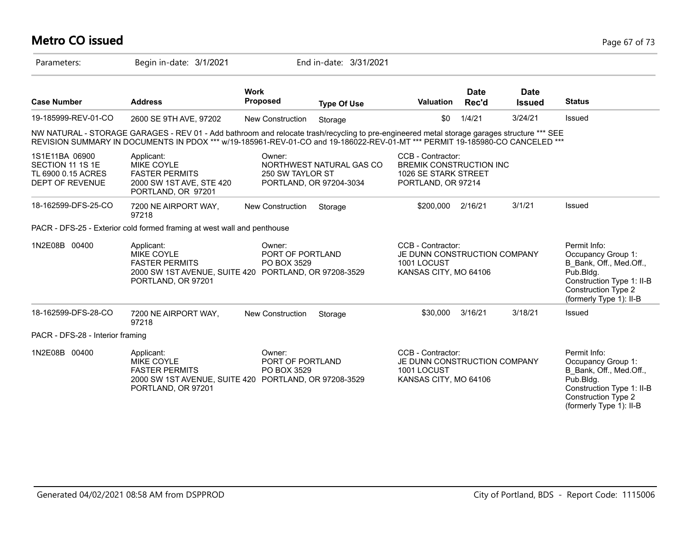# **Metro CO issued** Page 67 of 73

| Parameters:                                                                 | Begin in-date: 3/1/2021                                                                                                                                                                                                                                                     |                                           | End in-date: 3/31/2021                              |                                                                                                   |                      |                              |                                                                                                                                                                  |
|-----------------------------------------------------------------------------|-----------------------------------------------------------------------------------------------------------------------------------------------------------------------------------------------------------------------------------------------------------------------------|-------------------------------------------|-----------------------------------------------------|---------------------------------------------------------------------------------------------------|----------------------|------------------------------|------------------------------------------------------------------------------------------------------------------------------------------------------------------|
| <b>Case Number</b>                                                          | <b>Address</b>                                                                                                                                                                                                                                                              | <b>Work</b><br><b>Proposed</b>            | <b>Type Of Use</b>                                  | <b>Valuation</b>                                                                                  | <b>Date</b><br>Rec'd | <b>Date</b><br><b>Issued</b> | <b>Status</b>                                                                                                                                                    |
| 19-185999-REV-01-CO                                                         | 2600 SE 9TH AVE, 97202                                                                                                                                                                                                                                                      | New Construction                          | Storage                                             | \$0                                                                                               | 1/4/21               | 3/24/21                      | Issued                                                                                                                                                           |
|                                                                             | NW NATURAL - STORAGE GARAGES - REV 01 - Add bathroom and relocate trash/recycling to pre-engineered metal storage garages structure *** SEE<br>REVISION SUMMARY IN DOCUMENTS IN PDOX *** w/19-185961-REV-01-CO and 19-186022-REV-01-MT *** PERMIT 19-185980-CO CANCELED *** |                                           |                                                     |                                                                                                   |                      |                              |                                                                                                                                                                  |
| 1S1E11BA 06900<br>SECTION 11 1S 1E<br>TL 6900 0.15 ACRES<br>DEPT OF REVENUE | Applicant:<br><b>MIKE COYLE</b><br><b>FASTER PERMITS</b><br>2000 SW 1ST AVE, STE 420<br>PORTLAND, OR 97201                                                                                                                                                                  | Owner:<br>250 SW TAYLOR ST                | NORTHWEST NATURAL GAS CO<br>PORTLAND, OR 97204-3034 | CCB - Contractor:<br><b>BREMIK CONSTRUCTION INC</b><br>1026 SE STARK STREET<br>PORTLAND, OR 97214 |                      |                              |                                                                                                                                                                  |
| 18-162599-DFS-25-CO                                                         | 7200 NE AIRPORT WAY,<br>97218                                                                                                                                                                                                                                               | <b>New Construction</b>                   | Storage                                             | \$200,000                                                                                         | 2/16/21              | 3/1/21                       | Issued                                                                                                                                                           |
|                                                                             | PACR - DFS-25 - Exterior cold formed framing at west wall and penthouse                                                                                                                                                                                                     |                                           |                                                     |                                                                                                   |                      |                              |                                                                                                                                                                  |
| 1N2E08B 00400                                                               | Applicant:<br><b>MIKE COYLE</b><br><b>FASTER PERMITS</b><br>2000 SW 1ST AVENUE, SUITE 420 PORTLAND, OR 97208-3529<br>PORTLAND, OR 97201                                                                                                                                     | Owner:<br>PORT OF PORTLAND<br>PO BOX 3529 |                                                     | CCB - Contractor:<br>JE DUNN CONSTRUCTION COMPANY<br>1001 LOCUST<br>KANSAS CITY, MO 64106         |                      |                              | Permit Info:<br>Occupancy Group 1:<br>B Bank, Off., Med.Off.,<br>Pub.Bldg.<br>Construction Type 1: II-B<br><b>Construction Type 2</b><br>(formerly Type 1): II-B |
| 18-162599-DFS-28-CO                                                         | 7200 NE AIRPORT WAY,<br>97218                                                                                                                                                                                                                                               | <b>New Construction</b>                   | Storage                                             | \$30,000                                                                                          | 3/16/21              | 3/18/21                      | Issued                                                                                                                                                           |
| PACR - DFS-28 - Interior framing                                            |                                                                                                                                                                                                                                                                             |                                           |                                                     |                                                                                                   |                      |                              |                                                                                                                                                                  |
| 1N2E08B 00400                                                               | Applicant:<br><b>MIKE COYLE</b><br><b>FASTER PERMITS</b><br>2000 SW 1ST AVENUE, SUITE 420<br>PORTLAND, OR 97201                                                                                                                                                             | Owner:<br>PORT OF PORTLAND<br>PO BOX 3529 | PORTLAND, OR 97208-3529                             | CCB - Contractor:<br>JE DUNN CONSTRUCTION COMPANY<br>1001 LOCUST<br>KANSAS CITY, MO 64106         |                      |                              | Permit Info:<br>Occupancy Group 1:<br>B Bank, Off., Med.Off.,<br>Pub.Bldg.<br>Construction Type 1: II-B<br><b>Construction Type 2</b><br>(formerly Type 1): II-B |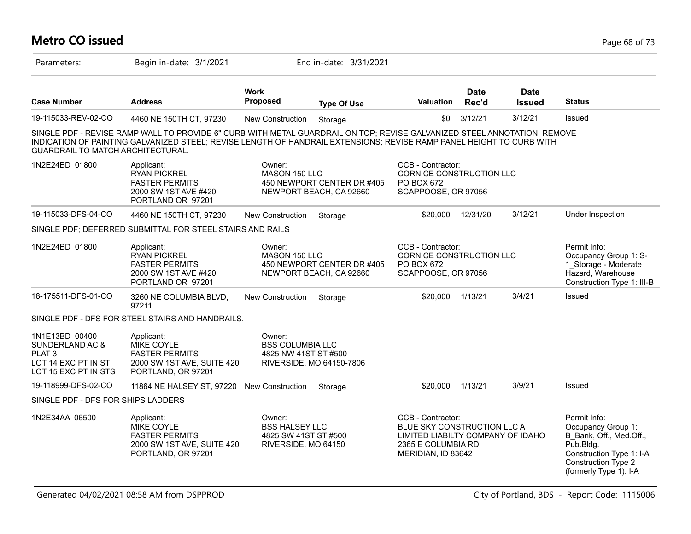### **Metro CO issued** Page 68 of 73

| Parameters:                                                                                           | Begin in-date: 3/1/2021                                                                                                                                                                                                                          |                                                                                | End in-date: 3/31/2021                                |                                                                                                                                   |                      |                              |                                                                                                                                                                |
|-------------------------------------------------------------------------------------------------------|--------------------------------------------------------------------------------------------------------------------------------------------------------------------------------------------------------------------------------------------------|--------------------------------------------------------------------------------|-------------------------------------------------------|-----------------------------------------------------------------------------------------------------------------------------------|----------------------|------------------------------|----------------------------------------------------------------------------------------------------------------------------------------------------------------|
| <b>Case Number</b>                                                                                    | <b>Address</b>                                                                                                                                                                                                                                   | <b>Work</b><br>Proposed                                                        | <b>Type Of Use</b>                                    | Valuation                                                                                                                         | <b>Date</b><br>Rec'd | <b>Date</b><br><b>Issued</b> | <b>Status</b>                                                                                                                                                  |
| 19-115033-REV-02-CO                                                                                   | 4460 NE 150TH CT, 97230                                                                                                                                                                                                                          | New Construction                                                               | Storage                                               | \$0                                                                                                                               | 3/12/21              | 3/12/21                      | Issued                                                                                                                                                         |
| GUARDRAIL TO MATCH ARCHITECTURAL.                                                                     | SINGLE PDF - REVISE RAMP WALL TO PROVIDE 6" CURB WITH METAL GUARDRAIL ON TOP; REVISE GALVANIZED STEEL ANNOTATION; REMOVE<br>INDICATION OF PAINTING GALVANIZED STEEL; REVISE LENGTH OF HANDRAIL EXTENSIONS; REVISE RAMP PANEL HEIGHT TO CURB WITH |                                                                                |                                                       |                                                                                                                                   |                      |                              |                                                                                                                                                                |
| 1N2E24BD 01800                                                                                        | Applicant:<br><b>RYAN PICKREL</b><br><b>FASTER PERMITS</b><br>2000 SW 1ST AVE #420<br>PORTLAND OR 97201                                                                                                                                          | Owner:<br>MASON 150 LLC                                                        | 450 NEWPORT CENTER DR #405<br>NEWPORT BEACH, CA 92660 | CCB - Contractor:<br><b>CORNICE CONSTRUCTION LLC</b><br>PO BOX 672<br>SCAPPOOSE, OR 97056                                         |                      |                              |                                                                                                                                                                |
| 19-115033-DFS-04-CO                                                                                   | 4460 NE 150TH CT, 97230                                                                                                                                                                                                                          | <b>New Construction</b>                                                        | Storage                                               | \$20,000                                                                                                                          | 12/31/20             | 3/12/21                      | Under Inspection                                                                                                                                               |
|                                                                                                       | SINGLE PDF; DEFERRED SUBMITTAL FOR STEEL STAIRS AND RAILS                                                                                                                                                                                        |                                                                                |                                                       |                                                                                                                                   |                      |                              |                                                                                                                                                                |
| 1N2E24BD 01800                                                                                        | Applicant:<br><b>RYAN PICKREL</b><br><b>FASTER PERMITS</b><br>2000 SW 1ST AVE #420<br>PORTLAND OR 97201                                                                                                                                          | Owner:<br>MASON 150 LLC                                                        | 450 NEWPORT CENTER DR #405<br>NEWPORT BEACH, CA 92660 | CCB - Contractor:<br>CORNICE CONSTRUCTION LLC<br>PO BOX 672<br>SCAPPOOSE, OR 97056                                                |                      |                              | Permit Info:<br>Occupancy Group 1: S-<br>1 Storage - Moderate<br>Hazard, Warehouse<br>Construction Type 1: III-B                                               |
| 18-175511-DFS-01-CO                                                                                   | 3260 NE COLUMBIA BLVD,<br>97211                                                                                                                                                                                                                  | New Construction                                                               | Storage                                               | \$20,000                                                                                                                          | 1/13/21              | 3/4/21                       | Issued                                                                                                                                                         |
|                                                                                                       | SINGLE PDF - DFS FOR STEEL STAIRS AND HANDRAILS.                                                                                                                                                                                                 |                                                                                |                                                       |                                                                                                                                   |                      |                              |                                                                                                                                                                |
| 1N1E13BD 00400<br>SUNDERLAND AC &<br>PLAT <sub>3</sub><br>LOT 14 EXC PT IN ST<br>LOT 15 EXC PT IN STS | Applicant:<br>MIKE COYLE<br><b>FASTER PERMITS</b><br>2000 SW 1ST AVE, SUITE 420<br>PORTLAND, OR 97201                                                                                                                                            | Owner:<br><b>BSS COLUMBIA LLC</b><br>4825 NW 41ST ST #500                      | RIVERSIDE, MO 64150-7806                              |                                                                                                                                   |                      |                              |                                                                                                                                                                |
| 19-118999-DFS-02-CO                                                                                   | 11864 NE HALSEY ST, 97220 New Construction                                                                                                                                                                                                       |                                                                                | Storage                                               | \$20,000                                                                                                                          | 1/13/21              | 3/9/21                       | Issued                                                                                                                                                         |
| SINGLE PDF - DFS FOR SHIPS LADDERS                                                                    |                                                                                                                                                                                                                                                  |                                                                                |                                                       |                                                                                                                                   |                      |                              |                                                                                                                                                                |
| 1N2E34AA 06500                                                                                        | Applicant:<br>MIKE COYLE<br><b>FASTER PERMITS</b><br>2000 SW 1ST AVE, SUITE 420<br>PORTLAND, OR 97201                                                                                                                                            | Owner:<br><b>BSS HALSEY LLC</b><br>4825 SW 41ST ST #500<br>RIVERSIDE, MO 64150 |                                                       | CCB - Contractor:<br>BLUE SKY CONSTRUCTION LLC A<br>LIMITED LIABILTY COMPANY OF IDAHO<br>2365 E COLUMBIA RD<br>MERIDIAN, ID 83642 |                      |                              | Permit Info:<br>Occupancy Group 1:<br>B_Bank, Off., Med.Off.,<br>Pub.Bldg.<br>Construction Type 1: I-A<br><b>Construction Type 2</b><br>(formerly Type 1): I-A |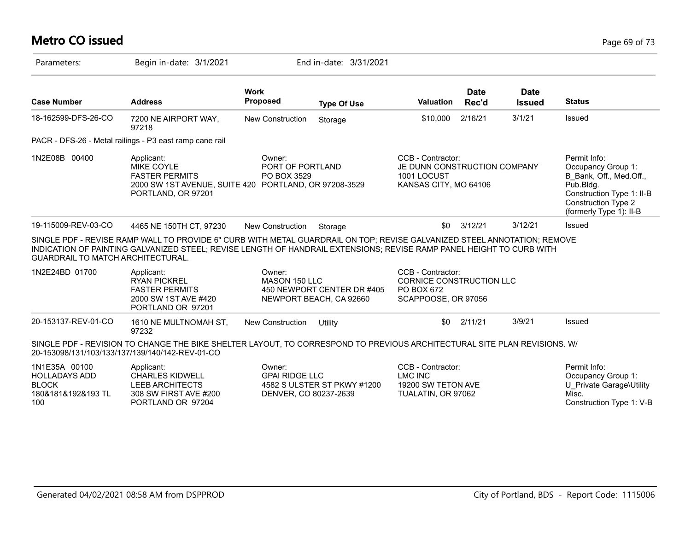# **Metro CO issued** Page 69 of 73

| Parameters:                                                                        | Begin in-date: 3/1/2021                                                                                                                                                                                                                          |                                                          | End in-date: 3/31/2021                                |                                                                                           |                      |                              |                                                                                                                                                           |
|------------------------------------------------------------------------------------|--------------------------------------------------------------------------------------------------------------------------------------------------------------------------------------------------------------------------------------------------|----------------------------------------------------------|-------------------------------------------------------|-------------------------------------------------------------------------------------------|----------------------|------------------------------|-----------------------------------------------------------------------------------------------------------------------------------------------------------|
| <b>Case Number</b>                                                                 | <b>Address</b>                                                                                                                                                                                                                                   | <b>Work</b><br><b>Proposed</b>                           | <b>Type Of Use</b>                                    | <b>Valuation</b>                                                                          | <b>Date</b><br>Rec'd | <b>Date</b><br><b>Issued</b> | <b>Status</b>                                                                                                                                             |
| 18-162599-DFS-26-CO                                                                | 7200 NE AIRPORT WAY,<br>97218                                                                                                                                                                                                                    | <b>New Construction</b>                                  | Storage                                               | \$10,000                                                                                  | 2/16/21              | 3/1/21                       | Issued                                                                                                                                                    |
|                                                                                    | PACR - DFS-26 - Metal railings - P3 east ramp cane rail                                                                                                                                                                                          |                                                          |                                                       |                                                                                           |                      |                              |                                                                                                                                                           |
| 1N2E08B 00400                                                                      | Applicant:<br><b>MIKE COYLE</b><br><b>FASTER PERMITS</b><br>2000 SW 1ST AVENUE, SUITE 420 PORTLAND, OR 97208-3529<br>PORTLAND, OR 97201                                                                                                          | Owner:<br>PORT OF PORTLAND<br>PO BOX 3529                |                                                       | CCB - Contractor:<br>JE DUNN CONSTRUCTION COMPANY<br>1001 LOCUST<br>KANSAS CITY, MO 64106 |                      |                              | Permit Info:<br>Occupancy Group 1:<br>B Bank, Off., Med.Off.,<br>Pub.Bldg.<br>Construction Type 1: II-B<br>Construction Type 2<br>(formerly Type 1): II-B |
| 19-115009-REV-03-CO                                                                | 4465 NE 150TH CT, 97230                                                                                                                                                                                                                          | <b>New Construction</b>                                  | Storage                                               | \$0                                                                                       | 3/12/21              | 3/12/21                      | Issued                                                                                                                                                    |
| <b>GUARDRAIL TO MATCH ARCHITECTURAL.</b>                                           | SINGLE PDF - REVISE RAMP WALL TO PROVIDE 6" CURB WITH METAL GUARDRAIL ON TOP; REVISE GALVANIZED STEEL ANNOTATION; REMOVE<br>INDICATION OF PAINTING GALVANIZED STEEL; REVISE LENGTH OF HANDRAIL EXTENSIONS; REVISE RAMP PANEL HEIGHT TO CURB WITH |                                                          |                                                       |                                                                                           |                      |                              |                                                                                                                                                           |
| 1N2E24BD 01700                                                                     | Applicant:<br><b>RYAN PICKREL</b><br><b>FASTER PERMITS</b><br>2000 SW 1ST AVE #420<br>PORTLAND OR 97201                                                                                                                                          | Owner:<br>MASON 150 LLC                                  | 450 NEWPORT CENTER DR #405<br>NEWPORT BEACH, CA 92660 | CCB - Contractor:<br>CORNICE CONSTRUCTION LLC<br>PO BOX 672<br>SCAPPOOSE, OR 97056        |                      |                              |                                                                                                                                                           |
| 20-153137-REV-01-CO                                                                | 1610 NE MULTNOMAH ST,<br>97232                                                                                                                                                                                                                   | New Construction                                         | Utility                                               | \$0                                                                                       | 2/11/21              | 3/9/21                       | Issued                                                                                                                                                    |
|                                                                                    | SINGLE PDF - REVISION TO CHANGE THE BIKE SHELTER LAYOUT, TO CORRESPOND TO PREVIOUS ARCHITECTURAL SITE PLAN REVISIONS. W/<br>20-153098/131/103/133/137/139/140/142-REV-01-CO                                                                      |                                                          |                                                       |                                                                                           |                      |                              |                                                                                                                                                           |
| 1N1E35A 00100<br><b>HOLLADAYS ADD</b><br><b>BLOCK</b><br>180&181&192&193 TL<br>100 | Applicant:<br><b>CHARLES KIDWELL</b><br><b>LEEB ARCHITECTS</b><br>308 SW FIRST AVE #200<br>PORTLAND OR 97204                                                                                                                                     | Owner:<br><b>GPAI RIDGE LLC</b><br>DENVER, CO 80237-2639 | 4582 S ULSTER ST PKWY #1200                           | CCB - Contractor:<br><b>LMC INC</b><br>19200 SW TETON AVE<br>TUALATIN, OR 97062           |                      |                              | Permit Info:<br>Occupancy Group 1:<br>U Private Garage\Utility<br>Misc.<br>Construction Type 1: V-B                                                       |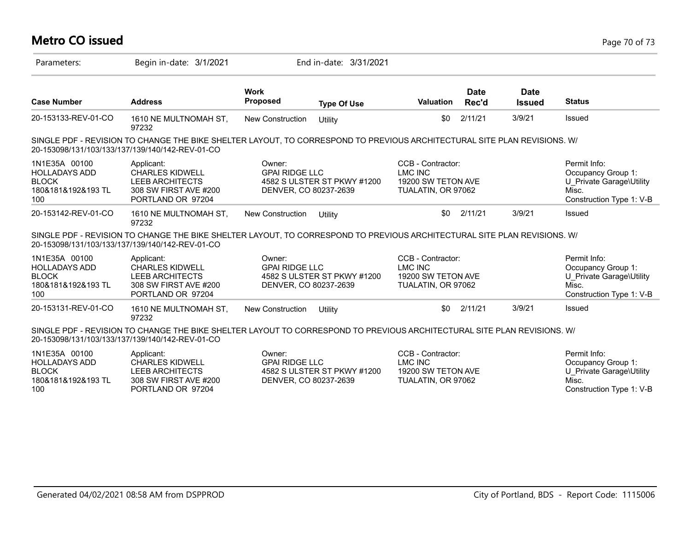| <b>Metro CO issued</b><br>Page 70 of 73                                            |                                                                                                                                                                             |                                                          |                             |                                                                                 |                      |                              |                                                                                                     |  |  |
|------------------------------------------------------------------------------------|-----------------------------------------------------------------------------------------------------------------------------------------------------------------------------|----------------------------------------------------------|-----------------------------|---------------------------------------------------------------------------------|----------------------|------------------------------|-----------------------------------------------------------------------------------------------------|--|--|
| Parameters:                                                                        | Begin in-date: 3/1/2021                                                                                                                                                     |                                                          | End in-date: 3/31/2021      |                                                                                 |                      |                              |                                                                                                     |  |  |
| <b>Case Number</b>                                                                 | <b>Address</b>                                                                                                                                                              | <b>Work</b><br><b>Proposed</b>                           | <b>Type Of Use</b>          | <b>Valuation</b>                                                                | <b>Date</b><br>Rec'd | <b>Date</b><br><b>Issued</b> | <b>Status</b>                                                                                       |  |  |
| 20-153133-REV-01-CO                                                                | 1610 NE MULTNOMAH ST,<br>97232                                                                                                                                              | New Construction                                         | Utility                     | \$0                                                                             | 2/11/21              | 3/9/21                       | Issued                                                                                              |  |  |
|                                                                                    | SINGLE PDF - REVISION TO CHANGE THE BIKE SHELTER LAYOUT, TO CORRESPOND TO PREVIOUS ARCHITECTURAL SITE PLAN REVISIONS. W/<br>20-153098/131/103/133/137/139/140/142-REV-01-CO |                                                          |                             |                                                                                 |                      |                              |                                                                                                     |  |  |
| 1N1E35A 00100<br><b>HOLLADAYS ADD</b><br><b>BLOCK</b><br>180&181&192&193 TL<br>100 | Applicant:<br><b>CHARLES KIDWELL</b><br>LEEB ARCHITECTS<br>308 SW FIRST AVE #200<br>PORTLAND OR 97204                                                                       | Owner:<br><b>GPAI RIDGE LLC</b><br>DENVER, CO 80237-2639 | 4582 S ULSTER ST PKWY #1200 | CCB - Contractor:<br><b>LMC INC</b><br>19200 SW TETON AVE<br>TUALATIN, OR 97062 |                      |                              | Permit Info:<br>Occupancy Group 1:<br>U Private Garage\Utility<br>Misc.<br>Construction Type 1: V-B |  |  |
| 20-153142-REV-01-CO                                                                | 1610 NE MULTNOMAH ST,<br>97232                                                                                                                                              | New Construction                                         | Utility                     | \$0                                                                             | 2/11/21              | 3/9/21                       | Issued                                                                                              |  |  |
|                                                                                    | SINGLE PDF - REVISION TO CHANGE THE BIKE SHELTER LAYOUT, TO CORRESPOND TO PREVIOUS ARCHITECTURAL SITE PLAN REVISIONS. W/<br>20-153098/131/103/133/137/139/140/142-REV-01-CO |                                                          |                             |                                                                                 |                      |                              |                                                                                                     |  |  |
| 1N1E35A 00100<br><b>HOLLADAYS ADD</b><br><b>BLOCK</b><br>180&181&192&193 TL<br>100 | Applicant:<br><b>CHARLES KIDWELL</b><br><b>LEEB ARCHITECTS</b><br>308 SW FIRST AVE #200<br>PORTLAND OR 97204                                                                | Owner:<br><b>GPAI RIDGE LLC</b><br>DENVER, CO 80237-2639 | 4582 S ULSTER ST PKWY #1200 | CCB - Contractor:<br><b>LMC INC</b><br>19200 SW TETON AVE<br>TUALATIN, OR 97062 |                      |                              | Permit Info:<br>Occupancy Group 1:<br>U Private Garage\Utility<br>Misc.<br>Construction Type 1: V-B |  |  |
| 20-153131-REV-01-CO                                                                | 1610 NE MULTNOMAH ST,<br>97232                                                                                                                                              | New Construction                                         | Utility                     | \$0                                                                             | 2/11/21              | 3/9/21                       | Issued                                                                                              |  |  |
|                                                                                    | SINGLE PDF - REVISION TO CHANGE THE BIKE SHELTER LAYOUT TO CORRESPOND TO PREVIOUS ARCHITECTURAL SITE PLAN REVISIONS. W/<br>20-153098/131/103/133/137/139/140/142-REV-01-CO  |                                                          |                             |                                                                                 |                      |                              |                                                                                                     |  |  |
| 1N1E35A 00100<br><b>HOLLADAYS ADD</b><br><b>BLOCK</b><br>180&181&192&193 TL<br>100 | Applicant:<br><b>CHARLES KIDWELL</b><br><b>LEEB ARCHITECTS</b><br>308 SW FIRST AVE #200<br>PORTLAND OR 97204                                                                | Owner:<br><b>GPAI RIDGE LLC</b><br>DENVER, CO 80237-2639 | 4582 S ULSTER ST PKWY #1200 | CCB - Contractor:<br><b>LMC INC</b><br>19200 SW TETON AVE<br>TUALATIN, OR 97062 |                      |                              | Permit Info:<br>Occupancy Group 1:<br>U Private Garage\Utility<br>Misc.<br>Construction Type 1: V-B |  |  |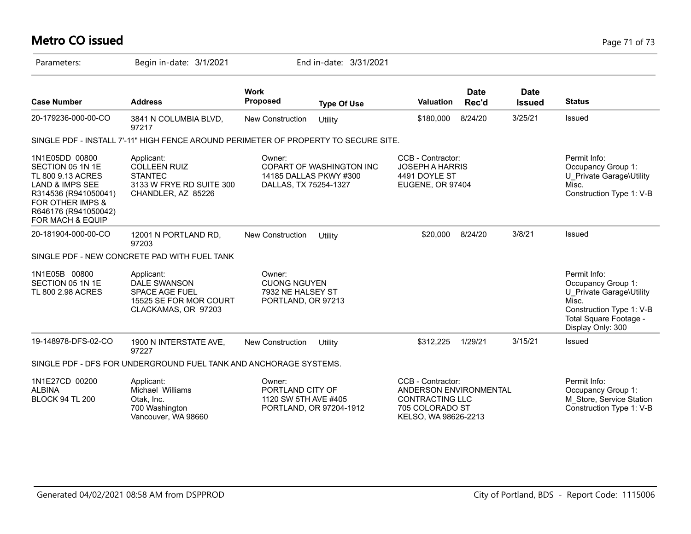# **Metro CO issued** Page 71 of 73

| Parameters:                                                                                                                                                                              | Begin in-date: 3/1/2021                                                                               |                                                                          | End in-date: 3/31/2021                                    |                                                                                                                  |                      |                              |                                                                                                                                                    |
|------------------------------------------------------------------------------------------------------------------------------------------------------------------------------------------|-------------------------------------------------------------------------------------------------------|--------------------------------------------------------------------------|-----------------------------------------------------------|------------------------------------------------------------------------------------------------------------------|----------------------|------------------------------|----------------------------------------------------------------------------------------------------------------------------------------------------|
| <b>Case Number</b>                                                                                                                                                                       | <b>Address</b>                                                                                        | <b>Work</b><br><b>Proposed</b>                                           | <b>Type Of Use</b>                                        | Valuation                                                                                                        | <b>Date</b><br>Rec'd | <b>Date</b><br><b>Issued</b> | <b>Status</b>                                                                                                                                      |
| 20-179236-000-00-CO                                                                                                                                                                      | 3841 N COLUMBIA BLVD,<br>97217                                                                        | <b>New Construction</b>                                                  | Utility                                                   | \$180,000                                                                                                        | 8/24/20              | 3/25/21                      | Issued                                                                                                                                             |
|                                                                                                                                                                                          | SINGLE PDF - INSTALL 7'-11" HIGH FENCE AROUND PERIMETER OF PROPERTY TO SECURE SITE.                   |                                                                          |                                                           |                                                                                                                  |                      |                              |                                                                                                                                                    |
| 1N1E05DD 00800<br>SECTION 05 1N 1E<br>TL 800 9.13 ACRES<br><b>LAND &amp; IMPS SEE</b><br>R314536 (R941050041)<br><b>FOR OTHER IMPS &amp;</b><br>R646176 (R941050042)<br>FOR MACH & EQUIP | Applicant:<br><b>COLLEEN RUIZ</b><br><b>STANTEC</b><br>3133 W FRYE RD SUITE 300<br>CHANDLER, AZ 85226 | Owner:<br>DALLAS, TX 75254-1327                                          | <b>COPART OF WASHINGTON INC</b><br>14185 DALLAS PKWY #300 | CCB - Contractor:<br><b>JOSEPH A HARRIS</b><br>4491 DOYLE ST<br><b>EUGENE, OR 97404</b>                          |                      |                              | Permit Info:<br>Occupancy Group 1:<br>U Private Garage\Utility<br>Misc.<br>Construction Type 1: V-B                                                |
| 20-181904-000-00-CO                                                                                                                                                                      | 12001 N PORTLAND RD,<br>97203                                                                         | <b>New Construction</b>                                                  | Utility                                                   | \$20,000                                                                                                         | 8/24/20              | 3/8/21                       | Issued                                                                                                                                             |
|                                                                                                                                                                                          | SINGLE PDF - NEW CONCRETE PAD WITH FUEL TANK                                                          |                                                                          |                                                           |                                                                                                                  |                      |                              |                                                                                                                                                    |
| 1N1E05B 00800<br>SECTION 05 1N 1E<br>TL 800 2.98 ACRES                                                                                                                                   | Applicant:<br>DALE SWANSON<br><b>SPACE AGE FUEL</b><br>15525 SE FOR MOR COURT<br>CLACKAMAS, OR 97203  | Owner:<br><b>CUONG NGUYEN</b><br>7932 NE HALSEY ST<br>PORTLAND, OR 97213 |                                                           |                                                                                                                  |                      |                              | Permit Info:<br>Occupancy Group 1:<br>U Private Garage\Utility<br>Misc.<br>Construction Type 1: V-B<br>Total Square Footage -<br>Display Only: 300 |
| 19-148978-DFS-02-CO                                                                                                                                                                      | 1900 N INTERSTATE AVE,<br>97227                                                                       | <b>New Construction</b>                                                  | Utility                                                   | \$312,225                                                                                                        | 1/29/21              | 3/15/21                      | Issued                                                                                                                                             |
|                                                                                                                                                                                          | SINGLE PDF - DFS FOR UNDERGROUND FUEL TANK AND ANCHORAGE SYSTEMS.                                     |                                                                          |                                                           |                                                                                                                  |                      |                              |                                                                                                                                                    |
| 1N1E27CD 00200<br><b>ALBINA</b><br><b>BLOCK 94 TL 200</b>                                                                                                                                | Applicant:<br>Michael Williams<br>Otak, Inc.<br>700 Washington<br>Vancouver, WA 98660                 | Owner:<br>PORTLAND CITY OF<br>1120 SW 5TH AVE #405                       | PORTLAND, OR 97204-1912                                   | CCB - Contractor:<br>ANDERSON ENVIRONMENTAL<br><b>CONTRACTING LLC</b><br>705 COLORADO ST<br>KELSO, WA 98626-2213 |                      |                              | Permit Info:<br>Occupancy Group 1:<br>M Store, Service Station<br>Construction Type 1: V-B                                                         |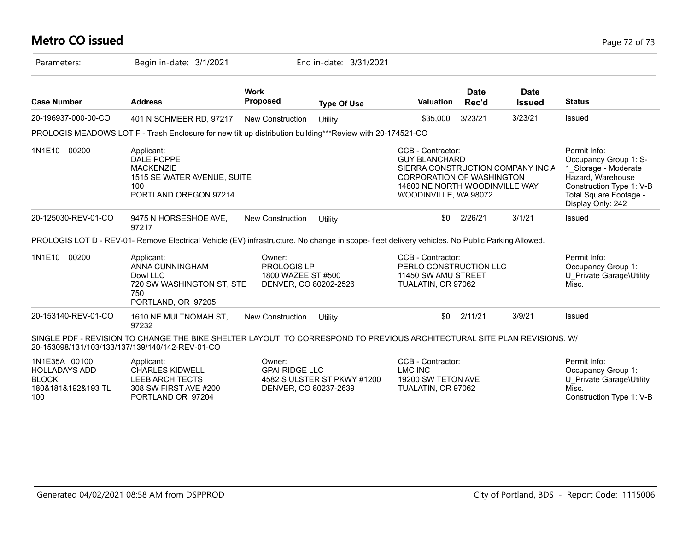# **Metro CO issued** Page 72 of 73

| Parameters:                                                                        | Begin in-date: 3/1/2021                                                                                                                                                     |                                                                      | End in-date: 3/31/2021      |                                                                                                                                                                        |                      |                              |                                                                                                                                                               |
|------------------------------------------------------------------------------------|-----------------------------------------------------------------------------------------------------------------------------------------------------------------------------|----------------------------------------------------------------------|-----------------------------|------------------------------------------------------------------------------------------------------------------------------------------------------------------------|----------------------|------------------------------|---------------------------------------------------------------------------------------------------------------------------------------------------------------|
| <b>Case Number</b>                                                                 | <b>Address</b>                                                                                                                                                              | <b>Work</b><br><b>Proposed</b>                                       | <b>Type Of Use</b>          | <b>Valuation</b>                                                                                                                                                       | <b>Date</b><br>Rec'd | <b>Date</b><br><b>Issued</b> | <b>Status</b>                                                                                                                                                 |
| 20-196937-000-00-CO                                                                | 401 N SCHMEER RD, 97217                                                                                                                                                     | <b>New Construction</b>                                              | Utility                     | \$35,000                                                                                                                                                               | 3/23/21              | 3/23/21                      | Issued                                                                                                                                                        |
|                                                                                    | PROLOGIS MEADOWS LOT F - Trash Enclosure for new tilt up distribution building***Review with 20-174521-CO                                                                   |                                                                      |                             |                                                                                                                                                                        |                      |                              |                                                                                                                                                               |
| 1N1E10<br>00200                                                                    | Applicant:<br>DALE POPPE<br><b>MACKENZIE</b><br>1515 SE WATER AVENUE, SUITE<br>100<br>PORTLAND OREGON 97214                                                                 |                                                                      |                             | CCB - Contractor:<br><b>GUY BLANCHARD</b><br>SIERRA CONSTRUCTION COMPANY INC A<br>CORPORATION OF WASHINGTON<br>14800 NE NORTH WOODINVILLE WAY<br>WOODINVILLE, WA 98072 |                      |                              | Permit Info:<br>Occupancy Group 1: S-<br>1 Storage - Moderate<br>Hazard, Warehouse<br>Construction Type 1: V-B<br>Total Square Footage -<br>Display Only: 242 |
| 20-125030-REV-01-CO                                                                | 9475 N HORSESHOE AVE,<br>97217                                                                                                                                              | <b>New Construction</b>                                              | Utility                     | \$0                                                                                                                                                                    | 2/26/21              | 3/1/21                       | Issued                                                                                                                                                        |
|                                                                                    | PROLOGIS LOT D - REV-01- Remove Electrical Vehicle (EV) infrastructure. No change in scope- fleet delivery vehicles. No Public Parking Allowed.                             |                                                                      |                             |                                                                                                                                                                        |                      |                              |                                                                                                                                                               |
| 1N1E10 00200                                                                       | Applicant:<br>ANNA CUNNINGHAM<br>Dowl LLC<br>720 SW WASHINGTON ST, STE<br>750<br>PORTLAND, OR 97205                                                                         | Owner:<br>PROLOGIS LP<br>1800 WAZEE ST #500<br>DENVER, CO 80202-2526 |                             | CCB - Contractor:<br>PERLO CONSTRUCTION LLC<br>11450 SW AMU STREET<br>TUALATIN, OR 97062                                                                               |                      |                              | Permit Info:<br>Occupancy Group 1:<br>U Private Garage\Utility<br>Misc.                                                                                       |
| 20-153140-REV-01-CO                                                                | 1610 NE MULTNOMAH ST,<br>97232                                                                                                                                              | <b>New Construction</b>                                              | Utility                     | \$0                                                                                                                                                                    | 2/11/21              | 3/9/21                       | Issued                                                                                                                                                        |
|                                                                                    | SINGLE PDF - REVISION TO CHANGE THE BIKE SHELTER LAYOUT, TO CORRESPOND TO PREVIOUS ARCHITECTURAL SITE PLAN REVISIONS. W/<br>20-153098/131/103/133/137/139/140/142-REV-01-CO |                                                                      |                             |                                                                                                                                                                        |                      |                              |                                                                                                                                                               |
| 1N1E35A 00100<br><b>HOLLADAYS ADD</b><br><b>BLOCK</b><br>180&181&192&193 TL<br>100 | Applicant:<br><b>CHARLES KIDWELL</b><br><b>LEEB ARCHITECTS</b><br>308 SW FIRST AVE #200<br>PORTLAND OR 97204                                                                | Owner:<br><b>GPAI RIDGE LLC</b><br>DENVER, CO 80237-2639             | 4582 S ULSTER ST PKWY #1200 | CCB - Contractor:<br><b>LMC INC</b><br>19200 SW TETON AVE<br>TUALATIN, OR 97062                                                                                        |                      |                              | Permit Info:<br>Occupancy Group 1:<br>U Private Garage\Utility<br>Misc.<br>Construction Type 1: V-B                                                           |